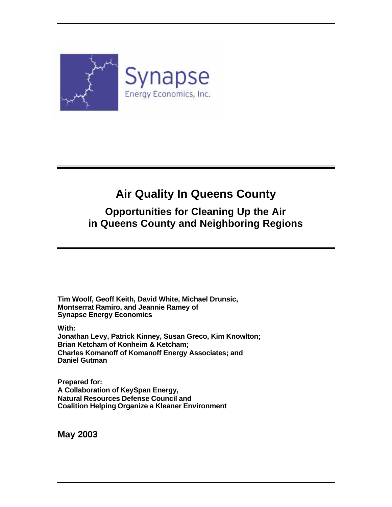

## **Air Quality In Queens County**

### **Opportunities for Cleaning Up the Air in Queens County and Neighboring Regions**

**Tim Woolf, Geoff Keith, David White, Michael Drunsic, Montserrat Ramiro, and Jeannie Ramey of Synapse Energy Economics**

**With:**

**Jonathan Levy, Patrick Kinney, Susan Greco, Kim Knowlton; Brian Ketcham of Konheim & Ketcham; Charles Komanoff of Komanoff Energy Associates; and Daniel Gutman**

**Prepared for: A Collaboration of KeySpan Energy, Natural Resources Defense Council and Coalition Helping Organize a Kleaner Environment** 

**May 2003**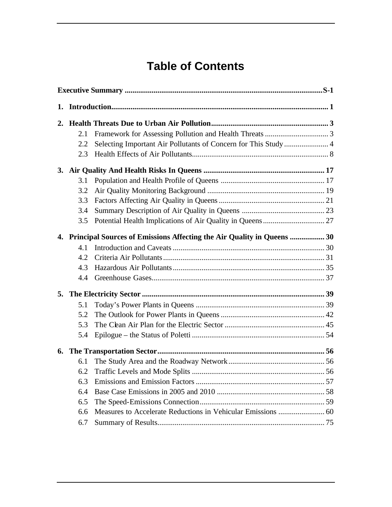## **Table of Contents**

| 1. |     |                                                                           |  |
|----|-----|---------------------------------------------------------------------------|--|
|    |     |                                                                           |  |
|    | 2.1 |                                                                           |  |
|    | 2.2 | Selecting Important Air Pollutants of Concern for This Study  4           |  |
|    | 2.3 |                                                                           |  |
|    |     |                                                                           |  |
|    | 3.1 |                                                                           |  |
|    | 3.2 |                                                                           |  |
|    | 3.3 |                                                                           |  |
|    | 3.4 |                                                                           |  |
|    | 3.5 |                                                                           |  |
|    |     | 4. Principal Sources of Emissions Affecting the Air Quality in Queens  30 |  |
|    | 4.1 |                                                                           |  |
|    | 4.2 |                                                                           |  |
|    | 4.3 |                                                                           |  |
|    | 4.4 |                                                                           |  |
| 5. |     |                                                                           |  |
|    | 5.1 |                                                                           |  |
|    | 5.2 |                                                                           |  |
|    | 5.3 |                                                                           |  |
|    | 5.4 |                                                                           |  |
| 6. |     |                                                                           |  |
|    | 6.1 |                                                                           |  |
|    |     |                                                                           |  |
|    | 6.3 |                                                                           |  |
|    | 6.4 |                                                                           |  |
|    | 6.5 |                                                                           |  |
|    | 6.6 |                                                                           |  |
|    | 6.7 |                                                                           |  |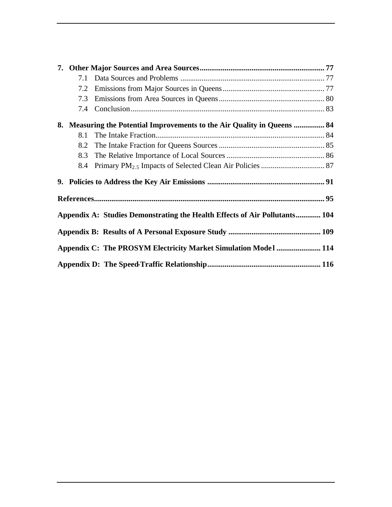| 7. |     |                                                                            |  |
|----|-----|----------------------------------------------------------------------------|--|
|    | 7.1 |                                                                            |  |
|    | 7.2 |                                                                            |  |
|    | 7.3 |                                                                            |  |
|    | 7.4 |                                                                            |  |
|    |     | 84. Measuring the Potential Improvements to the Air Quality in Queens  84  |  |
|    | 8.1 |                                                                            |  |
|    | 8.2 |                                                                            |  |
|    | 8.3 |                                                                            |  |
|    | 8.4 |                                                                            |  |
|    |     |                                                                            |  |
|    |     |                                                                            |  |
|    |     |                                                                            |  |
|    |     | Appendix A: Studies Demonstrating the Health Effects of Air Pollutants 104 |  |
|    |     |                                                                            |  |
|    |     | Appendix C: The PROSYM Electricity Market Simulation Model  114            |  |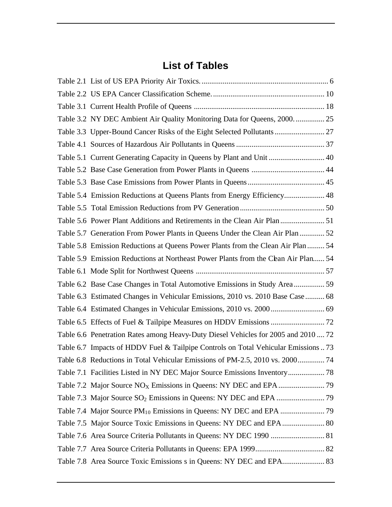### **List of Tables**

| Table 3.2 NY DEC Ambient Air Quality Monitoring Data for Queens, 2000.  25         |  |
|------------------------------------------------------------------------------------|--|
|                                                                                    |  |
|                                                                                    |  |
| Table 5.1 Current Generating Capacity in Queens by Plant and Unit  40              |  |
|                                                                                    |  |
|                                                                                    |  |
| Table 5.4 Emission Reductions at Queens Plants from Energy Efficiency 48           |  |
|                                                                                    |  |
| Table 5.6 Power Plant Additions and Retirements in the Clean Air Plan  51          |  |
| Table 5.7 Generation From Power Plants in Queens Under the Clean Air Plan  52      |  |
| Table 5.8 Emission Reductions at Queens Power Plants from the Clean Air Plan 54    |  |
| Table 5.9 Emission Reductions at Northeast Power Plants from the Cean Air Plan 54  |  |
|                                                                                    |  |
|                                                                                    |  |
| Table 6.3 Estimated Changes in Vehicular Emissions, 2010 vs. 2010 Base Case  68    |  |
|                                                                                    |  |
|                                                                                    |  |
| Table 6.6 Penetration Rates among Heavy-Duty Diesel Vehicles for 2005 and 2010  72 |  |
| Table 6.7 Impacts of HDDV Fuel & Tailpipe Controls on Total Vehicular Emissions 73 |  |
| Table 6.8 Reductions in Total Vehicular Emissions of PM-2.5, 2010 vs. 2000 74      |  |
|                                                                                    |  |
|                                                                                    |  |
|                                                                                    |  |
|                                                                                    |  |
|                                                                                    |  |
|                                                                                    |  |
|                                                                                    |  |
|                                                                                    |  |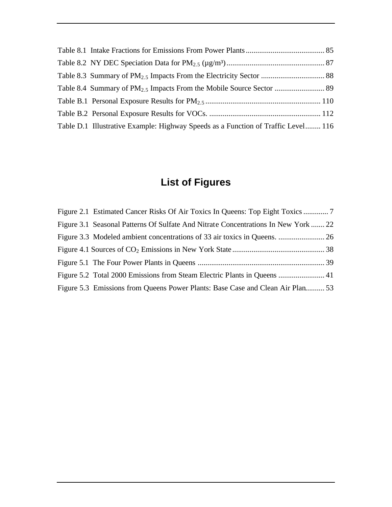| Table D.1 Illustrative Example: Highway Speeds as a Function of Traffic Level 116 |  |
|-----------------------------------------------------------------------------------|--|

## **List of Figures**

| Figure 2.1 Estimated Cancer Risks Of Air Toxics In Queens: Top Eight Toxics        |  |
|------------------------------------------------------------------------------------|--|
| Figure 3.1 Seasonal Patterns Of Sulfate And Nitrate Concentrations In New York  22 |  |
|                                                                                    |  |
|                                                                                    |  |
|                                                                                    |  |
|                                                                                    |  |
| Figure 5.3 Emissions from Queens Power Plants: Base Case and Clean Air Plan 53     |  |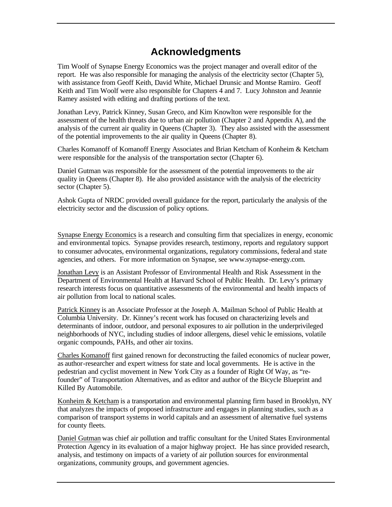### **Acknowledgments**

Tim Woolf of Synapse Energy Economics was the project manager and overall editor of the report. He was also responsible for managing the analysis of the electricity sector (Chapter 5), with assistance from Geoff Keith, David White, Michael Drunsic and Montse Ramiro. Geoff Keith and Tim Woolf were also responsible for Chapters 4 and 7. Lucy Johnston and Jeannie Ramey assisted with editing and drafting portions of the text.

Jonathan Levy, Patrick Kinney, Susan Greco, and Kim Knowlton were responsible for the assessment of the health threats due to urban air pollution (Chapter 2 and Appendix A), and the analysis of the current air quality in Queens (Chapter 3). They also assisted with the assessment of the potential improvements to the air quality in Queens (Chapter 8).

Charles Komanoff of Komanoff Energy Associates and Brian Ketcham of Konheim & Ketcham were responsible for the analysis of the transportation sector (Chapter 6).

Daniel Gutman was responsible for the assessment of the potential improvements to the air quality in Queens (Chapter 8). He also provided assistance with the analysis of the electricity sector (Chapter 5).

Ashok Gupta of NRDC provided overall guidance for the report, particularly the analysis of the electricity sector and the discussion of policy options.

Synapse Energy Economics is a research and consulting firm that specializes in energy, economic and environmental topics. Synapse provides research, testimony, reports and regulatory support to consumer advocates, environmental organizations, regulatory commissions, federal and state agencies, and others. For more information on Synapse, see www.synapse-energy.com.

Jonathan Levy is an Assistant Professor of Environmental Health and Risk Assessment in the Department of Environmental Health at Harvard School of Public Health. Dr. Levy's primary research interests focus on quantitative assessments of the environmental and health impacts of air pollution from local to national scales.

Patrick Kinney is an Associate Professor at the Joseph A. Mailman School of Public Health at Columbia University. Dr. Kinney's recent work has focused on characterizing levels and determinants of indoor, outdoor, and personal exposures to air pollution in the underprivileged neighborhoods of NYC, including studies of indoor allergens, diesel vehic le emissions, volatile organic compounds, PAHs, and other air toxins.

Charles Komanoff first gained renown for deconstructing the failed economics of nuclear power, as author-researcher and expert witness for state and local governments. He is active in the pedestrian and cyclist movement in New York City as a founder of Right Of Way, as "refounder" of Transportation Alternatives, and as editor and author of the Bicycle Blueprint and Killed By Automobile.

Konheim & Ketcham is a transportation and environmental planning firm based in Brooklyn, NY that analyzes the impacts of proposed infrastructure and engages in planning studies, such as a comparison of transport systems in world capitals and an assessment of alternative fuel systems for county fleets.

Daniel Gutman was chief air pollution and traffic consultant for the United States Environmental Protection Agency in its evaluation of a major highway project. He has since provided research, analysis, and testimony on impacts of a variety of air pollution sources for environmental organizations, community groups, and government agencies.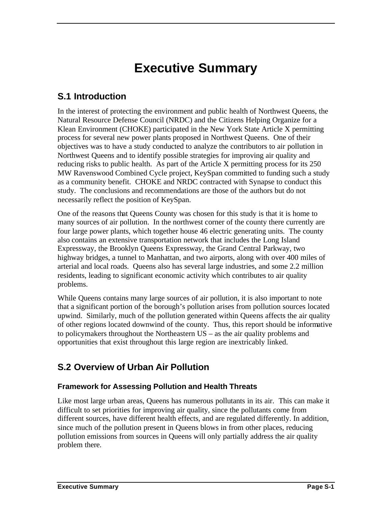# **Executive Summary**

### **S.1 Introduction**

In the interest of protecting the environment and public health of Northwest Queens, the Natural Resource Defense Council (NRDC) and the Citizens Helping Organize for a Klean Environment (CHOKE) participated in the New York State Article X permitting process for several new power plants proposed in Northwest Queens. One of their objectives was to have a study conducted to analyze the contributors to air pollution in Northwest Queens and to identify possible strategies for improving air quality and reducing risks to public health. As part of the Article X permitting process for its 250 MW Ravenswood Combined Cycle project, KeySpan committed to funding such a study as a community benefit. CHOKE and NRDC contracted with Synapse to conduct this study. The conclusions and recommendations are those of the authors but do not necessarily reflect the position of KeySpan.

One of the reasons that Queens County was chosen for this study is that it is home to many sources of air pollution. In the northwest corner of the county there currently are four large power plants, which together house 46 electric generating units. The county also contains an extensive transportation network that includes the Long Island Expressway, the Brooklyn Queens Expressway, the Grand Central Parkway, two highway bridges, a tunnel to Manhattan, and two airports, along with over 400 miles of arterial and local roads. Queens also has several large industries, and some 2.2 million residents, leading to significant economic activity which contributes to air quality problems.

While Queens contains many large sources of air pollution, it is also important to note that a significant portion of the borough's pollution arises from pollution sources located upwind. Similarly, much of the pollution generated within Queens affects the air quality of other regions located downwind of the county. Thus, this report should be informative to policymakers throughout the Northeastern US – as the air quality problems and opportunities that exist throughout this large region are inextricably linked.

### **S.2 Overview of Urban Air Pollution**

#### **Framework for Assessing Pollution and Health Threats**

Like most large urban areas, Queens has numerous pollutants in its air. This can make it difficult to set priorities for improving air quality, since the pollutants come from different sources, have different health effects, and are regulated differently. In addition, since much of the pollution present in Queens blows in from other places, reducing pollution emissions from sources in Queens will only partially address the air quality problem there.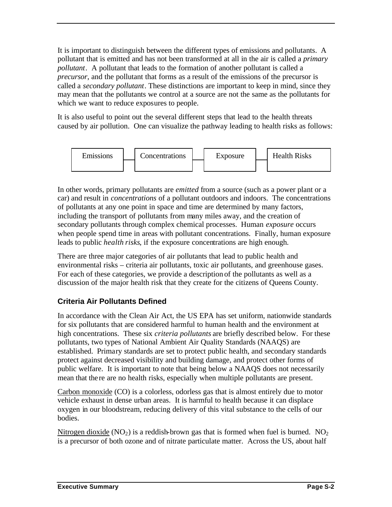It is important to distinguish between the different types of emissions and pollutants. A pollutant that is emitted and has not been transformed at all in the air is called a *primary pollutant*. A pollutant that leads to the formation of another pollutant is called a *precursor*, and the pollutant that forms as a result of the emissions of the precursor is called a *secondary pollutant*. These distinctions are important to keep in mind, since they may mean that the pollutants we control at a source are not the same as the pollutants for which we want to reduce exposures to people.

It is also useful to point out the several different steps that lead to the health threats caused by air pollution. One can visualize the pathway leading to health risks as follows:



In other words, primary pollutants are *emitted* from a source (such as a power plant or a car) and result in *concentrations* of a pollutant outdoors and indoors. The concentrations of pollutants at any one point in space and time are determined by many factors, including the transport of pollutants from many miles away, and the creation of secondary pollutants through complex chemical processes. Human *exposure* occurs when people spend time in areas with pollutant concentrations. Finally, human exposure leads to public *health risks*, if the exposure concentrations are high enough.

There are three major categories of air pollutants that lead to public health and environmental risks – criteria air pollutants, toxic air pollutants, and greenhouse gases. For each of these categories, we provide a description of the pollutants as well as a discussion of the major health risk that they create for the citizens of Queens County.

#### **Criteria Air Pollutants Defined**

In accordance with the Clean Air Act, the US EPA has set uniform, nationwide standards for six pollutants that are considered harmful to human health and the environment at high concentrations. These six *criteria pollutants* are briefly described below. For these pollutants, two types of National Ambient Air Quality Standards (NAAQS) are established. Primary standards are set to protect public health, and secondary standards protect against decreased visibility and building damage, and protect other forms of public welfare. It is important to note that being below a NAAQS does not necessarily mean that the re are no health risks, especially when multiple pollutants are present.

Carbon monoxide (CO) is a colorless, odorless gas that is almost entirely due to motor vehicle exhaust in dense urban areas. It is harmful to health because it can displace oxygen in our bloodstream, reducing delivery of this vital substance to the cells of our bodies.

Nitrogen dioxide  $(NO<sub>2</sub>)$  is a reddish-brown gas that is formed when fuel is burned.  $NO<sub>2</sub>$ is a precursor of both ozone and of nitrate particulate matter. Across the US, about half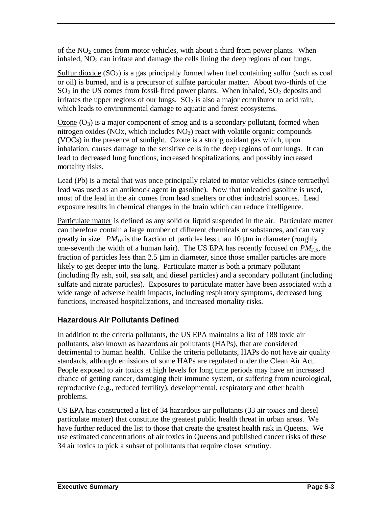of the  $NO<sub>2</sub>$  comes from motor vehicles, with about a third from power plants. When inhaled,  $NO<sub>2</sub>$  can irritate and damage the cells lining the deep regions of our lungs.

Sulfur dioxide  $(SO_2)$  is a gas principally formed when fuel containing sulfur (such as coal or oil) is burned, and is a precursor of sulfate particular matter. About two-thirds of the  $SO<sub>2</sub>$  in the US comes from fossil-fired power plants. When inhaled,  $SO<sub>2</sub>$  deposits and irritates the upper regions of our lungs.  $SO<sub>2</sub>$  is also a major contributor to acid rain, which leads to environmental damage to aquatic and forest ecosystems.

Ozone  $(O_3)$  is a major component of smog and is a secondary pollutant, formed when nitrogen oxides (NOx, which includes  $NO<sub>2</sub>$ ) react with volatile organic compounds (VOCs) in the presence of sunlight. Ozone is a strong oxidant gas which, upon inhalation, causes damage to the sensitive cells in the deep regions of our lungs. It can lead to decreased lung functions, increased hospitalizations, and possibly increased mortality risks.

Lead (Pb) is a metal that was once principally related to motor vehicles (since tertraethyl lead was used as an antiknock agent in gasoline). Now that unleaded gasoline is used, most of the lead in the air comes from lead smelters or other industrial sources. Lead exposure results in chemical changes in the brain which can reduce intelligence.

Particulate matter is defined as any solid or liquid suspended in the air. Particulate matter can therefore contain a large number of different chemicals or substances, and can vary greatly in size.  $PM_{10}$  is the fraction of particles less than 10  $\mu$ m in diameter (roughly one-seventh the width of a human hair). The US EPA has recently focused on *PM2.5*, the fraction of particles less than 2.5 μm in diameter, since those smaller particles are more likely to get deeper into the lung. Particulate matter is both a primary pollutant (including fly ash, soil, sea salt, and diesel particles) and a secondary pollutant (including sulfate and nitrate particles). Exposures to particulate matter have been associated with a wide range of adverse health impacts, including respiratory symptoms, decreased lung functions, increased hospitalizations, and increased mortality risks.

#### **Hazardous Air Pollutants Defined**

In addition to the criteria pollutants, the US EPA maintains a list of 188 toxic air pollutants, also known as hazardous air pollutants (HAPs), that are considered detrimental to human health. Unlike the criteria pollutants, HAPs do not have air quality standards, although emissions of some HAPs are regulated under the Clean Air Act. People exposed to air toxics at high levels for long time periods may have an increased chance of getting cancer, damaging their immune system, or suffering from neurological, reproductive (e.g., reduced fertility), developmental, respiratory and other health problems.

US EPA has constructed a list of 34 hazardous air pollutants (33 air toxics and diesel particulate matter) that constitute the greatest public health threat in urban areas. We have further reduced the list to those that create the greatest health risk in Queens. We use estimated concentrations of air toxics in Queens and published cancer risks of these 34 air toxics to pick a subset of pollutants that require closer scrutiny.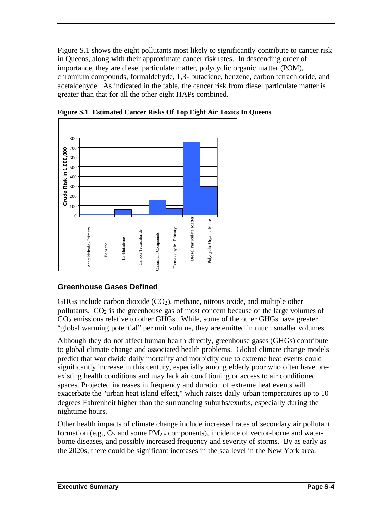Figure S.1 shows the eight pollutants most likely to significantly contribute to cancer risk in Queens, along with their approximate cancer risk rates. In descending order of importance, they are diesel particulate matter, polycyclic organic ma tter (POM), chromium compounds, formaldehyde, 1,3- butadiene, benzene, carbon tetrachloride, and acetaldehyde. As indicated in the table, the cancer risk from diesel particulate matter is greater than that for all the other eight HAPs combined.



**Figure S.1 Estimated Cancer Risks Of Top Eight Air Toxics In Queens**

#### **Greenhouse Gases Defined**

GHGs include carbon dioxide  $(CO<sub>2</sub>)$ , methane, nitrous oxide, and multiple other pollutants.  $CO<sub>2</sub>$  is the greenhouse gas of most concern because of the large volumes of  $CO<sub>2</sub>$  emissions relative to other GHGs. While, some of the other GHGs have greater "global warming potential" per unit volume, they are emitted in much smaller volumes.

Although they do not affect human health directly, greenhouse gases (GHGs) contribute to global climate change and associated health problems. Global climate change models predict that worldwide daily mortality and morbidity due to extreme heat events could significantly increase in this century, especially among elderly poor who often have preexisting health conditions and may lack air conditioning or access to air conditioned spaces. Projected increases in frequency and duration of extreme heat events will exacerbate the "urban heat island effect," which raises daily urban temperatures up to 10 degrees Fahrenheit higher than the surrounding suburbs/exurbs, especially during the nighttime hours.

Other health impacts of climate change include increased rates of secondary air pollutant formation (e.g.,  $O_3$  and some PM<sub>2.5</sub> components), incidence of vector-borne and waterborne diseases, and possibly increased frequency and severity of storms. By as early as the 2020s, there could be significant increases in the sea level in the New York area.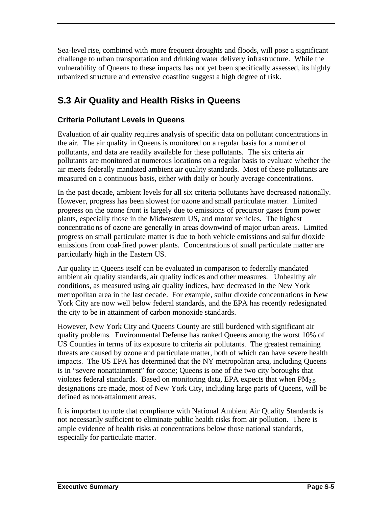Sea-level rise, combined with more frequent droughts and floods, will pose a significant challenge to urban transportation and drinking water delivery infrastructure. While the vulnerability of Queens to these impacts has not yet been specifically assessed, its highly urbanized structure and extensive coastline suggest a high degree of risk.

### **S.3 Air Quality and Health Risks in Queens**

#### **Criteria Pollutant Levels in Queens**

Evaluation of air quality requires analysis of specific data on pollutant concentrations in the air. The air quality in Queens is monitored on a regular basis for a number of pollutants, and data are readily available for these pollutants. The six criteria air pollutants are monitored at numerous locations on a regular basis to evaluate whether the air meets federally mandated ambient air quality standards. Most of these pollutants are measured on a continuous basis, either with daily or hourly average concentrations.

In the past decade, ambient levels for all six criteria pollutants have decreased nationally. However, progress has been slowest for ozone and small particulate matter. Limited progress on the ozone front is largely due to emissions of precursor gases from power plants, especially those in the Midwestern US, and motor vehicles. The highest concentrations of ozone are generally in areas downwind of major urban areas. Limited progress on small particulate matter is due to both vehicle emissions and sulfur dioxide emissions from coal-fired power plants. Concentrations of small particulate matter are particularly high in the Eastern US.

Air quality in Queens itself can be evaluated in comparison to federally mandated ambient air quality standards, air quality indices and other measures. Unhealthy air conditions, as measured using air quality indices, have decreased in the New York metropolitan area in the last decade. For example, sulfur dioxide concentrations in New York City are now well below federal standards, and the EPA has recently redesignated the city to be in attainment of carbon monoxide standards.

However, New York City and Queens County are still burdened with significant air quality problems. Environmental Defense has ranked Queens among the worst 10% of US Counties in terms of its exposure to criteria air pollutants. The greatest remaining threats are caused by ozone and particulate matter, both of which can have severe health impacts. The US EPA has determined that the NY metropolitan area, including Queens is in "severe nonattainment" for ozone; Queens is one of the two city boroughs that violates federal standards. Based on monitoring data, EPA expects that when  $PM_{2.5}$ designations are made, most of New York City, including large parts of Queens, will be defined as non-attainment areas.

It is important to note that compliance with National Ambient Air Quality Standards is not necessarily sufficient to eliminate public health risks from air pollution. There is ample evidence of health risks at concentrations below those national standards, especially for particulate matter.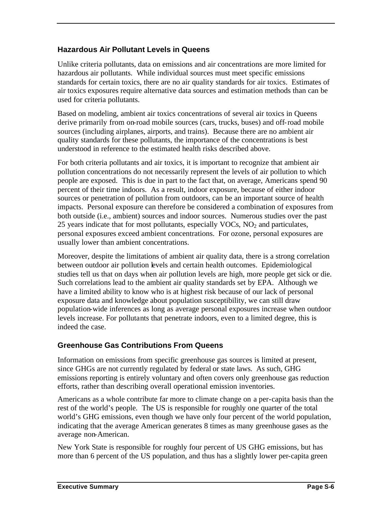#### **Hazardous Air Pollutant Levels in Queens**

Unlike criteria pollutants, data on emissions and air concentrations are more limited for hazardous air pollutants. While individual sources must meet specific emissions standards for certain toxics, there are no air quality standards for air toxics. Estimates of air toxics exposures require alternative data sources and estimation methods than can be used for criteria pollutants.

Based on modeling, ambient air toxics concentrations of several air toxics in Queens derive primarily from on-road mobile sources (cars, trucks, buses) and off-road mobile sources (including airplanes, airports, and trains). Because there are no ambient air quality standards for these pollutants, the importance of the concentrations is best understood in reference to the estimated health risks described above.

For both criteria pollutants and air toxics, it is important to recognize that ambient air pollution concentrations do not necessarily represent the levels of air pollution to which people are exposed. This is due in part to the fact that, on average, Americans spend 90 percent of their time indoors. As a result, indoor exposure, because of either indoor sources or penetration of pollution from outdoors, can be an important source of health impacts. Personal exposure can therefore be considered a combination of exposures from both outside (i.e., ambient) sources and indoor sources. Numerous studies over the past 25 years indicate that for most pollutants, especially  $VOCs$ ,  $NO<sub>2</sub>$  and particulates, personal exposures exceed ambient concentrations. For ozone, personal exposures are usually lower than ambient concentrations.

Moreover, despite the limitations of ambient air quality data, there is a strong correlation between outdoor air pollution levels and certain health outcomes. Epidemiological studies tell us that on days when air pollution levels are high, more people get sick or die. Such correlations lead to the ambient air quality standards set by EPA. Although we have a limited ability to know who is at highest risk because of our lack of personal exposure data and knowledge about population susceptibility, we can still draw population-wide inferences as long as average personal exposures increase when outdoor levels increase. For pollutants that penetrate indoors, even to a limited degree, this is indeed the case.

#### **Greenhouse Gas Contributions From Queens**

Information on emissions from specific greenhouse gas sources is limited at present, since GHGs are not currently regulated by federal or state laws. As such, GHG emissions reporting is entirely voluntary and often covers only greenhouse gas reduction efforts, rather than describing overall operational emission inventories.

Americans as a whole contribute far more to climate change on a per-capita basis than the rest of the world's people. The US is responsible for roughly one quarter of the total world's GHG emissions, even though we have only four percent of the world population, indicating that the average American generates 8 times as many greenhouse gases as the average non-American.

New York State is responsible for roughly four percent of US GHG emissions, but has more than 6 percent of the US population, and thus has a slightly lower per-capita green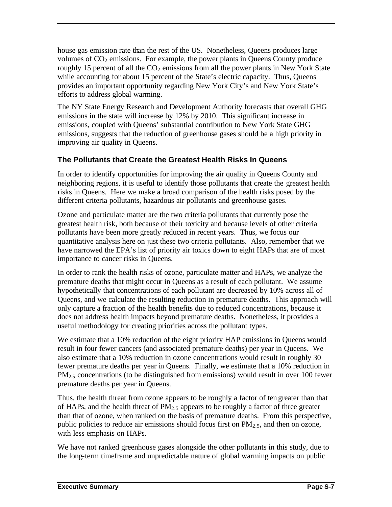house gas emission rate than the rest of the US. Nonetheless, Queens produces large volumes of  $CO<sub>2</sub>$  emissions. For example, the power plants in Queens County produce roughly 15 percent of all the  $CO<sub>2</sub>$  emissions from all the power plants in New York State while accounting for about 15 percent of the State's electric capacity. Thus, Queens provides an important opportunity regarding New York City's and New York State's efforts to address global warming.

The NY State Energy Research and Development Authority forecasts that overall GHG emissions in the state will increase by 12% by 2010. This significant increase in emissions, coupled with Queens' substantial contribution to New York State GHG emissions, suggests that the reduction of greenhouse gases should be a high priority in improving air quality in Queens.

#### **The Pollutants that Create the Greatest Health Risks In Queens**

In order to identify opportunities for improving the air quality in Queens County and neighboring regions, it is useful to identify those pollutants that create the greatest health risks in Queens. Here we make a broad comparison of the health risks posed by the different criteria pollutants, hazardous air pollutants and greenhouse gases.

Ozone and particulate matter are the two criteria pollutants that currently pose the greatest health risk, both because of their toxicity and because levels of other criteria pollutants have been more greatly reduced in recent years. Thus, we focus our quantitative analysis here on just these two criteria pollutants. Also, remember that we have narrowed the EPA's list of priority air toxics down to eight HAPs that are of most importance to cancer risks in Queens.

In order to rank the health risks of ozone, particulate matter and HAPs, we analyze the premature deaths that might occur in Queens as a result of each pollutant. We assume hypothetically that concentrations of each pollutant are decreased by 10% across all of Queens, and we calculate the resulting reduction in premature deaths. This approach will only capture a fraction of the health benefits due to reduced concentrations, because it does not address health impacts beyond premature deaths. Nonetheless, it provides a useful methodology for creating priorities across the pollutant types.

We estimate that a 10% reduction of the eight priority HAP emissions in Queens would result in four fewer cancers (and associated premature deaths) per year in Queens. We also estimate that a 10% reduction in ozone concentrations would result in roughly 30 fewer premature deaths per year in Queens. Finally, we estimate that a 10% reduction in PM<sub>2.5</sub> concentrations (to be distinguished from emissions) would result in over 100 fewer premature deaths per year in Queens.

Thus, the health threat from ozone appears to be roughly a factor of ten greater than that of HAPs, and the health threat of  $PM<sub>2.5</sub>$  appears to be roughly a factor of three greater than that of ozone, when ranked on the basis of premature deaths. From this perspective, public policies to reduce air emissions should focus first on  $PM_{2.5}$ , and then on ozone, with less emphasis on HAPs.

We have not ranked greenhouse gases alongside the other pollutants in this study, due to the long-term timeframe and unpredictable nature of global warming impacts on public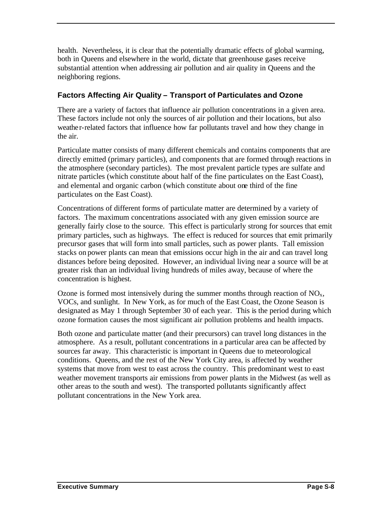health. Nevertheless, it is clear that the potentially dramatic effects of global warming, both in Queens and elsewhere in the world, dictate that greenhouse gases receive substantial attention when addressing air pollution and air quality in Queens and the neighboring regions.

#### **Factors Affecting Air Quality – Transport of Particulates and Ozone**

There are a variety of factors that influence air pollution concentrations in a given area. These factors include not only the sources of air pollution and their locations, but also weather-related factors that influence how far pollutants travel and how they change in the air.

Particulate matter consists of many different chemicals and contains components that are directly emitted (primary particles), and components that are formed through reactions in the atmosphere (secondary particles). The most prevalent particle types are sulfate and nitrate particles (which constitute about half of the fine particulates on the East Coast), and elemental and organic carbon (which constitute about one third of the fine particulates on the East Coast).

Concentrations of different forms of particulate matter are determined by a variety of factors. The maximum concentrations associated with any given emission source are generally fairly close to the source. This effect is particularly strong for sources that emit primary particles, such as highways. The effect is reduced for sources that emit primarily precursor gases that will form into small particles, such as power plants. Tall emission stacks on power plants can mean that emissions occur high in the air and can travel long distances before being deposited. However, an individual living near a source will be at greater risk than an individual living hundreds of miles away, because of where the concentration is highest.

Ozone is formed most intensively during the summer months through reaction of  $NO<sub>x</sub>$ , VOCs, and sunlight. In New York, as for much of the East Coast, the Ozone Season is designated as May 1 through September 30 of each year. This is the period during which ozone formation causes the most significant air pollution problems and health impacts.

Both ozone and particulate matter (and their precursors) can travel long distances in the atmosphere. As a result, pollutant concentrations in a particular area can be affected by sources far away. This characteristic is important in Queens due to meteorological conditions. Queens, and the rest of the New York City area, is affected by weather systems that move from west to east across the country. This predominant west to east weather movement transports air emissions from power plants in the Midwest (as well as other areas to the south and west). The transported pollutants significantly affect pollutant concentrations in the New York area.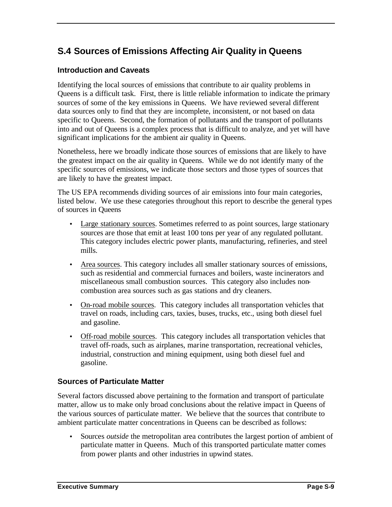### **S.4 Sources of Emissions Affecting Air Quality in Queens**

#### **Introduction and Caveats**

Identifying the local sources of emissions that contribute to air quality problems in Queens is a difficult task. First, there is little reliable information to indicate the primary sources of some of the key emissions in Queens. We have reviewed several different data sources only to find that they are incomplete, inconsistent, or not based on data specific to Queens. Second, the formation of pollutants and the transport of pollutants into and out of Queens is a complex process that is difficult to analyze, and yet will have significant implications for the ambient air quality in Queens.

Nonetheless, here we broadly indicate those sources of emissions that are likely to have the greatest impact on the air quality in Queens. While we do not identify many of the specific sources of emissions, we indicate those sectors and those types of sources that are likely to have the greatest impact.

The US EPA recommends dividing sources of air emissions into four main categories, listed below. We use these categories throughout this report to describe the general types of sources in Queens

- Large stationary sources. Sometimes referred to as point sources, large stationary sources are those that emit at least 100 tons per year of any regulated pollutant. This category includes electric power plants, manufacturing, refineries, and steel mills.
- Area sources. This category includes all smaller stationary sources of emissions, such as residential and commercial furnaces and boilers, waste incinerators and miscellaneous small combustion sources. This category also includes noncombustion area sources such as gas stations and dry cleaners.
- On-road mobile sources. This category includes all transportation vehicles that travel on roads, including cars, taxies, buses, trucks, etc., using both diesel fuel and gasoline.
- Off-road mobile sources. This category includes all transportation vehicles that travel off-roads, such as airplanes, marine transportation, recreational vehicles, industrial, construction and mining equipment, using both diesel fuel and gasoline.

#### **Sources of Particulate Matter**

Several factors discussed above pertaining to the formation and transport of particulate matter, allow us to make only broad conclusions about the relative impact in Queens of the various sources of particulate matter. We believe that the sources that contribute to ambient particulate matter concentrations in Queens can be described as follows:

• Sources *outside* the metropolitan area contributes the largest portion of ambient of particulate matter in Queens. Much of this transported particulate matter comes from power plants and other industries in upwind states.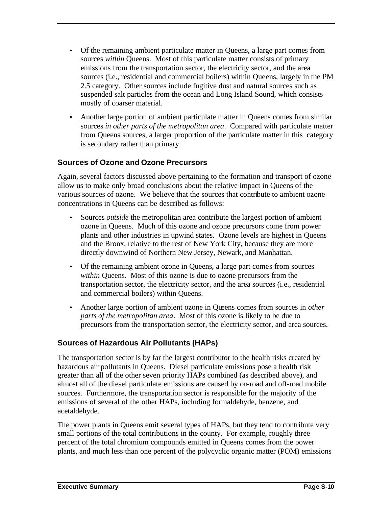- Of the remaining ambient particulate matter in Queens, a large part comes from sources *within* Queens. Most of this particulate matter consists of primary emissions from the transportation sector, the electricity sector, and the area sources (i.e., residential and commercial boilers) within Queens, largely in the PM 2.5 category. Other sources include fugitive dust and natural sources such as suspended salt particles from the ocean and Long Island Sound, which consists mostly of coarser material.
- Another large portion of ambient particulate matter in Queens comes from similar sources *in other parts of the metropolitan area*. Compared with particulate matter from Queens sources, a larger proportion of the particulate matter in this category is secondary rather than primary.

#### **Sources of Ozone and Ozone Precursors**

Again, several factors discussed above pertaining to the formation and transport of ozone allow us to make only broad conclusions about the relative impact in Queens of the various sources of ozone. We believe that the sources that contribute to ambient ozone concentrations in Queens can be described as follows:

- Sources *outside* the metropolitan area contribute the largest portion of ambient ozone in Queens. Much of this ozone and ozone precursors come from power plants and other industries in upwind states. Ozone levels are highest in Queens and the Bronx, relative to the rest of New York City, because they are more directly downwind of Northern New Jersey, Newark, and Manhattan.
- Of the remaining ambient ozone in Queens, a large part comes from sources *within* Queens. Most of this ozone is due to ozone precursors from the transportation sector, the electricity sector, and the area sources (i.e., residential and commercial boilers) within Queens.
- Another large portion of ambient ozone in Queens comes from sources in *other parts of the metropolitan area*. Most of this ozone is likely to be due to precursors from the transportation sector, the electricity sector, and area sources.

#### **Sources of Hazardous Air Pollutants (HAPs)**

The transportation sector is by far the largest contributor to the health risks created by hazardous air pollutants in Queens. Diesel particulate emissions pose a health risk greater than all of the other seven priority HAPs combined (as described above), and almost all of the diesel particulate emissions are caused by on-road and off-road mobile sources. Furthermore, the transportation sector is responsible for the majority of the emissions of several of the other HAPs, including formaldehyde, benzene, and acetaldehyde.

The power plants in Queens emit several types of HAPs, but they tend to contribute very small portions of the total contributions in the county. For example, roughly three percent of the total chromium compounds emitted in Queens comes from the power plants, and much less than one percent of the polycyclic organic matter (POM) emissions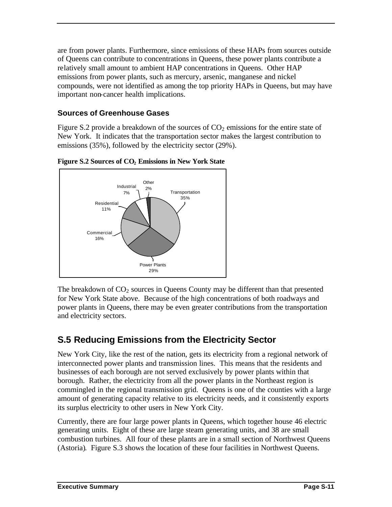are from power plants. Furthermore, since emissions of these HAPs from sources outside of Queens can contribute to concentrations in Queens, these power plants contribute a relatively small amount to ambient HAP concentrations in Queens. Other HAP emissions from power plants, such as mercury, arsenic, manganese and nickel compounds, were not identified as among the top priority HAPs in Queens, but may have important non-cancer health implications.

#### **Sources of Greenhouse Gases**

Figure S.2 provide a breakdown of the sources of  $CO<sub>2</sub>$  emissions for the entire state of New York. It indicates that the transportation sector makes the largest contribution to emissions (35%), followed by the electricity sector (29%).



**Figure S.2 Sources of CO2 Emissions in New York State**

The breakdown of  $CO<sub>2</sub>$  sources in Queens County may be different than that presented for New York State above. Because of the high concentrations of both roadways and power plants in Queens, there may be even greater contributions from the transportation and electricity sectors.

### **S.5 Reducing Emissions from the Electricity Sector**

New York City, like the rest of the nation, gets its electricity from a regional network of interconnected power plants and transmission lines. This means that the residents and businesses of each borough are not served exclusively by power plants within that borough. Rather, the electricity from all the power plants in the Northeast region is commingled in the regional transmission grid. Queens is one of the counties with a large amount of generating capacity relative to its electricity needs, and it consistently exports its surplus electricity to other users in New York City.

Currently, there are four large power plants in Queens, which together house 46 electric generating units. Eight of these are large steam generating units, and 38 are small combustion turbines. All four of these plants are in a small section of Northwest Queens (Astoria). Figure S.3 shows the location of these four facilities in Northwest Queens.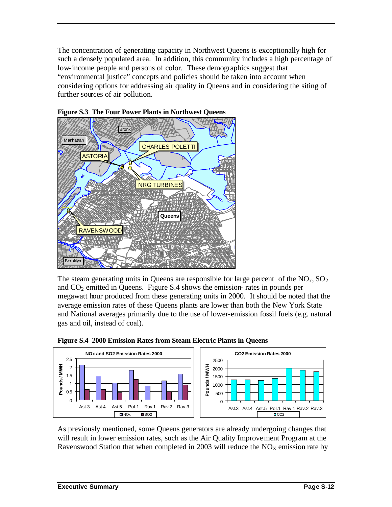The concentration of generating capacity in Northwest Queens is exceptionally high for such a densely populated area. In addition, this community includes a high percentage of low-income people and persons of color. These demographics suggest that "environmental justice" concepts and policies should be taken into account when considering options for addressing air quality in Queens and in considering the siting of further sources of air pollution.





The steam generating units in Queens are responsible for large percent of the  $NO<sub>x</sub>$ ,  $SO<sub>2</sub>$ and  $CO<sub>2</sub>$  emitted in Queens. Figure S.4 shows the emission- rates in pounds per megawatt hour produced from these generating units in 2000. It should be noted that the average emission rates of these Queens plants are lower than both the New York State and National averages primarily due to the use of lower-emission fossil fuels (e.g. natural gas and oil, instead of coal).



**Figure S.4 2000 Emission Rates from Steam Electric Plants in Queens**

As previously mentioned, some Queens generators are already undergoing changes that will result in lower emission rates, such as the Air Quality Improvement Program at the Ravenswood Station that when completed in 2003 will reduce the  $NO<sub>X</sub>$  emission rate by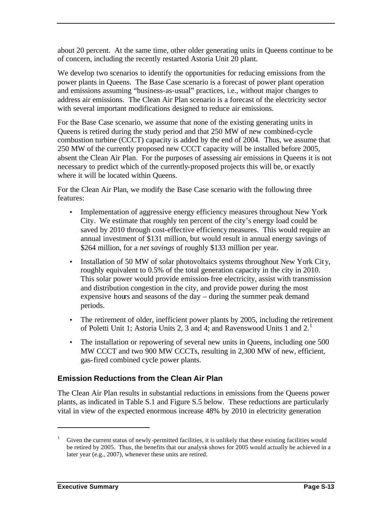about 20 percent. At the same time, other older generating units in Queens continue to be of concern, including the recently restarted Astoria Unit 20 plant.

We develop two scenarios to identify the opportunities for reducing emissions from the power plants in Queens. The Base Case scenario is a forecast of power plant operation and emissions assuming "business-as-usual" practices, i.e., without major changes to address air emissions. The Clean Air Plan scenario is a forecast of the electricity sector with several important modifications designed to reduce air emissions.

For the Base Case scenario, we assume that none of the existing generating units in Queens is retired during the study period and that 250 MW of new combined-cycle combustion turbine (CCCT) capacity is added by the end of 2004. Thus, we assume that 250 MW of the currently proposed new CCCT capacity will be installed before 2005, absent the Clean Air Plan. For the purposes of assessing air emissions in Queens it is not necessary to predict which of the currently-proposed projects this will be, or exactly where it will be located within Queens.

For the Clean Air Plan, we modify the Base Case scenario with the following three features:

- Implementation of aggressive energy efficiency measures throughout New York City. We estimate that roughly ten percent of the city's energy load could be saved by 2010 through cost-effective efficiency measures. This would require an annual investment of \$131 million, but would result in annual energy savings of \$264 million, for a *net savings* of roughly \$133 million per year.
- Installation of 50 MW of solar photovoltaics systems throughout New York City, roughly equivalent to 0.5% of the total generation capacity in the city in 2010. This solar power would provide emission-free electricity, assist with transmission and distribution congestion in the city, and provide power during the most expensive hours and seasons of the day – during the summer peak demand periods.
- The retirement of older, inefficient power plants by 2005, including the retirement of Poletti Unit 1; Astoria Units 2, 3 and 4; and Ravenswood Units 1 and  $2<sup>1</sup>$
- The installation or repowering of several new units in Queens, including one 500 MW CCCT and two 900 MW CCCTs, resulting in 2,300 MW of new, efficient, gas-fired combined cycle power plants.

#### **Emission Reductions from the Clean Air Plan**

The Clean Air Plan results in substantial reductions in emissions from the Queens power plants, as indicated in Table S.1 and Figure S.5 below. These reductions are particularly vital in view of the expected enormous increase 48% by 2010 in electricity generation

 $\overline{a}$ 

Given the current status of newly-permitted facilities, it is unlikely that these existing facilities would be retired by 2005. Thus, the benefits that our analysis shows for 2005 would actually be achieved in a later year (e.g., 2007), whenever these units are retired.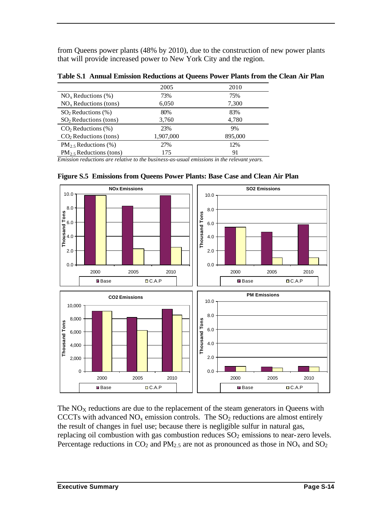from Queens power plants (48% by 2010), due to the construction of new power plants that will provide increased power to New York City and the region.

| 2005      | 2010    |
|-----------|---------|
| 73%       | 75%     |
| 6,050     | 7,300   |
| 80%       | 83%     |
| 3,760     | 4,780   |
| 23%       | 9%      |
| 1,907,000 | 895,000 |
| 27%       | 12%     |
| 175       | 91      |
|           |         |

**Table S.1 Annual Emission Reductions at Queens Power Plants from the Clean Air Plan**

*Emission reductions are relative to the business-as-usual emissions in the relevant years.*



**Figure S.5 Emissions from Queens Power Plants: Base Case and Clean Air Plan**

The  $NO<sub>X</sub>$  reductions are due to the replacement of the steam generators in Queens with CCCTs with advanced  $NO<sub>x</sub>$  emission controls. The  $SO<sub>2</sub>$  reductions are almost entirely the result of changes in fuel use; because there is negligible sulfur in natural gas, replacing oil combustion with gas combustion reduces  $SO<sub>2</sub>$  emissions to near-zero levels. Percentage reductions in  $CO_2$  and  $PM_{2.5}$  are not as pronounced as those in  $NO_x$  and  $SO_2$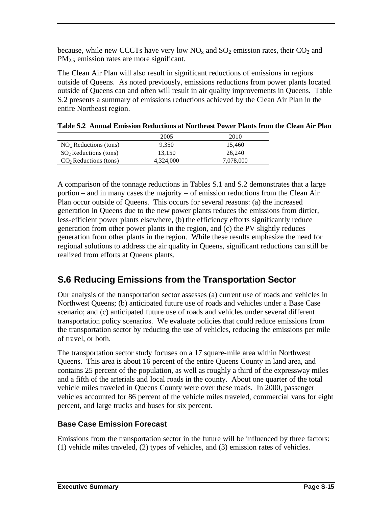because, while new CCCTs have very low  $NO<sub>x</sub>$  and  $SO<sub>2</sub>$  emission rates, their  $CO<sub>2</sub>$  and PM<sub>2.5</sub> emission rates are more significant.

The Clean Air Plan will also result in significant reductions of emissions in regions outside of Queens. As noted previously, emissions reductions from power plants located outside of Queens can and often will result in air quality improvements in Queens. Table S.2 presents a summary of emissions reductions achieved by the Clean Air Plan in the entire Northeast region.

|                         | 2005      | 2010      |
|-------------------------|-----------|-----------|
| $NOx$ Reductions (tons) | 9.350     | 15.460    |
| $SO2$ Reductions (tons) | 13.150    | 26.240    |
| $CO2$ Reductions (tons) | 4,324,000 | 7,078,000 |

| Table S.2 Annual Emission Reductions at Northeast Power Plants from the Clean Air Plan |  |
|----------------------------------------------------------------------------------------|--|
|----------------------------------------------------------------------------------------|--|

A comparison of the tonnage reductions in Tables S.1 and S.2 demonstrates that a large portion – and in many cases the majority – of emission reductions from the Clean Air Plan occur outside of Queens. This occurs for several reasons: (a) the increased generation in Queens due to the new power plants reduces the emissions from dirtier, less-efficient power plants elsewhere, (b) the efficiency efforts significantly reduce generation from other power plants in the region, and (c) the PV slightly reduces generation from other plants in the region. While these results emphasize the need for regional solutions to address the air quality in Queens, significant reductions can still be realized from efforts at Queens plants.

### **S.6 Reducing Emissions from the Transportation Sector**

Our analysis of the transportation sector assesses (a) current use of roads and vehicles in Northwest Queens; (b) anticipated future use of roads and vehicles under a Base Case scenario; and (c) anticipated future use of roads and vehicles under several different transportation policy scenarios. We evaluate policies that could reduce emissions from the transportation sector by reducing the use of vehicles, reducing the emissions per mile of travel, or both.

The transportation sector study focuses on a 17 square-mile area within Northwest Queens. This area is about 16 percent of the entire Queens County in land area, and contains 25 percent of the population, as well as roughly a third of the expressway miles and a fifth of the arterials and local roads in the county. About one quarter of the total vehicle miles traveled in Queens County were over these roads. In 2000, passenger vehicles accounted for 86 percent of the vehicle miles traveled, commercial vans for eight percent, and large trucks and buses for six percent.

#### **Base Case Emission Forecast**

Emissions from the transportation sector in the future will be influenced by three factors: (1) vehicle miles traveled, (2) types of vehicles, and (3) emission rates of vehicles.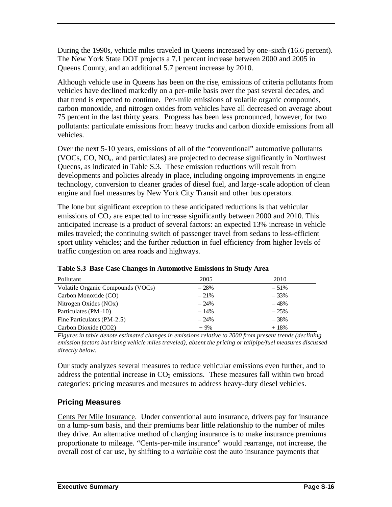During the 1990s, vehicle miles traveled in Queens increased by one-sixth (16.6 percent). The New York State DOT projects a 7.1 percent increase between 2000 and 2005 in Queens County, and an additional 5.7 percent increase by 2010.

Although vehicle use in Queens has been on the rise, emissions of criteria pollutants from vehicles have declined markedly on a per-mile basis over the past several decades, and that trend is expected to continue. Per-mile emissions of volatile organic compounds, carbon monoxide, and nitrogen oxides from vehicles have all decreased on average about 75 percent in the last thirty years. Progress has been less pronounced, however, for two pollutants: particulate emissions from heavy trucks and carbon dioxide emissions from all vehicles.

Over the next 5-10 years, emissions of all of the "conventional" automotive pollutants (VOCs, CO,  $NO<sub>x</sub>$ , and particulates) are projected to decrease significantly in Northwest Queens, as indicated in Table S.3. These emission reductions will result from developments and policies already in place, including ongoing improvements in engine technology, conversion to cleaner grades of diesel fuel, and large-scale adoption of clean engine and fuel measures by New York City Transit and other bus operators.

The lone but significant exception to these anticipated reductions is that vehicular emissions of  $CO<sub>2</sub>$  are expected to increase significantly between 2000 and 2010. This anticipated increase is a product of several factors: an expected 13% increase in vehicle miles traveled; the continuing switch of passenger travel from sedans to less-efficient sport utility vehicles; and the further reduction in fuel efficiency from higher levels of traffic congestion on area roads and highways.

| Pollutant                         | 2005    | 2010   |
|-----------------------------------|---------|--------|
| Volatile Organic Compounds (VOCs) | $-28%$  | $-51%$ |
| Carbon Monoxide (CO)              | $-21\%$ | $-33%$ |
| Nitrogen Oxides (NOx)             | $-24%$  | $-48%$ |
| Particulates (PM-10)              | $-14%$  | $-25%$ |
| Fine Particulates (PM-2.5)        | $-24%$  | $-38%$ |
| Carbon Dioxide (CO2)              | $+9\%$  | $+18%$ |

**Table S.3 Base Case Changes in Automotive Emissions in Study Area**

*Figures in table denote estimated changes in emissions relative to 2000 from present trends (declining emission factors but rising vehicle miles traveled), absent the pricing or tailpipe/fuel measures discussed directly below.*

Our study analyzes several measures to reduce vehicular emissions even further, and to address the potential increase in  $CO<sub>2</sub>$  emissions. These measures fall within two broad categories: pricing measures and measures to address heavy-duty diesel vehicles.

#### **Pricing Measures**

Cents Per Mile Insurance. Under conventional auto insurance, drivers pay for insurance on a lump-sum basis, and their premiums bear little relationship to the number of miles they drive. An alternative method of charging insurance is to make insurance premiums proportionate to mileage. "Cents-per-mile insurance" would rearrange, not increase, the overall cost of car use, by shifting to a *variable* cost the auto insurance payments that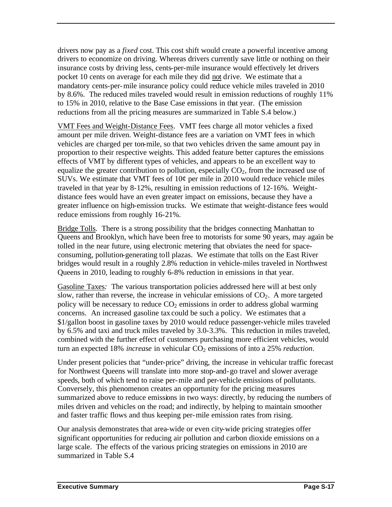drivers now pay as a *fixed* cost. This cost shift would create a powerful incentive among drivers to economize on driving. Whereas drivers currently save little or nothing on their insurance costs by driving less, cents-per-mile insurance would effectively let drivers pocket 10 cents on average for each mile they did not drive. We estimate that a mandatory cents-per-mile insurance policy could reduce vehicle miles traveled in 2010 by 8.6%. The reduced miles traveled would result in emission reductions of roughly 11% to 15% in 2010, relative to the Base Case emissions in that year. (The emission reductions from all the pricing measures are summarized in Table S.4 below.)

VMT Fees and Weight-Distance Fees. VMT fees charge all motor vehicles a fixed amount per mile driven. Weight-distance fees are a variation on VMT fees in which vehicles are charged per ton-mile, so that two vehicles driven the same amount pay in proportion to their respective weights. This added feature better captures the emissions effects of VMT by different types of vehicles, and appears to be an excellent way to equalize the greater contribution to pollution, especially  $CO<sub>2</sub>$ , from the increased use of SUVs. We estimate that VMT fees of  $10¢$  per mile in 2010 would reduce vehicle miles traveled in that year by 8-12%, resulting in emission reductions of 12-16%. Weightdistance fees would have an even greater impact on emissions, because they have a greater influence on high-emission trucks. We estimate that weight-distance fees would reduce emissions from roughly 16-21%.

Bridge Tolls. There is a strong possibility that the bridges connecting Manhattan to Queens and Brooklyn, which have been free to motorists for some 90 years, may again be tolled in the near future, using electronic metering that obviates the need for spaceconsuming, pollution-generating toll plazas. We estimate that tolls on the East River bridges would result in a roughly 2.8% reduction in vehicle-miles traveled in Northwest Queens in 2010, leading to roughly 6-8% reduction in emissions in that year.

Gasoline Taxes*:* The various transportation policies addressed here will at best only slow, rather than reverse, the increase in vehicular emissions of  $CO<sub>2</sub>$ . A more targeted policy will be necessary to reduce  $CO<sub>2</sub>$  emissions in order to address global warming concerns. An increased gasoline tax could be such a policy. We estimates that a \$1/gallon boost in gasoline taxes by 2010 would reduce passenger-vehicle miles traveled by 6.5% and taxi and truck miles traveled by 3.0-3.3%. This reduction in miles traveled, combined with the further effect of customers purchasing more efficient vehicles, would turn an expected 18% *increase* in vehicular CO<sub>2</sub> emissions of into a 25% *reduction*.

Under present policies that "under-price" driving, the increase in vehicular traffic forecast for Northwest Queens will translate into more stop-and-go travel and slower average speeds, both of which tend to raise per-mile and per-vehicle emissions of pollutants. Conversely, this phenomenon creates an opportunity for the pricing measures summarized above to reduce emissions in two ways: directly, by reducing the numbers of miles driven and vehicles on the road; and indirectly, by helping to maintain smoother and faster traffic flows and thus keeping per-mile emission rates from rising.

Our analysis demonstrates that area-wide or even city-wide pricing strategies offer significant opportunities for reducing air pollution and carbon dioxide emissions on a large scale. The effects of the various pricing strategies on emissions in 2010 are summarized in Table S.4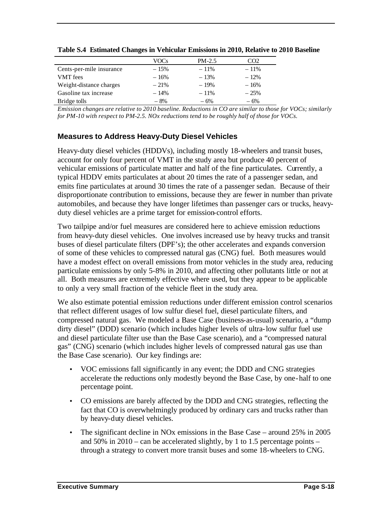|                          | VOCs   | $PM-2.5$ | CO2     |
|--------------------------|--------|----------|---------|
| Cents-per-mile insurance | $-15%$ | $-11%$   | $-11\%$ |
| <b>VMT</b> fees          | $-16%$ | $-13%$   | $-12%$  |
| Weight-distance charges  | $-21%$ | $-19%$   | $-16%$  |
| Gasoline tax increase    | $-14%$ | $-11\%$  | $-25%$  |
| Bridge tolls             | $-8%$  | $-6%$    | $-6%$   |

**Table S.4 Estimated Changes in Vehicular Emissions in 2010, Relative to 2010 Baseline**

*Emission changes are relative to 2010 baseline. Reductions in CO are similar to those for VOCs; similarly for PM-10 with respect to PM-2.5. NOx reductions tend to be roughly half of those for VOCs.*

#### **Measures to Address Heavy-Duty Diesel Vehicles**

Heavy-duty diesel vehicles (HDDVs), including mostly 18-wheelers and transit buses, account for only four percent of VMT in the study area but produce 40 percent of vehicular emissions of particulate matter and half of the fine particulates. Currently, a typical HDDV emits particulates at about 20 times the rate of a passenger sedan, and emits fine particulates at around 30 times the rate of a passenger sedan. Because of their disproportionate contribution to emissions, because they are fewer in number than private automobiles, and because they have longer lifetimes than passenger cars or trucks, heavyduty diesel vehicles are a prime target for emission-control efforts.

Two tailpipe and/or fuel measures are considered here to achieve emission reductions from heavy-duty diesel vehicles. One involves increased use by heavy trucks and transit buses of diesel particulate filters (DPF's); the other accelerates and expands conversion of some of these vehicles to compressed natural gas (CNG) fuel. Both measures would have a modest effect on overall emissions from motor vehicles in the study area, reducing particulate emissions by only 5-8% in 2010, and affecting other pollutants little or not at all. Both measures are extremely effective where used, but they appear to be applicable to only a very small fraction of the vehicle fleet in the study area.

We also estimate potential emission reductions under different emission control scenarios that reflect different usages of low sulfur diesel fuel, diesel particulate filters, and compressed natural gas. We modeled a Base Case (business-as-usual) scenario, a "dump dirty diesel" (DDD) scenario (which includes higher levels of ultra-low sulfur fuel use and diesel particulate filter use than the Base Case scenario), and a "compressed natural gas" (CNG) scenario (which includes higher levels of compressed natural gas use than the Base Case scenario). Our key findings are:

- VOC emissions fall significantly in any event; the DDD and CNG strategies accelerate the reductions only modestly beyond the Base Case, by one-half to one percentage point.
- CO emissions are barely affected by the DDD and CNG strategies, reflecting the fact that CO is overwhelmingly produced by ordinary cars and trucks rather than by heavy-duty diesel vehicles.
- The significant decline in NO<sub>x</sub> emissions in the Base Case around 25% in 2005 and  $50\%$  in  $2010 - \text{can}$  be accelerated slightly, by 1 to 1.5 percentage points – through a strategy to convert more transit buses and some 18-wheelers to CNG.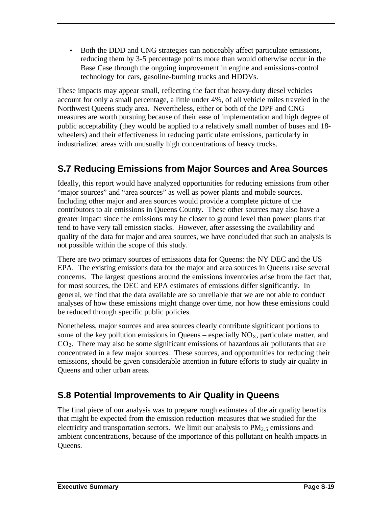• Both the DDD and CNG strategies can noticeably affect particulate emissions, reducing them by 3-5 percentage points more than would otherwise occur in the Base Case through the ongoing improvement in engine and emissions-control technology for cars, gasoline-burning trucks and HDDVs.

These impacts may appear small, reflecting the fact that heavy-duty diesel vehicles account for only a small percentage, a little under 4%, of all vehicle miles traveled in the Northwest Queens study area. Nevertheless, either or both of the DPF and CNG measures are worth pursuing because of their ease of implementation and high degree of public acceptability (they would be applied to a relatively small number of buses and 18 wheelers) and their effectiveness in reducing particulate emissions, particularly in industrialized areas with unusually high concentrations of heavy trucks.

### **S.7 Reducing Emissions from Major Sources and Area Sources**

Ideally, this report would have analyzed opportunities for reducing emissions from other "major sources" and "area sources" as well as power plants and mobile sources. Including other major and area sources would provide a complete picture of the contributors to air emissions in Queens County. These other sources may also have a greater impact since the emissions may be closer to ground level than power plants that tend to have very tall emission stacks. However, after assessing the availability and quality of the data for major and area sources, we have concluded that such an analysis is not possible within the scope of this study.

There are two primary sources of emissions data for Queens: the NY DEC and the US EPA. The existing emissions data for the major and area sources in Queens raise several concerns. The largest questions around the emissions inventories arise from the fact that, for most sources, the DEC and EPA estimates of emissions differ significantly. In general, we find that the data available are so unreliable that we are not able to conduct analyses of how these emissions might change over time, nor how these emissions could be reduced through specific public policies.

Nonetheless, major sources and area sources clearly contribute significant portions to some of the key pollution emissions in Queens – especially  $NO<sub>x</sub>$ , particulate matter, and  $CO<sub>2</sub>$ . There may also be some significant emissions of hazardous air pollutants that are concentrated in a few major sources. These sources, and opportunities for reducing their emissions, should be given considerable attention in future efforts to study air quality in Queens and other urban areas.

### **S.8 Potential Improvements to Air Quality in Queens**

The final piece of our analysis was to prepare rough estimates of the air quality benefits that might be expected from the emission reduction measures that we studied for the electricity and transportation sectors. We limit our analysis to  $PM<sub>2</sub>$ , emissions and ambient concentrations, because of the importance of this pollutant on health impacts in Queens.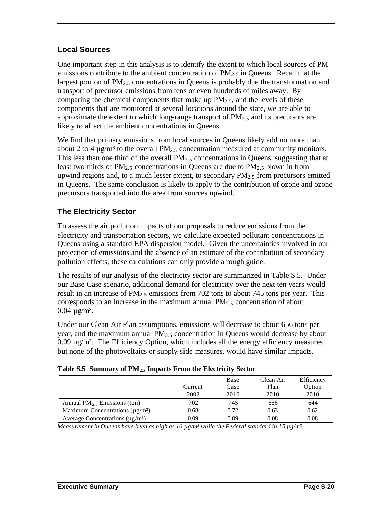#### **Local Sources**

One important step in this analysis is to identify the extent to which local sources of PM emissions contribute to the ambient concentration of  $PM_{2.5}$  in Queens. Recall that the largest portion of  $PM<sub>2</sub>$ , concentrations in Queens is probably due the transformation and transport of precursor emissions from tens or even hundreds of miles away. By comparing the chemical components that make up  $PM_{2.5}$ , and the levels of these components that are monitored at several locations around the state, we are able to approximate the extent to which long-range transport of  $PM_{2.5}$  and its precursors are likely to affect the ambient concentrations in Queens.

We find that primary emissions from local sources in Queens likely add no more than about 2 to 4  $\mu$ g/m<sup>3</sup> to the overall PM<sub>2.5</sub> concentration measured at community monitors. This less than one third of the overall  $PM<sub>2.5</sub>$  concentrations in Queens, suggesting that at least two thirds of PM<sub>2.5</sub> concentrations in Queens are due to PM<sub>2.5</sub> blown in from upwind regions and, to a much lesser extent, to secondary  $PM_{2.5}$  from precursors emitted in Queens. The same conclusion is likely to apply to the contribution of ozone and ozone precursors transported into the area from sources upwind.

#### **The Electricity Sector**

To assess the air pollution impacts of our proposals to reduce emissions from the electricity and transportation sectors, we calculate expected pollutant concentrations in Queens using a standard EPA dispersion model. Given the uncertainties involved in our projection of emissions and the absence of an estimate of the contribution of secondary pollution effects, these calculations can only provide a rough guide.

The results of our analysis of the electricity sector are summarized in Table S.5. Under our Base Case scenario, additional demand for electricity over the next ten years would result in an increase of  $PM<sub>2</sub>$ , emissions from 702 tons to about 745 tons per year. This corresponds to an increase in the maximum annual  $PM<sub>2.5</sub>$  concentration of about  $0.04 \mu g/m^3$ .

Under our Clean Air Plan assumptions, emissions will decrease to about 656 tons per year, and the maximum annual  $PM<sub>2.5</sub>$  concentration in Queens would decrease by about  $0.09 \mu g/m<sup>3</sup>$ . The Efficiency Option, which includes all the energy efficiency measures but none of the photovoltaics or supply-side measures, would have similar impacts.

|                                                   |         | Base | Clean Air | Efficiency |
|---------------------------------------------------|---------|------|-----------|------------|
|                                                   | Current | Case | Plan      | Option     |
|                                                   | 2002    | 2010 | 2010      | 2010       |
| Annual $PM_{2.5}$ Emissions (ton)                 | 702     | 745  | 656       | 644        |
| Maximum Concentrations ( $\mu$ g/m <sup>3</sup> ) | 0.68    | 0.72 | 0.63      | 0.62       |
| Average Concentrations ( $\mu$ g/m <sup>3</sup> ) | 0.09    | 0.09 | 0.08      | 0.08       |

*Measurement in Queens have been as high as 16 µg/m³ while the Federal standard in 15 µg/m³*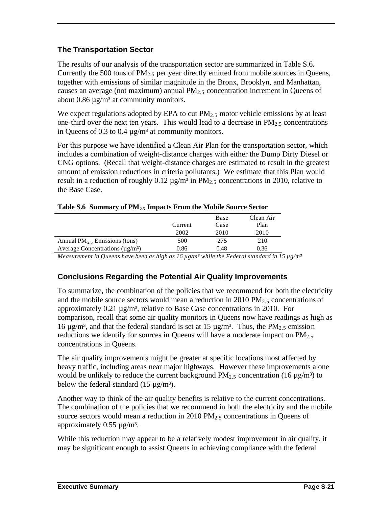#### **The Transportation Sector**

The results of our analysis of the transportation sector are summarized in Table S.6. Currently the 500 tons of  $PM<sub>2.5</sub>$  per year directly emitted from mobile sources in Queens, together with emissions of similar magnitude in the Bronx, Brooklyn, and Manhattan, causes an average (not maximum) annual  $PM<sub>2.5</sub>$  concentration increment in Queens of about 0.86  $\mu$ g/m<sup>3</sup> at community monitors.

We expect regulations adopted by EPA to cut  $PM_{2.5}$  motor vehicle emissions by at least one-third over the next ten years. This would lead to a decrease in  $PM_{2.5}$  concentrations in Queens of 0.3 to 0.4  $\mu$ g/m<sup>3</sup> at community monitors.

For this purpose we have identified a Clean Air Plan for the transportation sector, which includes a combination of weight-distance charges with either the Dump Dirty Diesel or CNG options. (Recall that weight-distance charges are estimated to result in the greatest amount of emission reductions in criteria pollutants.) We estimate that this Plan would result in a reduction of roughly  $0.12 \mu g/m^3$  in PM<sub>2.5</sub> concentrations in 2010, relative to the Base Case.

|                                                   |         | Base | Clean Air |
|---------------------------------------------------|---------|------|-----------|
|                                                   | Current | Case | Plan      |
|                                                   | 2002    | 2010 | 2010      |
| Annual $PM_2$ , Emissions (tons)                  | 500     | 275  | 210       |
| Average Concentrations ( $\mu$ g/m <sup>3</sup> ) | 0.86    | 0.48 | 0.36      |
|                                                   |         |      |           |

|  |  |  | Table S.6 Summary of PM <sub>2.5</sub> Impacts From the Mobile Source Sector |
|--|--|--|------------------------------------------------------------------------------|
|--|--|--|------------------------------------------------------------------------------|

*Measurement in Queens have been as high as 16 µg/m³ while the Federal standard in 15 µg/m³*

#### **Conclusions Regarding the Potential Air Quality Improvements**

To summarize, the combination of the policies that we recommend for both the electricity and the mobile source sectors would mean a reduction in 2010 PM $<sub>2.5</sub>$  concentrations of</sub> approximately  $0.21 \mu g/m^3$ , relative to Base Case concentrations in 2010. For comparison, recall that some air quality monitors in Queens now have readings as high as 16  $\mu$ g/m<sup>3</sup>, and that the federal standard is set at 15  $\mu$ g/m<sup>3</sup>. Thus, the PM<sub>2.5</sub> emission reductions we identify for sources in Queens will have a moderate impact on  $PM<sub>2.5</sub>$ concentrations in Queens.

The air quality improvements might be greater at specific locations most affected by heavy traffic, including areas near major highways. However these improvements alone would be unlikely to reduce the current background  $PM_{2.5}$  concentration (16  $\mu$ g/m<sup>3</sup>) to below the federal standard  $(15 \mu g/m^3)$ .

Another way to think of the air quality benefits is relative to the current concentrations. The combination of the policies that we recommend in both the electricity and the mobile source sectors would mean a reduction in 2010 PM<sub>2.5</sub> concentrations in Queens of approximately  $0.55 \mu g/m^3$ .

While this reduction may appear to be a relatively modest improvement in air quality, it may be significant enough to assist Queens in achieving compliance with the federal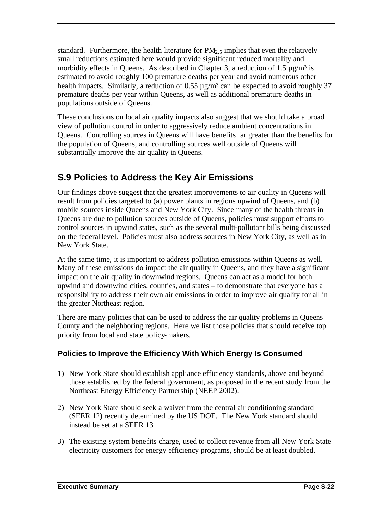standard. Furthermore, the health literature for  $PM<sub>2.5</sub>$  implies that even the relatively small reductions estimated here would provide significant reduced mortality and morbidity effects in Queens. As described in Chapter 3, a reduction of 1.5  $\mu$ g/m<sup>3</sup> is estimated to avoid roughly 100 premature deaths per year and avoid numerous other health impacts. Similarly, a reduction of 0.55  $\mu$ g/m<sup>3</sup> can be expected to avoid roughly 37 premature deaths per year within Queens, as well as additional premature deaths in populations outside of Queens.

These conclusions on local air quality impacts also suggest that we should take a broad view of pollution control in order to aggressively reduce ambient concentrations in Queens. Controlling sources in Queens will have benefits far greater than the benefits for the population of Queens, and controlling sources well outside of Queens will substantially improve the air quality in Queens.

### **S.9 Policies to Address the Key Air Emissions**

Our findings above suggest that the greatest improvements to air quality in Queens will result from policies targeted to (a) power plants in regions upwind of Queens, and (b) mobile sources inside Queens and New York City. Since many of the health threats in Queens are due to pollution sources outside of Queens, policies must support efforts to control sources in upwind states, such as the several multi-pollutant bills being discussed on the federal level. Policies must also address sources in New York City, as well as in New York State.

At the same time, it is important to address pollution emissions within Queens as well. Many of these emissions do impact the air quality in Queens, and they have a significant impact on the air quality in downwind regions. Queens can act as a model for both upwind and downwind cities, counties, and states – to demonstrate that everyone has a responsibility to address their own air emissions in order to improve air quality for all in the greater Northeast region.

There are many policies that can be used to address the air quality problems in Queens County and the neighboring regions. Here we list those policies that should receive top priority from local and state policy-makers.

#### **Policies to Improve the Efficiency With Which Energy Is Consumed**

- 1) New York State should establish appliance efficiency standards, above and beyond those established by the federal government, as proposed in the recent study from the Northeast Energy Efficiency Partnership (NEEP 2002).
- 2) New York State should seek a waiver from the central air conditioning standard (SEER 12) recently determined by the US DOE. The New York standard should instead be set at a SEER 13.
- 3) The existing system bene fits charge, used to collect revenue from all New York State electricity customers for energy efficiency programs, should be at least doubled.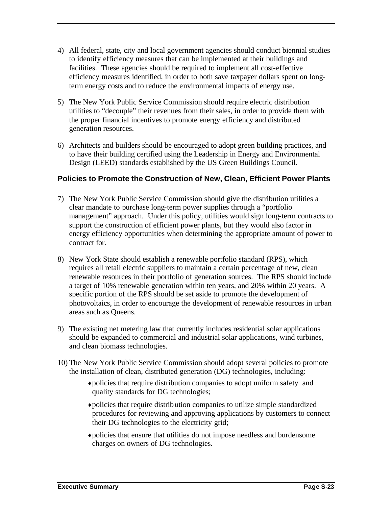- 4) All federal, state, city and local government agencies should conduct biennial studies to identify efficiency measures that can be implemented at their buildings and facilities. These agencies should be required to implement all cost-effective efficiency measures identified, in order to both save taxpayer dollars spent on longterm energy costs and to reduce the environmental impacts of energy use.
- 5) The New York Public Service Commission should require electric distribution utilities to "decouple" their revenues from their sales, in order to provide them with the proper financial incentives to promote energy efficiency and distributed generation resources.
- 6) Architects and builders should be encouraged to adopt green building practices, and to have their building certified using the Leadership in Energy and Environmental Design (LEED) standards established by the US Green Buildings Council.

#### **Policies to Promote the Construction of New, Clean, Efficient Power Plants**

- 7) The New York Public Service Commission should give the distribution utilities a clear mandate to purchase long-term power supplies through a "portfolio management" approach. Under this policy, utilities would sign long-term contracts to support the construction of efficient power plants, but they would also factor in energy efficiency opportunities when determining the appropriate amount of power to contract for.
- 8) New York State should establish a renewable portfolio standard (RPS), which requires all retail electric suppliers to maintain a certain percentage of new, clean renewable resources in their portfolio of generation sources. The RPS should include a target of 10% renewable generation within ten years, and 20% within 20 years. A specific portion of the RPS should be set aside to promote the development of photovoltaics, in order to encourage the development of renewable resources in urban areas such as Queens.
- 9) The existing net metering law that currently includes residential solar applications should be expanded to commercial and industrial solar applications, wind turbines, and clean biomass technologies.
- 10) The New York Public Service Commission should adopt several policies to promote the installation of clean, distributed generation (DG) technologies, including:
	- ♦ policies that require distribution companies to adopt uniform safety and quality standards for DG technologies;
	- ♦ policies that require distribution companies to utilize simple standardized procedures for reviewing and approving applications by customers to connect their DG technologies to the electricity grid;
	- ♦ policies that ensure that utilities do not impose needless and burdensome charges on owners of DG technologies.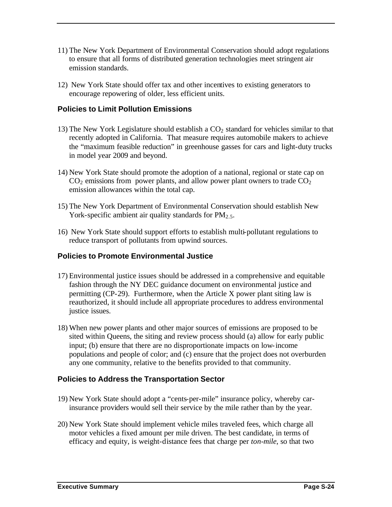- 11) The New York Department of Environmental Conservation should adopt regulations to ensure that all forms of distributed generation technologies meet stringent air emission standards.
- 12) New York State should offer tax and other incentives to existing generators to encourage repowering of older, less efficient units.

#### **Policies to Limit Pollution Emissions**

- 13) The New York Legislature should establish a  $CO<sub>2</sub>$  standard for vehicles similar to that recently adopted in California. That measure requires automobile makers to achieve the "maximum feasible reduction" in greenhouse gasses for cars and light-duty trucks in model year 2009 and beyond.
- 14) New York State should promote the adoption of a national, regional or state cap on  $CO<sub>2</sub>$  emissions from power plants, and allow power plant owners to trade  $CO<sub>2</sub>$ emission allowances within the total cap.
- 15) The New York Department of Environmental Conservation should establish New York-specific ambient air quality standards for  $PM_{2.5}$ .
- 16) New York State should support efforts to establish multi-pollutant regulations to reduce transport of pollutants from upwind sources.

#### **Policies to Promote Environmental Justice**

- 17) Environmental justice issues should be addressed in a comprehensive and equitable fashion through the NY DEC guidance document on environmental justice and permitting (CP-29). Furthermore, when the Article X power plant siting law is reauthorized, it should include all appropriate procedures to address environmental justice issues.
- 18) When new power plants and other major sources of emissions are proposed to be sited within Queens, the siting and review process should (a) allow for early public input; (b) ensure that there are no disproportionate impacts on low-income populations and people of color; and (c) ensure that the project does not overburden any one community, relative to the benefits provided to that community.

#### **Policies to Address the Transportation Sector**

- 19) New York State should adopt a "cents-per-mile" insurance policy, whereby carinsurance providers would sell their service by the mile rather than by the year.
- 20) New York State should implement vehicle miles traveled fees, which charge all motor vehicles a fixed amount per mile driven. The best candidate, in terms of efficacy and equity, is weight-distance fees that charge per *ton-mile*, so that two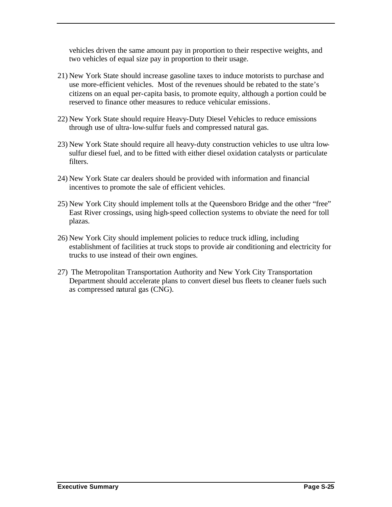vehicles driven the same amount pay in proportion to their respective weights, and two vehicles of equal size pay in proportion to their usage.

- 21) New York State should increase gasoline taxes to induce motorists to purchase and use more-efficient vehicles. Most of the revenues should be rebated to the state's citizens on an equal per-capita basis, to promote equity, although a portion could be reserved to finance other measures to reduce vehicular emissions.
- 22) New York State should require Heavy-Duty Diesel Vehicles to reduce emissions through use of ultra-low-sulfur fuels and compressed natural gas.
- 23) New York State should require all heavy-duty construction vehicles to use ultra lowsulfur diesel fuel, and to be fitted with either diesel oxidation catalysts or particulate filters.
- 24) New York State car dealers should be provided with information and financial incentives to promote the sale of efficient vehicles.
- 25) New York City should implement tolls at the Queensboro Bridge and the other "free" East River crossings, using high-speed collection systems to obviate the need for toll plazas.
- 26) New York City should implement policies to reduce truck idling, including establishment of facilities at truck stops to provide air conditioning and electricity for trucks to use instead of their own engines.
- 27) The Metropolitan Transportation Authority and New York City Transportation Department should accelerate plans to convert diesel bus fleets to cleaner fuels such as compressed natural gas (CNG).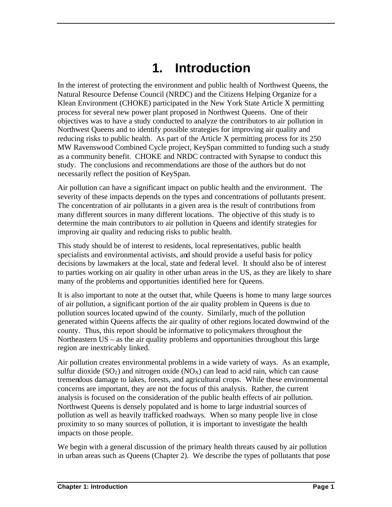# **1. Introduction**

In the interest of protecting the environment and public health of Northwest Queens, the Natural Resource Defense Council (NRDC) and the Citizens Helping Organize for a Klean Environment (CHOKE) participated in the New York State Article X permitting process for several new power plant proposed in Northwest Queens. One of their objectives was to have a study conducted to analyze the contributors to air pollution in Northwest Queens and to identify possible strategies for improving air quality and reducing risks to public health. As part of the Article X permitting process for its 250 MW Ravenswood Combined Cycle project, KeySpan committed to funding such a study as a community benefit. CHOKE and NRDC contracted with Synapse to conduct this study. The conclusions and recommendations are those of the authors but do not necessarily reflect the position of KeySpan.

Air pollution can have a significant impact on public health and the environment. The severity of these impacts depends on the types and concentrations of pollutants present. The concentration of air pollutants in a given area is the result of contributions from many different sources in many different locations. The objective of this study is to determine the main contributors to air pollution in Queens and identify strategies for improving air quality and reducing risks to public health.

This study should be of interest to residents, local representatives, public health specialists and environmental activists, and should provide a useful basis for policy decisions by lawmakers at the local, state and federal level. It should also be of interest to parties working on air quality in other urban areas in the US, as they are likely to share many of the problems and opportunities identified here for Queens.

It is also important to note at the outset that, while Queens is home to many large sources of air pollution, a significant portion of the air quality problem in Queens is due to pollution sources located upwind of the county. Similarly, much of the pollution generated within Queens affects the air quality of other regions located downwind of the county. Thus, this report should be informative to policymakers throughout the Northeastern US – as the air quality problems and opportunities throughout this large region are inextricably linked.

Air pollution creates environmental problems in a wide variety of ways. As an example, sulfur dioxide ( $SO<sub>2</sub>$ ) and nitrogen oxide ( $NO<sub>X</sub>$ ) can lead to acid rain, which can cause tremendous damage to lakes, forests, and agricultural crops. While these environmental concerns are important, they are not the focus of this analysis. Rather, the current analysis is focused on the consideration of the public health effects of air pollution. Northwest Queens is densely populated and is home to large industrial sources of pollution as well as heavily trafficked roadways. When so many people live in close proximity to so many sources of pollution, it is important to investigate the health impacts on those people.

We begin with a general discussion of the primary health threats caused by air pollution in urban areas such as Queens (Chapter 2). We describe the types of pollutants that pose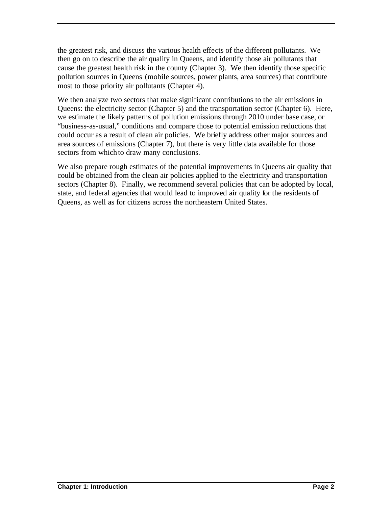the greatest risk, and discuss the various health effects of the different pollutants. We then go on to describe the air quality in Queens, and identify those air pollutants that cause the greatest health risk in the county (Chapter 3). We then identify those specific pollution sources in Queens (mobile sources, power plants, area sources) that contribute most to those priority air pollutants (Chapter 4).

We then analyze two sectors that make significant contributions to the air emissions in Queens: the electricity sector (Chapter 5) and the transportation sector (Chapter 6). Here, we estimate the likely patterns of pollution emissions through 2010 under base case, or "business-as-usual," conditions and compare those to potential emission reductions that could occur as a result of clean air policies. We briefly address other major sources and area sources of emissions (Chapter 7), but there is very little data available for those sectors from which to draw many conclusions.

We also prepare rough estimates of the potential improvements in Queens air quality that could be obtained from the clean air policies applied to the electricity and transportation sectors (Chapter 8). Finally, we recommend several policies that can be adopted by local, state, and federal agencies that would lead to improved air quality for the residents of Queens, as well as for citizens across the northeastern United States.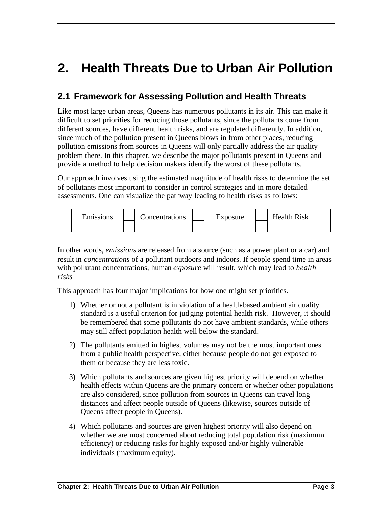# **2. Health Threats Due to Urban Air Pollution**

### **2.1 Framework for Assessing Pollution and Health Threats**

Like most large urban areas, Queens has numerous pollutants in its air. This can make it difficult to set priorities for reducing those pollutants, since the pollutants come from different sources, have different health risks, and are regulated differently. In addition, since much of the pollution present in Queens blows in from other places, reducing pollution emissions from sources in Queens will only partially address the air quality problem there. In this chapter, we describe the major pollutants present in Queens and provide a method to help decision makers identify the worst of these pollutants.

Our approach involves using the estimated magnitude of health risks to determine the set of pollutants most important to consider in control strategies and in more detailed assessments. One can visualize the pathway leading to health risks as follows:



In other words, *emissions* are released from a source (such as a power plant or a car) and result in *concentrations* of a pollutant outdoors and indoors. If people spend time in areas with pollutant concentrations, human *exposure* will result, which may lead to *health risks*.

This approach has four major implications for how one might set priorities.

- 1) Whether or not a pollutant is in violation of a health-based ambient air quality standard is a useful criterion for judging potential health risk. However, it should be remembered that some pollutants do not have ambient standards, while others may still affect population health well below the standard.
- 2) The pollutants emitted in highest volumes may not be the most important ones from a public health perspective, either because people do not get exposed to them or because they are less toxic.
- 3) Which pollutants and sources are given highest priority will depend on whether health effects within Queens are the primary concern or whether other populations are also considered, since pollution from sources in Queens can travel long distances and affect people outside of Queens (likewise, sources outside of Queens affect people in Queens).
- 4) Which pollutants and sources are given highest priority will also depend on whether we are most concerned about reducing total population risk (maximum efficiency) or reducing risks for highly exposed and/or highly vulnerable individuals (maximum equity).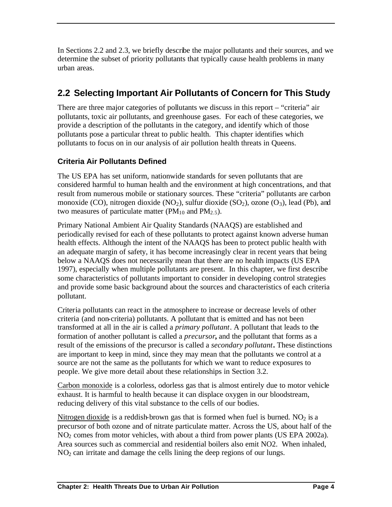In Sections 2.2 and 2.3, we briefly describe the major pollutants and their sources, and we determine the subset of priority pollutants that typically cause health problems in many urban areas.

### **2.2 Selecting Important Air Pollutants of Concern for This Study**

There are three major categories of pollutants we discuss in this report – "criteria" air pollutants, toxic air pollutants, and greenhouse gases. For each of these categories, we provide a description of the pollutants in the category, and identify which of those pollutants pose a particular threat to public health. This chapter identifies which pollutants to focus on in our analysis of air pollution health threats in Queens.

#### **Criteria Air Pollutants Defined**

The US EPA has set uniform, nationwide standards for seven pollutants that are considered harmful to human health and the environment at high concentrations, and that result from numerous mobile or stationary sources. These "criteria" pollutants are carbon monoxide (CO), nitrogen dioxide (NO<sub>2</sub>), sulfur dioxide (SO<sub>2</sub>), ozone (O<sub>3</sub>), lead (Pb), and two measures of particulate matter ( $PM_{10}$  and  $PM_{2.5}$ ).

Primary National Ambient Air Quality Standards (NAAQS) are established and periodically revised for each of these pollutants to protect against known adverse human health effects. Although the intent of the NAAQS has been to protect public health with an adequate margin of safety, it has become increasingly clear in recent years that being below a NAAQS does not necessarily mean that there are no health impacts (US EPA 1997), especially when multiple pollutants are present. In this chapter, we first describe some characteristics of pollutants important to consider in developing control strategies and provide some basic background about the sources and characteristics of each criteria pollutant.

Criteria pollutants can react in the atmosphere to increase or decrease levels of other criteria (and non-criteria) pollutants. A pollutant that is emitted and has not been transformed at all in the air is called a *primary pollutant*. A pollutant that leads to the formation of another pollutant is called a *precursor***,** and the pollutant that forms as a result of the emissions of the precursor is called a *secondary pollutant***.** These distinctions are important to keep in mind, since they may mean that the pollutants we control at a source are not the same as the pollutants for which we want to reduce exposures to people. We give more detail about these relationships in Section 3.2.

Carbon monoxide is a colorless, odorless gas that is almost entirely due to motor vehicle exhaust. It is harmful to health because it can displace oxygen in our bloodstream, reducing delivery of this vital substance to the cells of our bodies.

Nitrogen dioxide is a reddish-brown gas that is formed when fuel is burned.  $NO<sub>2</sub>$  is a precursor of both ozone and of nitrate particulate matter. Across the US, about half of the NO2 comes from motor vehicles, with about a third from power plants (US EPA 2002a). Area sources such as commercial and residential boilers also emit NO2. When inhaled,  $NO<sub>2</sub>$  can irritate and damage the cells lining the deep regions of our lungs.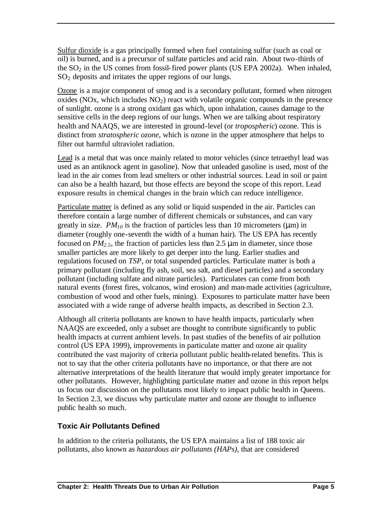Sulfur dioxide is a gas principally formed when fuel containing sulfur (such as coal or oil) is burned, and is a precursor of sulfate particles and acid rain. About two-thirds of the  $SO<sub>2</sub>$  in the US comes from fossil-fired power plants (US EPA 2002a). When inhaled,  $SO<sub>2</sub>$  deposits and irritates the upper regions of our lungs.

Ozone is a major component of smog and is a secondary pollutant, formed when nitrogen oxides (NOx, which includes  $NO<sub>2</sub>$ ) react with volatile organic compounds in the presence of sunlight. ozone is a strong oxidant gas which, upon inhalation, causes damage to the sensitive cells in the deep regions of our lungs. When we are talking about respiratory health and NAAQS, we are interested in ground-level (or *tropospheric*) ozone. This is distinct from *stratospheric ozone*, which is ozone in the upper atmosphere that helps to filter out harmful ultraviolet radiation.

Lead is a metal that was once mainly related to motor vehicles (since tetraethyl lead was used as an antiknock agent in gasoline). Now that unleaded gasoline is used, most of the lead in the air comes from lead smelters or other industrial sources. Lead in soil or paint can also be a health hazard, but those effects are beyond the scope of this report. Lead exposure results in chemical changes in the brain which can reduce intelligence.

Particulate matter is defined as any solid or liquid suspended in the air. Particles can therefore contain a large number of different chemicals or substances, and can vary greatly in size.  $PM_{10}$  is the fraction of particles less than 10 micrometers ( $\mu$ m) in diameter (roughly one-seventh the width of a human hair). The US EPA has recently focused on  $PM_{2.5}$ , the fraction of particles less than 2.5  $\mu$ m in diameter, since those smaller particles are more likely to get deeper into the lung. Earlier studies and regulations focused on *TSP*, or total suspended particles. Particulate matter is both a primary pollutant (including fly ash, soil, sea salt, and diesel particles) and a secondary pollutant (including sulfate and nitrate particles). Particulates can come from both natural events (forest fires, volcanos, wind erosion) and man-made activities (agriculture, combustion of wood and other fuels, mining). Exposures to particulate matter have been associated with a wide range of adverse health impacts, as described in Section 2.3.

Although all criteria pollutants are known to have health impacts, particularly when NAAQS are exceeded, only a subset are thought to contribute significantly to public health impacts at current ambient levels. In past studies of the benefits of air pollution control (US EPA 1999), improvements in particulate matter and ozone air quality contributed the vast majority of criteria pollutant public health-related benefits. This is not to say that the other criteria pollutants have no importance, or that there are not alternative interpretations of the health literature that would imply greater importance for other pollutants. However, highlighting particulate matter and ozone in this report helps us focus our discussion on the pollutants most likely to impact public health in Queens. In Section 2.3, we discuss why particulate matter and ozone are thought to influence public health so much.

#### **Toxic Air Pollutants Defined**

In addition to the criteria pollutants, the US EPA maintains a list of 188 toxic air pollutants, also known as *hazardous air pollutants (HAPs)*, that are considered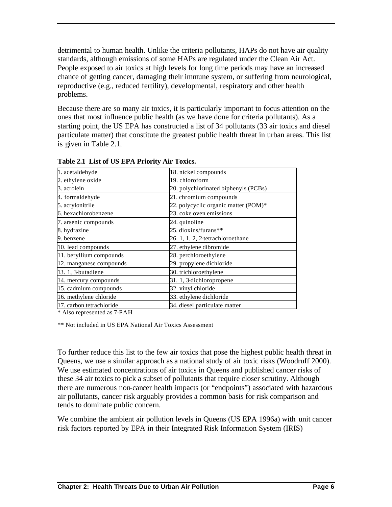detrimental to human health. Unlike the criteria pollutants, HAPs do not have air quality standards, although emissions of some HAPs are regulated under the Clean Air Act. People exposed to air toxics at high levels for long time periods may have an increased chance of getting cancer, damaging their immune system, or suffering from neurological, reproductive (e.g., reduced fertility), developmental, respiratory and other health problems.

Because there are so many air toxics, it is particularly important to focus attention on the ones that most influence public health (as we have done for criteria pollutants). As a starting point, the US EPA has constructed a list of 34 pollutants (33 air toxics and diesel particulate matter) that constitute the greatest public health threat in urban areas. This list is given in Table 2.1.

| 1. acetaldehyde          | 18. nickel compounds                 |
|--------------------------|--------------------------------------|
| 2. ethylene oxide        | 19. chloroform                       |
| 3. acrolein              | 20. polychlorinated biphenyls (PCBs) |
| 4. formaldehyde          | 21. chromium compounds               |
| 5. acrylonitrile         | 22. polycyclic organic matter (POM)* |
| 6. hexachlorobenzene     | 23. coke oven emissions              |
| 7. arsenic compounds     | 24. quinoline                        |
| 8. hydrazine             | 25. dioxins/furans**                 |
| 9. benzene               | 26. 1, 1, 2, 2-tetrachloroethane     |
| 10. lead compounds       | 27. ethylene dibromide               |
| 11. beryllium compounds  | 28. perchloroethylene                |
| 12. manganese compounds  | 29. propylene dichloride             |
| 13. 1, 3-butadiene       | 30. trichloroethylene                |
| 14. mercury compounds    | 31. 1, 3-dichloropropene             |
| 15. cadmium compounds    | 32. vinyl chloride                   |
| 16. methylene chloride   | 33. ethylene dichloride              |
| 17. carbon tetrachloride | 34. diesel particulate matter        |

**Table 2.1 List of US EPA Priority Air Toxics.** 

\* Also represented as 7-PAH

\*\* Not included in US EPA National Air Toxics Assessment

To further reduce this list to the few air toxics that pose the highest public health threat in Queens, we use a similar approach as a national study of air toxic risks (Woodruff 2000). We use estimated concentrations of air toxics in Queens and published cancer risks of these 34 air toxics to pick a subset of pollutants that require closer scrutiny. Although there are numerous non-cancer health impacts (or "endpoints") associated with hazardous air pollutants, cancer risk arguably provides a common basis for risk comparison and tends to dominate public concern.

We combine the ambient air pollution levels in Queens (US EPA 1996a) with unit cancer risk factors reported by EPA in their Integrated Risk Information System (IRIS)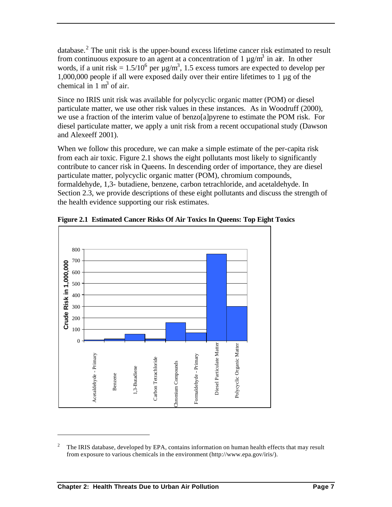database.<sup>2</sup> The unit risk is the upper-bound excess lifetime cancer risk estimated to result from continuous exposure to an agent at a concentration of  $1 \mu g/m^3$  in air. In other words, if a unit risk =  $1.5/10^6$  per  $\mu$ g/m<sup>3</sup>, 1.5 excess tumors are expected to develop per 1,000,000 people if all were exposed daily over their entire lifetimes to 1 µg of the chemical in  $1 \text{ m}^3$  of air.

Since no IRIS unit risk was available for polycyclic organic matter (POM) or diesel particulate matter, we use other risk values in these instances. As in Woodruff (2000), we use a fraction of the interim value of benzo[a]pyrene to estimate the POM risk. For diesel particulate matter, we apply a unit risk from a recent occupational study (Dawson and Alexeeff 2001).

When we follow this procedure, we can make a simple estimate of the per-capita risk from each air toxic. Figure 2.1 shows the eight pollutants most likely to significantly contribute to cancer risk in Queens. In descending order of importance, they are diesel particulate matter, polycyclic organic matter (POM), chromium compounds, formaldehyde, 1,3- butadiene, benzene, carbon tetrachloride, and acetaldehyde. In Section 2.3, we provide descriptions of these eight pollutants and discuss the strength of the health evidence supporting our risk estimates.



**Figure 2.1 Estimated Cancer Risks Of Air Toxics In Queens: Top Eight Toxics**

 $\overline{a}$ 

<sup>2</sup> The IRIS database, developed by EPA, contains information on human health effects that may result from exposure to various chemicals in the environment (http://www.epa.gov/iris/).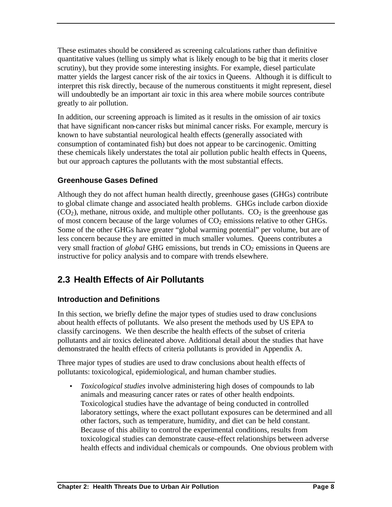These estimates should be considered as screening calculations rather than definitive quantitative values (telling us simply what is likely enough to be big that it merits closer scrutiny), but they provide some interesting insights. For example, diesel particulate matter yields the largest cancer risk of the air toxics in Queens. Although it is difficult to interpret this risk directly, because of the numerous constituents it might represent, diesel will undoubtedly be an important air toxic in this area where mobile sources contribute greatly to air pollution.

In addition, our screening approach is limited as it results in the omission of air toxics that have significant non-cancer risks but minimal cancer risks. For example, mercury is known to have substantial neurological health effects (generally associated with consumption of contaminated fish) but does not appear to be carcinogenic. Omitting these chemicals likely understates the total air pollution public health effects in Queens, but our approach captures the pollutants with the most substantial effects.

## **Greenhouse Gases Defined**

Although they do not affect human health directly, greenhouse gases (GHGs) contribute to global climate change and associated health problems. GHGs include carbon dioxide  $(CO<sub>2</sub>)$ , methane, nitrous oxide, and multiple other pollutants.  $CO<sub>2</sub>$  is the greenhouse gas of most concern because of the large volumes of  $CO<sub>2</sub>$  emissions relative to other GHGs. Some of the other GHGs have greater "global warming potential" per volume, but are of less concern because they are emitted in much smaller volumes. Queens contributes a very small fraction of *global* GHG emissions, but trends in CO<sub>2</sub> emissions in Queens are instructive for policy analysis and to compare with trends elsewhere.

# **2.3 Health Effects of Air Pollutants**

# **Introduction and Definitions**

In this section, we briefly define the major types of studies used to draw conclusions about health effects of pollutants. We also present the methods used by US EPA to classify carcinogens. We then describe the health effects of the subset of criteria pollutants and air toxics delineated above. Additional detail about the studies that have demonstrated the health effects of criteria pollutants is provided in Appendix A.

Three major types of studies are used to draw conclusions about health effects of pollutants: toxicological, epidemiological, and human chamber studies.

• *Toxicological studies* involve administering high doses of compounds to lab animals and measuring cancer rates or rates of other health endpoints. Toxicological studies have the advantage of being conducted in controlled laboratory settings, where the exact pollutant exposures can be determined and all other factors, such as temperature, humidity, and diet can be held constant. Because of this ability to control the experimental conditions, results from toxicological studies can demonstrate cause-effect relationships between adverse health effects and individual chemicals or compounds. One obvious problem with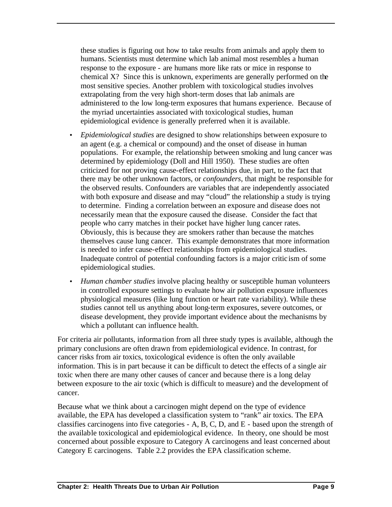these studies is figuring out how to take results from animals and apply them to humans. Scientists must determine which lab animal most resembles a human response to the exposure - are humans more like rats or mice in response to chemical X? Since this is unknown, experiments are generally performed on the most sensitive species. Another problem with toxicological studies involves extrapolating from the very high short-term doses that lab animals are administered to the low long-term exposures that humans experience. Because of the myriad uncertainties associated with toxicological studies, human epidemiological evidence is generally preferred when it is available.

- *Epidemiological studies* are designed to show relationships between exposure to an agent (e.g. a chemical or compound) and the onset of disease in human populations. For example, the relationship between smoking and lung cancer was determined by epidemiology (Doll and Hill 1950). These studies are often criticized for not proving cause-effect relationships due, in part, to the fact that there may be other unknown factors, or *confounders*, that might be responsible for the observed results. Confounders are variables that are independently associated with both exposure and disease and may "cloud" the relationship a study is trying to determine. Finding a correlation between an exposure and disease does not necessarily mean that the exposure caused the disease. Consider the fact that people who carry matches in their pocket have higher lung cancer rates. Obviously, this is because they are smokers rather than because the matches themselves cause lung cancer. This example demonstrates that more information is needed to infer cause-effect relationships from epidemiological studies. Inadequate control of potential confounding factors is a major critic ism of some epidemiological studies.
- *Human chamber studies* involve placing healthy or susceptible human volunteers in controlled exposure settings to evaluate how air pollution exposure influences physiological measures (like lung function or heart rate va riability). While these studies cannot tell us anything about long-term exposures, severe outcomes, or disease development, they provide important evidence about the mechanisms by which a pollutant can influence health.

For criteria air pollutants, informa tion from all three study types is available, although the primary conclusions are often drawn from epidemiological evidence. In contrast, for cancer risks from air toxics, toxicological evidence is often the only available information. This is in part because it can be difficult to detect the effects of a single air toxic when there are many other causes of cancer and because there is a long delay between exposure to the air toxic (which is difficult to measure) and the development of cancer.

Because what we think about a carcinogen might depend on the type of evidence available, the EPA has developed a classification system to "rank" air toxics. The EPA classifies carcinogens into five categories - A, B, C, D, and E - based upon the strength of the available toxicological and epidemiological evidence. In theory, one should be most concerned about possible exposure to Category A carcinogens and least concerned about Category E carcinogens. Table 2.2 provides the EPA classification scheme.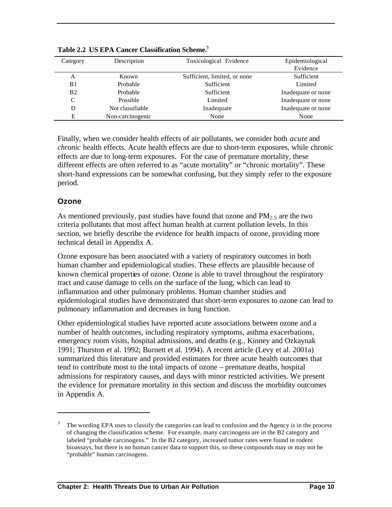| Category       | Description      | Toxicological Evidence       | Epidemiological    |
|----------------|------------------|------------------------------|--------------------|
|                |                  |                              | Evidence           |
| А              | Known            | Sufficient, limited, or none | Sufficient         |
| B1             | Probable         | Sufficient                   | Limited            |
| B <sub>2</sub> | Probable         | Sufficient                   | Inadequate or none |
| C              | Possible         | Limited                      | Inadequate or none |
| D              | Not classifiable | Inadequate                   | Inadequate or none |
| Е              | Non-carcinogenic | None                         | None               |
|                |                  |                              |                    |

**Table 2.2 US EPA Cancer Classification Scheme.<sup>3</sup>**

Finally, when we consider health effects of air pollutants, we consider both *acute* and *chronic* health effects. Acute health effects are due to short-term exposures, while chronic effects are due to long-term exposures. For the case of premature mortality, these different effects are often referred to as "acute mortality" or "chronic mortality". These short-hand expressions can be somewhat confusing, but they simply refer to the exposure period.

#### **Ozone**

 $\overline{a}$ 

As mentioned previously, past studies have found that ozone and  $PM<sub>2.5</sub>$  are the two criteria pollutants that most affect human health at current pollution levels. In this section, we briefly describe the evidence for health impacts of ozone, providing more technical detail in Appendix A.

Ozone exposure has been associated with a variety of respiratory outcomes in both human chamber and epidemiological studies. These effects are plausible because of known chemical properties of ozone. Ozone is able to travel throughout the respiratory tract and cause damage to cells on the surface of the lung, which can lead to inflammation and other pulmonary problems. Human chamber studies and epidemiological studies have demonstrated that short-term exposures to ozone can lead to pulmonary inflammation and decreases in lung function.

Other epidemiological studies have reported acute associations between ozone and a number of health outcomes, including respiratory symptoms, asthma exacerbations, emergency room visits, hospital admissions, and deaths (e.g., Kinney and Ozkaynak 1991; Thurston et al. 1992; Burnett et al. 1994). A recent article (Levy et al. 2001a) summarized this literature and provided estimates for three acute health outcomes that tend to contribute most to the total impacts of ozone – premature deaths, hospital admissions for respiratory causes, and days with minor restricted activities. We present the evidence for premature mortality in this section and discuss the morbidity outcomes in Appendix A.

<sup>3</sup> The wording EPA uses to classify the categories can lead to confusion and the Agency is in the process of changing the classification scheme. For example, many carcinogens are in the B2 category and labeled "probable carcinogens." In the B2 category, increased tumor rates were found in rodent bioassays, but there is no human cancer data to support this, so these compounds may or may not be "probable" human carcinogens.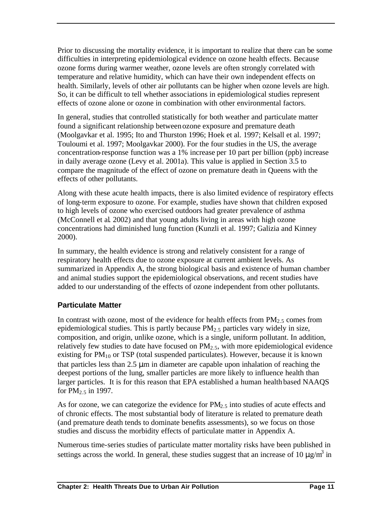Prior to discussing the mortality evidence, it is important to realize that there can be some difficulties in interpreting epidemiological evidence on ozone health effects. Because ozone forms during warmer weather, ozone levels are often strongly correlated with temperature and relative humidity, which can have their own independent effects on health. Similarly, levels of other air pollutants can be higher when ozone levels are high. So, it can be difficult to tell whether associations in epidemiological studies represent effects of ozone alone or ozone in combination with other environmental factors.

In general, studies that controlled statistically for both weather and particulate matter found a significant relationship between ozone exposure and premature death (Moolgavkar et al. 1995; Ito and Thurston 1996; Hoek et al. 1997; Kelsall et al. 1997; Touloumi et al. 1997; Moolgavkar 2000). For the four studies in the US, the average concentration-response function was a 1% increase per 10 part per billion (ppb) increase in daily average ozone (Levy et al. 2001a). This value is applied in Section 3.5 to compare the magnitude of the effect of ozone on premature death in Queens with the effects of other pollutants.

Along with these acute health impacts, there is also limited evidence of respiratory effects of long-term exposure to ozone. For example, studies have shown that children exposed to high levels of ozone who exercised outdoors had greater prevalence of asthma (McConnell et al. 2002) and that young adults living in areas with high ozone concentrations had diminished lung function (Kunzli et al. 1997; Galizia and Kinney 2000).

In summary, the health evidence is strong and relatively consistent for a range of respiratory health effects due to ozone exposure at current ambient levels. As summarized in Appendix A, the strong biological basis and existence of human chamber and animal studies support the epidemiological observations, and recent studies have added to our understanding of the effects of ozone independent from other pollutants.

### **Particulate Matter**

In contrast with ozone, most of the evidence for health effects from  $PM_{2.5}$  comes from epidemiological studies. This is partly because  $PM_{2.5}$  particles vary widely in size, composition, and origin, unlike ozone, which is a single, uniform pollutant. In addition, relatively few studies to date have focused on  $PM<sub>2.5</sub>$ , with more epidemiological evidence existing for  $PM_{10}$  or TSP (total suspended particulates). However, because it is known that particles less than  $2.5 \mu m$  in diameter are capable upon inhalation of reaching the deepest portions of the lung, smaller particles are more likely to influence health than larger particles. It is for this reason that EPA established a human health based NAAQS for  $PM<sub>2.5</sub>$  in 1997.

As for ozone, we can categorize the evidence for  $PM_{2.5}$  into studies of acute effects and of chronic effects. The most substantial body of literature is related to premature death (and premature death tends to dominate benefits assessments), so we focus on those studies and discuss the morbidity effects of particulate matter in Appendix A.

Numerous time-series studies of particulate matter mortality risks have been published in settings across the world. In general, these studies suggest that an increase of 10  $\mu$ g/m<sup>3</sup> in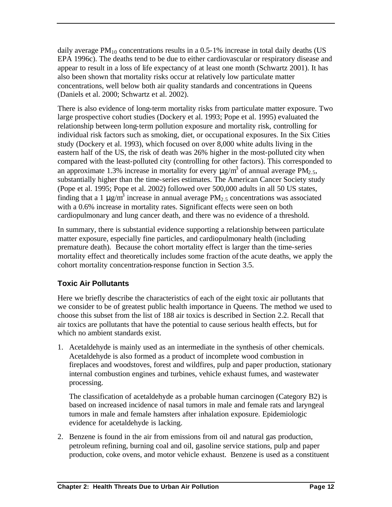daily average  $PM_{10}$  concentrations results in a 0.5-1% increase in total daily deaths (US EPA 1996c). The deaths tend to be due to either cardiovascular or respiratory disease and appear to result in a loss of life expectancy of at least one month (Schwartz 2001). It has also been shown that mortality risks occur at relatively low particulate matter concentrations, well below both air quality standards and concentrations in Queens (Daniels et al. 2000; Schwartz et al. 2002).

There is also evidence of long-term mortality risks from particulate matter exposure. Two large prospective cohort studies (Dockery et al. 1993; Pope et al. 1995) evaluated the relationship between long-term pollution exposure and mortality risk, controlling for individual risk factors such as smoking, diet, or occupational exposures. In the Six Cities study (Dockery et al. 1993), which focused on over 8,000 white adults living in the eastern half of the US, the risk of death was 26% higher in the most-polluted city when compared with the least-polluted city (controlling for other factors). This corresponded to an approximate 1.3% increase in mortality for every  $\mu$ g/m<sup>3</sup> of annual average PM<sub>2.5</sub>, substantially higher than the time-series estimates. The American Cancer Society study (Pope et al. 1995; Pope et al. 2002) followed over 500,000 adults in all 50 US states, finding that a 1  $\mu$ g/m<sup>3</sup> increase in annual average PM<sub>2.5</sub> concentrations was associated with a  $0.6\%$  increase in mortality rates. Significant effects were seen on both cardiopulmonary and lung cancer death, and there was no evidence of a threshold.

In summary, there is substantial evidence supporting a relationship between particulate matter exposure, especially fine particles, and cardiopulmonary health (including premature death). Because the cohort mortality effect is larger than the time-series mortality effect and theoretically includes some fraction of the acute deaths, we apply the cohort mortality concentration-response function in Section 3.5.

# **Toxic Air Pollutants**

Here we briefly describe the characteristics of each of the eight toxic air pollutants that we consider to be of greatest public health importance in Queens. The method we used to choose this subset from the list of 188 air toxics is described in Section 2.2. Recall that air toxics are pollutants that have the potential to cause serious health effects, but for which no ambient standards exist.

1. Acetaldehyde is mainly used as an intermediate in the synthesis of other chemicals. Acetaldehyde is also formed as a product of incomplete wood combustion in fireplaces and woodstoves, forest and wildfires, pulp and paper production, stationary internal combustion engines and turbines, vehicle exhaust fumes, and wastewater processing.

The classification of acetaldehyde as a probable human carcinogen (Category B2) is based on increased incidence of nasal tumors in male and female rats and laryngeal tumors in male and female hamsters after inhalation exposure. Epidemiologic evidence for acetaldehyde is lacking.

2. Benzene is found in the air from emissions from oil and natural gas production, petroleum refining, burning coal and oil, gasoline service stations, pulp and paper production, coke ovens, and motor vehicle exhaust. Benzene is used as a constituent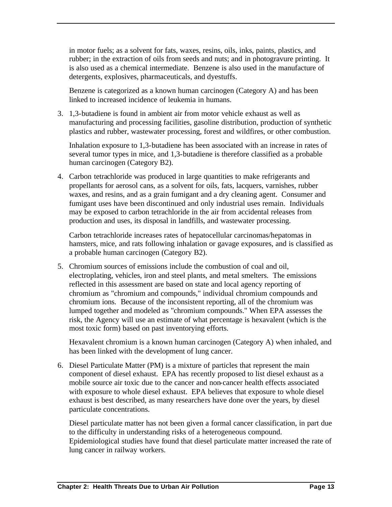in motor fuels; as a solvent for fats, waxes, resins, oils, inks, paints, plastics, and rubber; in the extraction of oils from seeds and nuts; and in photogravure printing. It is also used as a chemical intermediate. Benzene is also used in the manufacture of detergents, explosives, pharmaceuticals, and dyestuffs.

Benzene is categorized as a known human carcinogen (Category A) and has been linked to increased incidence of leukemia in humans.

3. 1,3-butadiene is found in ambient air from motor vehicle exhaust as well as manufacturing and processing facilities, gasoline distribution, production of synthetic plastics and rubber, wastewater processing, forest and wildfires, or other combustion.

Inhalation exposure to 1,3-butadiene has been associated with an increase in rates of several tumor types in mice, and 1,3-butadiene is therefore classified as a probable human carcinogen (Category B2).

4. Carbon tetrachloride was produced in large quantities to make refrigerants and propellants for aerosol cans, as a solvent for oils, fats, lacquers, varnishes, rubber waxes, and resins, and as a grain fumigant and a dry cleaning agent. Consumer and fumigant uses have been discontinued and only industrial uses remain. Individuals may be exposed to carbon tetrachloride in the air from accidental releases from production and uses, its disposal in landfills, and wastewater processing.

Carbon tetrachloride increases rates of hepatocellular carcinomas/hepatomas in hamsters, mice, and rats following inhalation or gavage exposures, and is classified as a probable human carcinogen (Category B2).

5. Chromium sources of emissions include the combustion of coal and oil, electroplating, vehicles, iron and steel plants, and metal smelters. The emissions reflected in this assessment are based on state and local agency reporting of chromium as "chromium and compounds," individual chromium compounds and chromium ions. Because of the inconsistent reporting, all of the chromium was lumped together and modeled as "chromium compounds." When EPA assesses the risk, the Agency will use an estimate of what percentage is hexavalent (which is the most toxic form) based on past inventorying efforts.

Hexavalent chromium is a known human carcinogen (Category A) when inhaled, and has been linked with the development of lung cancer.

6. Diesel Particulate Matter (PM) is a mixture of particles that represent the main component of diesel exhaust. EPA has recently proposed to list diesel exhaust as a mobile source air toxic due to the cancer and non-cancer health effects associated with exposure to whole diesel exhaust. EPA believes that exposure to whole diesel exhaust is best described, as many researchers have done over the years, by diesel particulate concentrations.

Diesel particulate matter has not been given a formal cancer classification, in part due to the difficulty in understanding risks of a heterogeneous compound. Epidemiological studies have found that diesel particulate matter increased the rate of lung cancer in railway workers.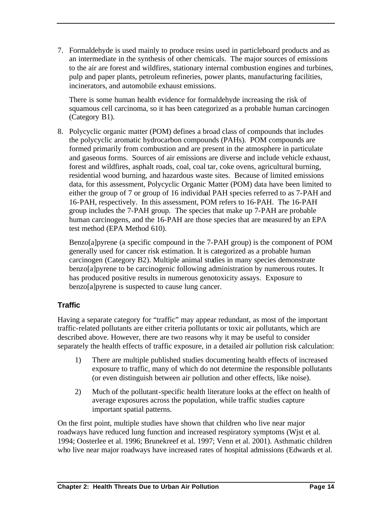7. Formaldehyde is used mainly to produce resins used in particleboard products and as an intermediate in the synthesis of other chemicals. The major sources of emissions to the air are forest and wildfires, stationary internal combustion engines and turbines, pulp and paper plants, petroleum refineries, power plants, manufacturing facilities, incinerators, and automobile exhaust emissions.

There is some human health evidence for formaldehyde increasing the risk of squamous cell carcinoma, so it has been categorized as a probable human carcinogen (Category B1).

8. Polycyclic organic matter (POM) defines a broad class of compounds that includes the polycyclic aromatic hydrocarbon compounds (PAHs). POM compounds are formed primarily from combustion and are present in the atmosphere in particulate and gaseous forms. Sources of air emissions are diverse and include vehicle exhaust, forest and wildfires, asphalt roads, coal, coal tar, coke ovens, agricultural burning, residential wood burning, and hazardous waste sites. Because of limited emissions data, for this assessment, Polycyclic Organic Matter (POM) data have been limited to either the group of 7 or group of 16 individual PAH species referred to as 7-PAH and 16-PAH, respectively. In this assessment, POM refers to 16-PAH. The 16-PAH group includes the 7-PAH group. The species that make up 7-PAH are probable human carcinogens, and the 16-PAH are those species that are measured by an EPA test method (EPA Method 610).

Benzo[a]pyrene (a specific compound in the 7-PAH group) is the component of POM generally used for cancer risk estimation. It is categorized as a probable human carcinogen (Category B2). Multiple animal studies in many species demonstrate benzo[a]pyrene to be carcinogenic following administration by numerous routes. It has produced positive results in numerous genotoxicity assays. Exposure to benzo[a]pyrene is suspected to cause lung cancer.

### **Traffic**

Having a separate category for "traffic" may appear redundant, as most of the important traffic-related pollutants are either criteria pollutants or toxic air pollutants, which are described above. However, there are two reasons why it may be useful to consider separately the health effects of traffic exposure, in a detailed air pollution risk calculation:

- 1) There are multiple published studies documenting health effects of increased exposure to traffic, many of which do not determine the responsible pollutants (or even distinguish between air pollution and other effects, like noise).
- 2) Much of the pollutant-specific health literature looks at the effect on health of average exposures across the population, while traffic studies capture important spatial patterns.

On the first point, multiple studies have shown that children who live near major roadways have reduced lung function and increased respiratory symptoms (Wjst et al. 1994; Oosterlee et al. 1996; Brunekreef et al. 1997; Venn et al. 2001). Asthmatic children who live near major roadways have increased rates of hospital admissions (Edwards et al.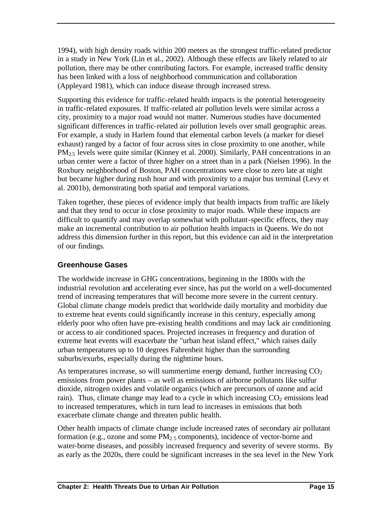1994), with high density roads within 200 meters as the strongest traffic-related predictor in a study in New York (Lin et al., 2002). Although these effects are likely related to air pollution, there may be other contributing factors. For example, increased traffic density has been linked with a loss of neighborhood communication and collaboration (Appleyard 1981), which can induce disease through increased stress.

Supporting this evidence for traffic-related health impacts is the potential heterogeneity in traffic-related exposures. If traffic-related air pollution levels were similar across a city, proximity to a major road would not matter. Numerous studies have documented significant differences in traffic-related air pollution levels over small geographic areas. For example, a study in Harlem found that elemental carbon levels (a marker for diesel exhaust) ranged by a factor of four across sites in close proximity to one another, while PM2.5 levels were quite similar (Kinney et al. 2000). Similarly, PAH concentrations in an urban center were a factor of three higher on a street than in a park (Nielsen 1996). In the Roxbury neighborhood of Boston, PAH concentrations were close to zero late at night but became higher during rush hour and with proximity to a major bus terminal (Levy et al. 2001b), demonstrating both spatial and temporal variations.

Taken together, these pieces of evidence imply that health impacts from traffic are likely and that they tend to occur in close proximity to major roads. While these impacts are difficult to quantify and may overlap somewhat with pollutant-specific effects, they may make an incremental contribution to air pollution health impacts in Queens. We do not address this dimension further in this report, but this evidence can aid in the interpretation of our findings.

### **Greenhouse Gases**

The worldwide increase in GHG concentrations, beginning in the 1800s with the industrial revolution and accelerating ever since, has put the world on a well-documented trend of increasing temperatures that will become more severe in the current century. Global climate change models predict that worldwide daily mortality and morbidity due to extreme heat events could significantly increase in this century, especially among elderly poor who often have pre-existing health conditions and may lack air conditioning or access to air conditioned spaces. Projected increases in frequency and duration of extreme heat events will exacerbate the "urban heat island effect," which raises daily urban temperatures up to 10 degrees Fahrenheit higher than the surrounding suburbs/exurbs, especially during the nighttime hours.

As temperatures increase, so will summertime energy demand, further increasing  $CO<sub>2</sub>$ emissions from power plants – as well as emissions of airborne pollutants like sulfur dioxide, nitrogen oxides and volatile organics (which are precursors of ozone and acid rain). Thus, climate change may lead to a cycle in which increasing  $CO<sub>2</sub>$  emissions lead to increased temperatures, which in turn lead to increases in emissions that both exacerbate climate change and threaten public health.

Other health impacts of climate change include increased rates of secondary air pollutant formation (e.g., ozone and some  $PM<sub>2.5</sub>$  components), incidence of vector-borne and water-borne diseases, and possibly increased frequency and severity of severe storms. By as early as the 2020s, there could be significant increases in the sea level in the New York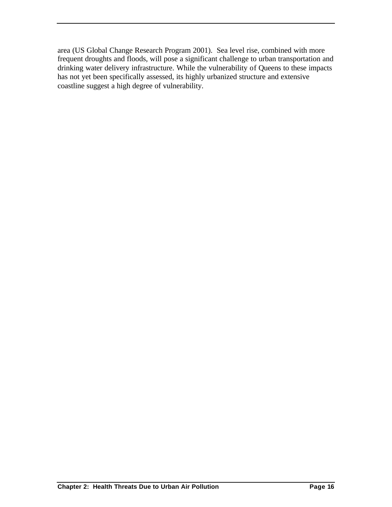area (US Global Change Research Program 2001). Sea level rise, combined with more frequent droughts and floods, will pose a significant challenge to urban transportation and drinking water delivery infrastructure. While the vulnerability of Queens to these impacts has not yet been specifically assessed, its highly urbanized structure and extensive coastline suggest a high degree of vulnerability.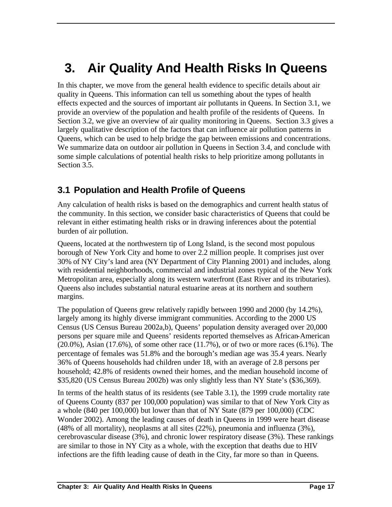# **3. Air Quality And Health Risks In Queens**

In this chapter, we move from the general health evidence to specific details about air quality in Queens. This information can tell us something about the types of health effects expected and the sources of important air pollutants in Queens. In Section 3.1, we provide an overview of the population and health profile of the residents of Queens. In Section 3.2, we give an overview of air quality monitoring in Queens. Section 3.3 gives a largely qualitative description of the factors that can influence air pollution patterns in Queens, which can be used to help bridge the gap between emissions and concentrations. We summarize data on outdoor air pollution in Queens in Section 3.4, and conclude with some simple calculations of potential health risks to help prioritize among pollutants in Section 3.5.

# **3.1 Population and Health Profile of Queens**

Any calculation of health risks is based on the demographics and current health status of the community. In this section, we consider basic characteristics of Queens that could be relevant in either estimating health risks or in drawing inferences about the potential burden of air pollution.

Queens, located at the northwestern tip of Long Island, is the second most populous borough of New York City and home to over 2.2 million people. It comprises just over 30% of NY City's land area (NY Department of City Planning 2001) and includes, along with residential neighborhoods, commercial and industrial zones typical of the New York Metropolitan area, especially along its western waterfront (East River and its tributaries). Queens also includes substantial natural estuarine areas at its northern and southern margins.

The population of Queens grew relatively rapidly between 1990 and 2000 (by 14.2%), largely among its highly diverse immigrant communities. According to the 2000 US Census (US Census Bureau 2002a,b), Queens' population density averaged over 20,000 persons per square mile and Queens' residents reported themselves as African-American  $(20.0\%)$ , Asian  $(17.6\%)$ , of some other race  $(11.7\%)$ , or of two or more races  $(6.1\%)$ . The percentage of females was 51.8% and the borough's median age was 35.4 years. Nearly 36% of Queens households had children under 18, with an average of 2.8 persons per household; 42.8% of residents owned their homes, and the median household income of \$35,820 (US Census Bureau 2002b) was only slightly less than NY State's (\$36,369).

In terms of the health status of its residents (see Table 3.1), the 1999 crude mortality rate of Queens County (837 per 100,000 population) was similar to that of New York City as a whole (840 per 100,000) but lower than that of NY State (879 per 100,000) (CDC Wonder 2002). Among the leading causes of death in Queens in 1999 were heart disease (48% of all mortality), neoplasms at all sites (22%), pneumonia and influenza (3%), cerebrovascular disease (3%), and chronic lower respiratory disease (3%). These rankings are similar to those in NY City as a whole, with the exception that deaths due to HIV infections are the fifth leading cause of death in the City, far more so than in Queens.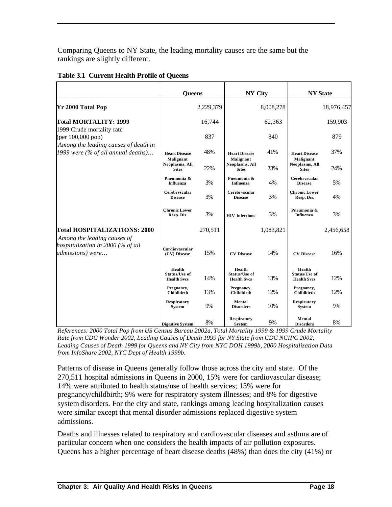Comparing Queens to NY State, the leading mortality causes are the same but the rankings are slightly different.

|                                                                                      | <b>Oueens</b>                                        |           | <b>NY City</b>                                       |           | <b>NY State</b>                               |            |
|--------------------------------------------------------------------------------------|------------------------------------------------------|-----------|------------------------------------------------------|-----------|-----------------------------------------------|------------|
| <b>Yr 2000 Total Pop</b>                                                             |                                                      | 2,229,379 |                                                      | 8,008,278 |                                               | 18,976,457 |
| <b>Total MORTALITY: 1999</b><br>1999 Crude mortality rate                            |                                                      | 16,744    |                                                      | 62,363    |                                               | 159,903    |
| (per $100,000$ pop)<br>Among the leading causes of death in                          |                                                      | 837       |                                                      | 840       |                                               | 879        |
| 1999 were (% of all annual deaths)                                                   | <b>Heart Disease</b><br>Malignant                    | 48%       | <b>Heart Disease</b><br>Malignant                    | 41%       | <b>Heart Disease</b><br>Malignant             | 37%        |
|                                                                                      | Neoplasms, All<br><b>Sites</b>                       | 22%       | Neoplasms, All<br><b>Sites</b>                       | 23%       | Neoplasms, All<br><b>Sites</b>                | 24%        |
|                                                                                      | Pneumonia &<br><b>Influenza</b>                      | 3%        | Pneumonia &<br><b>Influenza</b>                      | 4%        | Cerebryscular<br><b>Disease</b>               | 5%         |
|                                                                                      | Cerebryscular<br><b>Disease</b>                      | 3%        | Cerebryscular<br><b>Disease</b>                      | 3%        | <b>Chronic Lower</b><br>Resp. Dis.            | 4%         |
|                                                                                      | <b>Chronic Lower</b><br>Resp. Dis.                   | 3%        | <b>HIV</b> infections                                | 3%        | Pneumonia &<br><b>Influenza</b>               | 3%         |
| Total HOSPITALIZATIONS: 2000                                                         |                                                      | 270,511   |                                                      | 1,083,821 |                                               | 2,456,658  |
| Among the leading causes of<br>hospitalization in 2000 (% of all<br>admissions) were | Cardiovascular<br>(CV) Disease                       | 15%       | <b>CV</b> Disease                                    | 14%       | <b>CV</b> Disease                             | 16%        |
|                                                                                      | Health<br><b>Status/Use of</b><br><b>Health Svcs</b> | 14%       | Health<br><b>Status/Use of</b><br><b>Health Svcs</b> | 13%       | Health<br>Status/Use of<br><b>Health Svcs</b> | 12%        |
|                                                                                      | Pregnancy,<br>Childbirth                             | 13%       | Pregnancy,<br>Childbirth                             | 12%       | Pregnancy,<br>Childbirth                      | 12%        |
|                                                                                      | <b>Respiratory</b><br><b>System</b>                  | 9%        | Mental<br><b>Disorders</b>                           | 10%       | <b>Respiratory</b><br><b>System</b>           | 9%         |
|                                                                                      | <b>Digestive System</b>                              | 8%        | <b>Respiratory</b><br><b>System</b>                  | 9%        | Mental<br><b>Disorders</b>                    | 8%         |

#### **Table 3.1 Current Health Profile of Queens**

*References: 2000 Total Pop from US Census Bureau 2002a, Total Mortality 1999 & 1999 Crude Mortality Rate from CDC Wonder 2002, Leading Causes of Death 1999 for NY State from CDC NCIPC 2002, Leading Causes of Death 1999 for Queens and NY City from NYC DOH 1999b, 2000 Hospitalization Data from InfoShare 2002, NYC Dept of Health 1999b.*

Patterns of disease in Queens generally follow those across the city and state. Of the 270,511 hospital admissions in Queens in 2000, 15% were for cardiovascular disease; 14% were attributed to health status/use of health services; 13% were for pregnancy/childbirth; 9% were for respiratory system illnesses; and 8% for digestive system disorders. For the city and state, rankings among leading hospitalization causes were similar except that mental disorder admissions replaced digestive system admissions.

Deaths and illnesses related to respiratory and cardiovascular diseases and asthma are of particular concern when one considers the health impacts of air pollution exposures. Queens has a higher percentage of heart disease deaths (48%) than does the city (41%) or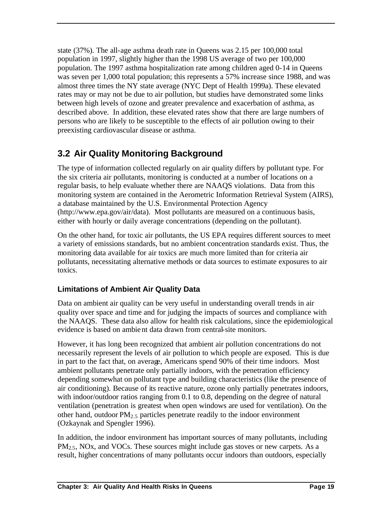state (37%). The all-age asthma death rate in Queens was 2.15 per 100,000 total population in 1997, slightly higher than the 1998 US average of two per 100,000 population. The 1997 asthma hospitalization rate among children aged 0-14 in Queens was seven per 1,000 total population; this represents a 57% increase since 1988, and was almost three times the NY state average (NYC Dept of Health 1999a). These elevated rates may or may not be due to air pollution, but studies have demonstrated some links between high levels of ozone and greater prevalence and exacerbation of asthma, as described above. In addition, these elevated rates show that there are large numbers of persons who are likely to be susceptible to the effects of air pollution owing to their preexisting cardiovascular disease or asthma.

# **3.2 Air Quality Monitoring Background**

The type of information collected regularly on air quality differs by pollutant type. For the six criteria air pollutants, monitoring is conducted at a number of locations on a regular basis, to help evaluate whether there are NAAQS violations. Data from this monitoring system are contained in the Aerometric Information Retrieval System (AIRS), a database maintained by the U.S. Environmental Protection Agency (http://www.epa.gov/air/data). Most pollutants are measured on a continuous basis, either with hourly or daily average concentrations (depending on the pollutant).

On the other hand, for toxic air pollutants, the US EPA requires different sources to meet a variety of emissions standards, but no ambient concentration standards exist. Thus, the monitoring data available for air toxics are much more limited than for criteria air pollutants, necessitating alternative methods or data sources to estimate exposures to air toxics.

# **Limitations of Ambient Air Quality Data**

Data on ambient air quality can be very useful in understanding overall trends in air quality over space and time and for judging the impacts of sources and compliance with the NAAQS. These data also allow for health risk calculations, since the epidemiological evidence is based on ambient data drawn from central-site monitors.

However, it has long been recognized that ambient air pollution concentrations do not necessarily represent the levels of air pollution to which people are exposed. This is due in part to the fact that, on average, Americans spend 90% of their time indoors. Most ambient pollutants penetrate only partially indoors, with the penetration efficiency depending somewhat on pollutant type and building characteristics (like the presence of air conditioning). Because of its reactive nature, ozone only partially penetrates indoors, with indoor/outdoor ratios ranging from 0.1 to 0.8, depending on the degree of natural ventilation (penetration is greatest when open windows are used for ventilation). On the other hand, outdoor  $PM_{2.5}$  particles penetrate readily to the indoor environment (Ozkaynak and Spengler 1996).

In addition, the indoor environment has important sources of many pollutants, including  $PM<sub>2.5</sub>$ , NOx, and VOCs. These sources might include gas stoves or new carpets. As a result, higher concentrations of many pollutants occur indoors than outdoors, especially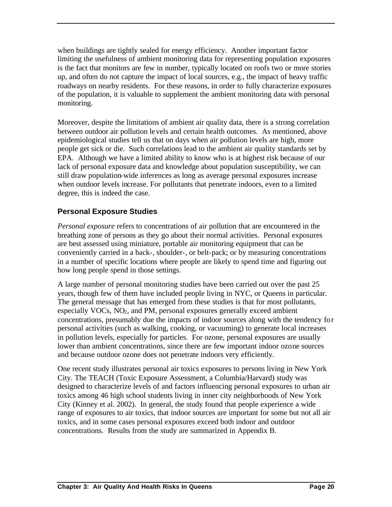when buildings are tightly sealed for energy efficiency. Another important factor limiting the usefulness of ambient monitoring data for representing population exposures is the fact that monitors are few in number, typically located on roofs two or more stories up, and often do not capture the impact of local sources, e.g., the impact of heavy traffic roadways on nearby residents. For these reasons, in order to fully characterize exposures of the population, it is valuable to supplement the ambient monitoring data with personal monitoring.

Moreover, despite the limitations of ambient air quality data, there is a strong correlation between outdoor air pollution levels and certain health outcomes. As mentioned, above epidemiological studies tell us that on days when air pollution levels are high, more people get sick or die. Such correlations lead to the ambient air quality standards set by EPA. Although we have a limited ability to know who is at highest risk because of our lack of personal exposure data and knowledge about population susceptibility, we can still draw population-wide inferences as long as average personal exposures increase when outdoor levels increase. For pollutants that penetrate indoors, even to a limited degree, this is indeed the case.

# **Personal Exposure Studies**

*Personal exposure* refers to concentrations of air pollution that are encountered in the breathing zone of persons as they go about their normal activities. Personal exposures are best assessed using miniature, portable air monitoring equipment that can be conveniently carried in a back-, shoulder-, or belt-pack; or by measuring concentrations in a number of specific locations where people are likely to spend time and figuring out how long people spend in those settings.

A large number of personal monitoring studies have been carried out over the past 25 years, though few of them have included people living in NYC, or Queens in particular. The general message that has emerged from these studies is that for most pollutants, especially VOCs, NO<sub>2</sub>, and PM, personal exposures generally exceed ambient concentrations, presumably due the impacts of indoor sources along with the tendency for personal activities (such as walking, cooking, or vacuuming) to generate local increases in pollution levels, especially for particles. For ozone, personal exposures are usually lower than ambient concentrations, since there are few important indoor ozone sources and because outdoor ozone does not penetrate indoors very efficiently.

One recent study illustrates personal air toxics exposures to persons living in New York City. The TEACH (Toxic Exposure Assessment, a Columbia/Harvard) study was designed to characterize levels of and factors influencing personal exposures to urban air toxics among 46 high school students living in inner city neighborhoods of New York City (Kinney et al. 2002). In general, the study found that people experience a wide range of exposures to air toxics, that indoor sources are important for some but not all air toxics, and in some cases personal exposures exceed both indoor and outdoor concentrations. Results from the study are summarized in Appendix B.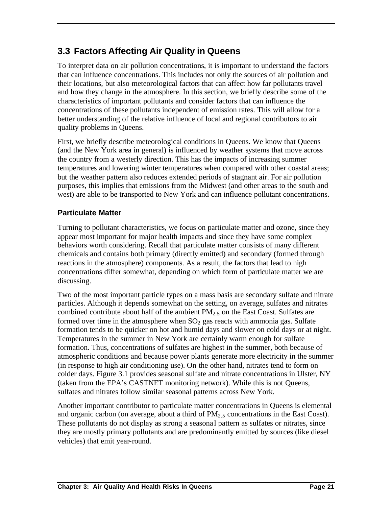# **3.3 Factors Affecting Air Quality in Queens**

To interpret data on air pollution concentrations, it is important to understand the factors that can influence concentrations. This includes not only the sources of air pollution and their locations, but also meteorological factors that can affect how far pollutants travel and how they change in the atmosphere. In this section, we briefly describe some of the characteristics of important pollutants and consider factors that can influence the concentrations of these pollutants independent of emission rates. This will allow for a better understanding of the relative influence of local and regional contributors to air quality problems in Queens.

First, we briefly describe meteorological conditions in Queens. We know that Queens (and the New York area in general) is influenced by weather systems that move across the country from a westerly direction. This has the impacts of increasing summer temperatures and lowering winter temperatures when compared with other coastal areas; but the weather pattern also reduces extended periods of stagnant air. For air pollution purposes, this implies that emissions from the Midwest (and other areas to the south and west) are able to be transported to New York and can influence pollutant concentrations.

# **Particulate Matter**

Turning to pollutant characteristics, we focus on particulate matter and ozone, since they appear most important for major health impacts and since they have some complex behaviors worth considering. Recall that particulate matter consists of many different chemicals and contains both primary (directly emitted) and secondary (formed through reactions in the atmosphere) components. As a result, the factors that lead to high concentrations differ somewhat, depending on which form of particulate matter we are discussing.

Two of the most important particle types on a mass basis are secondary sulfate and nitrate particles. Although it depends somewhat on the setting, on average, sulfates and nitrates combined contribute about half of the ambient  $PM_{2.5}$  on the East Coast. Sulfates are formed over time in the atmosphere when  $SO<sub>2</sub>$  gas reacts with ammonia gas. Sulfate formation tends to be quicker on hot and humid days and slower on cold days or at night. Temperatures in the summer in New York are certainly warm enough for sulfate formation. Thus, concentrations of sulfates are highest in the summer, both because of atmospheric conditions and because power plants generate more electricity in the summer (in response to high air conditioning use). On the other hand, nitrates tend to form on colder days. Figure 3.1 provides seasonal sulfate and nitrate concentrations in Ulster, NY (taken from the EPA's CASTNET monitoring network). While this is not Queens, sulfates and nitrates follow similar seasonal patterns across New York.

Another important contributor to particulate matter concentrations in Queens is elemental and organic carbon (on average, about a third of  $PM_{2,5}$  concentrations in the East Coast). These pollutants do not display as strong a seasona l pattern as sulfates or nitrates, since they are mostly primary pollutants and are predominantly emitted by sources (like diesel vehicles) that emit year-round.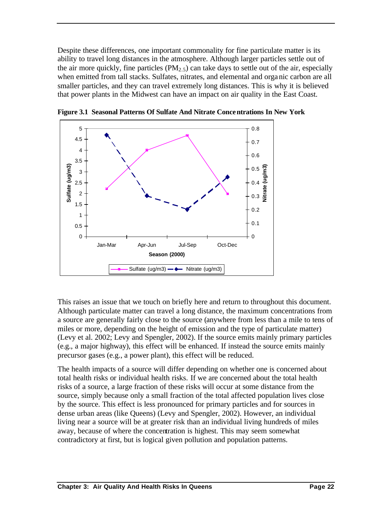Despite these differences, one important commonality for fine particulate matter is its ability to travel long distances in the atmosphere. Although larger particles settle out of the air more quickly, fine particles (PM<sub>2.5</sub>) can take days to settle out of the air, especially when emitted from tall stacks. Sulfates, nitrates, and elemental and organic carbon are all smaller particles, and they can travel extremely long distances. This is why it is believed that power plants in the Midwest can have an impact on air quality in the East Coast.



**Figure 3.1 Seasonal Patterns Of Sulfate And Nitrate Concentrations In New York** 

This raises an issue that we touch on briefly here and return to throughout this document. Although particulate matter can travel a long distance, the maximum concentrations from a source are generally fairly close to the source (anywhere from less than a mile to tens of miles or more, depending on the height of emission and the type of particulate matter) (Levy et al. 2002; Levy and Spengler, 2002). If the source emits mainly primary particles (e.g., a major highway), this effect will be enhanced. If instead the source emits mainly precursor gases (e.g., a power plant), this effect will be reduced.

The health impacts of a source will differ depending on whether one is concerned about total health risks or individual health risks. If we are concerned about the total health risks of a source, a large fraction of these risks will occur at some distance from the source, simply because only a small fraction of the total affected population lives close by the source. This effect is less pronounced for primary particles and for sources in dense urban areas (like Queens) (Levy and Spengler, 2002). However, an individual living near a source will be at greater risk than an individual living hundreds of miles away, because of where the concentration is highest. This may seem somewhat contradictory at first, but is logical given pollution and population patterns.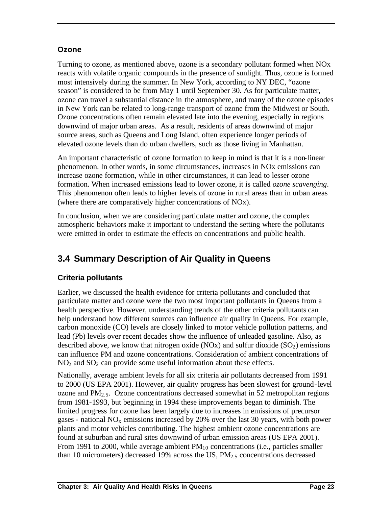# **Ozone**

Turning to ozone, as mentioned above, ozone is a secondary pollutant formed when NOx reacts with volatile organic compounds in the presence of sunlight. Thus, ozone is formed most intensively during the summer. In New York, according to NY DEC, "ozone season" is considered to be from May 1 until September 30. As for particulate matter, ozone can travel a substantial distance in the atmosphere, and many of the ozone episodes in New York can be related to long-range transport of ozone from the Midwest or South. Ozone concentrations often remain elevated late into the evening, especially in regions downwind of major urban areas. As a result, residents of areas downwind of major source areas, such as Queens and Long Island, often experience longer periods of elevated ozone levels than do urban dwellers, such as those living in Manhattan.

An important characteristic of ozone formation to keep in mind is that it is a non-linear phenomenon. In other words, in some circumstances, increases in NOx emissions can increase ozone formation, while in other circumstances, it can lead to lesser ozone formation. When increased emissions lead to lower ozone, it is called *ozone scavenging*. This phenomenon often leads to higher levels of ozone in rural areas than in urban areas (where there are comparatively higher concentrations of NOx).

In conclusion, when we are considering particulate matter and ozone, the complex atmospheric behaviors make it important to understand the setting where the pollutants were emitted in order to estimate the effects on concentrations and public health.

# **3.4 Summary Description of Air Quality in Queens**

# **Criteria pollutants**

Earlier, we discussed the health evidence for criteria pollutants and concluded that particulate matter and ozone were the two most important pollutants in Queens from a health perspective. However, understanding trends of the other criteria pollutants can help understand how different sources can influence air quality in Queens. For example, carbon monoxide (CO) levels are closely linked to motor vehicle pollution patterns, and lead (Pb) levels over recent decades show the influence of unleaded gasoline. Also, as described above, we know that nitrogen oxide (NOx) and sulfur dioxide  $(SO<sub>2</sub>)$  emissions can influence PM and ozone concentrations. Consideration of ambient concentrations of  $NO<sub>2</sub>$  and  $SO<sub>2</sub>$  can provide some useful information about these effects.

Nationally, average ambient levels for all six criteria air pollutants decreased from 1991 to 2000 (US EPA 2001). However, air quality progress has been slowest for ground-level ozone and  $PM<sub>2.5</sub>$ . Ozone concentrations decreased somewhat in 52 metropolitan regions from 1981-1993, but beginning in 1994 these improvements began to diminish. The limited progress for ozone has been largely due to increases in emissions of precursor gases - national  $NO<sub>x</sub>$  emissions increased by 20% over the last 30 years, with both power plants and motor vehicles contributing. The highest ambient ozone concentrations are found at suburban and rural sites downwind of urban emission areas (US EPA 2001). From 1991 to 2000, while average ambient  $PM_{10}$  concentrations (i.e., particles smaller than 10 micrometers) decreased 19% across the US,  $PM<sub>2.5</sub>$  concentrations decreased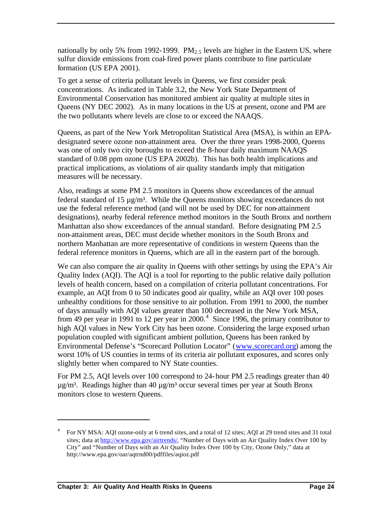nationally by only 5% from 1992-1999. PM<sub>2.5</sub> levels are higher in the Eastern US, where sulfur dioxide emissions from coal-fired power plants contribute to fine particulate formation (US EPA 2001).

To get a sense of criteria pollutant levels in Queens, we first consider peak concentrations. As indicated in Table 3.2, the New York State Department of Environmental Conservation has monitored ambient air quality at multiple sites in Queens (NY DEC 2002). As in many locations in the US at present, ozone and PM are the two pollutants where levels are close to or exceed the NAAQS.

Queens, as part of the New York Metropolitan Statistical Area (MSA), is within an EPAdesignated severe ozone non-attainment area. Over the three years 1998-2000, Queens was one of only two city boroughs to exceed the 8-hour daily maximum NAAQS standard of 0.08 ppm ozone (US EPA 2002b). This has both health implications and practical implications, as violations of air quality standards imply that mitigation measures will be necessary.

Also, readings at some PM 2.5 monitors in Queens show exceedances of the annual federal standard of 15  $\mu$ g/m<sup>3</sup>. While the Queens monitors showing exceedances do not use the federal reference method (and will not be used by DEC for non-attainment designations), nearby federal reference method monitors in the South Bronx and northern Manhattan also show exceedances of the annual standard. Before designating PM 2.5 non-attainment areas, DEC must decide whether monitors in the South Bronx and northern Manhattan are more representative of conditions in western Queens than the federal reference monitors in Queens, which are all in the eastern part of the borough.

We can also compare the air quality in Queens with other settings by using the EPA's Air Quality Index (AQI). The AQI is a tool for reporting to the public relative daily pollution levels of health concern, based on a compilation of criteria pollutant concentrations. For example, an AQI from 0 to 50 indicates good air quality, while an AQI over 100 poses unhealthy conditions for those sensitive to air pollution. From 1991 to 2000, the number of days annually with AQI values greater than 100 decreased in the New York MSA, from 49 per year in 1991 to 12 per year in  $2000<sup>4</sup>$ . Since 1996, the primary contributor to high AQI values in New York City has been ozone. Considering the large exposed urban population coupled with significant ambient pollution, Queens has been ranked by Environmental Defense's "Scorecard Pollution Locator" (www.scorecard.org) among the worst 10% of US counties in terms of its criteria air pollutant exposures, and scores only slightly better when compared to NY State counties.

For PM 2.5, AQI levels over 100 correspond to 24-hour PM 2.5 readings greater than 40  $\mu$ g/m<sup>3</sup>. Readings higher than 40  $\mu$ g/m<sup>3</sup> occur several times per year at South Bronx monitors close to western Queens.

 $\overline{a}$ 

<sup>4</sup> For NY MSA: AQI ozone-only at 6 trend sites, and a total of 12 sites; AQI at 29 trend sites and 31 total sites; data at http://www.epa.gov/airtrends/, "Number of Days with an Air Quality Index Over 100 by City" and "Number of Days with an Air Quality Index Over 100 by City, Ozone Only," data at http://www.epa.gov/oar/aqtrnd00/pdffiles/aqioz.pdf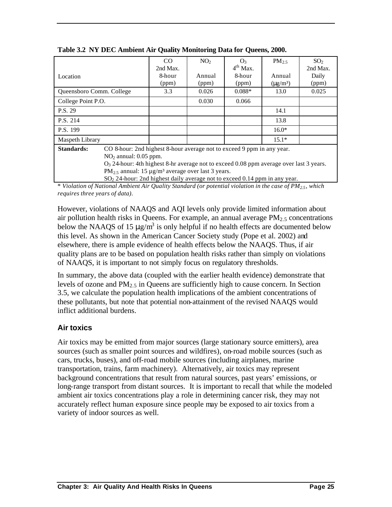|                                                                                      | CO       | NO <sub>2</sub> | O <sub>3</sub> | $PM_{2.5}$                | SO <sub>2</sub> |
|--------------------------------------------------------------------------------------|----------|-----------------|----------------|---------------------------|-----------------|
|                                                                                      | 2nd Max. |                 | $4th$ Max.     |                           | 2nd Max.        |
| Location                                                                             | 8-hour   | Annual          | 8-hour         | Annual                    | Daily           |
|                                                                                      | (ppm)    | (ppm)           | (ppm)          | $(\mu$ g/m <sup>3</sup> ) | (ppm)           |
| Queensboro Comm. College                                                             | 3.3      | 0.026           | $0.088*$       | 13.0                      | 0.025           |
| College Point P.O.                                                                   |          | 0.030           | 0.066          |                           |                 |
| P.S. 29                                                                              |          |                 |                | 14.1                      |                 |
| P.S. 214                                                                             |          |                 |                | 13.8                      |                 |
| P.S. 199                                                                             |          |                 |                | $16.0*$                   |                 |
| Maspeth Library                                                                      |          |                 |                | $15.1*$                   |                 |
| Standards:<br>CO 8-hour: 2nd highest 8-hour average not to exceed 9 ppm in any year. |          |                 |                |                           |                 |
| $NO2$ annual: 0.05 ppm.                                                              |          |                 |                |                           |                 |

**Table 3.2 NY DEC Ambient Air Quality Monitoring Data for Queens, 2000.**

 $O<sub>3</sub>$  24-hour: 4th highest 8-hr average not to exceed 0.08 ppm average over last 3 years. PM<sub>2.5</sub> annual: 15  $\mu$ g/m<sup>3</sup> average over last 3 years.

SO2 24-hour: 2nd highest daily average not to exceed 0.14 ppm in any year.

\* *Violation of National Ambient Air Quality Standard (or potential violation in the case of PM2.5, which requires three years of data)*.

However, violations of NAAQS and AQI levels only provide limited information about air pollution health risks in Queens. For example, an annual average  $PM_{2.5}$  concentrations below the NAAQS of 15  $\mu$ g/m<sup>3</sup> is only helpful if no health effects are documented below this level. As shown in the American Cancer Society study (Pope et al. 2002) and elsewhere, there is ample evidence of health effects below the NAAQS. Thus, if air quality plans are to be based on population health risks rather than simply on violations of NAAQS, it is important to not simply focus on regulatory thresholds.

In summary, the above data (coupled with the earlier health evidence) demonstrate that levels of ozone and  $PM_{2.5}$  in Queens are sufficiently high to cause concern. In Section 3.5, we calculate the population health implications of the ambient concentrations of these pollutants, but note that potential non-attainment of the revised NAAQS would inflict additional burdens.

# **Air toxics**

Air toxics may be emitted from major sources (large stationary source emitters), area sources (such as smaller point sources and wildfires), on-road mobile sources (such as cars, trucks, buses), and off-road mobile sources (including airplanes, marine transportation, trains, farm machinery). Alternatively, air toxics may represent background concentrations that result from natural sources, past years' emissions, or long-range transport from distant sources. It is important to recall that while the modeled ambient air toxics concentrations play a role in determining cancer risk, they may not accurately reflect human exposure since people may be exposed to air toxics from a variety of indoor sources as well.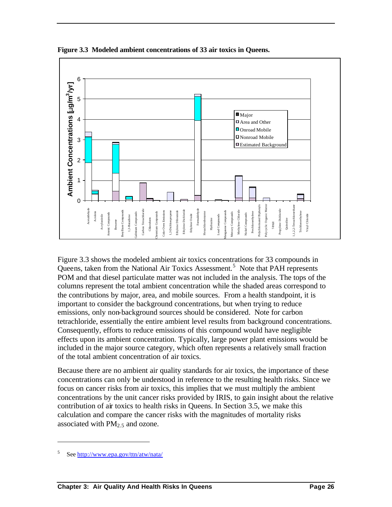

**Figure 3.3 Modeled ambient concentrations of 33 air toxics in Queens.**

Figure 3.3 shows the modeled ambient air toxics concentrations for 33 compounds in Queens, taken from the National Air Toxics Assessment.<sup>5</sup> Note that PAH represents POM and that diesel particulate matter was not included in the analysis. The tops of the columns represent the total ambient concentration while the shaded areas correspond to the contributions by major, area, and mobile sources. From a health standpoint, it is important to consider the background concentrations, but when trying to reduce emissions, only non-background sources should be considered. Note for carbon tetrachloride, essentially the entire ambient level results from background concentrations. Consequently, efforts to reduce emissions of this compound would have negligible effects upon its ambient concentration. Typically, large power plant emissions would be included in the major source category, which often represents a relatively small fraction of the total ambient concentration of air toxics.

Because there are no ambient air quality standards for air toxics, the importance of these concentrations can only be understood in reference to the resulting health risks. Since we focus on cancer risks from air toxics, this implies that we must multiply the ambient concentrations by the unit cancer risks provided by IRIS, to gain insight about the relative contribution of air toxics to health risks in Queens. In Section 3.5, we make this calculation and compare the cancer risks with the magnitudes of mortality risks associated with  $PM<sub>2.5</sub>$  and ozone.

 $\overline{a}$ 

<sup>5</sup> See http://www.epa.gov/ttn/atw/nata/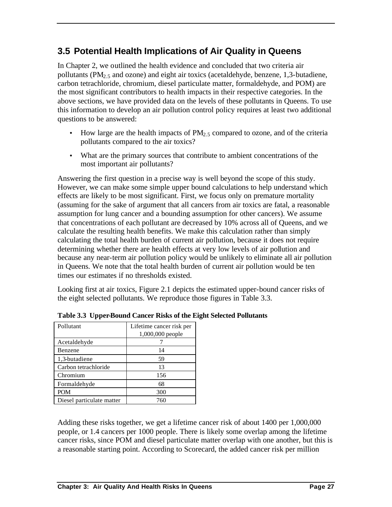# **3.5 Potential Health Implications of Air Quality in Queens**

In Chapter 2, we outlined the health evidence and concluded that two criteria air pollutants ( $PM<sub>2.5</sub>$  and ozone) and eight air toxics (acetaldehyde, benzene, 1,3-butadiene, carbon tetrachloride, chromium, diesel particulate matter, formaldehyde, and POM) are the most significant contributors to health impacts in their respective categories. In the above sections, we have provided data on the levels of these pollutants in Queens. To use this information to develop an air pollution control policy requires at least two additional questions to be answered:

- How large are the health impacts of  $PM<sub>2</sub>$ , compared to ozone, and of the criteria pollutants compared to the air toxics?
- What are the primary sources that contribute to ambient concentrations of the most important air pollutants?

Answering the first question in a precise way is well beyond the scope of this study. However, we can make some simple upper bound calculations to help understand which effects are likely to be most significant. First, we focus only on premature mortality (assuming for the sake of argument that all cancers from air toxics are fatal, a reasonable assumption for lung cancer and a bounding assumption for other cancers). We assume that concentrations of each pollutant are decreased by 10% across all of Queens, and we calculate the resulting health benefits. We make this calculation rather than simply calculating the total health burden of current air pollution, because it does not require determining whether there are health effects at very low levels of air pollution and because any near-term air pollution policy would be unlikely to eliminate all air pollution in Queens. We note that the total health burden of current air pollution would be ten times our estimates if no thresholds existed.

Looking first at air toxics, Figure 2.1 depicts the estimated upper-bound cancer risks of the eight selected pollutants. We reproduce those figures in Table 3.3.

| Pollutant                 | Lifetime cancer risk per<br>1,000,000 people |
|---------------------------|----------------------------------------------|
| Acetaldehyde              |                                              |
| Benzene                   | 14                                           |
| 1,3-butadiene             | 59                                           |
| Carbon tetrachloride      | 13                                           |
| Chromium                  | 156                                          |
| Formaldehyde              | 68                                           |
| <b>POM</b>                | 300                                          |
| Diesel particulate matter | 760                                          |

**Table 3.3 Upper-Bound Cancer Risks of the Eight Selected Pollutants**

Adding these risks together, we get a lifetime cancer risk of about 1400 per 1,000,000 people, or 1.4 cancers per 1000 people. There is likely some overlap among the lifetime cancer risks, since POM and diesel particulate matter overlap with one another, but this is a reasonable starting point. According to Scorecard, the added cancer risk per million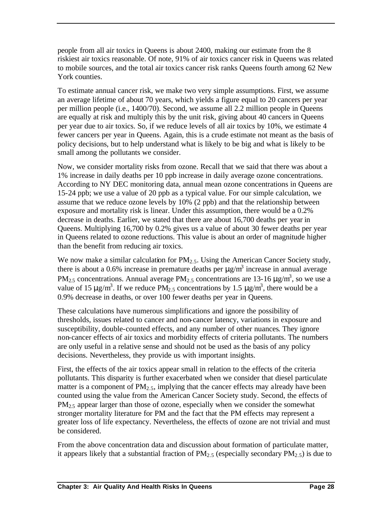people from all air toxics in Queens is about 2400, making our estimate from the 8 riskiest air toxics reasonable. Of note, 91% of air toxics cancer risk in Queens was related to mobile sources, and the total air toxics cancer risk ranks Queens fourth among 62 New York counties.

To estimate annual cancer risk, we make two very simple assumptions. First, we assume an average lifetime of about 70 years, which yields a figure equal to 20 cancers per year per million people (i.e., 1400/70). Second, we assume all 2.2 million people in Queens are equally at risk and multiply this by the unit risk, giving about 40 cancers in Queens per year due to air toxics. So, if we reduce levels of all air toxics by 10%, we estimate 4 fewer cancers per year in Queens. Again, this is a crude estimate not meant as the basis of policy decisions, but to help understand what is likely to be big and what is likely to be small among the pollutants we consider.

Now, we consider mortality risks from ozone. Recall that we said that there was about a 1% increase in daily deaths per 10 ppb increase in daily average ozone concentrations. According to NY DEC monitoring data, annual mean ozone concentrations in Queens are 15-24 ppb; we use a value of 20 ppb as a typical value. For our simple calculation, we assume that we reduce ozone levels by 10% (2 ppb) and that the relationship between exposure and mortality risk is linear. Under this assumption, there would be a 0.2% decrease in deaths. Earlier, we stated that there are about 16,700 deaths per year in Queens. Multiplying 16,700 by 0.2% gives us a value of about 30 fewer deaths per year in Queens related to ozone reductions. This value is about an order of magnitude higher than the benefit from reducing air toxics.

We now make a similar calculation for  $PM_{2.5}$ . Using the American Cancer Society study, there is about a 0.6% increase in premature deaths per  $\mu$ g/m<sup>3</sup> increase in annual average PM<sub>2.5</sub> concentrations. Annual average PM<sub>2.5</sub> concentrations are 13-16  $\mu$ g/m<sup>3</sup>, so we use a value of 15  $\mu$ g/m<sup>3</sup>. If we reduce PM<sub>2.5</sub> concentrations by 1.5  $\mu$ g/m<sup>3</sup>, there would be a 0.9% decrease in deaths, or over 100 fewer deaths per year in Queens.

These calculations have numerous simplifications and ignore the possibility of thresholds, issues related to cancer and non-cancer latency, variations in exposure and susceptibility, double-counted effects, and any number of other nuances. They ignore non-cancer effects of air toxics and morbidity effects of criteria pollutants. The numbers are only useful in a relative sense and should not be used as the basis of any policy decisions. Nevertheless, they provide us with important insights.

First, the effects of the air toxics appear small in relation to the effects of the criteria pollutants. This disparity is further exacerbated when we consider that diesel particulate matter is a component of  $PM<sub>2.5</sub>$ , implying that the cancer effects may already have been counted using the value from the American Cancer Society study. Second, the effects of  $PM<sub>2.5</sub>$  appear larger than those of ozone, especially when we consider the somewhat stronger mortality literature for PM and the fact that the PM effects may represent a greater loss of life expectancy. Nevertheless, the effects of ozone are not trivial and must be considered.

From the above concentration data and discussion about formation of particulate matter, it appears likely that a substantial fraction of  $PM_{2.5}$  (especially secondary  $PM_{2.5}$ ) is due to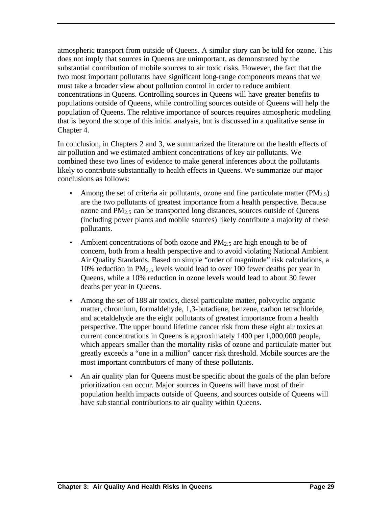atmospheric transport from outside of Queens. A similar story can be told for ozone. This does not imply that sources in Queens are unimportant, as demonstrated by the substantial contribution of mobile sources to air toxic risks. However, the fact that the two most important pollutants have significant long-range components means that we must take a broader view about pollution control in order to reduce ambient concentrations in Queens. Controlling sources in Queens will have greater benefits to populations outside of Queens, while controlling sources outside of Queens will help the population of Queens. The relative importance of sources requires atmospheric modeling that is beyond the scope of this initial analysis, but is discussed in a qualitative sense in Chapter 4.

In conclusion, in Chapters 2 and 3, we summarized the literature on the health effects of air pollution and we estimated ambient concentrations of key air pollutants. We combined these two lines of evidence to make general inferences about the pollutants likely to contribute substantially to health effects in Queens. We summarize our major conclusions as follows:

- Among the set of criteria air pollutants, ozone and fine particulate matter  $(PM_{2.5})$ are the two pollutants of greatest importance from a health perspective. Because ozone and  $PM<sub>2.5</sub>$  can be transported long distances, sources outside of Queens (including power plants and mobile sources) likely contribute a majority of these pollutants.
- Ambient concentrations of both ozone and  $PM_{2.5}$  are high enough to be of concern, both from a health perspective and to avoid violating National Ambient Air Quality Standards. Based on simple "order of magnitude" risk calculations, a 10% reduction in  $PM_{2.5}$  levels would lead to over 100 fewer deaths per year in Queens, while a 10% reduction in ozone levels would lead to about 30 fewer deaths per year in Queens.
- Among the set of 188 air toxics, diesel particulate matter, polycyclic organic matter, chromium, formaldehyde, 1,3-butadiene, benzene, carbon tetrachloride, and acetaldehyde are the eight pollutants of greatest importance from a health perspective. The upper bound lifetime cancer risk from these eight air toxics at current concentrations in Queens is approximately 1400 per 1,000,000 people, which appears smaller than the mortality risks of ozone and particulate matter but greatly exceeds a "one in a million" cancer risk threshold. Mobile sources are the most important contributors of many of these pollutants.
- An air quality plan for Queens must be specific about the goals of the plan before prioritization can occur. Major sources in Queens will have most of their population health impacts outside of Queens, and sources outside of Queens will have substantial contributions to air quality within Queens.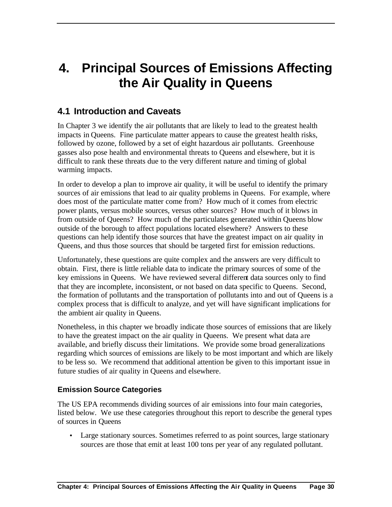# **4. Principal Sources of Emissions Affecting the Air Quality in Queens**

# **4.1 Introduction and Caveats**

In Chapter 3 we identify the air pollutants that are likely to lead to the greatest health impacts in Queens. Fine particulate matter appears to cause the greatest health risks, followed by ozone, followed by a set of eight hazardous air pollutants. Greenhouse gasses also pose health and environmental threats to Queens and elsewhere, but it is difficult to rank these threats due to the very different nature and timing of global warming impacts.

In order to develop a plan to improve air quality, it will be useful to identify the primary sources of air emissions that lead to air quality problems in Queens. For example, where does most of the particulate matter come from? How much of it comes from electric power plants, versus mobile sources, versus other sources? How much of it blows in from outside of Queens? How much of the particulates generated within Queens blow outside of the borough to affect populations located elsewhere? Answers to these questions can help identify those sources that have the greatest impact on air quality in Queens, and thus those sources that should be targeted first for emission reductions.

Unfortunately, these questions are quite complex and the answers are very difficult to obtain. First, there is little reliable data to indicate the primary sources of some of the key emissions in Queens. We have reviewed several different data sources only to find that they are incomplete, inconsistent, or not based on data specific to Queens. Second, the formation of pollutants and the transportation of pollutants into and out of Queens is a complex process that is difficult to analyze, and yet will have significant implications for the ambient air quality in Queens.

Nonetheless, in this chapter we broadly indicate those sources of emissions that are likely to have the greatest impact on the air quality in Queens. We present what data are available, and briefly discuss their limitations. We provide some broad generalizations regarding which sources of emissions are likely to be most important and which are likely to be less so. We recommend that additional attention be given to this important issue in future studies of air quality in Queens and elsewhere.

### **Emission Source Categories**

The US EPA recommends dividing sources of air emissions into four main categories, listed below. We use these categories throughout this report to describe the general types of sources in Queens

• Large stationary sources. Sometimes referred to as point sources, large stationary sources are those that emit at least 100 tons per year of any regulated pollutant.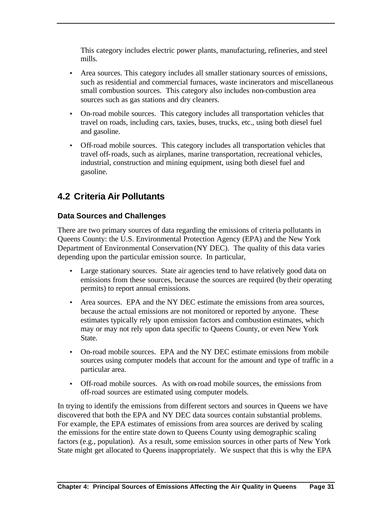This category includes electric power plants, manufacturing, refineries, and steel mills.

- Area sources. This category includes all smaller stationary sources of emissions, such as residential and commercial furnaces, waste incinerators and miscellaneous small combustion sources. This category also includes non-combustion area sources such as gas stations and dry cleaners.
- On-road mobile sources. This category includes all transportation vehicles that travel on roads, including cars, taxies, buses, trucks, etc., using both diesel fuel and gasoline.
- Off-road mobile sources. This category includes all transportation vehicles that travel off-roads, such as airplanes, marine transportation, recreational vehicles, industrial, construction and mining equipment, using both diesel fuel and gasoline.

# **4.2 Criteria Air Pollutants**

## **Data Sources and Challenges**

There are two primary sources of data regarding the emissions of criteria pollutants in Queens County: the U.S. Environmental Protection Agency (EPA) and the New York Department of Environmental Conservation (NY DEC). The quality of this data varies depending upon the particular emission source. In particular,

- Large stationary sources. State air agencies tend to have relatively good data on emissions from these sources, because the sources are required (by their operating permits) to report annual emissions.
- Area sources. EPA and the NY DEC estimate the emissions from area sources, because the actual emissions are not monitored or reported by anyone. These estimates typically rely upon emission factors and combustion estimates, which may or may not rely upon data specific to Queens County, or even New York State.
- On-road mobile sources. EPA and the NY DEC estimate emissions from mobile sources using computer models that account for the amount and type of traffic in a particular area.
- Off-road mobile sources. As with on-road mobile sources, the emissions from off-road sources are estimated using computer models.

In trying to identify the emissions from different sectors and sources in Queens we have discovered that both the EPA and NY DEC data sources contain substantial problems. For example, the EPA estimates of emissions from area sources are derived by scaling the emissions for the entire state down to Queens County using demographic scaling factors (e.g., population). As a result, some emission sources in other parts of New York State might get allocated to Queens inappropriately. We suspect that this is why the EPA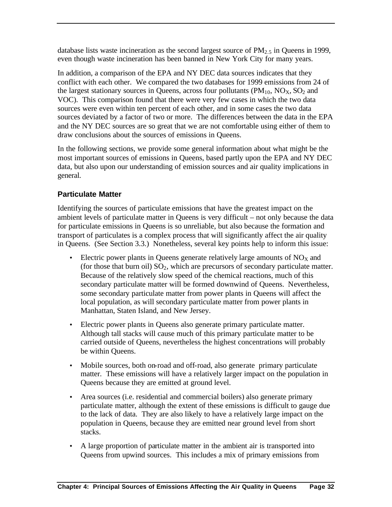database lists waste incineration as the second largest source of  $PM<sub>2</sub>$  in Queens in 1999, even though waste incineration has been banned in New York City for many years.

In addition, a comparison of the EPA and NY DEC data sources indicates that they conflict with each other. We compared the two databases for 1999 emissions from 24 of the largest stationary sources in Queens, across four pollutants  $(PM_{10}, NO_X, SO_2)$  and VOC). This comparison found that there were very few cases in which the two data sources were even within ten percent of each other, and in some cases the two data sources deviated by a factor of two or more. The differences between the data in the EPA and the NY DEC sources are so great that we are not comfortable using either of them to draw conclusions about the sources of emissions in Queens.

In the following sections, we provide some general information about what might be the most important sources of emissions in Queens, based partly upon the EPA and NY DEC data, but also upon our understanding of emission sources and air quality implications in general.

## **Particulate Matter**

Identifying the sources of particulate emissions that have the greatest impact on the ambient levels of particulate matter in Queens is very difficult – not only because the data for particulate emissions in Queens is so unreliable, but also because the formation and transport of particulates is a complex process that will significantly affect the air quality in Queens. (See Section 3.3.) Nonetheless, several key points help to inform this issue:

- Electric power plants in Queens generate relatively large amounts of  $NO<sub>X</sub>$  and (for those that burn oil)  $SO_2$ , which are precursors of secondary particulate matter. Because of the relatively slow speed of the chemical reactions, much of this secondary particulate matter will be formed downwind of Queens. Nevertheless, some secondary particulate matter from power plants in Queens will affect the local population, as will secondary particulate matter from power plants in Manhattan, Staten Island, and New Jersey.
- Electric power plants in Queens also generate primary particulate matter. Although tall stacks will cause much of this primary particulate matter to be carried outside of Queens, nevertheless the highest concentrations will probably be within Queens.
- Mobile sources, both on-road and off-road, also generate primary particulate matter. These emissions will have a relatively larger impact on the population in Queens because they are emitted at ground level.
- Area sources (i.e. residential and commercial boilers) also generate primary particulate matter, although the extent of these emissions is difficult to gauge due to the lack of data. They are also likely to have a relatively large impact on the population in Queens, because they are emitted near ground level from short stacks.
- A large proportion of particulate matter in the ambient air is transported into Queens from upwind sources. This includes a mix of primary emissions from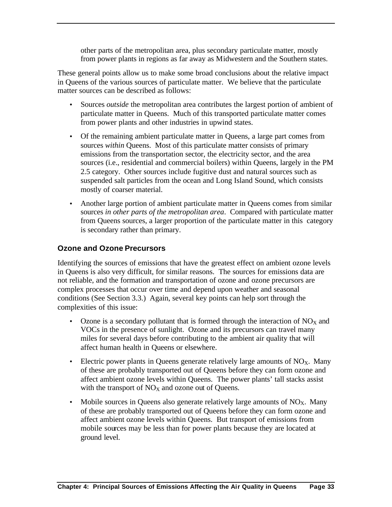other parts of the metropolitan area, plus secondary particulate matter, mostly from power plants in regions as far away as Midwestern and the Southern states.

These general points allow us to make some broad conclusions about the relative impact in Queens of the various sources of particulate matter. We believe that the particulate matter sources can be described as follows:

- Sources *outside* the metropolitan area contributes the largest portion of ambient of particulate matter in Queens. Much of this transported particulate matter comes from power plants and other industries in upwind states.
- Of the remaining ambient particulate matter in Queens, a large part comes from sources *within* Queens. Most of this particulate matter consists of primary emissions from the transportation sector, the electricity sector, and the area sources (i.e., residential and commercial boilers) within Queens, largely in the PM 2.5 category. Other sources include fugitive dust and natural sources such as suspended salt particles from the ocean and Long Island Sound, which consists mostly of coarser material.
- Another large portion of ambient particulate matter in Queens comes from similar sources *in other parts of the metropolitan area*. Compared with particulate matter from Queens sources, a larger proportion of the particulate matter in this category is secondary rather than primary.

### **Ozone and Ozone Precursors**

Identifying the sources of emissions that have the greatest effect on ambient ozone levels in Queens is also very difficult, for similar reasons. The sources for emissions data are not reliable, and the formation and transportation of ozone and ozone precursors are complex processes that occur over time and depend upon weather and seasonal conditions (See Section 3.3.) Again, several key points can help sort through the complexities of this issue:

- Ozone is a secondary pollutant that is formed through the interaction of  $NO<sub>X</sub>$  and VOCs in the presence of sunlight. Ozone and its precursors can travel many miles for several days before contributing to the ambient air quality that will affect human health in Queens or elsewhere.
- Electric power plants in Queens generate relatively large amounts of  $NO_{X}$ . Many of these are probably transported out of Queens before they can form ozone and affect ambient ozone levels within Queens. The power plants' tall stacks assist with the transport of  $NO<sub>X</sub>$  and ozone out of Queens.
- Mobile sources in Queens also generate relatively large amounts of  $NO<sub>X</sub>$ . Many of these are probably transported out of Queens before they can form ozone and affect ambient ozone levels within Queens. But transport of emissions from mobile sources may be less than for power plants because they are located at ground level.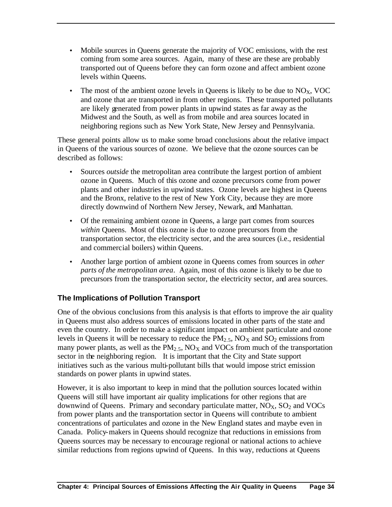- Mobile sources in Queens generate the majority of VOC emissions, with the rest coming from some area sources. Again, many of these are these are probably transported out of Queens before they can form ozone and affect ambient ozone levels within Queens.
- The most of the ambient ozone levels in Queens is likely to be due to  $NO<sub>X</sub>$ , VOC and ozone that are transported in from other regions. These transported pollutants are likely generated from power plants in upwind states as far away as the Midwest and the South, as well as from mobile and area sources located in neighboring regions such as New York State, New Jersey and Pennsylvania.

These general points allow us to make some broad conclusions about the relative impact in Queens of the various sources of ozone. We believe that the ozone sources can be described as follows:

- Sources *outside* the metropolitan area contribute the largest portion of ambient ozone in Queens. Much of this ozone and ozone precursors come from power plants and other industries in upwind states. Ozone levels are highest in Queens and the Bronx, relative to the rest of New York City, because they are more directly downwind of Northern New Jersey, Newark, and Manhattan.
- Of the remaining ambient ozone in Queens, a large part comes from sources *within* Queens. Most of this ozone is due to ozone precursors from the transportation sector, the electricity sector, and the area sources (i.e., residential and commercial boilers) within Queens.
- Another large portion of ambient ozone in Queens comes from sources in *other parts of the metropolitan area*. Again, most of this ozone is likely to be due to precursors from the transportation sector, the electricity sector, and area sources.

# **The Implications of Pollution Transport**

One of the obvious conclusions from this analysis is that efforts to improve the air quality in Queens must also address sources of emissions located in other parts of the state and even the country. In order to make a significant impact on ambient particulate and ozone levels in Queens it will be necessary to reduce the  $PM<sub>2</sub>$ ,  $NO<sub>X</sub>$  and  $SO<sub>2</sub>$  emissions from many power plants, as well as the  $PM<sub>2.5</sub>$ , NO<sub>X</sub> and VOCs from much of the transportation sector in the neighboring region. It is important that the City and State support initiatives such as the various multi-pollutant bills that would impose strict emission standards on power plants in upwind states.

However, it is also important to keep in mind that the pollution sources located within Queens will still have important air quality implications for other regions that are downwind of Queens. Primary and secondary particulate matter,  $NO<sub>X</sub>$ ,  $SO<sub>2</sub>$  and VOCs from power plants and the transportation sector in Queens will contribute to ambient concentrations of particulates and ozone in the New England states and maybe even in Canada. Policy-makers in Queens should recognize that reductions in emissions from Queens sources may be necessary to encourage regional or national actions to achieve similar reductions from regions upwind of Queens. In this way, reductions at Queens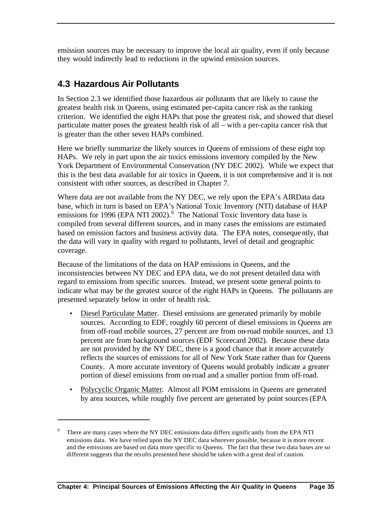emission sources may be necessary to improve the local air quality, even if only because they would indirectly lead to reductions in the upwind emission sources.

# **4.3 Hazardous Air Pollutants**

 $\overline{a}$ 

In Section 2.3 we identified those hazardous air pollutants that are likely to cause the greatest health risk in Queens, using estimated per-capita cancer risk as the ranking criterion. We identified the eight HAPs that pose the greatest risk, and showed that diesel particulate matter poses the greatest health risk of all – with a per-capita cancer risk that is greater than the other seven HAPs combined.

Here we briefly summarize the likely sources in Queens of emissions of these eight top HAPs. We rely in part upon the air toxics emissions inventory compiled by the New York Department of Environmental Conservation (NY DEC 2002). While we expect that this is the best data available for air toxics in Queens, it is not comprehensive and it is not consistent with other sources, as described in Chapter 7.

Where data are not available from the NY DEC, we rely upon the EPA's AIRData data base, which in turn is based on EPA's National Toxic Inventory (NTI) database of HAP emissions for 1996 (EPA NTI 2002).<sup>6</sup> The National Toxic Inventory data base is compiled from several different sources, and in many cases the emissions are estimated based on emission factors and business activity data. The EPA notes, consequently, that the data will vary in quality with regard to pollutants, level of detail and geographic coverage.

Because of the limitations of the data on HAP emissions in Queens, and the inconsistencies between NY DEC and EPA data, we do not present detailed data with regard to emissions from specific sources. Instead, we present some general points to indicate what may be the greatest source of the eight HAPs in Queens. The pollutants are presented separately below in order of health risk.

- Diesel Particulate Matter. Diesel emissions are generated primarily by mobile sources. According to EDF, roughly 60 percent of diesel emissions in Queens are from off-road mobile sources, 27 percent are from on-road mobile sources, and 13 percent are from background sources (EDF Scorecard 2002). Because these data are not provided by the NY DEC, there is a good chance that it more accurately reflects the sources of emissions for all of New York State rather than for Queens County. A more accurate inventory of Queens would probably indicate a greater portion of diesel emissions from on-road and a smaller portion from off-road.
- Polycyclic Organic Matter. Almost all POM emissions in Queens are generated by area sources, while roughly five percent are generated by point sources (EPA

<sup>6</sup> There are many cases where the NY DEC emissions data differs significantly from the EPA NTI emissions data. We have relied upon the NY DEC data wherever possible, because it is more recent and the emissions are based on data more specific to Queens. The fact that these two data bases are so different suggests that the results presented here should be taken with a great deal of caution.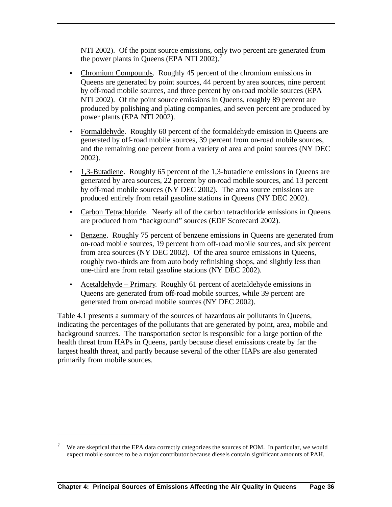NTI 2002). Of the point source emissions, only two percent are generated from the power plants in Queens (EPA NTI 2002).<sup>7</sup>

- Chromium Compounds. Roughly 45 percent of the chromium emissions in Queens are generated by point sources, 44 percent by area sources, nine percent by off-road mobile sources, and three percent by on-road mobile sources (EPA NTI 2002). Of the point source emissions in Queens, roughly 89 percent are produced by polishing and plating companies, and seven percent are produced by power plants (EPA NTI 2002).
- Formaldehyde. Roughly 60 percent of the formaldehyde emission in Queens are generated by off-road mobile sources, 39 percent from on-road mobile sources, and the remaining one percent from a variety of area and point sources (NY DEC 2002).
- 1,3-Butadiene. Roughly 65 percent of the 1,3-butadiene emissions in Queens are generated by area sources, 22 percent by on-road mobile sources, and 13 percent by off-road mobile sources (NY DEC 2002). The area source emissions are produced entirely from retail gasoline stations in Queens (NY DEC 2002).
- Carbon Tetrachloride. Nearly all of the carbon tetrachloride emissions in Queens are produced from "background" sources (EDF Scorecard 2002).
- Benzene. Roughly 75 percent of benzene emissions in Queens are generated from on-road mobile sources, 19 percent from off-road mobile sources, and six percent from area sources (NY DEC 2002). Of the area source emissions in Queens, roughly two-thirds are from auto body refinishing shops, and slightly less than one-third are from retail gasoline stations (NY DEC 2002).
- Acetaldehyde Primary. Roughly 61 percent of acetaldehyde emissions in Queens are generated from off-road mobile sources, while 39 percent are generated from on-road mobile sources (NY DEC 2002).

Table 4.1 presents a summary of the sources of hazardous air pollutants in Queens, indicating the percentages of the pollutants that are generated by point, area, mobile and background sources. The transportation sector is responsible for a large portion of the health threat from HAPs in Queens, partly because diesel emissions create by far the largest health threat, and partly because several of the other HAPs are also generated primarily from mobile sources.

 $\overline{a}$ 

We are skeptical that the EPA data correctly categorizes the sources of POM. In particular, we would expect mobile sources to be a major contributor because diesels contain significant amounts of PAH.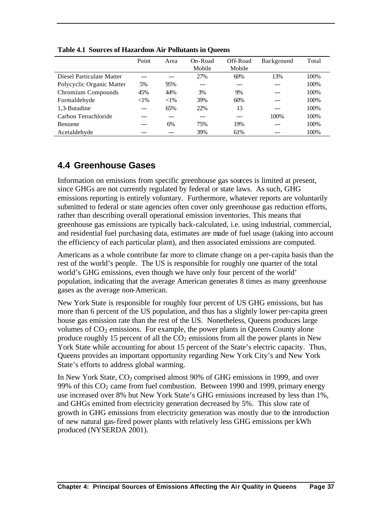|                           | Point   | Area    | On-Road<br>Mobile | Off-Road<br>Mobile | Background | Total |
|---------------------------|---------|---------|-------------------|--------------------|------------|-------|
| Diesel Particulate Matter |         | ---     | 27%               | 60%                | 13%        | 100\% |
| Polycyclic Organic Matter | 5%      | 95%     | ---               | ---                | ---        | 100%  |
| Chromium Compounds        | 45%     | 44%     | 3%                | 9%                 |            | 100\% |
| Formaldehyde              | $< 1\%$ | $< 1\%$ | 39%               | 60%                |            | 100%  |
| 1,3-Butadine              | $---$   | 65%     | 22%               | 13                 | ---        | 100%  |
| Carbon Tetrachloride      |         | ---     | ---               | ---                | 100\%      | 100\% |
| <b>Benzene</b>            | ---     | 6%      | 75%               | 19%                | ---        | 100%  |
| Acetaldehyde              |         |         | 39%               | 61%                | ---        | 100%  |

**Table 4.1 Sources of Hazardous Air Pollutants in Queens**

# **4.4 Greenhouse Gases**

Information on emissions from specific greenhouse gas sources is limited at present, since GHGs are not currently regulated by federal or state laws. As such, GHG emissions reporting is entirely voluntary. Furthermore, whatever reports are voluntarily submitted to federal or state agencies often cover only greenhouse gas reduction efforts, rather than describing overall operational emission inventories. This means that greenhouse gas emissions are typically back-calculated, i.e. using industrial, commercial, and residential fuel purchasing data, estimates are made of fuel usage (taking into account the efficiency of each particular plant), and then associated emissions are computed.

Americans as a whole contribute far more to climate change on a per-capita basis than the rest of the world's people. The US is responsible for roughly one quarter of the total world's GHG emissions, even though we have only four percent of the world' population, indicating that the average American generates 8 times as many greenhouse gases as the average non-American.

New York State is responsible for roughly four percent of US GHG emissions, but has more than 6 percent of the US population, and thus has a slightly lower per-capita green house gas emission rate than the rest of the US. Nonetheless, Queens produces large volumes of  $CO<sub>2</sub>$  emissions. For example, the power plants in Queens County alone produce roughly 15 percent of all the  $CO<sub>2</sub>$  emissions from all the power plants in New York State while accounting for about 15 percent of the State's electric capacity. Thus, Queens provides an important opportunity regarding New York City's and New York State's efforts to address global warming.

In New York State,  $CO<sub>2</sub>$  comprised almost 90% of GHG emissions in 1999, and over 99% of this  $CO<sub>2</sub>$  came from fuel combustion. Between 1990 and 1999, primary energy use increased over 8% but New York State's GHG emissions increased by less than 1%, and GHGs emitted from electricity generation decreased by 5%. This slow rate of growth in GHG emissions from electricity generation was mostly due to the introduction of new natural gas-fired power plants with relatively less GHG emissions per kWh produced (NYSERDA 2001).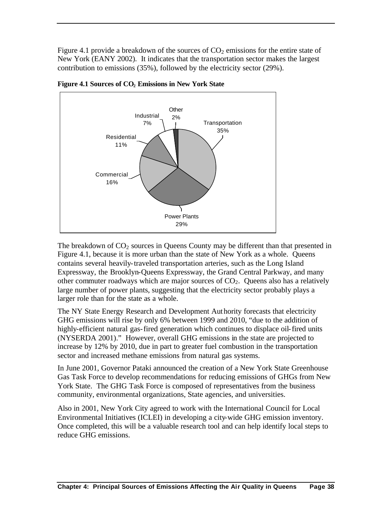Figure 4.1 provide a breakdown of the sources of  $CO<sub>2</sub>$  emissions for the entire state of New York (EANY 2002). It indicates that the transportation sector makes the largest contribution to emissions (35%), followed by the electricity sector (29%).



**Figure 4.1 Sources of CO2 Emissions in New York State**

The breakdown of  $CO<sub>2</sub>$  sources in Queens County may be different than that presented in Figure 4.1, because it is more urban than the state of New York as a whole. Queens contains several heavily-traveled transportation arteries, such as the Long Island Expressway, the Brooklyn-Queens Expressway, the Grand Central Parkway, and many other commuter roadways which are major sources of  $CO<sub>2</sub>$ . Queens also has a relatively large number of power plants, suggesting that the electricity sector probably plays a larger role than for the state as a whole.

The NY State Energy Research and Development Authority forecasts that electricity GHG emissions will rise by only 6% between 1999 and 2010, "due to the addition of highly-efficient natural gas-fired generation which continues to displace oil-fired units (NYSERDA 2001)." However, overall GHG emissions in the state are projected to increase by 12% by 2010, due in part to greater fuel combustion in the transportation sector and increased methane emissions from natural gas systems.

In June 2001, Governor Pataki announced the creation of a New York State Greenhouse Gas Task Force to develop recommendations for reducing emissions of GHGs from New York State. The GHG Task Force is composed of representatives from the business community, environmental organizations, State agencies, and universities.

Also in 2001, New York City agreed to work with the International Council for Local Environmental Initiatives (ICLEI) in developing a city-wide GHG emission inventory. Once completed, this will be a valuable research tool and can help identify local steps to reduce GHG emissions.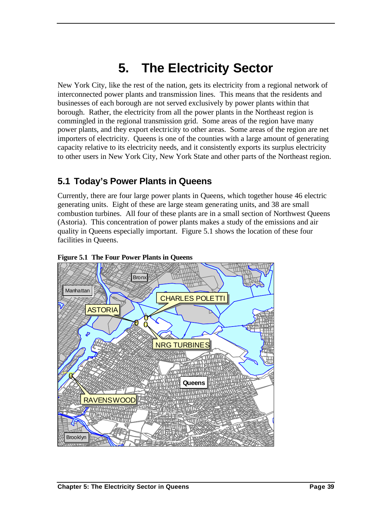# **5. The Electricity Sector**

New York City, like the rest of the nation, gets its electricity from a regional network of interconnected power plants and transmission lines. This means that the residents and businesses of each borough are not served exclusively by power plants within that borough. Rather, the electricity from all the power plants in the Northeast region is commingled in the regional transmission grid. Some areas of the region have many power plants, and they export electricity to other areas. Some areas of the region are net importers of electricity. Queens is one of the counties with a large amount of generating capacity relative to its electricity needs, and it consistently exports its surplus electricity to other users in New York City, New York State and other parts of the Northeast region.

# **5.1 Today's Power Plants in Queens**

Currently, there are four large power plants in Queens, which together house 46 electric generating units. Eight of these are large steam generating units, and 38 are small combustion turbines. All four of these plants are in a small section of Northwest Queens (Astoria). This concentration of power plants makes a study of the emissions and air quality in Queens especially important. Figure 5.1 shows the location of these four facilities in Queens.



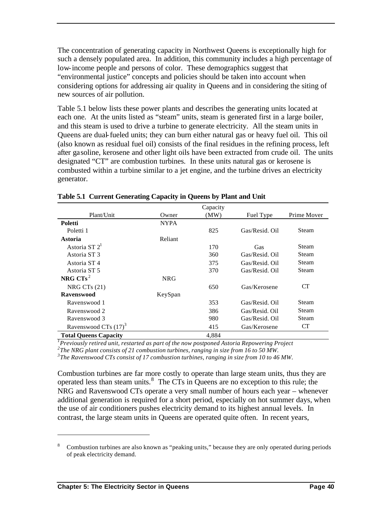The concentration of generating capacity in Northwest Queens is exceptionally high for such a densely populated area. In addition, this community includes a high percentage of low-income people and persons of color. These demographics suggest that "environmental justice" concepts and policies should be taken into account when considering options for addressing air quality in Queens and in considering the siting of new sources of air pollution.

Table 5.1 below lists these power plants and describes the generating units located at each one. At the units listed as "steam" units, steam is generated first in a large boiler, and this steam is used to drive a turbine to generate electricity. All the steam units in Queens are dual-fueled units; they can burn either natural gas or heavy fuel oil. This oil (also known as residual fuel oil) consists of the final residues in the refining process, left after gasoline, kerosene and other light oils have been extracted from crude oil. The units designated "CT" are combustion turbines. In these units natural gas or kerosene is combusted within a turbine similar to a jet engine, and the turbine drives an electricity generator.

|                                  |             | Capacity |                |              |
|----------------------------------|-------------|----------|----------------|--------------|
| Plant/Unit                       | Owner       | (MW)     | Fuel Type      | Prime Mover  |
| <b>Poletti</b>                   | <b>NYPA</b> |          |                |              |
| Poletti 1                        |             | 825      | Gas/Resid. Oil | Steam        |
| Astoria                          | Reliant     |          |                |              |
| Astoria ST $2^1$                 |             | 170      | Gas            | Steam        |
| Astoria ST3                      |             | 360      | Gas/Resid. Oil | Steam        |
| Astoria ST 4                     |             | 375      | Gas/Resid. Oil | Steam        |
| Astoria ST <sub>5</sub>          |             | 370      | Gas/Resid. Oil | Steam        |
| NRG $CTs^2$                      | <b>NRG</b>  |          |                |              |
| NRG CTs $(21)$                   |             | 650      | Gas/Kerosene   | <b>CT</b>    |
| <b>Ravenswood</b>                | KeySpan     |          |                |              |
| Ravenswood 1                     |             | 353      | Gas/Resid. Oil | <b>Steam</b> |
| Ravenswood 2                     |             | 386      | Gas/Resid. Oil | Steam        |
| Ravenswood 3                     |             | 980      | Gas/Resid. Oil | Steam        |
| Ravenswood CTs (17) <sup>3</sup> |             | 415      | Gas/Kerosene   | CT           |
| <b>Total Queens Capacity</b>     |             | 4,884    |                |              |

|  |  | Table 5.1 Current Generating Capacity in Queens by Plant and Unit |  |
|--|--|-------------------------------------------------------------------|--|
|  |  |                                                                   |  |

*1 Previously retired unit, restarted as part of the now postponed Astoria Repowering Project*

*2 The NRG plant consists of 21 combustion turbines, ranging in size from 16 to 50 MW.*

*3 The Ravenswood CTs consist of 17 combustion turbines, ranging in size from 10 to 46 MW.*

Combustion turbines are far more costly to operate than large steam units, thus they are operated less than steam units. $8\text{ The CTs}$  in Queens are no exception to this rule; the NRG and Ravenswood CTs operate a very small number of hours each year – whenever additional generation is required for a short period, especially on hot summer days, when the use of air conditioners pushes electricity demand to its highest annual levels. In contrast, the large steam units in Queens are operated quite often. In recent years,

 $\overline{a}$ 

Combustion turbines are also known as "peaking units," because they are only operated during periods of peak electricity demand.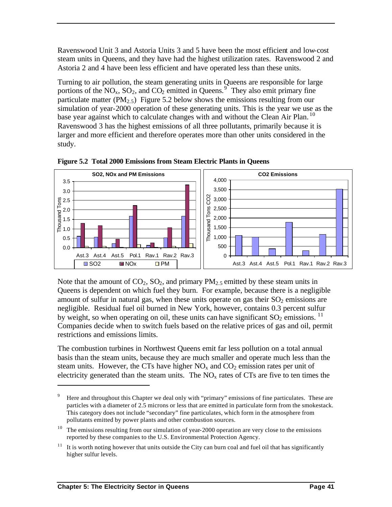Ravenswood Unit 3 and Astoria Units 3 and 5 have been the most efficient and low-cost steam units in Queens, and they have had the highest utilization rates. Ravenswood 2 and Astoria 2 and 4 have been less efficient and have operated less than these units.

Turning to air pollution, the steam generating units in Queens are responsible for large portions of the  $NO_x$ ,  $SO_2$ , and  $CO_2$  emitted in Queens.<sup>9</sup> They also emit primary fine particulate matter (PM<sub>2.5</sub>) Figure 5.2 below shows the emissions resulting from our simulation of year-2000 operation of these generating units. This is the year we use as the base year against which to calculate changes with and without the Clean Air Plan.<sup>10</sup> Ravenswood 3 has the highest emissions of all three pollutants, primarily because it is larger and more efficient and therefore operates more than other units considered in the study.



**Figure 5.2 Total 2000 Emissions from Steam Electric Plants in Queens**

Note that the amount of  $CO_2$ ,  $SO_2$ , and primary  $PM_2$ , emitted by these steam units in Queens is dependent on which fuel they burn. For example, because there is a negligible amount of sulfur in natural gas, when these units operate on gas their  $SO_2$  emissions are negligible. Residual fuel oil burned in New York, however, contains 0.3 percent sulfur by weight, so when operating on oil, these units can have significant  $SO_2$  emissions. <sup>11</sup> Companies decide when to switch fuels based on the relative prices of gas and oil, permit restrictions and emissions limits.

The combustion turbines in Northwest Queens emit far less pollution on a total annual basis than the steam units, because they are much smaller and operate much less than the steam units. However, the CTs have higher  $NO<sub>x</sub>$  and  $CO<sub>2</sub>$  emission rates per unit of electricity generated than the steam units. The  $NO<sub>x</sub>$  rates of CTs are five to ten times the

 $\overline{a}$ 

<sup>&</sup>lt;sup>9</sup> Here and throughout this Chapter we deal only with "primary" emissions of fine particulates. These are particles with a diameter of 2.5 microns or less that are emitted in particulate form from the smokestack. This category does not include "secondary" fine particulates, which form in the atmosphere from pollutants emitted by power plants and other combustion sources.

 $10$  The emissions resulting from our simulation of year-2000 operation are very close to the emissions reported by these companies to the U.S. Environmental Protection Agency.

 $11$  It is worth noting however that units outside the City can burn coal and fuel oil that has significantly higher sulfur levels.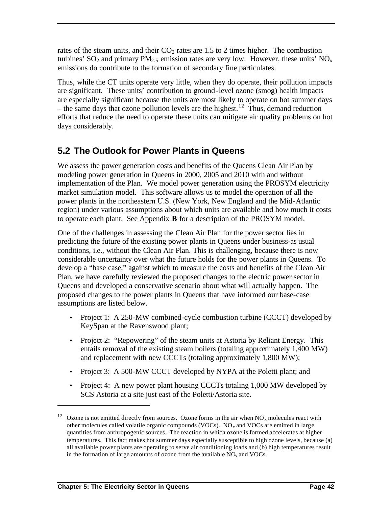rates of the steam units, and their  $CO<sub>2</sub>$  rates are 1.5 to 2 times higher. The combustion turbines'  $SO_2$  and primary  $PM_{2.5}$  emission rates are very low. However, these units'  $NO_x$ emissions do contribute to the formation of secondary fine particulates.

Thus, while the CT units operate very little, when they do operate, their pollution impacts are significant. These units' contribution to ground-level ozone (smog) health impacts are especially significant because the units are most likely to operate on hot summer days – the same days that ozone pollution levels are the highest.<sup>12</sup> Thus, demand reduction efforts that reduce the need to operate these units can mitigate air quality problems on hot days considerably.

# **5.2 The Outlook for Power Plants in Queens**

We assess the power generation costs and benefits of the Queens Clean Air Plan by modeling power generation in Queens in 2000, 2005 and 2010 with and without implementation of the Plan. We model power generation using the PROSYM electricity market simulation model. This software allows us to model the operation of all the power plants in the northeastern U.S. (New York, New England and the Mid-Atlantic region) under various assumptions about which units are available and how much it costs to operate each plant. See Appendix **B** for a description of the PROSYM model.

One of the challenges in assessing the Clean Air Plan for the power sector lies in predicting the future of the existing power plants in Queens under business-as usual conditions, i.e., without the Clean Air Plan. This is challenging, because there is now considerable uncertainty over what the future holds for the power plants in Queens. To develop a "base case," against which to measure the costs and benefits of the Clean Air Plan, we have carefully reviewed the proposed changes to the electric power sector in Queens and developed a conservative scenario about what will actually happen. The proposed changes to the power plants in Queens that have informed our base-case assumptions are listed below.

- Project 1: A 250-MW combined-cycle combustion turbine (CCCT) developed by KeySpan at the Ravenswood plant;
- Project 2: "Repowering" of the steam units at Astoria by Reliant Energy. This entails removal of the existing steam boilers (totaling approximately 1,400 MW) and replacement with new CCCTs (totaling approximately 1,800 MW);
- Project 3: A 500-MW CCCT developed by NYPA at the Poletti plant; and
- Project 4: A new power plant housing CCCTs totaling 1,000 MW developed by SCS Astoria at a site just east of the Poletti/Astoria site.

<sup>&</sup>lt;sup>12</sup> Ozone is not emitted directly from sources. Ozone forms in the air when  $NO_x$  molecules react with other molecules called volatile organic compounds (VOCs).  $NO<sub>x</sub>$  and VOCs are emitted in large quantities from anthropogenic sources. The reaction in which ozone is formed accelerates at higher temperatures. This fact makes hot summer days especially susceptible to high ozone levels, because (a) all available power plants are operating to serve air conditioning loads and (b) high temperatures result in the formation of large amounts of ozone from the available  $NO<sub>x</sub>$  and  $VOCs$ .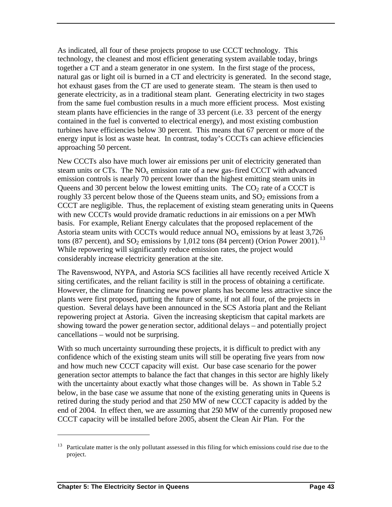As indicated, all four of these projects propose to use CCCT technology. This technology, the cleanest and most efficient generating system available today, brings together a CT and a steam generator in one system. In the first stage of the process, natural gas or light oil is burned in a CT and electricity is generated. In the second stage, hot exhaust gases from the CT are used to generate steam. The steam is then used to generate electricity, as in a traditional steam plant. Generating electricity in two stages from the same fuel combustion results in a much more efficient process. Most existing steam plants have efficiencies in the range of 33 percent (i.e. 33 percent of the energy contained in the fuel is converted to electrical energy), and most existing combustion turbines have efficiencies below 30 percent. This means that 67 percent or more of the energy input is lost as waste heat. In contrast, today's CCCTs can achieve efficiencies approaching 50 percent.

New CCCTs also have much lower air emissions per unit of electricity generated than steam units or CTs. The  $NO<sub>x</sub>$  emission rate of a new gas-fired CCCT with advanced emission controls is nearly 70 percent lower than the highest emitting steam units in Queens and 30 percent below the lowest emitting units. The  $CO<sub>2</sub>$  rate of a CCCT is roughly 33 percent below those of the Queens steam units, and  $SO<sub>2</sub>$  emissions from a CCCT are negligible. Thus, the replacement of existing steam generating units in Queens with new CCCTs would provide dramatic reductions in air emissions on a per MWh basis. For example, Reliant Energy calculates that the proposed replacement of the Astoria steam units with CCCTs would reduce annual  $NO<sub>x</sub>$  emissions by at least 3,726 tons (87 percent), and  $SO_2$  emissions by 1,012 tons (84 percent) (Orion Power 2001).<sup>13</sup> While repowering will significantly reduce emission rates, the project would considerably increase electricity generation at the site.

The Ravenswood, NYPA, and Astoria SCS facilities all have recently received Article X siting certificates, and the reliant facility is still in the process of obtaining a certificate. However, the climate for financing new power plants has become less attractive since the plants were first proposed, putting the future of some, if not all four, of the projects in question. Several delays have been announced in the SCS Astoria plant and the Reliant repowering project at Astoria. Given the increasing skepticism that capital markets are showing toward the power generation sector, additional delays – and potentially project cancellations – would not be surprising.

With so much uncertainty surrounding these projects, it is difficult to predict with any confidence which of the existing steam units will still be operating five years from now and how much new CCCT capacity will exist. Our base case scenario for the power generation sector attempts to balance the fact that changes in this sector are highly likely with the uncertainty about exactly what those changes will be. As shown in Table 5.2 below, in the base case we assume that none of the existing generating units in Queens is retired during the study period and that 250 MW of new CCCT capacity is added by the end of 2004. In effect then, we are assuming that 250 MW of the currently proposed new CCCT capacity will be installed before 2005, absent the Clean Air Plan. For the

<sup>&</sup>lt;sup>13</sup> Particulate matter is the only pollutant assessed in this filing for which emissions could rise due to the project.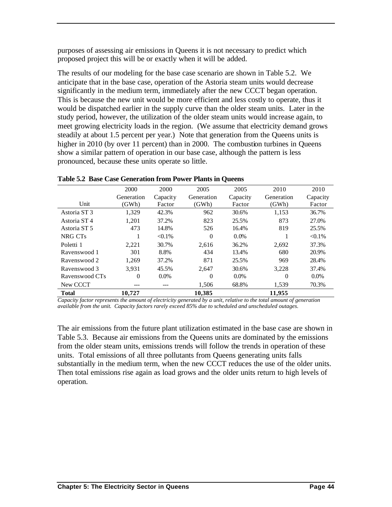purposes of assessing air emissions in Queens it is not necessary to predict which proposed project this will be or exactly when it will be added.

The results of our modeling for the base case scenario are shown in Table 5.2. We anticipate that in the base case, operation of the Astoria steam units would decrease significantly in the medium term, immediately after the new CCCT began operation. This is because the new unit would be more efficient and less costly to operate, thus it would be dispatched earlier in the supply curve than the older steam units. Later in the study period, however, the utilization of the older steam units would increase again, to meet growing electricity loads in the region. (We assume that electricity demand grows steadily at about 1.5 percent per year.) Note that generation from the Queens units is higher in 2010 (by over 11 percent) than in 2000. The combustion turbines in Queens show a similar pattern of operation in our base case, although the pattern is less pronounced, because these units operate so little.

|                         | 2000<br>Generation | 2000<br>Capacity | 2005<br>Generation | 2005<br>Capacity | 2010<br>Generation | 2010<br>Capacity |
|-------------------------|--------------------|------------------|--------------------|------------------|--------------------|------------------|
| Unit                    | (GWh)              | Factor           | (GWh)              | Factor           | (GWh)              | Factor           |
| Astoria ST <sub>3</sub> | 1,329              | 42.3%            | 962                | 30.6%            | 1,153              | 36.7%            |
| Astoria ST4             | 1,201              | 37.2%            | 823                | 25.5%            | 873                | 27.0%            |
| Astoria ST <sub>5</sub> | 473                | 14.8%            | 526                | 16.4%            | 819                | 25.5%            |
| NRG CTs                 |                    | $< 0.1\%$        | $\Omega$           | $0.0\%$          |                    | $< 0.1\%$        |
| Poletti 1               | 2,221              | 30.7%            | 2.616              | 36.2%            | 2,692              | 37.3%            |
| Ravenswood 1            | 301                | 8.8%             | 434                | 13.4%            | 680                | 20.9%            |
| Ravenswood 2            | 1,269              | 37.2%            | 871                | 25.5%            | 969                | 28.4%            |
| Ravenswood 3            | 3.931              | 45.5%            | 2.647              | 30.6%            | 3,228              | 37.4%            |
| Ravenswood CTs          | $\Omega$           | $0.0\%$          | $\Omega$           | $0.0\%$          | $\theta$           | $0.0\%$          |
| New CCCT                |                    |                  | 1,506              | 68.8%            | 1,539              | 70.3%            |
| <b>Total</b>            | 10.727             |                  | 10,385             |                  | 11,955             |                  |

**Table 5.2 Base Case Generation from Power Plants in Queens**

*Capacity factor represents the amount of electricity generated by a unit, relative to the total amount of generation available from the unit. Capacity factors rarely exceed 85% due to scheduled and unscheduled outages.* 

The air emissions from the future plant utilization estimated in the base case are shown in Table 5.3. Because air emissions from the Queens units are dominated by the emissions from the older steam units, emissions trends will follow the trends in operation of these units. Total emissions of all three pollutants from Queens generating units falls substantially in the medium term, when the new CCCT reduces the use of the older units. Then total emissions rise again as load grows and the older units return to high levels of operation.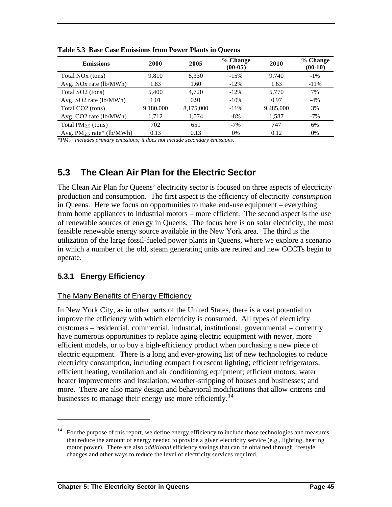| <b>Emissions</b>               | 2000      | 2005      | % Change<br>$(00-05)$ | 2010      | % Change<br>$(00-10)$ |
|--------------------------------|-----------|-----------|-----------------------|-----------|-----------------------|
| Total NO <sub>x</sub> (tons)   | 9.810     | 8,330     | $-15%$                | 9.740     | $-1\%$                |
| Avg. NOx rate (lb/MWh)         | 1.83      | 1.60      | $-12\%$               | 1.63      | $-11\%$               |
| Total SO <sub>2</sub> (tons)   | 5,400     | 4.720     | $-12%$                | 5,770     | 7%                    |
| Avg. $SO2$ rate (lb/MWh)       | 1.01      | 0.91      | $-10%$                | 0.97      | $-4\%$                |
| Total CO <sub>2</sub> (tons)   | 9,180,000 | 8,175,000 | $-11\%$               | 9,485,000 | 3%                    |
| Avg. CO2 rate (lb/MWh)         | 1,712     | 1,574     | $-8\%$                | 1,587     | $-7\%$                |
| Total $PM_{2.5}$ (tons)        | 702       | 651       | $-7%$                 | 747       | 6%                    |
| Avg. $PM_{2.5}$ rate* (1b/MWh) | 0.13      | 0.13      | 0%                    | 0.12      | 0%                    |

**Table 5.3 Base Case Emissions from Power Plants in Queens**

*\*PM2.5 includes primary emissions; it does not include secondary emissions.*

## **5.3 The Clean Air Plan for the Electric Sector**

The Clean Air Plan for Queens' electricity sector is focused on three aspects of electricity production and consumption. The first aspect is the efficiency of electricity *consumption*  in Queens. Here we focus on opportunities to make end-use equipment – everything from home appliances to industrial motors – more efficient. The second aspect is the use of renewable sources of energy in Queens. The focus here is on solar electricity, the most feasible renewable energy source available in the New York area. The third is the utilization of the large fossil-fueled power plants in Queens, where we explore a scenario in which a number of the old, steam generating units are retired and new CCCTs begin to operate.

#### **5.3.1 Energy Efficiency**

 $\overline{a}$ 

#### The Many Benefits of Energy Efficiency

In New York City, as in other parts of the United States, there is a vast potential to improve the efficiency with which electricity is consumed. All types of electricity customers – residential, commercial, industrial, institutional, governmental – currently have numerous opportunities to replace aging electric equipment with newer, more efficient models, or to buy a high-efficiency product when purchasing a new piece of electric equipment. There is a long and ever-growing list of new technologies to reduce electricity consumption, including compact florescent lighting; efficient refrigerators; efficient heating, ventilation and air conditioning equipment; efficient motors; water heater improvements and insulation; weather-stripping of houses and businesses; and more. There are also many design and behavioral modifications that allow citizens and businesses to manage their energy use more efficiently.<sup>14</sup>

<sup>&</sup>lt;sup>14</sup> For the purpose of this report, we define energy efficiency to include those technologies and measures that reduce the amount of energy needed to provide a given electricity service (e.g., lighting, heating motor power). There are also *additional* efficiency savings that can be obtained through lifestyle changes and other ways to reduce the level of electricity services required.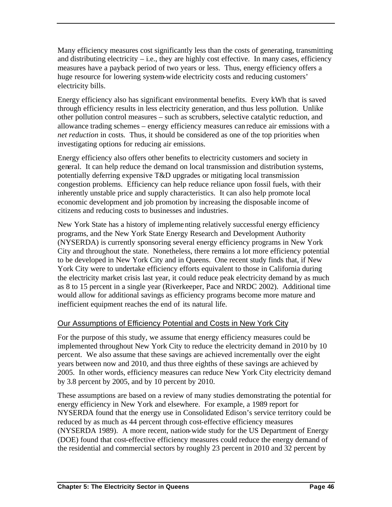Many efficiency measures cost significantly less than the costs of generating, transmitting and distributing electricity  $-$  i.e., they are highly cost effective. In many cases, efficiency measures have a payback period of two years or less. Thus, energy efficiency offers a huge resource for lowering system-wide electricity costs and reducing customers' electricity bills.

Energy efficiency also has significant environmental benefits. Every kWh that is saved through efficiency results in less electricity generation, and thus less pollution. Unlike other pollution control measures – such as scrubbers, selective catalytic reduction, and allowance trading schemes – energy efficiency measures can reduce air emissions with a *net reduction* in costs. Thus, it should be considered as one of the top priorities when investigating options for reducing air emissions.

Energy efficiency also offers other benefits to electricity customers and society in general. It can help reduce the demand on local transmission and distribution systems, potentially deferring expensive T&D upgrades or mitigating local transmission congestion problems. Efficiency can help reduce reliance upon fossil fuels, with their inherently unstable price and supply characteristics. It can also help promote local economic development and job promotion by increasing the disposable income of citizens and reducing costs to businesses and industries.

New York State has a history of implementing relatively successful energy efficiency programs, and the New York State Energy Research and Development Authority (NYSERDA) is currently sponsoring several energy efficiency programs in New York City and throughout the state. Nonetheless, there remains a lot more efficiency potential to be developed in New York City and in Queens. One recent study finds that, if New York City were to undertake efficiency efforts equivalent to those in California during the electricity market crisis last year, it could reduce peak electricity demand by as much as 8 to 15 percent in a single year (Riverkeeper, Pace and NRDC 2002). Additional time would allow for additional savings as efficiency programs become more mature and inefficient equipment reaches the end of its natural life.

#### Our Assumptions of Efficiency Potential and Costs in New York City

For the purpose of this study, we assume that energy efficiency measures could be implemented throughout New York City to reduce the electricity demand in 2010 by 10 percent. We also assume that these savings are achieved incrementally over the eight years between now and 2010, and thus three eighths of these savings are achieved by 2005. In other words, efficiency measures can reduce New York City electricity demand by 3.8 percent by 2005, and by 10 percent by 2010.

These assumptions are based on a review of many studies demonstrating the potential for energy efficiency in New York and elsewhere. For example, a 1989 report for NYSERDA found that the energy use in Consolidated Edison's service territory could be reduced by as much as 44 percent through cost-effective efficiency measures (NYSERDA 1989). A more recent, nation-wide study for the US Department of Energy (DOE) found that cost-effective efficiency measures could reduce the energy demand of the residential and commercial sectors by roughly 23 percent in 2010 and 32 percent by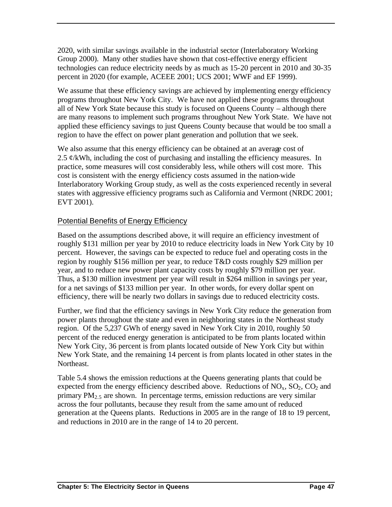2020, with similar savings available in the industrial sector (Interlaboratory Working Group 2000). Many other studies have shown that cost-effective energy efficient technologies can reduce electricity needs by as much as 15-20 percent in 2010 and 30-35 percent in 2020 (for example, ACEEE 2001; UCS 2001; WWF and EF 1999).

We assume that these efficiency savings are achieved by implementing energy efficiency programs throughout New York City. We have not applied these programs throughout all of New York State because this study is focused on Queens County – although there are many reasons to implement such programs throughout New York State. We have not applied these efficiency savings to just Queens County because that would be too small a region to have the effect on power plant generation and pollution that we seek.

We also assume that this energy efficiency can be obtained at an average cost of 2.5  $\phi$ /kWh, including the cost of purchasing and installing the efficiency measures. In practice, some measures will cost considerably less, while others will cost more. This cost is consistent with the energy efficiency costs assumed in the nation-wide Interlaboratory Working Group study, as well as the costs experienced recently in several states with aggressive efficiency programs such as California and Vermont (NRDC 2001; EVT 2001).

## Potential Benefits of Energy Efficiency

Based on the assumptions described above, it will require an efficiency investment of roughly \$131 million per year by 2010 to reduce electricity loads in New York City by 10 percent. However, the savings can be expected to reduce fuel and operating costs in the region by roughly \$156 million per year, to reduce T&D costs roughly \$29 million per year, and to reduce new power plant capacity costs by roughly \$79 million per year. Thus, a \$130 million investment per year will result in \$264 million in savings per year, for a net savings of \$133 million per year. In other words, for every dollar spent on efficiency, there will be nearly two dollars in savings due to reduced electricity costs.

Further, we find that the efficiency savings in New York City reduce the generation from power plants throughout the state and even in neighboring states in the Northeast study region. Of the 5,237 GWh of energy saved in New York City in 2010, roughly 50 percent of the reduced energy generation is anticipated to be from plants located within New York City, 36 percent is from plants located outside of New York City but within New York State, and the remaining 14 percent is from plants located in other states in the Northeast.

Table 5.4 shows the emission reductions at the Queens generating plants that could be expected from the energy efficiency described above. Reductions of  $NO<sub>x</sub>$ ,  $SO<sub>2</sub>$ ,  $CO<sub>2</sub>$  and primary  $PM<sub>2</sub>$  are shown. In percentage terms, emission reductions are very similar across the four pollutants, because they result from the same amount of reduced generation at the Queens plants. Reductions in 2005 are in the range of 18 to 19 percent, and reductions in 2010 are in the range of 14 to 20 percent.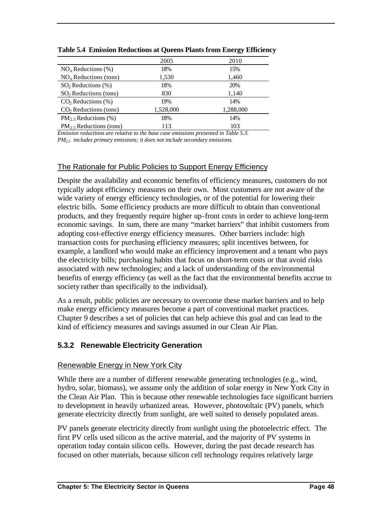|                            | 2005      | 2010      |
|----------------------------|-----------|-----------|
| $NOx$ Reductions (%)       | 18%       | 15%       |
| $NOx$ Reductions (tons)    | 1,530     | 1,460     |
| $SO2$ Reductions $(\%)$    | 18%       | 20%       |
| $SO2$ Reductions (tons)    | 830       | 1,140     |
| $CO2$ Reductions $(\%)$    | 19%       | 14%       |
| $CO2$ Reductions (tons)    | 1,528,000 | 1,288,000 |
| $PM_2$ , Reductions (%)    | 18%       | 14%       |
| $PM_2$ , Reductions (tons) | 113       | 103       |

**Table 5.4 Emission Reductions at Queens Plants from Energy Efficiency** 

*Emission reductions are relative to the base case emissions presented in Table 5.3. PM2.5 includes primary emissions; it does not include secondary emissions.*

## The Rationale for Public Policies to Support Energy Efficiency

Despite the availability and economic benefits of efficiency measures, customers do not typically adopt efficiency measures on their own. Most customers are not aware of the wide variety of energy efficiency technologies, or of the potential for lowering their electric bills. Some efficiency products are more difficult to obtain than conventional products, and they frequently require higher up-front costs in order to achieve long-term economic savings. In sum, there are many "market barriers" that inhibit customers from adopting cost-effective energy efficiency measures. Other barriers include: high transaction costs for purchasing efficiency measures; split incentives between, for example, a landlord who would make an efficiency improvement and a tenant who pays the electricity bills; purchasing habits that focus on short-term costs or that avoid risks associated with new technologies; and a lack of understanding of the environmental benefits of energy efficiency (as well as the fact that the environmental benefits accrue to society rather than specifically to the individual).

As a result, public policies are necessary to overcome these market barriers and to help make energy efficiency measures become a part of conventional market practices. Chapter 9 describes a set of policies that can help achieve this goal and can lead to the kind of efficiency measures and savings assumed in our Clean Air Plan.

## **5.3.2 Renewable Electricity Generation**

#### Renewable Energy in New York City

While there are a number of different renewable generating technologies (e.g., wind, hydro, solar, biomass), we assume only the addition of solar energy in New York City in the Clean Air Plan. This is because other renewable technologies face significant barriers to development in heavily urbanized areas. However, photovoltaic (PV) panels, which generate electricity directly from sunlight, are well suited to densely populated areas.

PV panels generate electricity directly from sunlight using the photoelectric effect. The first PV cells used silicon as the active material, and the majority of PV systems in operation today contain silicon cells. However, during the past decade research has focused on other materials, because silicon cell technology requires relatively large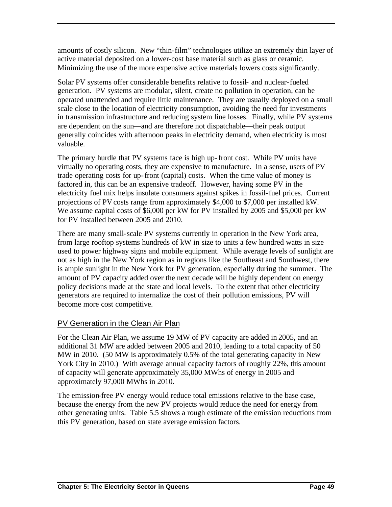amounts of costly silicon. New "thin-film" technologies utilize an extremely thin layer of active material deposited on a lower-cost base material such as glass or ceramic. Minimizing the use of the more expensive active materials lowers costs significantly.

Solar PV systems offer considerable benefits relative to fossil- and nuclear-fueled generation. PV systems are modular, silent, create no pollution in operation, can be operated unattended and require little maintenance. They are usually deployed on a small scale close to the location of electricity consumption, avoiding the need for investments in transmission infrastructure and reducing system line losses. Finally, while PV systems are dependent on the sun—and are therefore not dispatchable—their peak output generally coincides with afternoon peaks in electricity demand, when electricity is most valuable.

The primary hurdle that PV systems face is high up-front cost. While PV units have virtually no operating costs, they are expensive to manufacture. In a sense, users of PV trade operating costs for up-front (capital) costs. When the time value of money is factored in, this can be an expensive tradeoff. However, having some PV in the electricity fuel mix helps insulate consumers against spikes in fossil-fuel prices. Current projections of PV costs range from approximately \$4,000 to \$7,000 per installed kW. We assume capital costs of \$6,000 per kW for PV installed by 2005 and \$5,000 per kW for PV installed between 2005 and 2010.

There are many small-scale PV systems currently in operation in the New York area, from large rooftop systems hundreds of kW in size to units a few hundred watts in size used to power highway signs and mobile equipment. While average levels of sunlight are not as high in the New York region as in regions like the Southeast and Southwest, there is ample sunlight in the New York for PV generation, especially during the summer. The amount of PV capacity added over the next decade will be highly dependent on energy policy decisions made at the state and local levels. To the extent that other electricity generators are required to internalize the cost of their pollution emissions, PV will become more cost competitive.

#### PV Generation in the Clean Air Plan

For the Clean Air Plan, we assume 19 MW of PV capacity are added in 2005, and an additional 31 MW are added between 2005 and 2010, leading to a total capacity of 50 MW in 2010. (50 MW is approximately 0.5% of the total generating capacity in New York City in 2010.) With average annual capacity factors of roughly 22%, this amount of capacity will generate approximately 35,000 MWhs of energy in 2005 and approximately 97,000 MWhs in 2010.

The emission-free PV energy would reduce total emissions relative to the base case, because the energy from the new PV projects would reduce the need for energy from other generating units. Table 5.5 shows a rough estimate of the emission reductions from this PV generation, based on state average emission factors.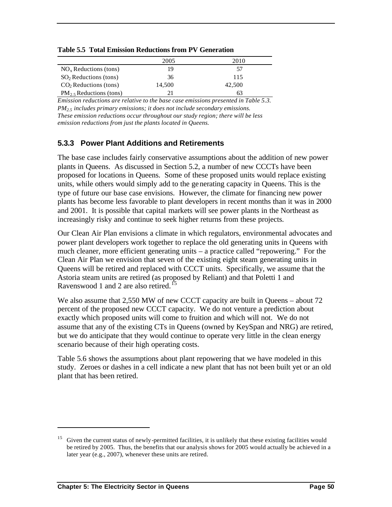|                            | 2005   | 2010   |
|----------------------------|--------|--------|
| $NOx$ Reductions (tons)    | 19     | 57     |
| $SO2$ Reductions (tons)    | 36     | 115    |
| $CO2$ Reductions (tons)    | 14.500 | 42,500 |
| $PM_2$ , Reductions (tons) |        | 63     |

**Table 5.5 Total Emission Reductions from PV Generation**

*Emission reductions are relative to the base case emissions presented in Table 5.3. PM2.5 includes primary emissions; it does not include secondary emissions. These emission reductions occur throughout our study region; there will be less emission reductions from just the plants located in Queens.*

#### **5.3.3 Power Plant Additions and Retirements**

The base case includes fairly conservative assumptions about the addition of new power plants in Queens. As discussed in Section 5.2, a number of new CCCTs have been proposed for locations in Queens. Some of these proposed units would replace existing units, while others would simply add to the generating capacity in Queens. This is the type of future our base case envisions. However, the climate for financing new power plants has become less favorable to plant developers in recent months than it was in 2000 and 2001. It is possible that capital markets will see power plants in the Northeast as increasingly risky and continue to seek higher returns from these projects.

Our Clean Air Plan envisions a climate in which regulators, environmental advocates and power plant developers work together to replace the old generating units in Queens with much cleaner, more efficient generating units – a practice called "repowering." For the Clean Air Plan we envision that seven of the existing eight steam generating units in Queens will be retired and replaced with CCCT units. Specifically, we assume that the Astoria steam units are retired (as proposed by Reliant) and that Poletti 1 and Ravenswood 1 and 2 are also retired.<sup>15</sup>

We also assume that 2,550 MW of new CCCT capacity are built in Queens – about 72 percent of the proposed new CCCT capacity. We do not venture a prediction about exactly which proposed units will come to fruition and which will not. We do not assume that any of the existing CTs in Queens (owned by KeySpan and NRG) are retired, but we do anticipate that they would continue to operate very little in the clean energy scenario because of their high operating costs.

Table 5.6 shows the assumptions about plant repowering that we have modeled in this study. Zeroes or dashes in a cell indicate a new plant that has not been built yet or an old plant that has been retired.

<sup>&</sup>lt;sup>15</sup> Given the current status of newly-permitted facilities, it is unlikely that these existing facilities would be retired by 2005. Thus, the benefits that our analysis shows for 2005 would actually be achieved in a later year (e.g., 2007), whenever these units are retired.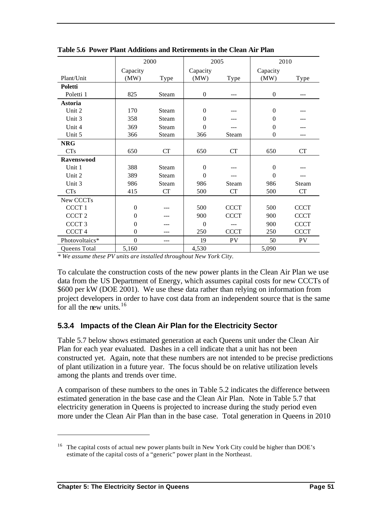|                   | 2000             |       | 2005           |             | 2010           |             |
|-------------------|------------------|-------|----------------|-------------|----------------|-------------|
|                   | Capacity         |       | Capacity       |             | Capacity       |             |
| Plant/Unit        | (MW)             | Type  | (MW)           | Type        | (MW)           | Type        |
| Poletti           |                  |       |                |             |                |             |
| Poletti 1         | 825              | Steam | $\overline{0}$ |             | $\theta$       |             |
| Astoria           |                  |       |                |             |                |             |
| Unit 2            | 170              | Steam | $\theta$       |             | $\theta$       |             |
| Unit 3            | 358              | Steam | $\theta$       |             | $\theta$       |             |
| Unit 4            | 369              | Steam | $\Omega$       |             | $\theta$       |             |
| Unit 5            | 366              | Steam | 366            | Steam       | $\overline{0}$ |             |
| <b>NRG</b>        |                  |       |                |             |                |             |
| <b>CTs</b>        | 650              | CT    | 650            | CT          | 650            | CT          |
| <b>Ravenswood</b> |                  |       |                |             |                |             |
| Unit 1            | 388              | Steam | $\theta$       |             | $\theta$       |             |
| Unit 2            | 389              | Steam | $\Omega$       |             | $\theta$       |             |
| Unit 3            | 986              | Steam | 986            | Steam       | 986            | Steam       |
| <b>CTs</b>        | 415              | CT    | 500            | CT          | 500            | CT          |
| New CCCTs         |                  |       |                |             |                |             |
| CCCT <sub>1</sub> | $\overline{0}$   |       | 500            | <b>CCCT</b> | 500            | <b>CCCT</b> |
| CCCT <sub>2</sub> | $\theta$         |       | 900            | <b>CCCT</b> | 900            | <b>CCCT</b> |
| CCCT <sub>3</sub> | $\mathbf{0}$     |       | $\theta$       |             | 900            | <b>CCCT</b> |
| CCCT <sub>4</sub> | $\overline{0}$   |       | 250            | <b>CCCT</b> | 250            | <b>CCCT</b> |
| Photovoltaics*    | $\boldsymbol{0}$ | ---   | 19             | <b>PV</b>   | 50             | PV          |
| Queens Total      | 5,160            |       | 4,530          |             | 5,090          |             |

**Table 5.6 Power Plant Additions and Retirements in the Clean Air Plan**

*\* We assume these PV units are installed throughout New York City.* 

To calculate the construction costs of the new power plants in the Clean Air Plan we use data from the US Department of Energy, which assumes capital costs for new CCCTs of \$600 per kW (DOE 2001). We use these data rather than relying on information from project developers in order to have cost data from an independent source that is the same for all the new units.  $16$ 

#### **5.3.4 Impacts of the Clean Air Plan for the Electricity Sector**

Table 5.7 below shows estimated generation at each Queens unit under the Clean Air Plan for each year evaluated. Dashes in a cell indicate that a unit has not been constructed yet. Again, note that these numbers are not intended to be precise predictions of plant utilization in a future year. The focus should be on relative utilization levels among the plants and trends over time.

A comparison of these numbers to the ones in Table 5.2 indicates the difference between estimated generation in the base case and the Clean Air Plan. Note in Table 5.7 that electricity generation in Queens is projected to increase during the study period even more under the Clean Air Plan than in the base case. Total generation in Queens in 2010

<sup>&</sup>lt;sup>16</sup> The capital costs of actual new power plants built in New York City could be higher than DOE's estimate of the capital costs of a "generic" power plant in the Northeast.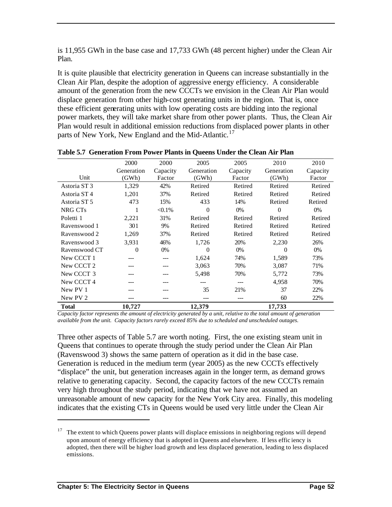is 11,955 GWh in the base case and 17,733 GWh (48 percent higher) under the Clean Air Plan.

It is quite plausible that electricity generation in Queens can increase substantially in the Clean Air Plan, despite the adoption of aggressive energy efficiency. A considerable amount of the generation from the new CCCTs we envision in the Clean Air Plan would displace generation from other high-cost generating units in the region. That is, once these efficient generating units with low operating costs are bidding into the regional power markets, they will take market share from other power plants. Thus, the Clean Air Plan would result in additional emission reductions from displaced power plants in other parts of New York, New England and the Mid-Atlantic.<sup>17</sup>

|                         | 2000       | 2000      | 2005       | 2005     | 2010           | 2010     |
|-------------------------|------------|-----------|------------|----------|----------------|----------|
|                         | Generation | Capacity  | Generation | Capacity | Generation     | Capacity |
| Unit                    | (GWh)      | Factor    | (GWh)      | Factor   | (GWh)          | Factor   |
| Astoria ST <sub>3</sub> | 1,329      | 42%       | Retired    | Retired  | Retired        | Retired  |
| Astoria ST <sub>4</sub> | 1,201      | 37%       | Retired    | Retired  | Retired        | Retired  |
| Astoria ST 5            | 473        | 15%       | 433        | 14%      | Retired        | Retired  |
| NRG CT <sub>s</sub>     |            | $< 0.1\%$ | $\theta$   | $0\%$    | $\overline{0}$ | 0%       |
| Poletti 1               | 2,221      | 31%       | Retired    | Retired  | Retired        | Retired  |
| Ravenswood 1            | 301        | 9%        | Retired    | Retired  | Retired        | Retired  |
| Ravenswood 2            | 1,269      | 37%       | Retired    | Retired  | Retired        | Retired  |
| Ravenswood 3            | 3,931      | 46%       | 1,726      | 20%      | 2,230          | 26%      |
| Ravenswood CT           | $\Omega$   | 0%        | $\Omega$   | $0\%$    | $\Omega$       | $0\%$    |
| New CCCT 1              |            | ---       | 1,624      | 74%      | 1,589          | 73%      |
| New CCCT <sub>2</sub>   |            |           | 3,063      | 70%      | 3,087          | 71%      |
| New CCCT 3              |            | ---       | 5,498      | 70%      | 5,772          | 73%      |
| New CCCT 4              |            |           | ---        | ---      | 4,958          | 70%      |
| New PV 1                |            |           | 35         | 21%      | 37             | 22%      |
| New PV 2                |            | ---       | ---        | ---      | 60             | 22%      |
| <b>Total</b>            | 10,727     |           | 12,379     |          | 17,733         |          |

**Table 5.7 Generation From Power Plants in Queens Under the Clean Air Plan**

*Capacity factor represents the amount of electricity generated by a unit, relative to the total amount of generation available from the unit. Capacity factors rarely exceed 85% due to scheduled and unscheduled outages.* 

Three other aspects of Table 5.7 are worth noting. First, the one existing steam unit in Queens that continues to operate through the study period under the Clean Air Plan (Ravenswood 3) shows the same pattern of operation as it did in the base case. Generation is reduced in the medium term (year 2005) as the new CCCTs effectively "displace" the unit, but generation increases again in the longer term, as demand grows relative to generating capacity. Second, the capacity factors of the new CCCTs remain very high throughout the study period, indicating that we have not assumed an unreasonable amount of new capacity for the New York City area. Finally, this modeling indicates that the existing CTs in Queens would be used very little under the Clean Air

<sup>17</sup> The extent to which Queens power plants will displace emissions in neighboring regions will depend upon amount of energy efficiency that is adopted in Queens and elsewhere. If less effic iency is adopted, then there will be higher load growth and less displaced generation, leading to less displaced emissions.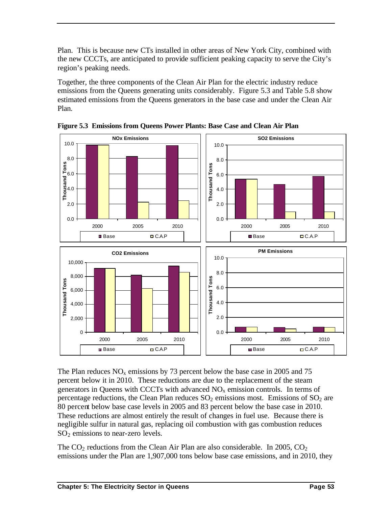Plan. This is because new CTs installed in other areas of New York City, combined with the new CCCTs, are anticipated to provide sufficient peaking capacity to serve the City's region's peaking needs.

Together, the three components of the Clean Air Plan for the electric industry reduce emissions from the Queens generating units considerably. Figure 5.3 and Table 5.8 show estimated emissions from the Queens generators in the base case and under the Clean Air Plan.



**Figure 5.3 Emissions from Queens Power Plants: Base Case and Clean Air Plan**

The Plan reduces  $NO<sub>x</sub>$  emissions by 73 percent below the base case in 2005 and 75 percent below it in 2010. These reductions are due to the replacement of the steam generators in Queens with CCCTs with advanced  $NO<sub>x</sub>$  emission controls. In terms of percentage reductions, the Clean Plan reduces  $SO_2$  emissions most. Emissions of  $SO_2$  are 80 percent below base case levels in 2005 and 83 percent below the base case in 2010. These reductions are almost entirely the result of changes in fuel use. Because there is negligible sulfur in natural gas, replacing oil combustion with gas combustion reduces  $SO<sub>2</sub>$  emissions to near-zero levels.

The  $CO<sub>2</sub>$  reductions from the Clean Air Plan are also considerable. In 2005,  $CO<sub>2</sub>$ emissions under the Plan are 1,907,000 tons below base case emissions, and in 2010, they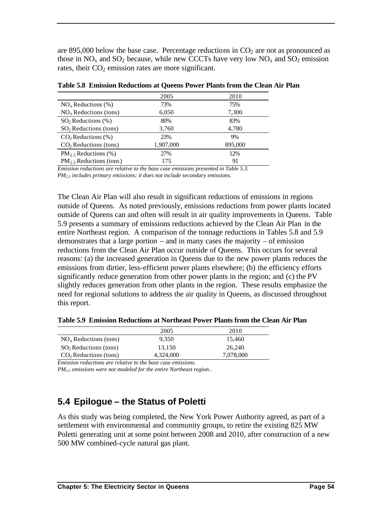are 895,000 below the base case. Percentage reductions in  $CO<sub>2</sub>$  are not as pronounced as those in  $NO_x$  and  $SO_2$  because, while new CCCTs have very low  $NO_x$  and  $SO_2$  emission rates, their  $CO<sub>2</sub>$  emission rates are more significant.

| 2005      | 2010    |
|-----------|---------|
| 73%       | 75%     |
| 6,050     | 7,300   |
| 80%       | 83%     |
| 3,760     | 4,780   |
| 23%       | 9%      |
| 1,907,000 | 895,000 |
| 27%       | 12%     |
| 175       | 91      |
|           |         |

**Table 5.8 Emission Reductions at Queens Power Plants from the Clean Air Plan**

*Emission reductions are relative to the base case emissions presented in Table 5.3. PM2.5 includes primary emissions; it does not include secondary emissions.*

The Clean Air Plan will also result in significant reductions of emissions in regions outside of Queens. As noted previously, emissions reductions from power plants located outside of Queens can and often will result in air quality improvements in Queens. Table 5.9 presents a summary of emissions reductions achieved by the Clean Air Plan in the entire Northeast region. A comparison of the tonnage reductions in Tables 5.8 and 5.9 demonstrates that a large portion – and in many cases the majority – of emission reductions from the Clean Air Plan occur outside of Queens. This occurs for several reasons: (a) the increased generation in Queens due to the new power plants reduces the emissions from dirtier, less-efficient power plants elsewhere; (b) the efficiency efforts significantly reduce generation from other power plants in the region; and (c) the PV slightly reduces generation from other plants in the region. These results emphasize the need for regional solutions to address the air quality in Queens, as discussed throughout this report.

**Table 5.9 Emission Reductions at Northeast Power Plants from the Clean Air Plan**

|                         | 2005      | 2010      |
|-------------------------|-----------|-----------|
| $NOx$ Reductions (tons) | 9.350     | 15.460    |
| $SO2$ Reductions (tons) | 13.150    | 26.240    |
| $CO2$ Reductions (tons) | 4.324.000 | 7,078,000 |

*Emission reductions are relative to the base case emissions.*

*PM2.5 emissions were not modeled for the entire Northeast region..*

## **5.4 Epilogue – the Status of Poletti**

As this study was being completed, the New York Power Authority agreed, as part of a settlement with environmental and community groups, to retire the existing 825 MW Poletti generating unit at some point between 2008 and 2010, after construction of a new 500 MW combined-cycle natural gas plant.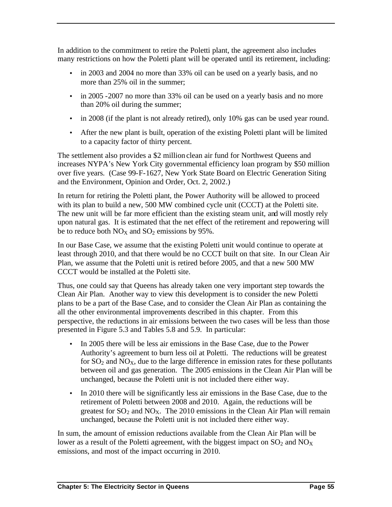In addition to the commitment to retire the Poletti plant, the agreement also includes many restrictions on how the Poletti plant will be operated until its retirement, including:

- in 2003 and 2004 no more than 33% oil can be used on a yearly basis, and no more than 25% oil in the summer;
- in 2005 -2007 no more than 33% oil can be used on a yearly basis and no more than 20% oil during the summer;
- in 2008 (if the plant is not already retired), only 10% gas can be used year round.
- After the new plant is built, operation of the existing Poletti plant will be limited to a capacity factor of thirty percent.

The settlement also provides a \$2 million clean air fund for Northwest Queens and increases NYPA's New York City governmental efficiency loan program by \$50 million over five years. (Case 99-F-1627, New York State Board on Electric Generation Siting and the Environment, Opinion and Order, Oct. 2, 2002.)

In return for retiring the Poletti plant, the Power Authority will be allowed to proceed with its plan to build a new, 500 MW combined cycle unit (CCCT) at the Poletti site. The new unit will be far more efficient than the existing steam unit, and will mostly rely upon natural gas. It is estimated that the net effect of the retirement and repowering will be to reduce both  $NO<sub>X</sub>$  and  $SO<sub>2</sub>$  emissions by 95%.

In our Base Case, we assume that the existing Poletti unit would continue to operate at least through 2010, and that there would be no CCCT built on that site. In our Clean Air Plan, we assume that the Poletti unit is retired before 2005, and that a new 500 MW CCCT would be installed at the Poletti site.

Thus, one could say that Queens has already taken one very important step towards the Clean Air Plan. Another way to view this development is to consider the new Poletti plans to be a part of the Base Case, and to consider the Clean Air Plan as containing the all the other environmental improvements described in this chapter. From this perspective, the reductions in air emissions between the two cases will be less than those presented in Figure 5.3 and Tables 5.8 and 5.9. In particular:

- In 2005 there will be less air emissions in the Base Case, due to the Power Authority's agreement to burn less oil at Poletti. The reductions will be greatest for  $SO_2$  and  $NO<sub>X</sub>$ , due to the large difference in emission rates for these pollutants between oil and gas generation. The 2005 emissions in the Clean Air Plan will be unchanged, because the Poletti unit is not included there either way.
- In 2010 there will be significantly less air emissions in the Base Case, due to the retirement of Poletti between 2008 and 2010. Again, the reductions will be greatest for  $SO_2$  and  $NO_X$ . The 2010 emissions in the Clean Air Plan will remain unchanged, because the Poletti unit is not included there either way.

In sum, the amount of emission reductions available from the Clean Air Plan will be lower as a result of the Poletti agreement, with the biggest impact on  $SO_2$  and  $NO_X$ emissions, and most of the impact occurring in 2010.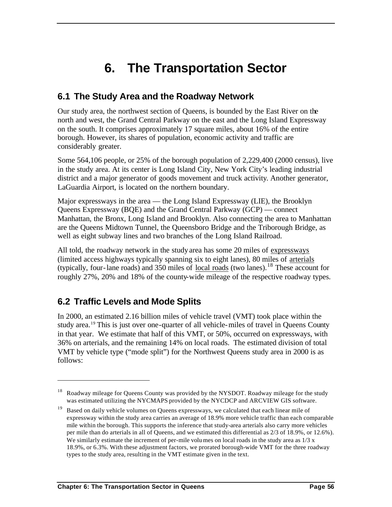# **6. The Transportation Sector**

## **6.1 The Study Area and the Roadway Network**

Our study area, the northwest section of Queens, is bounded by the East River on the north and west, the Grand Central Parkway on the east and the Long Island Expressway on the south. It comprises approximately 17 square miles, about 16% of the entire borough. However, its shares of population, economic activity and traffic are considerably greater.

Some 564,106 people, or 25% of the borough population of 2,229,400 (2000 census), live in the study area. At its center is Long Island City, New York City's leading industrial district and a major generator of goods movement and truck activity. Another generator, LaGuardia Airport, is located on the northern boundary.

Major expressways in the area — the Long Island Expressway (LIE), the Brooklyn Queens Expressway (BQE) and the Grand Central Parkway (GCP) — connect Manhattan, the Bronx, Long Island and Brooklyn. Also connecting the area to Manhattan are the Queens Midtown Tunnel, the Queensboro Bridge and the Triborough Bridge, as well as eight subway lines and two branches of the Long Island Railroad.

All told, the roadway network in the study area has some 20 miles of expressways (limited access highways typically spanning six to eight lanes), 80 miles of arterials (typically, four-lane roads) and 350 miles of  $\frac{local \cdot road}{break}$  (two lanes).<sup>18</sup> These account for roughly 27%, 20% and 18% of the county-wide mileage of the respective roadway types.

## **6.2 Traffic Levels and Mode Splits**

 $\overline{a}$ 

In 2000, an estimated 2.16 billion miles of vehicle travel (VMT) took place within the study area.<sup>19</sup> This is just over one-quarter of all vehicle-miles of travel in Queens County in that year. We estimate that half of this VMT, or 50%, occurred on expressways, with 36% on arterials, and the remaining 14% on local roads. The estimated division of total VMT by vehicle type ("mode split") for the Northwest Queens study area in 2000 is as follows:

<sup>&</sup>lt;sup>18</sup> Roadway mileage for Queens County was provided by the NYSDOT. Roadway mileage for the study was estimated utilizing the NYCMAPS provided by the NYCDCP and ARCVIEW GIS software.

<sup>&</sup>lt;sup>19</sup> Based on daily vehicle volumes on Queens expressways, we calculated that each linear mile of expressway within the study area carries an average of 18.9% more vehicle traffic than each comparable mile within the borough. This supports the inference that study-area arterials also carry more vehicles per mile than do arterials in all of Queens, and we estimated this differential as 2/3 of 18.9%, or 12.6%). We similarly estimate the increment of per-mile volumes on local roads in the study area as  $1/3 \times 1$ 18.9%, or 6.3%. With these adjustment factors, we prorated borough-wide VMT for the three roadway types to the study area, resulting in the VMT estimate given in the text.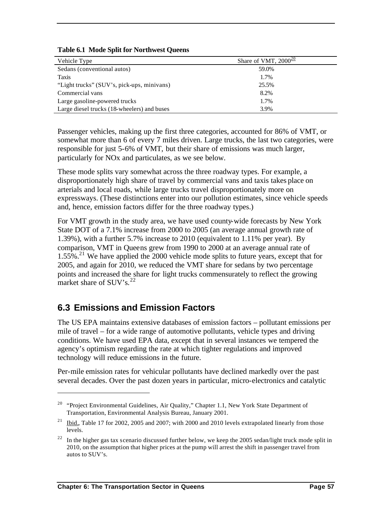| Vehicle Type                                | Share of VMT, $2000^{\underline{20}}$ |
|---------------------------------------------|---------------------------------------|
| Sedans (conventional autos)                 | 59.0%                                 |
| Taxis                                       | 1.7%                                  |
| "Light trucks" (SUV's, pick-ups, minivans)  | 25.5%                                 |
| Commercial vans                             | 8.2%                                  |
| Large gasoline-powered trucks               | 1.7%                                  |
| Large diesel trucks (18-wheelers) and buses | 3.9%                                  |

#### **Table 6.1 Mode Split for Northwest Queens**

Passenger vehicles, making up the first three categories, accounted for 86% of VMT, or somewhat more than 6 of every 7 miles driven. Large trucks, the last two categories, were responsible for just 5-6% of VMT, but their share of emissions was much larger, particularly for NOx and particulates, as we see below.

These mode splits vary somewhat across the three roadway types. For example, a disproportionately high share of travel by commercial vans and taxis takes place on arterials and local roads, while large trucks travel disproportionately more on expressways. (These distinctions enter into our pollution estimates, since vehicle speeds and, hence, emission factors differ for the three roadway types.)

For VMT growth in the study area, we have used county-wide forecasts by New York State DOT of a 7.1% increase from 2000 to 2005 (an average annual growth rate of 1.39%), with a further 5.7% increase to 2010 (equivalent to 1.11% per year). By comparison, VMT in Queens grew from 1990 to 2000 at an average annual rate of  $1.55\%$ <sup>21</sup> We have applied the 2000 vehicle mode splits to future years, except that for 2005, and again for 2010, we reduced the VMT share for sedans by two percentage points and increased the share for light trucks commensurately to reflect the growing market share of  $\text{SUV's}$ .<sup>22</sup>

## **6.3 Emissions and Emission Factors**

The US EPA maintains extensive databases of emission factors – pollutant emissions per mile of travel – for a wide range of automotive pollutants, vehicle types and driving conditions. We have used EPA data, except that in several instances we tempered the agency's optimism regarding the rate at which tighter regulations and improved technology will reduce emissions in the future.

Per-mile emission rates for vehicular pollutants have declined markedly over the past several decades. Over the past dozen years in particular, micro-electronics and catalytic

<sup>&</sup>lt;sup>20</sup> "Project Environmental Guidelines, Air Quality," Chapter 1.1, New York State Department of Transportation, Environmental Analysis Bureau, January 2001.

 $21$  Ibid., Table 17 for 2002, 2005 and 2007; with 2000 and 2010 levels extrapolated linearly from those levels.

 $^{22}$  In the higher gas tax scenario discussed further below, we keep the 2005 sedan/light truck mode split in 2010, on the assumption that higher prices at the pump will arrest the shift in passenger travel from autos to SUV's.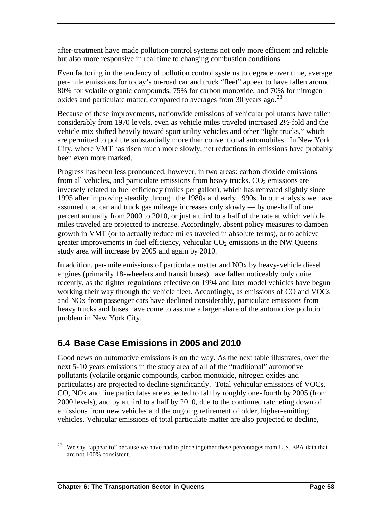after-treatment have made pollution-control systems not only more efficient and reliable but also more responsive in real time to changing combustion conditions.

Even factoring in the tendency of pollution control systems to degrade over time, average per-mile emissions for today's on-road car and truck "fleet" appear to have fallen around 80% for volatile organic compounds, 75% for carbon monoxide, and 70% for nitrogen oxides and particulate matter, compared to averages from 30 years ago.<sup>23</sup>

Because of these improvements, nationwide emissions of vehicular pollutants have fallen considerably from 1970 levels, even as vehicle miles traveled increased 2½-fold and the vehicle mix shifted heavily toward sport utility vehicles and other "light trucks," which are permitted to pollute substantially more than conventional automobiles. In New York City, where VMT has risen much more slowly, net reductions in emissions have probably been even more marked.

Progress has been less pronounced, however, in two areas: carbon dioxide emissions from all vehicles, and particulate emissions from heavy trucks.  $CO<sub>2</sub>$  emissions are inversely related to fuel efficiency (miles per gallon), which has retreated slightly since 1995 after improving steadily through the 1980s and early 1990s. In our analysis we have assumed that car and truck gas mileage increases only slowly — by one-half of one percent annually from 2000 to 2010, or just a third to a half of the rate at which vehicle miles traveled are projected to increase. Accordingly, absent policy measures to dampen growth in VMT (or to actually reduce miles traveled in absolute terms), or to achieve greater improvements in fuel efficiency, vehicular  $CO<sub>2</sub>$  emissions in the NW Queens study area will increase by 2005 and again by 2010.

In addition, per-mile emissions of particulate matter and NOx by heavy-vehicle diesel engines (primarily 18-wheelers and transit buses) have fallen noticeably only quite recently, as the tighter regulations effective on 1994 and later model vehicles have begun working their way through the vehicle fleet. Accordingly, as emissions of CO and VOCs and NOx from passenger cars have declined considerably, particulate emissions from heavy trucks and buses have come to assume a larger share of the automotive pollution problem in New York City.

# **6.4 Base Case Emissions in 2005 and 2010**

Good news on automotive emissions is on the way. As the next table illustrates, over the next 5-10 years emissions in the study area of all of the "traditional" automotive pollutants (volatile organic compounds, carbon monoxide, nitrogen oxides and particulates) are projected to decline significantly. Total vehicular emissions of VOCs, CO, NOx and fine particulates are expected to fall by roughly one-fourth by 2005 (from 2000 levels), and by a third to a half by 2010, due to the continued ratcheting down of emissions from new vehicles and the ongoing retirement of older, higher-emitting vehicles. Vehicular emissions of total particulate matter are also projected to decline,

<sup>&</sup>lt;sup>23</sup> We say "appear to" because we have had to piece together these percentages from U.S. EPA data that are not 100% consistent.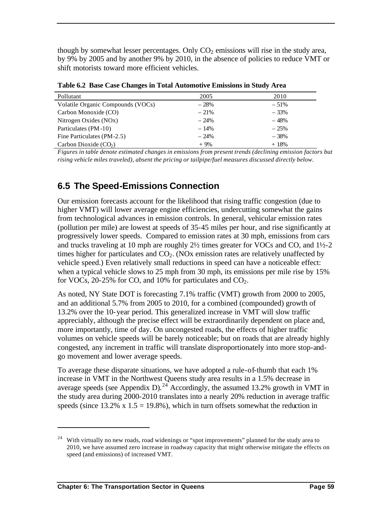though by somewhat lesser percentages. Only  $CO<sub>2</sub>$  emissions will rise in the study area, by 9% by 2005 and by another 9% by 2010, in the absence of policies to reduce VMT or shift motorists toward more efficient vehicles.

| Pollutant                         | 2005   | 2010   |
|-----------------------------------|--------|--------|
| Volatile Organic Compounds (VOCs) | $-28%$ | $-51%$ |
| Carbon Monoxide (CO)              | $-21%$ | $-33%$ |
| Nitrogen Oxides (NOx)             | $-24%$ | $-48%$ |
| Particulates (PM-10)              | $-14%$ | $-25%$ |
| Fine Particulates (PM-2.5)        | $-24%$ | $-38%$ |
| Carbon Dioxide $(CO2)$            | $+9%$  | $+18%$ |

**Table 6.2 Base Case Changes in Total Automotive Emissions in Study Area**

*Figures in table denote estimated changes in emissions from present trends (declining emission factors but rising vehicle miles traveled), absent the pricing or tailpipe/fuel measures discussed directly below.*

## **6.5 The Speed-Emissions Connection**

Our emission forecasts account for the likelihood that rising traffic congestion (due to higher VMT) will lower average engine efficiencies, undercutting somewhat the gains from technological advances in emission controls. In general, vehicular emission rates (pollution per mile) are lowest at speeds of 35-45 miles per hour, and rise significantly at progressively lower speeds. Compared to emission rates at 30 mph, emissions from cars and trucks traveling at 10 mph are roughly 2½ times greater for VOCs and CO, and 1½-2 times higher for particulates and  $CO<sub>2</sub>$ . (NOx emission rates are relatively unaffected by vehicle speed.) Even relatively small reductions in speed can have a noticeable effect: when a typical vehicle slows to 25 mph from 30 mph, its emissions per mile rise by 15% for VOCs, 20-25% for CO, and 10% for particulates and  $CO<sub>2</sub>$ .

As noted, NY State DOT is forecasting 7.1% traffic (VMT) growth from 2000 to 2005, and an additional 5.7% from 2005 to 2010, for a combined (compounded) growth of 13.2% over the 10-year period. This generalized increase in VMT will slow traffic appreciably, although the precise effect will be extraordinarily dependent on place and, more importantly, time of day. On uncongested roads, the effects of higher traffic volumes on vehicle speeds will be barely noticeable; but on roads that are already highly congested, any increment in traffic will translate disproportionately into more stop-andgo movement and lower average speeds.

To average these disparate situations, we have adopted a rule-of-thumb that each 1% increase in VMT in the Northwest Queens study area results in a 1.5% decrease in average speeds (see Appendix D).<sup>24</sup> Accordingly, the assumed 13.2% growth in VMT in the study area during 2000-2010 translates into a nearly 20% reduction in average traffic speeds (since  $13.2\%$  x  $1.5 = 19.8\%$ ), which in turn offsets somewhat the reduction in

<sup>&</sup>lt;sup>24</sup> With virtually no new roads, road widenings or "spot improvements" planned for the study area to 2010, we have assumed zero increase in roadway capacity that might otherwise mitigate the effects on speed (and emissions) of increased VMT.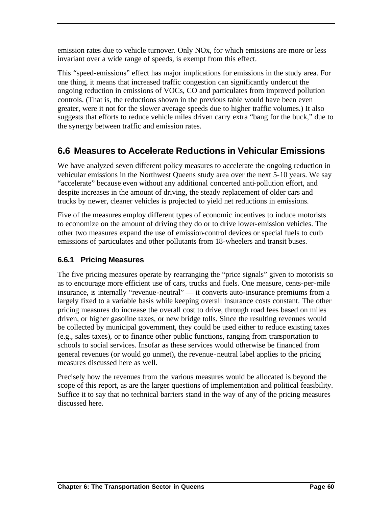emission rates due to vehicle turnover. Only NOx, for which emissions are more or less invariant over a wide range of speeds, is exempt from this effect.

This "speed-emissions" effect has major implications for emissions in the study area. For one thing, it means that increased traffic congestion can significantly undercut the ongoing reduction in emissions of VOCs, CO and particulates from improved pollution controls. (That is, the reductions shown in the previous table would have been even greater, were it not for the slower average speeds due to higher traffic volumes.) It also suggests that efforts to reduce vehicle miles driven carry extra "bang for the buck," due to the synergy between traffic and emission rates.

# **6.6 Measures to Accelerate Reductions in Vehicular Emissions**

We have analyzed seven different policy measures to accelerate the ongoing reduction in vehicular emissions in the Northwest Queens study area over the next 5-10 years. We say "accelerate" because even without any additional concerted anti-pollution effort, and despite increases in the amount of driving, the steady replacement of older cars and trucks by newer, cleaner vehicles is projected to yield net reductions in emissions.

Five of the measures employ different types of economic incentives to induce motorists to economize on the amount of driving they do or to drive lower-emission vehicles. The other two measures expand the use of emission-control devices or special fuels to curb emissions of particulates and other pollutants from 18-wheelers and transit buses.

## **6.6.1 Pricing Measures**

The five pricing measures operate by rearranging the "price signals" given to motorists so as to encourage more efficient use of cars, trucks and fuels. One measure, cents-per-mile insurance, is internally "revenue-neutral" — it converts auto-insurance premiums from a largely fixed to a variable basis while keeping overall insurance costs constant. The other pricing measures do increase the overall cost to drive, through road fees based on miles driven, or higher gasoline taxes, or new bridge tolls. Since the resulting revenues would be collected by municipal government, they could be used either to reduce existing taxes (e.g., sales taxes), or to finance other public functions, ranging from transportation to schools to social services. Insofar as these services would otherwise be financed from general revenues (or would go unmet), the revenue-neutral label applies to the pricing measures discussed here as well.

Precisely how the revenues from the various measures would be allocated is beyond the scope of this report, as are the larger questions of implementation and political feasibility. Suffice it to say that no technical barriers stand in the way of any of the pricing measures discussed here.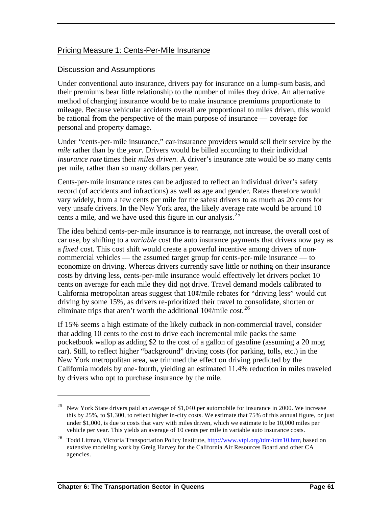#### Pricing Measure 1: Cents-Per-Mile Insurance

#### Discussion and Assumptions

Under conventional auto insurance, drivers pay for insurance on a lump-sum basis, and their premiums bear little relationship to the number of miles they drive. An alternative method of charging insurance would be to make insurance premiums proportionate to mileage. Because vehicular accidents overall are proportional to miles driven, this would be rational from the perspective of the main purpose of insurance — coverage for personal and property damage.

Under "cents-per-mile insurance," car-insurance providers would sell their service by the *mile* rather than by the *year*. Drivers would be billed according to their individual *insurance rate* times their *miles driven*. A driver's insurance rate would be so many cents per mile, rather than so many dollars per year.

Cents-per-mile insurance rates can be adjusted to reflect an individual driver's safety record (of accidents and infractions) as well as age and gender. Rates therefore would vary widely, from a few cents per mile for the safest drivers to as much as 20 cents for very unsafe drivers. In the New York area, the likely average rate would be around 10 cents a mile, and we have used this figure in our analysis. $2<sup>5</sup>$ 

The idea behind cents-per-mile insurance is to rearrange, not increase, the overall cost of car use, by shifting to a *variable* cost the auto insurance payments that drivers now pay as a *fixed* cost. This cost shift would create a powerful incentive among drivers of noncommercial vehicles — the assumed target group for cents-per-mile insurance — to economize on driving. Whereas drivers currently save little or nothing on their insurance costs by driving less, cents-per-mile insurance would effectively let drivers pocket 10 cents on average for each mile they did not drive. Travel demand models calibrated to California metropolitan areas suggest that  $10¢$  mile rebates for "driving less" would cut driving by some 15%, as drivers re-prioritized their travel to consolidate, shorten or eliminate trips that aren't worth the additional  $10\frac{\varphi}{\text{mile cost}}^{26}$ 

If 15% seems a high estimate of the likely cutback in non-commercial travel, consider that adding 10 cents to the cost to drive each incremental mile packs the same pocketbook wallop as adding \$2 to the cost of a gallon of gasoline (assuming a 20 mpg car). Still, to reflect higher "background" driving costs (for parking, tolls, etc.) in the New York metropolitan area, we trimmed the effect on driving predicted by the California models by one-fourth, yielding an estimated 11.4% reduction in miles traveled by drivers who opt to purchase insurance by the mile.

<sup>&</sup>lt;sup>25</sup> New York State drivers paid an average of \$1,040 per automobile for insurance in 2000. We increase this by 25%, to \$1,300, to reflect higher in-city costs. We estimate that 75% of this annual figure, or just under \$1,000, is due to costs that vary with miles driven, which we estimate to be 10,000 miles per vehicle per year. This yields an average of 10 cents per mile in variable auto insurance costs.

<sup>&</sup>lt;sup>26</sup> Todd Litman, Victoria Transportation Policy Institute, http://www.vtpi.org/tdm/tdm10.htm, based on extensive modeling work by Greig Harvey for the California Air Resources Board and other CA agencies.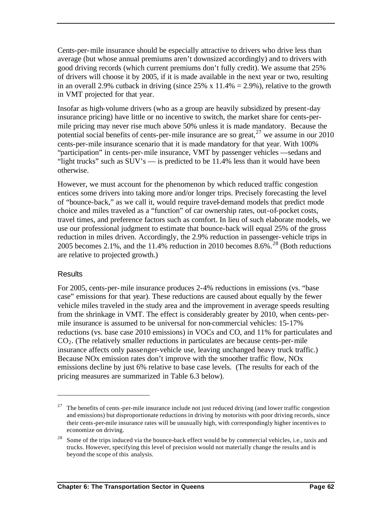Cents-per-mile insurance should be especially attractive to drivers who drive less than average (but whose annual premiums aren't downsized accordingly) and to drivers with good driving records (which current premiums don't fully credit). We assume that 25% of drivers will choose it by 2005, if it is made available in the next year or two, resulting in an overall 2.9% cutback in driving (since  $25\%$  x 11.4% = 2.9%), relative to the growth in VMT projected for that year.

Insofar as high-volume drivers (who as a group are heavily subsidized by present-day insurance pricing) have little or no incentive to switch, the market share for cents-permile pricing may never rise much above 50% unless it is made mandatory. Because the potential social benefits of cents-per-mile insurance are so great,  $27$  we assume in our 2010 cents-per-mile insurance scenario that it is made mandatory for that year. With 100% "participation" in cents-per-mile insurance, VMT by passenger vehicles —sedans and "light trucks" such as SUV's — is predicted to be 11.4% less than it would have been otherwise.

However, we must account for the phenomenon by which reduced traffic congestion entices some drivers into taking more and/or longer trips. Precisely forecasting the level of "bounce-back," as we call it, would require travel-demand models that predict mode choice and miles traveled as a "function" of car ownership rates, out-of-pocket costs, travel times, and preference factors such as comfort. In lieu of such elaborate models, we use our professional judgment to estimate that bounce-back will equal 25% of the gross reduction in miles driven. Accordingly, the 2.9% reduction in passenger-vehicle trips in 2005 becomes 2.1%, and the 11.4% reduction in 2010 becomes  $8.6\%$ <sup>28</sup> (Both reductions are relative to projected growth.)

#### **Results**

 $\overline{a}$ 

For 2005, cents-per-mile insurance produces 2-4% reductions in emissions (vs. "base case" emissions for that year). These reductions are caused about equally by the fewer vehicle miles traveled in the study area and the improvement in average speeds resulting from the shrinkage in VMT. The effect is considerably greater by 2010, when cents-permile insurance is assumed to be universal for non-commercial vehicles: 15-17% reductions (vs. base case 2010 emissions) in VOCs and CO, and 11% for particulates and  $CO<sub>2</sub>$ . (The relatively smaller reductions in particulates are because cents-per-mile insurance affects only passenger-vehicle use, leaving unchanged heavy truck traffic.) Because NOx emission rates don't improve with the smoother traffic flow, NOx emissions decline by just 6% relative to base case levels. (The results for each of the pricing measures are summarized in Table 6.3 below).

<sup>&</sup>lt;sup>27</sup> The benefits of cents-per-mile insurance include not just reduced driving (and lower traffic congestion and emissions) but disproportionate reductions in driving by motorists with poor driving records, since their cents-per-mile insurance rates will be unusually high, with correspondingly higher incentives to economize on driving.

<sup>&</sup>lt;sup>28</sup> Some of the trips induced via the bounce-back effect would be by commercial vehicles, i.e., taxis and trucks. However, specifying this level of precision would not materially change the results and is beyond the scope of this analysis.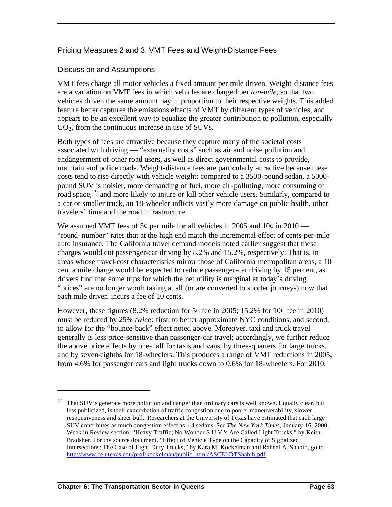### Pricing Measures 2 and 3: VMT Fees and Weight-Distance Fees

#### Discussion and Assumptions

VMT fees charge all motor vehicles a fixed amount per mile driven. Weight-distance fees are a variation on VMT fees in which vehicles are charged per *ton-mile*, so that two vehicles driven the same amount pay in proportion to their respective weights. This added feature better captures the emissions effects of VMT by different types of vehicles, and appears to be an excellent way to equalize the greater contribution to pollution, especially  $CO<sub>2</sub>$ , from the continuous increase in use of SUVs.

Both types of fees are attractive because they capture many of the societal costs associated with driving — "externality costs" such as air and noise pollution and endangerment of other road users, as well as direct governmental costs to provide, maintain and police roads. Weight-distance fees are particularly attractive because these costs tend to rise directly with vehicle weight: compared to a 3500-pound sedan, a 5000 pound SUV is noisier, more demanding of fuel, more air-polluting, more consuming of road space,  $29$  and more likely to injure or kill other vehicle users. Similarly, compared to a car or smaller truck, an 18-wheeler inflicts vastly more damage on public health, other travelers' time and the road infrastructure.

We assumed VMT fees of  $5¢$  per mile for all vehicles in 2005 and  $10¢$  in 2010 — "round-number" rates that at the high end match the incremental effect of cents-per-mile auto insurance. The California travel demand models noted earlier suggest that these charges would cut passenger-car driving by 8.2% and 15.2%, respectively. That is, in areas whose travel-cost characteristics mirror those of California metropolitan areas, a 10 cent a mile charge would be expected to reduce passenger-car driving by 15 percent, as drivers find that some trips for which the net utility is marginal at today's driving "prices" are no longer worth taking at all (or are converted to shorter journeys) now that each mile driven incurs a fee of 10 cents.

However, these figures (8.2% reduction for  $5¢$  fee in 2005; 15.2% for 10 $¢$  fee in 2010) must be reduced by 25% *twice*: first, to better approximate NYC conditions, and second, to allow for the "bounce-back" effect noted above. Moreover, taxi and truck travel generally is less price-sensitive than passenger-car travel; accordingly, we further reduce the above price effects by one-half for taxis and vans, by three-quarters for large trucks, and by seven-eighths for 18-wheelers. This produces a range of VMT reductions in 2005, from 4.6% for passenger cars and light trucks down to 0.6% for 18-wheelers. For 2010,

 $29$  That SUV's generate more pollution and danger than ordinary cars is well known. Equally clear, but less publicized, is their exacerbation of traffic congestion due to poorer maneuverability, slower responsiveness and sheer bulk. Researchers at the University of Texas have estimated that each large SUV contributes as much congestion effect as 1.4 sedans. See *The New York Times*, January 16, 2000, Week in Review section, "Heavy Traffic; No Wonder S.U.V.'s Are Called Light Trucks," by Keith Bradsher. For the source document, "Effect of Vehicle Type on the Capacity of Signalized Intersections: The Case of Light-Duty Trucks," by Kara M. Kockelman and Raheel A. Shabih, go to http://www.ce.utexas.edu/prof/kockelman/public\_html/ASCELDTShabih.pdf.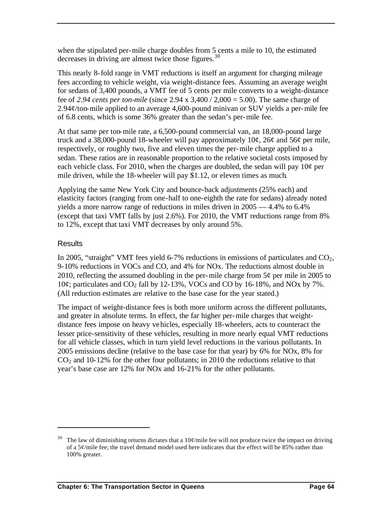when the stipulated per-mile charge doubles from 5 cents a mile to 10, the estimated decreases in driving are almost twice those figures.  $30$ 

This nearly 8-fold range in VMT reductions is itself an argument for charging mileage fees according to vehicle weight, via weight-distance fees. Assuming an average weight for sedans of 3,400 pounds, a VMT fee of 5 cents per mile converts to a weight-distance fee of *2.94 cents per ton-mile* (since 2.94 x 3,400 / 2,000 = 5.00). The same charge of 2.94 $\varphi$ /ton-mile applied to an average 4,600-pound minivan or SUV yields a per-mile fee of 6.8 cents, which is some 36% greater than the sedan's per-mile fee.

At that same per ton-mile rate, a 6,500-pound commercial van, an 18,000-pound large truck and a 38,000-pound 18-wheeler will pay approximately  $10¢$ ,  $26¢$  and  $56¢$  per mile, respectively, or roughly two, five and eleven times the per-mile charge applied to a sedan. These ratios are in reasonable proportion to the relative societal costs imposed by each vehicle class. For 2010, when the charges are doubled, the sedan will pay  $10¢$  per mile driven, while the 18-wheeler will pay \$1.12, or eleven times as much.

Applying the same New York City and bounce-back adjustments (25% each) and elasticity factors (ranging from one-half to one-eighth the rate for sedans) already noted yields a more narrow range of reductions in miles driven in 2005 — 4.4% to 6.4% (except that taxi VMT falls by just 2.6%). For 2010, the VMT reductions range from 8% to 12%, except that taxi VMT decreases by only around 5%.

#### **Results**

 $\overline{a}$ 

In 2005, "straight" VMT fees yield 6-7% reductions in emissions of particulates and  $CO<sub>2</sub>$ , 9-10% reductions in VOCs and CO, and 4% for NOx. The reductions almost double in 2010, reflecting the assumed doubling in the per-mile charge from  $5¢$  per mile in 2005 to 10 $\varphi$ ; particulates and CO<sub>2</sub> fall by 12-13%, VOCs and CO by 16-18%, and NO<sub>x</sub> by 7%. (All reduction estimates are relative to the base case for the year stated.)

The impact of weight-distance fees is both more uniform across the different pollutants, and greater in absolute terms. In effect, the far higher per-mile charges that weightdistance fees impose on heavy vehicles, especially 18-wheelers, acts to counteract the lesser price-sensitivity of these vehicles, resulting in more nearly equal VMT reductions for all vehicle classes, which in turn yield level reductions in the various pollutants. In 2005 emissions decline (relative to the base case for that year) by 6% for NOx, 8% for  $CO<sub>2</sub>$  and 10-12% for the other four pollutants; in 2010 the reductions relative to that year's base case are 12% for NOx and 16-21% for the other pollutants.

The law of diminishing returns dictates that a  $10¢$  mile fee will not produce twice the impact on driving of a  $5¢$ /mile fee; the travel demand model used here indicates that the effect will be 85% rather than 100% greater.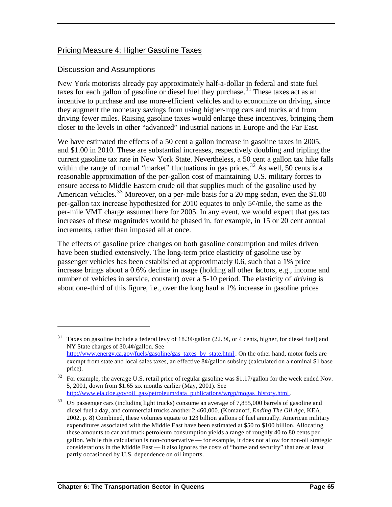#### Pricing Measure 4: Higher Gasoline Taxes

#### Discussion and Assumptions

 $\overline{a}$ 

New York motorists already pay approximately half-a-dollar in federal and state fuel taxes for each gallon of gasoline or diesel fuel they purchase.<sup>31</sup> These taxes act as an incentive to purchase and use more-efficient vehicles and to economize on driving, since they augment the monetary savings from using higher-mpg cars and trucks and from driving fewer miles. Raising gasoline taxes would enlarge these incentives, bringing them closer to the levels in other "advanced" industrial nations in Europe and the Far East.

We have estimated the effects of a 50 cent a gallon increase in gasoline taxes in 2005, and \$1.00 in 2010. These are substantial increases, respectively doubling and tripling the current gasoline tax rate in New York State. Nevertheless, a 50 cent a gallon tax hike falls within the range of normal "market" fluctuations in gas prices.<sup>32</sup> As well, 50 cents is a reasonable approximation of the per-gallon cost of maintaining U.S. military forces to ensure access to Middle Eastern crude oil that supplies much of the gasoline used by American vehicles.<sup>33</sup> Moreover, on a per-mile basis for a 20 mpg sedan, even the  $$1.00$ per-gallon tax increase hypothesized for 2010 equates to only 5¢/mile, the same as the per-mile VMT charge assumed here for 2005. In any event, we would expect that gas tax increases of these magnitudes would be phased in, for example, in 15 or 20 cent annual increments, rather than imposed all at once.

The effects of gasoline price changes on both gasoline consumption and miles driven have been studied extensively. The long-term price elasticity of gasoline use by passenger vehicles has been established at approximately 0.6, such that a 1% price increase brings about a 0.6% decline in usage (holding all other factors, e.g., income and number of vehicles in service, constant) over a 5-10 period. The elasticity of *driving* is about one-third of this figure, i.e., over the long haul a 1% increase in gasoline prices

<sup>&</sup>lt;sup>31</sup> Taxes on gasoline include a federal levy of  $18.3¢$ /gallon (22.3¢, or 4 cents, higher, for diesel fuel) and NY State charges of 30.4¢/gallon. See http://www.energy.ca.gov/fuels/gasoline/gas\_taxes\_by\_state.html . On the other hand, motor fuels are exempt from state and local sales taxes, an effective  $8\phi$ /gallon subsidy (calculated on a nominal \$1 base price).

 $32$  For example, the average U.S. retail price of regular gasoline was \$1.17/gallon for the week ended Nov. 5, 2001, down from \$1.65 six months earlier (May, 2001). See http://www.eia.doe.gov/oil\_gas/petroleum/data\_publications/wrgp/mogas\_history.html.

<sup>&</sup>lt;sup>33</sup> US passenger cars (including light trucks) consume an average of 7,855,000 barrels of gasoline and diesel fuel a day, and commercial trucks another 2,460,000. (Komanoff, *Ending The Oil Age*, KEA, 2002, p. 8) Combined, these volumes equate to 123 billion gallons of fuel annually. American military expenditures associated with the Middle East have been estimated at \$50 to \$100 billion. Allocating these amounts to car and truck petroleum consumption yields a range of roughly 40 to 80 cents per gallon. While this calculation is non-conservative — for example, it does not allow for non-oil strategic considerations in the Middle East — it also ignores the costs of "homeland security" that are at least partly occasioned by U.S. dependence on oil imports.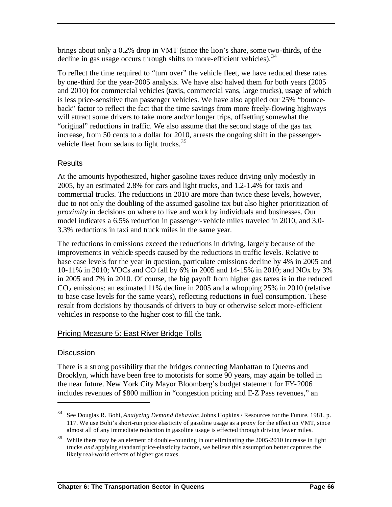brings about only a 0.2% drop in VMT (since the lion's share, some two-thirds, of the decline in gas usage occurs through shifts to more-efficient vehicles).  $34$ 

To reflect the time required to "turn over" the vehicle fleet, we have reduced these rates by one-third for the year-2005 analysis. We have also halved them for both years (2005 and 2010) for commercial vehicles (taxis, commercial vans, large trucks), usage of which is less price-sensitive than passenger vehicles. We have also applied our 25% "bounceback" factor to reflect the fact that the time savings from more freely-flowing highways will attract some drivers to take more and/or longer trips, offsetting somewhat the "original" reductions in traffic. We also assume that the second stage of the gas tax increase, from 50 cents to a dollar for 2010, arrests the ongoing shift in the passengervehicle fleet from sedans to light trucks.<sup>35</sup>

#### **Results**

At the amounts hypothesized, higher gasoline taxes reduce driving only modestly in 2005, by an estimated 2.8% for cars and light trucks, and 1.2-1.4% for taxis and commercial trucks. The reductions in 2010 are more than twice these levels, however, due to not only the doubling of the assumed gasoline tax but also higher prioritization of *proximity* in decisions on where to live and work by individuals and businesses. Our model indicates a 6.5% reduction in passenger-vehicle miles traveled in 2010, and 3.0- 3.3% reductions in taxi and truck miles in the same year.

The reductions in emissions exceed the reductions in driving, largely because of the improvements in vehicle speeds caused by the reductions in traffic levels. Relative to base case levels for the year in question, particulate emissions decline by 4% in 2005 and 10-11% in 2010; VOCs and CO fall by 6% in 2005 and 14-15% in 2010; and NOx by 3% in 2005 and 7% in 2010. Of course, the big payoff from higher gas taxes is in the reduced  $CO<sub>2</sub>$  emissions: an estimated 11% decline in 2005 and a whopping 25% in 2010 (relative to base case levels for the same years), reflecting reductions in fuel consumption. These result from decisions by thousands of drivers to buy or otherwise select more-efficient vehicles in response to the higher cost to fill the tank.

#### Pricing Measure 5: East River Bridge Tolls

#### **Discussion**

 $\overline{a}$ 

There is a strong possibility that the bridges connecting Manhattan to Queens and Brooklyn, which have been free to motorists for some 90 years, may again be tolled in the near future. New York City Mayor Bloomberg's budget statement for FY-2006 includes revenues of \$800 million in "congestion pricing and E-Z Pass revenues," an

<sup>34</sup> See Douglas R. Bohi, *Analyzing Demand Behavior*, Johns Hopkins / Resources for the Future, 1981, p. 117. We use Bohi's short-run price elasticity of gasoline usage as a proxy for the effect on VMT, since almost all of any immediate reduction in gasoline usage is effected through driving fewer miles.

<sup>&</sup>lt;sup>35</sup> While there may be an element of double-counting in our eliminating the 2005-2010 increase in light trucks *and* applying standard price-elasticity factors, we believe this assumption better captures the likely real-world effects of higher gas taxes.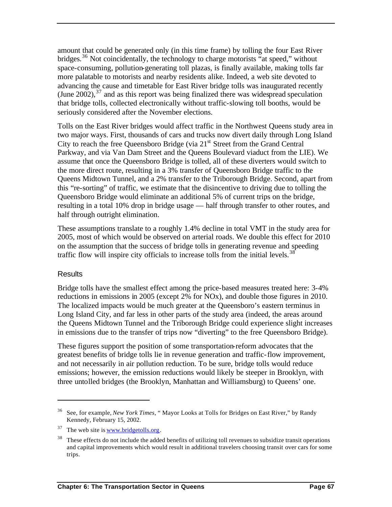amount that could be generated only (in this time frame) by tolling the four East River bridges.<sup>36</sup> Not coincidentally, the technology to charge motorists "at speed," without space-consuming, pollution-generating toll plazas, is finally available, making tolls far more palatable to motorists and nearby residents alike. Indeed, a web site devoted to advancing the cause and timetable for East River bridge tolls was inaugurated recently (June 2002),  $37$  and as this report was being finalized there was widespread speculation that bridge tolls, collected electronically without traffic-slowing toll booths, would be seriously considered after the November elections.

Tolls on the East River bridges would affect traffic in the Northwest Queens study area in two major ways. First, thousands of cars and trucks now divert daily through Long Island City to reach the free Queensboro Bridge (via  $21<sup>st</sup>$  Street from the Grand Central Parkway, and via Van Dam Street and the Queens Boulevard viaduct from the LIE). We assume that once the Queensboro Bridge is tolled, all of these diverters would switch to the more direct route, resulting in a 3% transfer of Queensboro Bridge traffic to the Queens Midtown Tunnel, and a 2% transfer to the Triborough Bridge. Second, apart from this "re-sorting" of traffic, we estimate that the disincentive to driving due to tolling the Queensboro Bridge would eliminate an additional 5% of current trips on the bridge, resulting in a total 10% drop in bridge usage — half through transfer to other routes, and half through outright elimination.

These assumptions translate to a roughly 1.4% decline in total VMT in the study area for 2005, most of which would be observed on arterial roads. We double this effect for 2010 on the assumption that the success of bridge tolls in generating revenue and speeding traffic flow will inspire city officials to increase tolls from the initial levels.<sup>38</sup>

#### **Results**

 $\overline{a}$ 

Bridge tolls have the smallest effect among the price-based measures treated here: 3-4% reductions in emissions in 2005 (except 2% for NOx), and double those figures in 2010. The localized impacts would be much greater at the Queensboro's eastern terminus in Long Island City, and far less in other parts of the study area (indeed, the areas around the Queens Midtown Tunnel and the Triborough Bridge could experience slight increases in emissions due to the transfer of trips now "diverting" to the free Queensboro Bridge).

These figures support the position of some transportation-reform advocates that the greatest benefits of bridge tolls lie in revenue generation and traffic-flow improvement, and not necessarily in air pollution reduction. To be sure, bridge tolls would reduce emissions; however, the emission reductions would likely be steeper in Brooklyn, with three untolled bridges (the Brooklyn, Manhattan and Williamsburg) to Queens' one.

<sup>36</sup> See, for example, *New York Times*, " Mayor Looks at Tolls for Bridges on East River," by Randy Kennedy, February 15, 2002.

 $37$  The web site is www.bridgetolls.org.

<sup>&</sup>lt;sup>38</sup> These effects do not include the added benefits of utilizing toll revenues to subsidize transit operations and capital improvements which would result in additional travelers choosing transit over cars for some trips.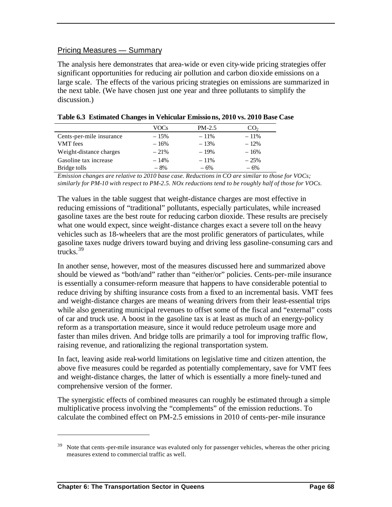#### Pricing Measures — Summary

The analysis here demonstrates that area-wide or even city-wide pricing strategies offer significant opportunities for reducing air pollution and carbon dioxide emissions on a large scale. The effects of the various pricing strategies on emissions are summarized in the next table. (We have chosen just one year and three pollutants to simplify the discussion.)

|                          | VOCs   | $PM-2.5$ | CO2     |
|--------------------------|--------|----------|---------|
| Cents-per-mile insurance | $-15%$ | $-11\%$  | $-11%$  |
| <b>VMT</b> fees          | $-16%$ | $-13%$   | $-12\%$ |
| Weight-distance charges  | $-21%$ | $-19%$   | $-16%$  |
| Gasoline tax increase    | $-14%$ | $-11\%$  | $-25%$  |
| Bridge tolls             | $-8%$  | $-6%$    | $-6%$   |

**Table 6.3 Estimated Changes in Vehicular Emissions, 2010 vs. 2010 Base Case**

*Emission changes are relative to 2010 base case. Reductions in CO are similar to those for VOCs; similarly for PM-10 with respect to PM-2.5. NOx reductions tend to be roughly half of those for VOCs.*

The values in the table suggest that weight-distance charges are most effective in reducing emissions of "traditional" pollutants, especially particulates, while increased gasoline taxes are the best route for reducing carbon dioxide. These results are precisely what one would expect, since weight-distance charges exact a severe toll on the heavy vehicles such as 18-wheelers that are the most prolific generators of particulates, while gasoline taxes nudge drivers toward buying and driving less gasoline-consuming cars and  $t$ rucks<sup>39</sup>

In another sense, however, most of the measures discussed here and summarized above should be viewed as "both/and" rather than "either/or" policies. Cents-per-mile insurance is essentially a consumer-reform measure that happens to have considerable potential to reduce driving by shifting insurance costs from a fixed to an incremental basis. VMT fees and weight-distance charges are means of weaning drivers from their least-essential trips while also generating municipal revenues to offset some of the fiscal and "external" costs of car and truck use. A boost in the gasoline tax is at least as much of an energy-policy reform as a transportation measure, since it would reduce petroleum usage more and faster than miles driven. And bridge tolls are primarily a tool for improving traffic flow, raising revenue, and rationalizing the regional transportation system.

In fact, leaving aside real-world limitations on legislative time and citizen attention, the above five measures could be regarded as potentially complementary, save for VMT fees and weight-distance charges, the latter of which is essentially a more finely-tuned and comprehensive version of the former.

The synergistic effects of combined measures can roughly be estimated through a simple multiplicative process involving the "complements" of the emission reductions. To calculate the combined effect on PM-2.5 emissions in 2010 of cents-per-mile insurance

Note that cents-per-mile insurance was evaluted only for passenger vehicles, whereas the other pricing measures extend to commercial traffic as well.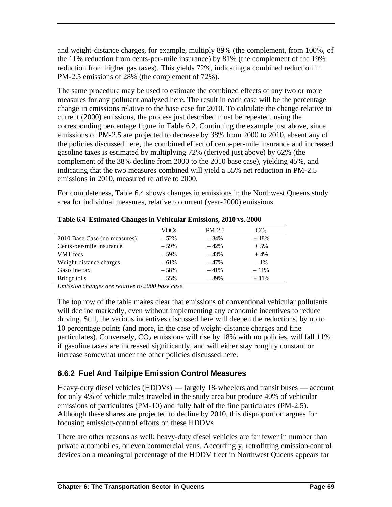and weight-distance charges, for example, multiply 89% (the complement, from 100%, of the 11% reduction from cents-per-mile insurance) by 81% (the complement of the 19% reduction from higher gas taxes). This yields 72%, indicating a combined reduction in PM-2.5 emissions of 28% (the complement of 72%).

The same procedure may be used to estimate the combined effects of any two or more measures for any pollutant analyzed here. The result in each case will be the percentage change in emissions relative to the base case for 2010. To calculate the change relative to current (2000) emissions, the process just described must be repeated, using the corresponding percentage figure in Table 6.2. Continuing the example just above, since emissions of PM-2.5 are projected to decrease by 38% from 2000 to 2010, absent any of the policies discussed here, the combined effect of cents-per-mile insurance and increased gasoline taxes is estimated by multiplying 72% (derived just above) by 62% (the complement of the 38% decline from 2000 to the 2010 base case), yielding 45%, and indicating that the two measures combined will yield a 55% net reduction in PM-2.5 emissions in 2010, measured relative to 2000.

For completeness, Table 6.4 shows changes in emissions in the Northwest Queens study area for individual measures, relative to current (year-2000) emissions.

|                              | VOCs   | $PM-2.5$ | CO <sub>2</sub> |
|------------------------------|--------|----------|-----------------|
| 2010 Base Case (no measures) | $-52%$ | $-34%$   | $+18%$          |
| Cents-per-mile insurance     | $-59%$ | $-42%$   | $+5%$           |
| <b>VMT</b> fees              | $-59%$ | $-43%$   | $+4%$           |
| Weight-distance charges      | $-61%$ | $-47%$   | $-1\%$          |
| Gasoline tax                 | $-58%$ | $-41%$   | $-11%$          |
| Bridge tolls                 | $-55%$ | $-39%$   | $+11%$          |

**Table 6.4 Estimated Changes in Vehicular Emissions, 2010 vs. 2000**

*Emission changes are relative to 2000 base case.*

The top row of the table makes clear that emissions of conventional vehicular pollutants will decline markedly, even without implementing any economic incentives to reduce driving. Still, the various incentives discussed here will deepen the reductions, by up to 10 percentage points (and more, in the case of weight-distance charges and fine particulates). Conversely,  $CO<sub>2</sub>$  emissions will rise by 18% with no policies, will fall 11% if gasoline taxes are increased significantly, and will either stay roughly constant or increase somewhat under the other policies discussed here.

## **6.6.2 Fuel And Tailpipe Emission Control Measures**

Heavy-duty diesel vehicles (HDDVs) — largely 18-wheelers and transit buses — account for only 4% of vehicle miles traveled in the study area but produce 40% of vehicular emissions of particulates (PM-10) and fully half of the fine particulates (PM-2.5). Although these shares are projected to decline by 2010, this disproportion argues for focusing emission-control efforts on these HDDVs

There are other reasons as well: heavy-duty diesel vehicles are far fewer in number than private automobiles, or even commercial vans. Accordingly, retrofitting emission-control devices on a meaningful percentage of the HDDV fleet in Northwest Queens appears far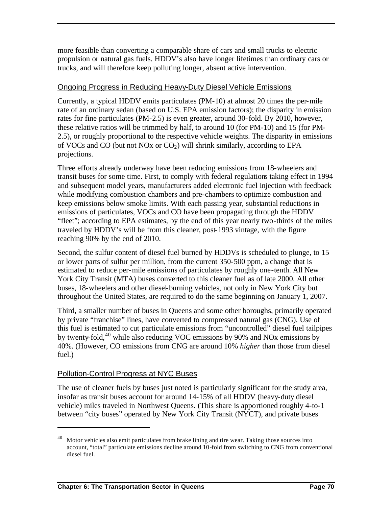more feasible than converting a comparable share of cars and small trucks to electric propulsion or natural gas fuels. HDDV's also have longer lifetimes than ordinary cars or trucks, and will therefore keep polluting longer, absent active intervention.

#### Ongoing Progress in Reducing Heavy-Duty Diesel Vehicle Emissions

Currently, a typical HDDV emits particulates (PM-10) at almost 20 times the per-mile rate of an ordinary sedan (based on U.S. EPA emission factors); the disparity in emission rates for fine particulates (PM-2.5) is even greater, around 30-fold. By 2010, however, these relative ratios will be trimmed by half, to around 10 (for PM-10) and 15 (for PM-2.5), or roughly proportional to the respective vehicle weights. The disparity in emissions of VOCs and CO (but not NOx or  $CO<sub>2</sub>$ ) will shrink similarly, according to EPA projections.

Three efforts already underway have been reducing emissions from 18-wheelers and transit buses for some time. First, to comply with federal regulations taking effect in 1994 and subsequent model years, manufacturers added electronic fuel injection with feedback while modifying combustion chambers and pre-chambers to optimize combustion and keep emissions below smoke limits. With each passing year, substantial reductions in emissions of particulates, VOCs and CO have been propagating through the HDDV "fleet"; according to EPA estimates, by the end of this year nearly two-thirds of the miles traveled by HDDV's will be from this cleaner, post-1993 vintage, with the figure reaching 90% by the end of 2010.

Second, the sulfur content of diesel fuel burned by HDDVs is scheduled to plunge, to 15 or lower parts of sulfur per million, from the current 350-500 ppm, a change that is estimated to reduce per-mile emissions of particulates by roughly one-tenth. All New York City Transit (MTA) buses converted to this cleaner fuel as of late 2000. All other buses, 18-wheelers and other diesel-burning vehicles, not only in New York City but throughout the United States, are required to do the same beginning on January 1, 2007.

Third, a smaller number of buses in Queens and some other boroughs, primarily operated by private "franchise" lines, have converted to compressed natural gas (CNG). Use of this fuel is estimated to cut particulate emissions from "uncontrolled" diesel fuel tailpipes by twenty-fold,<sup>40</sup> while also reducing VOC emissions by 90% and NOx emissions by 40%. (However, CO emissions from CNG are around 10% *higher* than those from diesel fuel.)

#### Pollution-Control Progress at NYC Buses

 $\overline{a}$ 

The use of cleaner fuels by buses just noted is particularly significant for the study area, insofar as transit buses account for around 14-15% of all HDDV (heavy-duty diesel vehicle) miles traveled in Northwest Queens. (This share is apportioned roughly 4-to-1 between "city buses" operated by New York City Transit (NYCT), and private buses

Motor vehicles also emit particulates from brake lining and tire wear. Taking those sources into account, "total" particulate emissions decline around 10-fold from switching to CNG from conventional diesel fuel.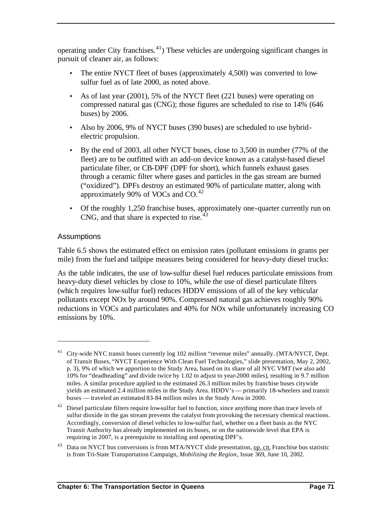operating under City franchises.<sup>41</sup>) These vehicles are undergoing significant changes in pursuit of cleaner air, as follows:

- The entire NYCT fleet of buses (approximately 4,500) was converted to lowsulfur fuel as of late 2000, as noted above.
- As of last year (2001), 5% of the NYCT fleet (221 buses) were operating on compressed natural gas (CNG); those figures are scheduled to rise to 14% (646 buses) by 2006.
- Also by 2006, 9% of NYCT buses (390 buses) are scheduled to use hybridelectric propulsion.
- By the end of 2003, all other NYCT buses, close to 3,500 in number (77% of the fleet) are to be outfitted with an add-on device known as a catalyst-based diesel particulate filter, or CB-DPF (DPF for short), which funnels exhaust gases through a ceramic filter where gases and particles in the gas stream are burned ("oxidized"). DPFs destroy an estimated 90% of particulate matter, along with approximately 90% of VOCs and  $CO.<sup>42</sup>$
- Of the roughly 1,250 franchise buses, approximately one-quarter currently run on CNG, and that share is expected to rise. $43$

#### **Assumptions**

 $\overline{a}$ 

Table 6.5 shows the estimated effect on emission rates (pollutant emissions in grams per mile) from the fuel and tailpipe measures being considered for heavy-duty diesel trucks:

As the table indicates, the use of low-sulfur diesel fuel reduces particulate emissions from heavy-duty diesel vehicles by close to 10%, while the use of diesel particulate filters (which requires low-sulfur fuel) reduces HDDV emissions of all of the key vehicular pollutants except NOx by around 90%. Compressed natural gas achieves roughly 90% reductions in VOCs and particulates and 40% for NOx while unfortunately increasing CO emissions by 10%.

<sup>&</sup>lt;sup>41</sup> City-wide NYC transit buses currently log 102 million "revenue miles" annually. (MTA/NYCT, Dept. of Transit Buses, "NYCT Experience With Clean Fuel Technologies," slide presentation, May 2, 2002, p. 3), 9% of which we apportion to the Study Area, based on its share of all NYC VMT (we also add 10% for "deadheading" and divide twice by 1.02 to adjust to year-2000 miles), resulting in 9.7 million miles. A similar procedure applied to the estimated 26.3 million miles by franchise buses citywide yields an estimated 2.4 million miles in the Study Area. HDDV's — primarily 18-wheelers and transit buses — traveled an estimated 83-84 million miles in the Study Area in 2000.

<sup>&</sup>lt;sup>42</sup> Diesel particulate filters require low-sulfur fuel to function, since anything more than trace levels of sulfur dioxide in the gas stream prevents the catalyst from provoking the necessary chemical reactions. Accordingly, conversion of diesel vehicles to low-sulfur fuel, whether on a fleet basis as the NYC Transit Authority has already implemented on its buses, or on the nationwide level that EPA is requiring in 2007, is a prerequisite to installing and operating DPF's.

Data on NYCT bus conversions is from MTA/NYCT slide presentation, op. cit. Franchise bus statistic is from Tri-State Transportation Campaign, *Mobilizing the Region*, Issue 369, June 10, 2002.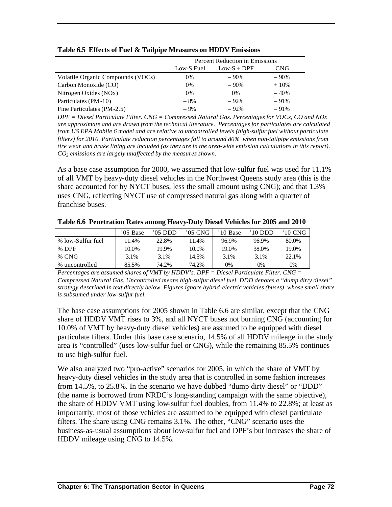|                                   | Percent Reduction in Emissions |               |         |  |
|-----------------------------------|--------------------------------|---------------|---------|--|
|                                   | Low-S Fuel                     | $Low-S + DPF$ | CNG     |  |
| Volatile Organic Compounds (VOCs) | 0%                             | $-90%$        | $-90%$  |  |
| Carbon Monoxide (CO)              | 0%                             | $-90%$        | $+10\%$ |  |
| Nitrogen Oxides (NOx)             | 0%                             | $0\%$         | $-40%$  |  |
| Particulates (PM-10)              | $-8%$                          | $-92%$        | $-91%$  |  |
| Fine Particulates (PM-2.5)        | $-9%$                          | $-92%$        | $-91%$  |  |

#### **Table 6.5 Effects of Fuel & Tailpipe Measures on HDDV Emissions**

*DPF = Diesel Particulate Filter. CNG = Compressed Natural Gas. Percentages for VOCs, CO and NOx are approximate and are drawn from the technical literature. Percentages for particulates are calculated from US EPA Mobile 6 model and are relative to uncontrolled levels (high-sulfur fuel without particulate filters) for 2010. Particulate reduction percentages fall to around 80% when non-tailpipe emissions from tire wear and brake lining are included (as they are in the area-wide emission calculations in this report). CO2 emissions are largely unaffected by the measures shown.*

As a base case assumption for 2000, we assumed that low-sulfur fuel was used for 11.1% of all VMT by heavy-duty diesel vehicles in the Northwest Queens study area (this is the share accounted for by NYCT buses, less the small amount using CNG); and that 1.3% uses CNG, reflecting NYCT use of compressed natural gas along with a quarter of franchise buses.

|                   | '05 Base | '05 DDD | $'05$ CNG | 10 Base | $'10$ DDD | '10 CNG- |
|-------------------|----------|---------|-----------|---------|-----------|----------|
| % low-Sulfur fuel | 11.4%    | 22.8%   | 11.4%     | 96.9%   | 96.9%     | 80.0%    |
| $%$ DPF           | 10.0%    | 19.9%   | 10.0%     | 19.0%   | 38.0%     | 19.0%    |
| $%$ CNG           | 3.1%     | 3.1%    | 14.5%     | 3.1%    | 3.1%      | 22.1%    |
| % uncontrolled    | 85.5%    | 74.2%   | 74.2%     | 9%      | 0%        | 0%       |

**Table 6.6 Penetration Rates among Heavy-Duty Diesel Vehicles for 2005 and 2010**

*Percentages are assumed shares of VMT by HDDV's. DPF = Diesel Particulate Filter. CNG = Compressed Natural Gas. Uncontrolled means high-sulfur diesel fuel. DDD denotes a "dump dirty diesel" strategy described in text directly below. Figures ignore hybrid-electric vehicles (buses), whose small share is subsumed under low-sulfur fuel.* 

The base case assumptions for 2005 shown in Table 6.6 are similar, except that the CNG share of HDDV VMT rises to 3%, and all NYCT buses not burning CNG (accounting for 10.0% of VMT by heavy-duty diesel vehicles) are assumed to be equipped with diesel particulate filters. Under this base case scenario, 14.5% of all HDDV mileage in the study area is "controlled" (uses low-sulfur fuel or CNG), while the remaining 85.5% continues to use high-sulfur fuel.

We also analyzed two "pro-active" scenarios for 2005, in which the share of VMT by heavy-duty diesel vehicles in the study area that is controlled in some fashion increases from 14.5%, to 25.8%. In the scenario we have dubbed "dump dirty diesel" or "DDD" (the name is borrowed from NRDC's long-standing campaign with the same objective), the share of HDDV VMT using low-sulfur fuel doubles, from 11.4% to 22.8%; at least as importantly, most of those vehicles are assumed to be equipped with diesel particulate filters. The share using CNG remains 3.1%. The other, "CNG" scenario uses the business-as-usual assumptions about low-sulfur fuel and DPF's but increases the share of HDDV mileage using CNG to 14.5%.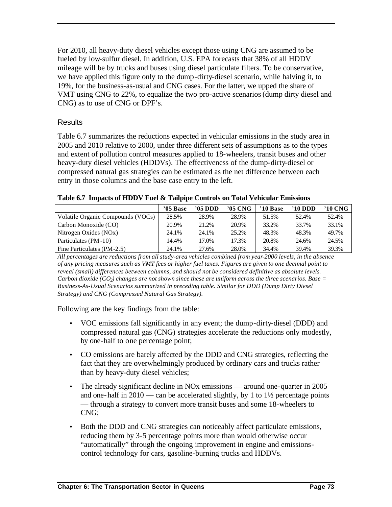For 2010, all heavy-duty diesel vehicles except those using CNG are assumed to be fueled by low-sulfur diesel. In addition, U.S. EPA forecasts that 38% of all HDDV mileage will be by trucks and buses using diesel particulate filters. To be conservative, we have applied this figure only to the dump-dirty-diesel scenario, while halving it, to 19%, for the business-as-usual and CNG cases. For the latter, we upped the share of VMT using CNG to 22%, to equalize the two pro-active scenarios (dump dirty diesel and CNG) as to use of CNG or DPF's.

#### **Results**

Table 6.7 summarizes the reductions expected in vehicular emissions in the study area in 2005 and 2010 relative to 2000, under three different sets of assumptions as to the types and extent of pollution control measures applied to 18-wheelers, transit buses and other heavy-duty diesel vehicles (HDDVs). The effectiveness of the dump-dirty-diesel or compressed natural gas strategies can be estimated as the net difference between each entry in those columns and the base case entry to the left.

**Table 6.7 Impacts of HDDV Fuel & Tailpipe Controls on Total Vehicular Emissions**

|                                   | $'05$ Base | $'05$ DDD | '05 CNG | '10 Base | '10 DDD | '10 CNG |
|-----------------------------------|------------|-----------|---------|----------|---------|---------|
| Volatile Organic Compounds (VOCs) | 28.5%      | 28.9%     | 28.9%   | 51.5%    | 52.4%   | 52.4%   |
| Carbon Monoxide (CO)              | 20.9%      | 21.2%     | 20.9%   | 33.2%    | 33.7%   | 33.1%   |
| Nitrogen Oxides (NOx)             | 24.1%      | 24.1%     | 25.2%   | 48.3%    | 48.3%   | 49.7%   |
| Particulates (PM-10)              | 14.4%      | 17.0%     | 17.3%   | 20.8%    | 24.6%   | 24.5%   |
| Fine Particulates (PM-2.5)        | 24.1%      | 27.6%     | 28.0%   | 34.4%    | 39.4%   | 39.3%   |

*All percentages are reductions from all study-area vehicles combined from year-2000 levels, in the absence of any pricing measures such as VMT fees or higher fuel taxes. Figures are given to one decimal point to reveal (small) differences between columns, and should not be considered definitive as absolute levels. Carbon dioxide (CO2) changes are not shown since these are uniform across the three scenarios. Base = Business-As-Usual Scenarios summarized in preceding table. Similar for DDD (Dump Dirty Diesel Strategy) and CNG (Compressed Natural Gas Strategy).* 

Following are the key findings from the table:

- VOC emissions fall significantly in any event; the dump-dirty-diesel (DDD) and compressed natural gas (CNG) strategies accelerate the reductions only modestly, by one-half to one percentage point;
- CO emissions are barely affected by the DDD and CNG strategies, reflecting the fact that they are overwhelmingly produced by ordinary cars and trucks rather than by heavy-duty diesel vehicles;
- The already significant decline in NO<sub>x</sub> emissions around one-quarter in 2005 and one-half in  $2010$  — can be accelerated slightly, by 1 to  $1\frac{1}{2}$  percentage points — through a strategy to convert more transit buses and some 18-wheelers to CNG;
- Both the DDD and CNG strategies can noticeably affect particulate emissions, reducing them by 3-5 percentage points more than would otherwise occur "automatically" through the ongoing improvement in engine and emissionscontrol technology for cars, gasoline-burning trucks and HDDVs.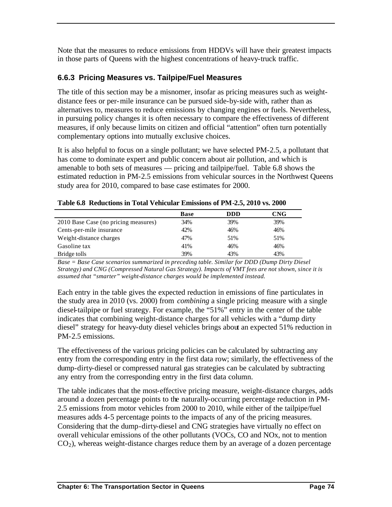Note that the measures to reduce emissions from HDDVs will have their greatest impacts in those parts of Queens with the highest concentrations of heavy-truck traffic.

### **6.6.3 Pricing Measures vs. Tailpipe/Fuel Measures**

The title of this section may be a misnomer, insofar as pricing measures such as weightdistance fees or per-mile insurance can be pursued side-by-side with, rather than as alternatives to, measures to reduce emissions by changing engines or fuels. Nevertheless, in pursuing policy changes it is often necessary to compare the effectiveness of different measures, if only because limits on citizen and official "attention" often turn potentially complementary options into mutually exclusive choices.

It is also helpful to focus on a single pollutant; we have selected PM-2.5, a pollutant that has come to dominate expert and public concern about air pollution, and which is amenable to both sets of measures — pricing and tailpipe/fuel. Table 6.8 shows the estimated reduction in PM-2.5 emissions from vehicular sources in the Northwest Queens study area for 2010, compared to base case estimates for 2000.

|                                      | <b>Base</b> | <b>DDD</b> | CNG |
|--------------------------------------|-------------|------------|-----|
| 2010 Base Case (no pricing measures) | 34%         | 39%        | 39% |
| Cents-per-mile insurance             | 42%         | 46%        | 46% |
| Weight-distance charges              | 47%         | 51%        | 51% |
| Gasoline tax                         | 41%         | 46%        | 46% |
| Bridge tolls                         | 39%         | 43%        | 43% |

**Table 6.8 Reductions in Total Vehicular Emissions of PM-2.5, 2010 vs. 2000**

*Base = Base Case scenarios summarized in preceding table. Similar for DDD (Dump Dirty Diesel Strategy) and CNG (Compressed Natural Gas Strategy). Impacts of VMT fees are not shown, since it is assumed that "smarter" weight-distance charges would be implemented instead.*

Each entry in the table gives the expected reduction in emissions of fine particulates in the study area in 2010 (vs. 2000) from *combining* a single pricing measure with a single diesel-tailpipe or fuel strategy. For example, the "51%" entry in the center of the table indicates that combining weight-distance charges for all vehicles with a "dump dirty diesel" strategy for heavy-duty diesel vehicles brings about an expected 51% reduction in PM-2.5 emissions.

The effectiveness of the various pricing policies can be calculated by subtracting any entry from the corresponding entry in the first data row; similarly, the effectiveness of the dump-dirty-diesel or compressed natural gas strategies can be calculated by subtracting any entry from the corresponding entry in the first data column.

The table indicates that the most-effective pricing measure, weight-distance charges, adds around a dozen percentage points to the naturally-occurring percentage reduction in PM-2.5 emissions from motor vehicles from 2000 to 2010, while either of the tailpipe/fuel measures adds 4-5 percentage points to the impacts of any of the pricing measures. Considering that the dump-dirty-diesel and CNG strategies have virtually no effect on overall vehicular emissions of the other pollutants (VOCs, CO and NOx, not to mention  $CO<sub>2</sub>$ ), whereas weight-distance charges reduce them by an average of a dozen percentage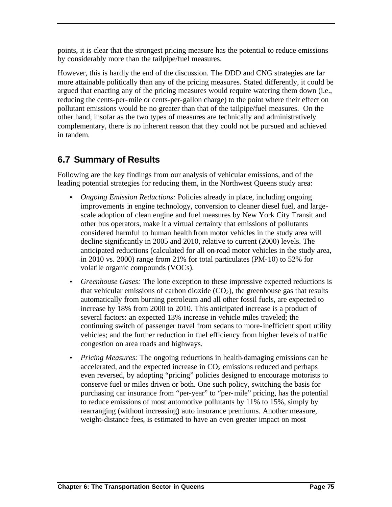points, it is clear that the strongest pricing measure has the potential to reduce emissions by considerably more than the tailpipe/fuel measures.

However, this is hardly the end of the discussion. The DDD and CNG strategies are far more attainable politically than any of the pricing measures. Stated differently, it could be argued that enacting any of the pricing measures would require watering them down (i.e., reducing the cents-per-mile or cents-per-gallon charge) to the point where their effect on pollutant emissions would be no greater than that of the tailpipe/fuel measures. On the other hand, insofar as the two types of measures are technically and administratively complementary, there is no inherent reason that they could not be pursued and achieved in tandem.

# **6.7 Summary of Results**

Following are the key findings from our analysis of vehicular emissions, and of the leading potential strategies for reducing them, in the Northwest Queens study area:

- *Ongoing Emission Reductions:* Policies already in place, including ongoing improvements in engine technology, conversion to cleaner diesel fuel, and largescale adoption of clean engine and fuel measures by New York City Transit and other bus operators, make it a virtual certainty that emissions of pollutants considered harmful to human health from motor vehicles in the study area will decline significantly in 2005 and 2010, relative to current (2000) levels. The anticipated reductions (calculated for all on-road motor vehicles in the study area, in 2010 vs. 2000) range from 21% for total particulates (PM-10) to 52% for volatile organic compounds (VOCs).
- *Greenhouse Gases:* The lone exception to these impressive expected reductions is that vehicular emissions of carbon dioxide  $(CO<sub>2</sub>)$ , the greenhouse gas that results automatically from burning petroleum and all other fossil fuels, are expected to increase by 18% from 2000 to 2010. This anticipated increase is a product of several factors: an expected 13% increase in vehicle miles traveled; the continuing switch of passenger travel from sedans to more-inefficient sport utility vehicles; and the further reduction in fuel efficiency from higher levels of traffic congestion on area roads and highways.
- *Pricing Measures:* The ongoing reductions in health-damaging emissions can be accelerated, and the expected increase in  $CO<sub>2</sub>$  emissions reduced and perhaps even reversed, by adopting "pricing" policies designed to encourage motorists to conserve fuel or miles driven or both. One such policy, switching the basis for purchasing car insurance from "per-year" to "per-mile" pricing, has the potential to reduce emissions of most automotive pollutants by 11% to 15%, simply by rearranging (without increasing) auto insurance premiums. Another measure, weight-distance fees, is estimated to have an even greater impact on most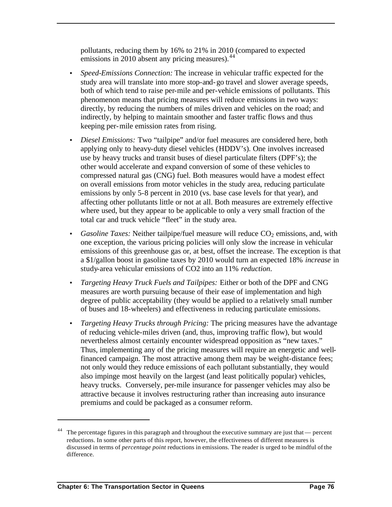pollutants, reducing them by 16% to 21% in 2010 (compared to expected emissions in 2010 absent any pricing measures).  $44$ 

- *Speed-Emissions Connection:* The increase in vehicular traffic expected for the study area will translate into more stop-and-go travel and slower average speeds, both of which tend to raise per-mile and per-vehicle emissions of pollutants. This phenomenon means that pricing measures will reduce emissions in two ways: directly, by reducing the numbers of miles driven and vehicles on the road; and indirectly, by helping to maintain smoother and faster traffic flows and thus keeping per-mile emission rates from rising.
- *Diesel Emissions:* Two "tailpipe" and/or fuel measures are considered here, both applying only to heavy-duty diesel vehicles (HDDV's). One involves increased use by heavy trucks and transit buses of diesel particulate filters (DPF's); the other would accelerate and expand conversion of some of these vehicles to compressed natural gas (CNG) fuel. Both measures would have a modest effect on overall emissions from motor vehicles in the study area, reducing particulate emissions by only 5-8 percent in 2010 (vs. base case levels for that year), and affecting other pollutants little or not at all. Both measures are extremely effective where used, but they appear to be applicable to only a very small fraction of the total car and truck vehicle "fleet" in the study area.
- *Gasoline Taxes:* Neither tailpipe/fuel measure will reduce CO<sub>2</sub> emissions, and, with one exception, the various pricing policies will only slow the increase in vehicular emissions of this greenhouse gas or, at best, offset the increase. The exception is that a \$1/gallon boost in gasoline taxes by 2010 would turn an expected 18% *increase* in study-area vehicular emissions of CO2 into an 11% *reduction*.
- *Targeting Heavy Truck Fuels and Tailpipes:* Either or both of the DPF and CNG measures are worth pursuing because of their ease of implementation and high degree of public acceptability (they would be applied to a relatively small number of buses and 18-wheelers) and effectiveness in reducing particulate emissions.
- *Targeting Heavy Trucks through Pricing:* The pricing measures have the advantage of reducing vehicle-miles driven (and, thus, improving traffic flow), but would nevertheless almost certainly encounter widespread opposition as "new taxes." Thus, implementing any of the pricing measures will require an energetic and wellfinanced campaign. The most attractive among them may be weight-distance fees; not only would they reduce emissions of each pollutant substantially, they would also impinge most heavily on the largest (and least politically popular) vehicles, heavy trucks. Conversely, per-mile insurance for passenger vehicles may also be attractive because it involves restructuring rather than increasing auto insurance premiums and could be packaged as a consumer reform.

The percentage figures in this paragraph and throughout the executive summary are just that — percent reductions. In some other parts of this report, however, the effectiveness of different measures is discussed in terms of *percentage point* reductions in emissions. The reader is urged to be mindful of the difference.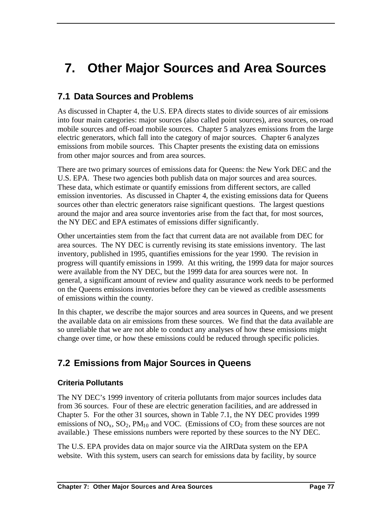# **7. Other Major Sources and Area Sources**

## **7.1 Data Sources and Problems**

As discussed in Chapter 4, the U.S. EPA directs states to divide sources of air emissions into four main categories: major sources (also called point sources), area sources, on-road mobile sources and off-road mobile sources. Chapter 5 analyzes emissions from the large electric generators, which fall into the category of major sources. Chapter 6 analyzes emissions from mobile sources. This Chapter presents the existing data on emissions from other major sources and from area sources.

There are two primary sources of emissions data for Queens: the New York DEC and the U.S. EPA. These two agencies both publish data on major sources and area sources. These data, which estimate or quantify emissions from different sectors, are called emission inventories. As discussed in Chapter 4, the existing emissions data for Queens sources other than electric generators raise significant questions. The largest questions around the major and area source inventories arise from the fact that, for most sources, the NY DEC and EPA estimates of emissions differ significantly.

Other uncertainties stem from the fact that current data are not available from DEC for area sources. The NY DEC is currently revising its state emissions inventory. The last inventory, published in 1995, quantifies emissions for the year 1990. The revision in progress will quantify emissions in 1999. At this writing, the 1999 data for major sources were available from the NY DEC, but the 1999 data for area sources were not. In general, a significant amount of review and quality assurance work needs to be performed on the Queens emissions inventories before they can be viewed as credible assessments of emissions within the county.

In this chapter, we describe the major sources and area sources in Queens, and we present the available data on air emissions from these sources. We find that the data available are so unreliable that we are not able to conduct any analyses of how these emissions might change over time, or how these emissions could be reduced through specific policies.

# **7.2 Emissions from Major Sources in Queens**

#### **Criteria Pollutants**

The NY DEC's 1999 inventory of criteria pollutants from major sources includes data from 36 sources. Four of these are electric generation facilities, and are addressed in Chapter 5. For the other 31 sources, shown in Table 7.1, the NY DEC provides 1999 emissions of  $NO_x$ ,  $SO_2$ ,  $PM_{10}$  and VOC. (Emissions of  $CO_2$  from these sources are not available.) These emissions numbers were reported by these sources to the NY DEC.

The U.S. EPA provides data on major source via the AIRData system on the EPA website. With this system, users can search for emissions data by facility, by source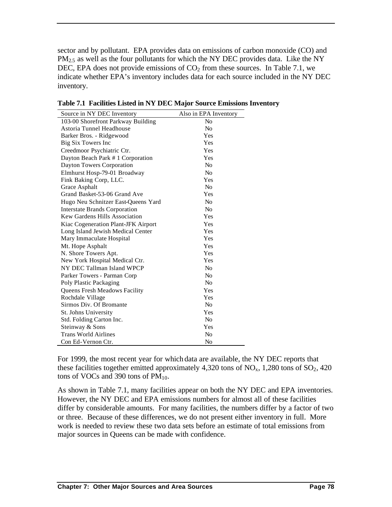sector and by pollutant. EPA provides data on emissions of carbon monoxide (CO) and  $PM<sub>2.5</sub>$  as well as the four pollutants for which the NY DEC provides data. Like the NY DEC, EPA does not provide emissions of  $CO<sub>2</sub>$  from these sources. In Table 7.1, we indicate whether EPA's inventory includes data for each source included in the NY DEC inventory.

| Source in NY DEC Inventory           | Also in EPA Inventory |
|--------------------------------------|-----------------------|
| 103-00 Shorefront Parkway Building   | N <sub>0</sub>        |
| Astoria Tunnel Headhouse             | N <sub>0</sub>        |
| Barker Bros. - Ridgewood             | Yes                   |
| Big Six Towers Inc                   | Yes                   |
| Creedmoor Psychiatric Ctr.           | Yes                   |
| Dayton Beach Park # 1 Corporation    | Yes                   |
| Dayton Towers Corporation            | N <sub>0</sub>        |
| Elmhurst Hosp-79-01 Broadway         | No                    |
| Fink Baking Corp, LLC.               | Yes                   |
| Grace Asphalt                        | N <sub>0</sub>        |
| Grand Basket-53-06 Grand Ave         | Yes                   |
| Hugo Neu Schnitzer East-Queens Yard  | N <sub>0</sub>        |
| <b>Interstate Brands Corporation</b> | N <sub>0</sub>        |
| Kew Gardens Hills Association        | Yes                   |
| Kiac Cogeneration Plant-JFK Airport  | Yes                   |
| Long Island Jewish Medical Center    | Yes                   |
| Mary Immaculate Hospital             | Yes                   |
| Mt. Hope Asphalt                     | Yes                   |
| N. Shore Towers Apt.                 | Yes                   |
| New York Hospital Medical Ctr.       | Yes                   |
| NY DEC Tallman Island WPCP           | No                    |
| Parker Towers - Parman Corp          | N <sub>0</sub>        |
| Poly Plastic Packaging               | N <sub>0</sub>        |
| Queens Fresh Meadows Facility        | Yes                   |
| Rochdale Village                     | Yes                   |
| Sirmos Div. Of Bromante              | N <sub>0</sub>        |
| St. Johns University                 | Yes                   |
| Std. Folding Carton Inc.             | N <sub>o</sub>        |
| Steinway & Sons                      | Yes                   |
| <b>Trans World Airlines</b>          | No                    |
| Con Ed-Vernon Ctr.                   | N <sub>0</sub>        |

**Table 7.1 Facilities Listed in NY DEC Major Source Emissions Inventory**

For 1999, the most recent year for which data are available, the NY DEC reports that these facilities together emitted approximately 4,320 tons of  $NO<sub>x</sub>$ , 1,280 tons of  $SO<sub>2</sub>$ , 420 tons of VOCs and 390 tons of  $PM_{10}$ .

As shown in Table 7.1, many facilities appear on both the NY DEC and EPA inventories. However, the NY DEC and EPA emissions numbers for almost all of these facilities differ by considerable amounts. For many facilities, the numbers differ by a factor of two or three. Because of these differences, we do not present either inventory in full. More work is needed to review these two data sets before an estimate of total emissions from major sources in Queens can be made with confidence.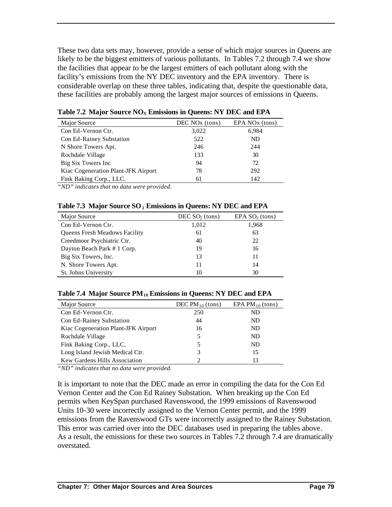These two data sets may, however, provide a sense of which major sources in Queens are likely to be the biggest emitters of various pollutants. In Tables 7.2 through 7.4 we show the facilities that appear to be the largest emitters of each pollutant along with the facility's emissions from the NY DEC inventory and the EPA inventory. There is considerable overlap on these three tables, indicating that, despite the questionable data, these facilities are probably among the largest major sources of emissions in Queens.

| Major Source                        | DEC NO <sub>x</sub> (tons) | EPA NO <sub>x</sub> (tons) |
|-------------------------------------|----------------------------|----------------------------|
| Con Ed-Vernon Ctr.                  | 3,022                      | 6,984                      |
| Con Ed-Rainey Substation            | 522                        | ND                         |
| N Shore Towers Apt.                 | 246                        | 244                        |
| Rochdale Village                    | 133                        | 30                         |
| Big Six Towers Inc                  | 94                         | 72                         |
| Kiac Cogeneration Plant-JFK Airport | 78                         | 292                        |
| Fink Baking Corp., LLC.             | 61                         | 142                        |

**Table 7.2 Major Source NOX Emissions in Queens: NY DEC and EPA**

*"ND" indicates that no data were provided.*

|  |  |  |  | Table 7.3 Major Source SO <sub>2</sub> Emissions in Queens: NY DEC and EPA |
|--|--|--|--|----------------------------------------------------------------------------|
|--|--|--|--|----------------------------------------------------------------------------|

| Major Source                         | DEC $SO2$ (tons) | EPA SO <sub>2</sub> (tons) |
|--------------------------------------|------------------|----------------------------|
| Con Ed-Vernon Ctr.                   | 1,012            | 1,968                      |
| <b>Queens Fresh Meadows Facility</b> | 61               | 63                         |
| Creedmoor Psychiatric Ctr.           | 40               | 22                         |
| Dayton Beach Park # 1 Corp.          | 19               | 16                         |
| Big Six Towers, Inc.                 | 13               | 11                         |
| N. Shore Towers Apt.                 | 11               | 14                         |
| St. Johns University                 | 10               | 30                         |

| Major Source                        | DEC $PM_{10}$ (tons) | EPA PM $_{10}$ (tons) |
|-------------------------------------|----------------------|-----------------------|
| Con Ed-Vernon Ctr.                  | 250                  | ND                    |
| Con Ed-Rainey Substation            | 44                   | ND                    |
| Kiac Cogeneration Plant-JFK Airport | 16                   | ND                    |
| Rochdale Village                    | 5                    | ND                    |
| Fink Baking Corp., LLC.             | 5                    | ND                    |
| Long Island Jewish Medical Ctr.     | 3                    | 15                    |
| Kew Gardens Hills Association       |                      | 13                    |

*"ND" indicates that no data were provided.*

It is important to note that the DEC made an error in compiling the data for the Con Ed Vernon Center and the Con Ed Rainey Substation. When breaking up the Con Ed permits when KeySpan purchased Ravenswood, the 1999 emissions of Ravenswood Units 10-30 were incorrectly assigned to the Vernon Center permit, and the 1999 emissions from the Ravenswood GTs were incorrectly assigned to the Rainey Substation. This error was carried over into the DEC databases used in preparing the tables above. As a result, the emissions for these two sources in Tables 7.2 through 7.4 are dramatically overstated.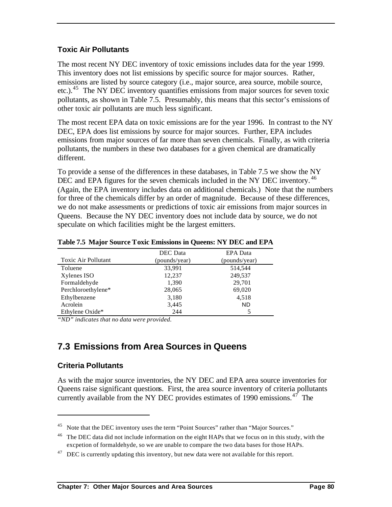### **Toxic Air Pollutants**

The most recent NY DEC inventory of toxic emissions includes data for the year 1999. This inventory does not list emissions by specific source for major sources. Rather, emissions are listed by source category (i.e., major source, area source, mobile source, etc.).<sup>45</sup> The NY DEC inventory quantifies emissions from major sources for seven toxic pollutants, as shown in Table 7.5. Presumably, this means that this sector's emissions of other toxic air pollutants are much less significant.

The most recent EPA data on toxic emissions are for the year 1996. In contrast to the NY DEC, EPA does list emissions by source for major sources. Further, EPA includes emissions from major sources of far more than seven chemicals. Finally, as with criteria pollutants, the numbers in these two databases for a given chemical are dramatically different.

To provide a sense of the differences in these databases, in Table 7.5 we show the NY DEC and EPA figures for the seven chemicals included in the NY DEC inventory.<sup>46</sup> (Again, the EPA inventory includes data on additional chemicals.) Note that the numbers for three of the chemicals differ by an order of magnitude. Because of these differences, we do not make assessments or predictions of toxic air emissions from major sources in Queens. Because the NY DEC inventory does not include data by source, we do not speculate on which facilities might be the largest emitters.

|                            | DEC Data      | EPA Data      |
|----------------------------|---------------|---------------|
| <b>Toxic Air Pollutant</b> | (pounds/year) | (pounds/year) |
| Toluene                    | 33,991        | 514,544       |
| Xylenes ISO                | 12,237        | 249,537       |
| Formaldehyde               | 1,390         | 29,701        |
| Perchloroethylene*         | 28,065        | 69,020        |
| Ethylbenzene               | 3,180         | 4,518         |
| Acrolein                   | 3,445         | <b>ND</b>     |
| Ethylene Oxide*            | 244           |               |

**Table 7.5 Major Source Toxic Emissions in Queens: NY DEC and EPA**

*"ND" indicates that no data were provided.*

# **7.3 Emissions from Area Sources in Queens**

#### **Criteria Pollutants**

 $\overline{a}$ 

As with the major source inventories, the NY DEC and EPA area source inventories for Queens raise significant questions. First, the area source inventory of criteria pollutants currently available from the NY DEC provides estimates of 1990 emissions.<sup>47</sup> The

<sup>&</sup>lt;sup>45</sup> Note that the DEC inventory uses the term "Point Sources" rather than "Major Sources."

 $^{46}$  The DEC data did not include information on the eight HAPs that we focus on in this study, with the excpetion of formaldehyde, so we are unable to compare the two data bases for those HAPs.

 $47$  DEC is currently updating this inventory, but new data were not available for this report.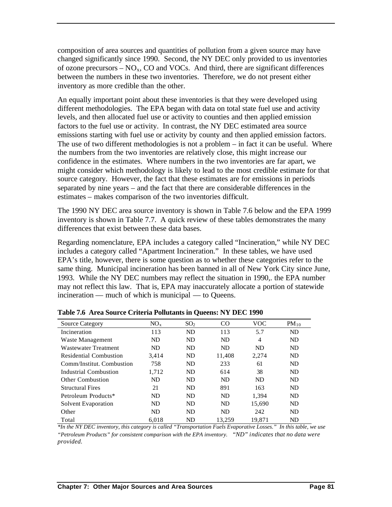composition of area sources and quantities of pollution from a given source may have changed significantly since 1990. Second, the NY DEC only provided to us inventories of ozone precursors  $- NO<sub>x</sub>$ , CO and VOCs. And third, there are significant differences between the numbers in these two inventories. Therefore, we do not present either inventory as more credible than the other.

An equally important point about these inventories is that they were developed using different methodologies. The EPA began with data on total state fuel use and activity levels, and then allocated fuel use or activity to counties and then applied emission factors to the fuel use or activity. In contrast, the NY DEC estimated area source emissions starting with fuel use or activity by county and then applied emission factors. The use of two different methodologies is not a problem – in fact it can be useful. Where the numbers from the two inventories are relatively close, this might increase our confidence in the estimates. Where numbers in the two inventories are far apart, we might consider which methodology is likely to lead to the most credible estimate for that source category. However, the fact that these estimates are for emissions in periods separated by nine years – and the fact that there are considerable differences in the estimates – makes comparison of the two inventories difficult.

The 1990 NY DEC area source inventory is shown in Table 7.6 below and the EPA 1999 inventory is shown in Table 7.7. A quick review of these tables demonstrates the many differences that exist between these data bases.

Regarding nomenclature, EPA includes a category called "Incineration," while NY DEC includes a category called "Apartment Incineration." In these tables, we have used EPA's title, however, there is some question as to whether these categories refer to the same thing. Municipal incineration has been banned in all of New York City since June, 1993. While the NY DEC numbers may reflect the situation in 1990,. the EPA number may not reflect this law. That is, EPA may inaccurately allocate a portion of statewide incineration — much of which is municipal — to Queens.

| <b>Source Category</b>        | NO <sub>x</sub> | SO <sub>2</sub> | CO.    | <b>VOC</b> | $PM_{10}$ |
|-------------------------------|-----------------|-----------------|--------|------------|-----------|
| Incineration                  | 113             | ND              | 113    | 5.7        | ND        |
| Waste Management              | ND              | ND              | ND     | 4          | ND        |
| <b>Wastewater Treatment</b>   | ND              | ND              | ND     | ND         | ND        |
| <b>Residential Combustion</b> | 3.414           | ND              | 11,408 | 2,274      | ND        |
| Comm/Institut. Combustion     | 758             | ND              | 233    | 61         | ND        |
| Industrial Combustion         | 1.712           | ND              | 614    | 38         | ND        |
| <b>Other Combustion</b>       | ND              | ND              | ND     | ND         | ND        |
| <b>Structural Fires</b>       | 21              | ND              | 891    | 163        | ND        |
| Petroleum Products*           | ND              | ND              | ND     | 1.394      | ND        |
| Solvent Evaporation           | ND              | ND              | ND     | 15.690     | ND        |
| Other                         | ND              | ND              | ND     | 242        | ND        |
| Total                         | 6.018           | ND              | 13.259 | 19.871     | ND        |

**Table 7.6 Area Source Criteria Pollutants in Queens: NY DEC 1990**

*\*In the NY DEC inventory, this category is called "Transportation Fuels Evaporative Losses." In this table, we use "Petroleum Products" for consistent comparison with the EPA inventory. "ND" indicates that no data were provided.*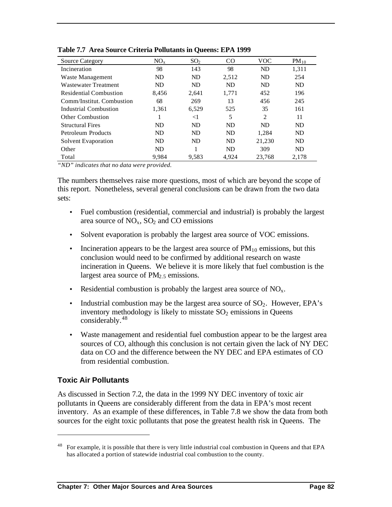| <b>Source Category</b>        | $NO_{x}$ | SO <sub>2</sub> | CO    | <b>VOC</b> | $PM_{10}$ |
|-------------------------------|----------|-----------------|-------|------------|-----------|
| Incineration                  | 98       | 143             | 98    | ND         | 1,311     |
| Waste Management              | ND       | ND              | 2,512 | ND         | 254       |
| Wastewater Treatment          | ND       | ND              | ND    | ND         | ND        |
| <b>Residential Combustion</b> | 8,456    | 2,641           | 1,771 | 452        | 196       |
| Comm/Institut. Combustion     | 68       | 269             | 13    | 456        | 245       |
| Industrial Combustion         | 1.361    | 6,529           | 525   | 35         | 161       |
| Other Combustion              |          | $<$ 1           | 5     | 2          | 11        |
| <b>Structural Fires</b>       | ND       | ND              | ND    | ND         | ND        |
| Petroleum Products            | ND       | ND              | ND    | 1.284      | ND        |
| Solvent Evaporation           | ND       | ND              | ND    | 21,230     | ND        |
| Other                         | ND       |                 | ND    | 309        | ND        |
| Total                         | 9,984    | 9,583           | 4.924 | 23,768     | 2,178     |

**Table 7.7 Area Source Criteria Pollutants in Queens: EPA 1999** 

*"ND" indicates that no data were provided.*

The numbers themselves raise more questions, most of which are beyond the scope of this report. Nonetheless, several general conclusions can be drawn from the two data sets:

- Fuel combustion (residential, commercial and industrial) is probably the largest area source of  $NO<sub>x</sub>$ ,  $SO<sub>2</sub>$  and CO emissions
- Solvent evaporation is probably the largest area source of VOC emissions.
- Incineration appears to be the largest area source of  $PM_{10}$  emissions, but this conclusion would need to be confirmed by additional research on waste incineration in Queens. We believe it is more likely that fuel combustion is the largest area source of  $PM<sub>2.5</sub>$  emissions.
- Residential combustion is probably the largest area source of  $NO<sub>x</sub>$ .
- Industrial combustion may be the largest area source of  $SO<sub>2</sub>$ . However, EPA's inventory methodology is likely to misstate  $SO<sub>2</sub>$  emissions in Queens considerably.<sup>48</sup>
- Waste management and residential fuel combustion appear to be the largest area sources of CO, although this conclusion is not certain given the lack of NY DEC data on CO and the difference between the NY DEC and EPA estimates of CO from residential combustion.

#### **Toxic Air Pollutants**

 $\overline{a}$ 

As discussed in Section 7.2, the data in the 1999 NY DEC inventory of toxic air pollutants in Queens are considerably different from the data in EPA's most recent inventory. As an example of these differences, in Table 7.8 we show the data from both sources for the eight toxic pollutants that pose the greatest health risk in Queens. The

<sup>48</sup> For example, it is possible that there is very little industrial coal combustion in Queens and that EPA has allocated a portion of statewide industrial coal combustion to the county.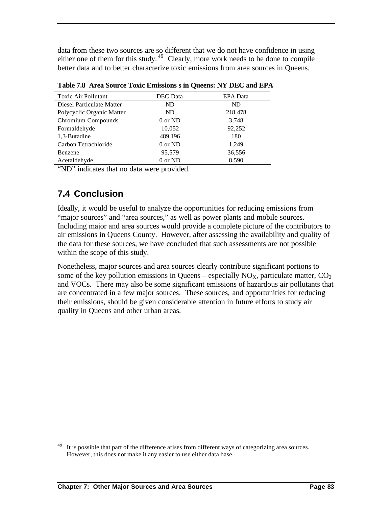data from these two sources are so different that we do not have confidence in using either one of them for this study.<sup>49</sup> Clearly, more work needs to be done to compile better data and to better characterize toxic emissions from area sources in Oueens.

| <b>Toxic Air Pollutant</b> | DEC Data | <b>EPA</b> Data |
|----------------------------|----------|-----------------|
| Diesel Particulate Matter  | ND.      | ND              |
| Polycyclic Organic Matter  | ND.      | 218,478         |
| Chromium Compounds         | 0 or ND  | 3,748           |
| Formaldehyde               | 10,052   | 92,252          |
| 1,3-Butadine               | 489,196  | 180             |
| Carbon Tetrachloride       | 0 or ND  | 1,249           |
| Benzene                    | 95,579   | 36,556          |
| Acetaldehyde               | 0 or ND  | 8,590           |

**Table 7.8 Area Source Toxic Emissions s in Queens: NY DEC and EPA** 

"ND" indicates that no data were provided.

## **7.4 Conclusion**

 $\overline{a}$ 

Ideally, it would be useful to analyze the opportunities for reducing emissions from "major sources" and "area sources," as well as power plants and mobile sources. Including major and area sources would provide a complete picture of the contributors to air emissions in Queens County. However, after assessing the availability and quality of the data for these sources, we have concluded that such assessments are not possible within the scope of this study.

Nonetheless, major sources and area sources clearly contribute significant portions to some of the key pollution emissions in Queens – especially  $NO_{X}$ , particulate matter,  $CO_{2}$ and VOCs. There may also be some significant emissions of hazardous air pollutants that are concentrated in a few major sources. These sources, and opportunities for reducing their emissions, should be given considerable attention in future efforts to study air quality in Queens and other urban areas.

It is possible that part of the difference arises from different ways of categorizing area sources. However, this does not make it any easier to use either data base.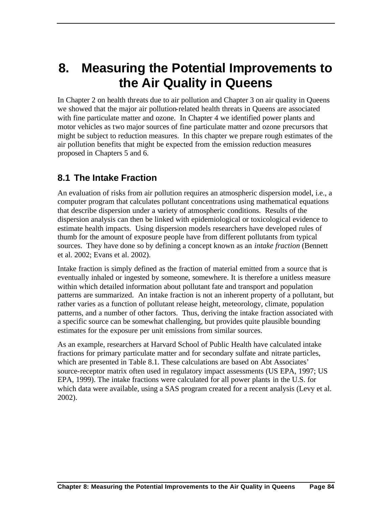# **8. Measuring the Potential Improvements to the Air Quality in Queens**

In Chapter 2 on health threats due to air pollution and Chapter 3 on air quality in Queens we showed that the major air pollution-related health threats in Queens are associated with fine particulate matter and ozone. In Chapter 4 we identified power plants and motor vehicles as two major sources of fine particulate matter and ozone precursors that might be subject to reduction measures. In this chapter we prepare rough estimates of the air pollution benefits that might be expected from the emission reduction measures proposed in Chapters 5 and 6.

## **8.1 The Intake Fraction**

An evaluation of risks from air pollution requires an atmospheric dispersion model, i.e., a computer program that calculates pollutant concentrations using mathematical equations that describe dispersion under a variety of atmospheric conditions. Results of the dispersion analysis can then be linked with epidemiological or toxicological evidence to estimate health impacts. Using dispersion models researchers have developed rules of thumb for the amount of exposure people have from different pollutants from typical sources. They have done so by defining a concept known as an *intake fraction* (Bennett et al. 2002; Evans et al. 2002).

Intake fraction is simply defined as the fraction of material emitted from a source that is eventually inhaled or ingested by someone, somewhere. It is therefore a unitless measure within which detailed information about pollutant fate and transport and population patterns are summarized. An intake fraction is not an inherent property of a pollutant, but rather varies as a function of pollutant release height, meteorology, climate, population patterns, and a number of other factors. Thus, deriving the intake fraction associated with a specific source can be somewhat challenging, but provides quite plausible bounding estimates for the exposure per unit emissions from similar sources.

As an example, researchers at Harvard School of Public Health have calculated intake fractions for primary particulate matter and for secondary sulfate and nitrate particles, which are presented in Table 8.1. These calculations are based on Abt Associates' source-receptor matrix often used in regulatory impact assessments (US EPA, 1997; US EPA, 1999). The intake fractions were calculated for all power plants in the U.S. for which data were available, using a SAS program created for a recent analysis (Levy et al. 2002).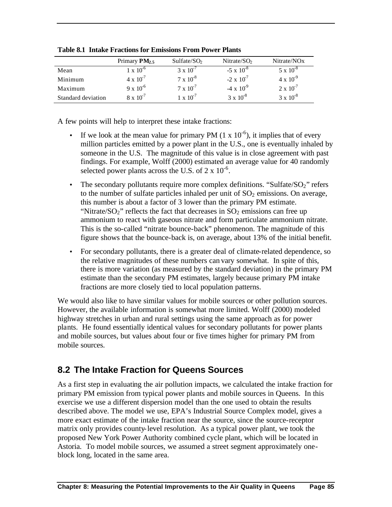|                    | Primary $PM_{2.5}$ | Sulfate/SO <sub>2</sub> | Nitrate/ $SO2$      | Nitrate/NO <sub>x</sub> |
|--------------------|--------------------|-------------------------|---------------------|-------------------------|
| Mean               | $1 \times 10^{-6}$ | $3 \times 10^{-7}$      | $-5 \times 10^{-8}$ | $5 \times 10^{-8}$      |
| Minimum            | $4 \times 10^{-7}$ | $7 \times 10^{-8}$      | $-2 \times 10^{-7}$ | $4 \times 10^{-9}$      |
| Maximum            | $9 \times 10^{-6}$ | $7 \times 10^{-7}$      | $-4 \times 10^{9}$  | $2 \times 10^{-7}$      |
| Standard deviation | $8 \times 10^{-7}$ | $1 \times 10^{-7}$      | $3 \times 10^{-8}$  | $3 \times 10^{-8}$      |

**Table 8.1 Intake Fractions for Emissions From Power Plants**

A few points will help to interpret these intake fractions:

- If we look at the mean value for primary PM  $(1 \times 10^{-6})$ , it implies that of every million particles emitted by a power plant in the U.S., one is eventually inhaled by someone in the U.S. The magnitude of this value is in close agreement with past findings. For example, Wolff (2000) estimated an average value for 40 randomly selected power plants across the U.S. of  $2 \times 10^{-6}$ .
- The secondary pollutants require more complex definitions. "Sulfate/ $SO_2$ " refers to the number of sulfate particles inhaled per unit of  $SO<sub>2</sub>$  emissions. On average, this number is about a factor of 3 lower than the primary PM estimate. "Nitrate/ $SO_2$ " reflects the fact that decreases in  $SO_2$  emissions can free up ammonium to react with gaseous nitrate and form particulate ammonium nitrate. This is the so-called "nitrate bounce-back" phenomenon. The magnitude of this figure shows that the bounce-back is, on average, about 13% of the initial benefit.
- For secondary pollutants, there is a greater deal of climate-related dependence, so the relative magnitudes of these numbers can vary somewhat. In spite of this, there is more variation (as measured by the standard deviation) in the primary PM estimate than the secondary PM estimates, largely because primary PM intake fractions are more closely tied to local population patterns.

We would also like to have similar values for mobile sources or other pollution sources. However, the available information is somewhat more limited. Wolff (2000) modeled highway stretches in urban and rural settings using the same approach as for power plants. He found essentially identical values for secondary pollutants for power plants and mobile sources, but values about four or five times higher for primary PM from mobile sources.

## **8.2 The Intake Fraction for Queens Sources**

As a first step in evaluating the air pollution impacts, we calculated the intake fraction for primary PM emission from typical power plants and mobile sources in Queens. In this exercise we use a different dispersion model than the one used to obtain the results described above. The model we use, EPA's Industrial Source Complex model, gives a more exact estimate of the intake fraction near the source, since the source-receptor matrix only provides county-level resolution. As a typical power plant, we took the proposed New York Power Authority combined cycle plant, which will be located in Astoria. To model mobile sources, we assumed a street segment approximately oneblock long, located in the same area.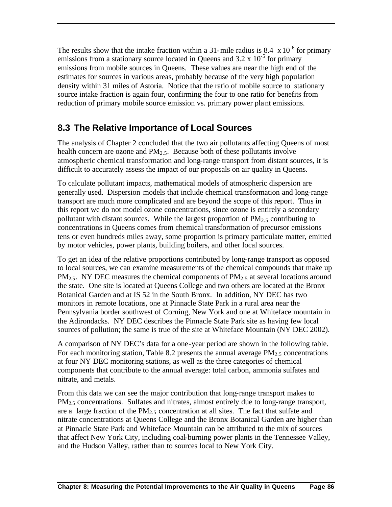The results show that the intake fraction within a 31-mile radius is 8.4  $\times$  10<sup>-6</sup> for primary emissions from a stationary source located in Queens and  $3.2 \times 10^{-5}$  for primary emissions from mobile sources in Queens. These values are near the high end of the estimates for sources in various areas, probably because of the very high population density within 31 miles of Astoria. Notice that the ratio of mobile source to stationary source intake fraction is again four, confirming the four to one ratio for benefits from reduction of primary mobile source emission vs. primary power plant emissions.

# **8.3 The Relative Importance of Local Sources**

The analysis of Chapter 2 concluded that the two air pollutants affecting Queens of most health concern are ozone and  $PM<sub>2.5</sub>$ . Because both of these pollutants involve atmospheric chemical transformation and long-range transport from distant sources, it is difficult to accurately assess the impact of our proposals on air quality in Queens.

To calculate pollutant impacts, mathematical models of atmospheric dispersion are generally used. Dispersion models that include chemical transformation and long-range transport are much more complicated and are beyond the scope of this report. Thus in this report we do not model ozone concentrations, since ozone is entirely a secondary pollutant with distant sources. While the largest proportion of  $PM<sub>2.5</sub>$  contributing to concentrations in Queens comes from chemical transformation of precursor emissions tens or even hundreds miles away, some proportion is primary particulate matter, emitted by motor vehicles, power plants, building boilers, and other local sources.

To get an idea of the relative proportions contributed by long-range transport as opposed to local sources, we can examine measurements of the chemical compounds that make up  $PM_{2.5}$ . NY DEC measures the chemical components of PM<sub>2.5</sub> at several locations around the state. One site is located at Queens College and two others are located at the Bronx Botanical Garden and at IS 52 in the South Bronx. In addition, NY DEC has two monitors in remote locations, one at Pinnacle State Park in a rural area near the Pennsylvania border southwest of Corning, New York and one at Whiteface mountain in the Adirondacks. NY DEC describes the Pinnacle State Park site as having few local sources of pollution; the same is true of the site at Whiteface Mountain (NY DEC 2002).

A comparison of NY DEC's data for a one-year period are shown in the following table. For each monitoring station, Table 8.2 presents the annual average  $PM_{2.5}$  concentrations at four NY DEC monitoring stations, as well as the three categories of chemical components that contribute to the annual average: total carbon, ammonia sulfates and nitrate, and metals.

From this data we can see the major contribution that long-range transport makes to  $PM<sub>2.5</sub> concentrations. Sulfates and nitrates, almost entirely due to long-range transport,$ are a large fraction of the  $PM<sub>2.5</sub>$  concentration at all sites. The fact that sulfate and nitrate concentrations at Queens College and the Bronx Botanical Garden are higher than at Pinnacle State Park and Whiteface Mountain can be attributed to the mix of sources that affect New York City, including coal-burning power plants in the Tennessee Valley, and the Hudson Valley, rather than to sources local to New York City.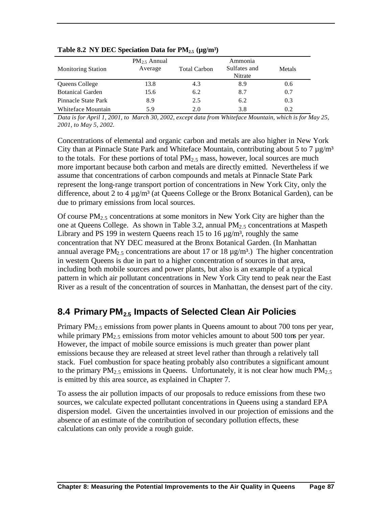| <b>Monitoring Station</b> | $PM_{2.5}$ Annual<br>Average | <b>Total Carbon</b> | Ammonia<br>Sulfates and<br>Nitrate | Metals |
|---------------------------|------------------------------|---------------------|------------------------------------|--------|
| Queens College            | 13.8                         | 4.3                 | 8.9                                | 0.6    |
| <b>Botanical Garden</b>   | 15.6                         | 6.2                 | 8.7                                | 0.7    |
| Pinnacle State Park       | 8.9                          | 2.5                 | 6.2                                | 0.3    |
| Whiteface Mountain        | 5.9                          | 2.0                 | 3.8                                | 0.2    |

#### **Table 8.2 NY DEC Speciation Data for PM2.5 (µg/m³)**

*Data is for April 1, 2001, to March 30, 2002, except data from Whiteface Mountain, which is for May 25, 2001, to May 5, 2002.*

Concentrations of elemental and organic carbon and metals are also higher in New York City than at Pinnacle State Park and Whiteface Mountain, contributing about 5 to 7  $\mu$ g/m<sup>3</sup> to the totals. For these portions of total  $PM_{2.5}$  mass, however, local sources are much more important because both carbon and metals are directly emitted. Nevertheless if we assume that concentrations of carbon compounds and metals at Pinnacle State Park represent the long-range transport portion of concentrations in New York City, only the difference, about 2 to 4  $\mu$ g/m<sup>3</sup> (at Queens College or the Bronx Botanical Garden), can be due to primary emissions from local sources.

Of course  $PM_{2.5}$  concentrations at some monitors in New York City are higher than the one at Queens College. As shown in Table 3.2, annual  $PM_{2.5}$  concentrations at Maspeth Library and PS 199 in western Queens reach 15 to 16  $\mu$ g/m<sup>3</sup>, roughly the same concentration that NY DEC measured at the Bronx Botanical Garden. (In Manhattan annual average PM<sub>2.5</sub> concentrations are about 17 or 18  $\mu$ g/m<sup>3</sup>.) The higher concentration in western Queens is due in part to a higher concentration of sources in that area, including both mobile sources and power plants, but also is an example of a typical pattern in which air pollutant concentrations in New York City tend to peak near the East River as a result of the concentration of sources in Manhattan, the densest part of the city.

## **8.4 Primary PM2.5 Impacts of Selected Clean Air Policies**

Primary  $PM_{2.5}$  emissions from power plants in Queens amount to about 700 tons per year, while primary  $PM<sub>2.5</sub>$  emissions from motor vehicles amount to about 500 tons per year. However, the impact of mobile source emissions is much greater than power plant emissions because they are released at street level rather than through a relatively tall stack. Fuel combustion for space heating probably also contributes a significant amount to the primary  $PM_{2.5}$  emissions in Queens. Unfortunately, it is not clear how much  $PM_{2.5}$ is emitted by this area source, as explained in Chapter 7.

To assess the air pollution impacts of our proposals to reduce emissions from these two sources, we calculate expected pollutant concentrations in Queens using a standard EPA dispersion model. Given the uncertainties involved in our projection of emissions and the absence of an estimate of the contribution of secondary pollution effects, these calculations can only provide a rough guide.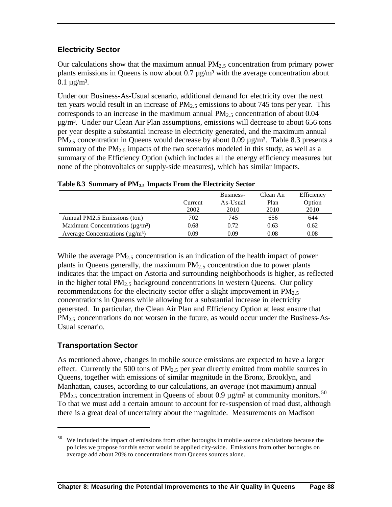#### **Electricity Sector**

Our calculations show that the maximum annual  $PM<sub>2.5</sub>$  concentration from primary power plants emissions in Queens is now about  $0.7 \mu g/m<sup>3</sup>$  with the average concentration about  $0.1 \mu g/m^3$ .

Under our Business-As-Usual scenario, additional demand for electricity over the next ten years would result in an increase of  $PM_{2.5}$  emissions to about 745 tons per year. This corresponds to an increase in the maximum annual  $PM<sub>2</sub>$ , concentration of about 0.04 µg/m³. Under our Clean Air Plan assumptions, emissions will decrease to about 656 tons per year despite a substantial increase in electricity generated, and the maximum annual  $PM_{2.5}$  concentration in Queens would decrease by about 0.09  $\mu$ g/m<sup>3</sup>. Table 8.3 presents a summary of the PM<sub>2.5</sub> impacts of the two scenarios modeled in this study, as well as a summary of the Efficiency Option (which includes all the energy efficiency measures but none of the photovoltaics or supply-side measures), which has similar impacts.

|                                                   |         | Business- | Clean Air | Efficiency |
|---------------------------------------------------|---------|-----------|-----------|------------|
|                                                   | Current | As-Usual  | Plan      | Option     |
|                                                   | 2002    | 2010      | 2010      | 2010       |
| Annual PM2.5 Emissions (ton)                      | 702     | 745       | 656       | 644        |
| Maximum Concentrations ( $\mu$ g/m <sup>3</sup> ) | 0.68    | 0.72      | 0.63      | 0.62       |
| Average Concentrations ( $\mu$ g/m <sup>3</sup> ) | 0.09    | 0.09      | 0.08      | 0.08       |

**Table 8.3 Summary of PM2.5 Impacts From the Electricity Sector**

While the average  $PM_{2.5}$  concentration is an indication of the health impact of power plants in Queens generally, the maximum  $PM<sub>2.5</sub>$  concentration due to power plants indicates that the impact on Astoria and surrounding neighborhoods is higher, as reflected in the higher total  $PM_2$ , background concentrations in western Queens. Our policy recommendations for the electricity sector offer a slight improvement in  $PM_{2.5}$ concentrations in Queens while allowing for a substantial increase in electricity generated. In particular, the Clean Air Plan and Efficiency Option at least ensure that  $PM<sub>2.5</sub>$  concentrations do not worsen in the future, as would occur under the Business-As-Usual scenario.

### **Transportation Sector**

 $\overline{a}$ 

As mentioned above, changes in mobile source emissions are expected to have a larger effect. Currently the 500 tons of  $PM<sub>2.5</sub>$  per year directly emitted from mobile sources in Queens, together with emissions of similar magnitude in the Bronx, Brooklyn, and Manhattan, causes, according to our calculations, an *average* (not maximum) annual PM<sub>2.5</sub> concentration increment in Queens of about 0.9  $\mu$ g/m<sup>3</sup> at community monitors.<sup>50</sup> To that we must add a certain amount to account for re-suspension of road dust, although there is a great deal of uncertainty about the magnitude. Measurements on Madison

 $50$  We included the impact of emissions from other boroughs in mobile source calculations because the policies we propose for this sector would be applied city-wide. Emissions from other boroughs on average add about 20% to concentrations from Queens sources alone.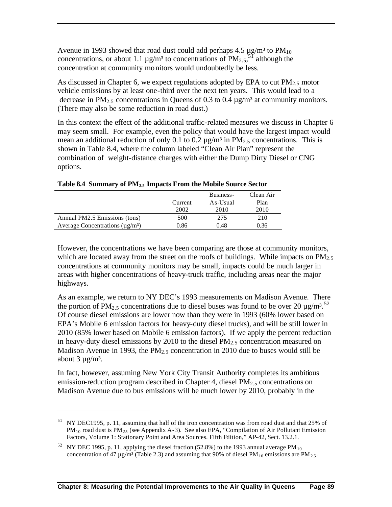Avenue in 1993 showed that road dust could add perhaps 4.5  $\mu$ g/m<sup>3</sup> to PM<sub>10</sub> concentrations, or about 1.1  $\mu$ g/m<sup>3</sup> to concentrations of PM<sub>2.5</sub><sup>51</sup> although the concentration at community monitors would undoubtedly be less.

As discussed in Chapter 6, we expect regulations adopted by EPA to cut  $PM<sub>2.5</sub>$  motor vehicle emissions by at least one-third over the next ten years. This would lead to a decrease in PM<sub>2.5</sub> concentrations in Queens of 0.3 to 0.4  $\mu$ g/m<sup>3</sup> at community monitors. (There may also be some reduction in road dust.)

In this context the effect of the additional traffic-related measures we discuss in Chapter 6 may seem small. For example, even the policy that would have the largest impact would mean an additional reduction of only 0.1 to 0.2  $\mu$ g/m<sup>3</sup> in PM<sub>2.5</sub> concentrations. This is shown in Table 8.4, where the column labeled "Clean Air Plan" represent the combination of weight-distance charges with either the Dump Dirty Diesel or CNG options.

|                                                   |         | Business- | Clean Air |
|---------------------------------------------------|---------|-----------|-----------|
|                                                   | Current | As-Usual  | Plan      |
|                                                   | 2002    | 2010      | 2010      |
| Annual PM2.5 Emissions (tons)                     | 500     | 275       | 210       |
| Average Concentrations ( $\mu$ g/m <sup>3</sup> ) | 0.86    | 0.48      | 0.36      |

**Table 8.4 Summary of PM2.5 Impacts From the Mobile Source Sector**

However, the concentrations we have been comparing are those at community monitors, which are located away from the street on the roofs of buildings. While impacts on  $PM_{2.5}$ concentrations at community monitors may be small, impacts could be much larger in areas with higher concentrations of heavy-truck traffic, including areas near the major highways.

As an example, we return to NY DEC's 1993 measurements on Madison Avenue. There the portion of PM<sub>2.5</sub> concentrations due to diesel buses was found to be over 20  $\mu$ g/m<sup>3</sup>.<sup>52</sup> Of course diesel emissions are lower now than they were in 1993 (60% lower based on EPA's Mobile 6 emission factors for heavy-duty diesel trucks), and will be still lower in 2010 (85% lower based on Mobile 6 emission factors). If we apply the percent reduction in heavy-duty diesel emissions by 2010 to the diesel  $PM_{2,5}$  concentration measured on Madison Avenue in 1993, the  $PM<sub>2.5</sub>$  concentration in 2010 due to buses would still be about  $3 \mu g/m^3$ .

In fact, however, assuming New York City Transit Authority completes its ambitious emission-reduction program described in Chapter 4, diesel  $PM<sub>2.5</sub>$  concentrations on Madison Avenue due to bus emissions will be much lower by 2010, probably in the

 $\overline{a}$ 

<sup>51</sup> NY DEC1995, p. 11, assuming that half of the iron concentration was from road dust and that 25% of  $PM_{10}$  road dust is  $PM_{25}$  (see Appendix A-3). See also EPA, "Compilation of Air Pollutant Emission Factors, Volume 1: Stationary Point and Area Sources. Fifth Edition," AP-42, Sect. 13.2.1.

<sup>&</sup>lt;sup>52</sup> NY DEC 1995, p. 11, applying the diesel fraction (52.8%) to the 1993 annual average PM<sub>10</sub> concentration of 47  $\mu$ g/m<sup>3</sup> (Table 2.3) and assuming that 90% of diesel PM<sub>10</sub> emissions are PM<sub>2.5</sub>.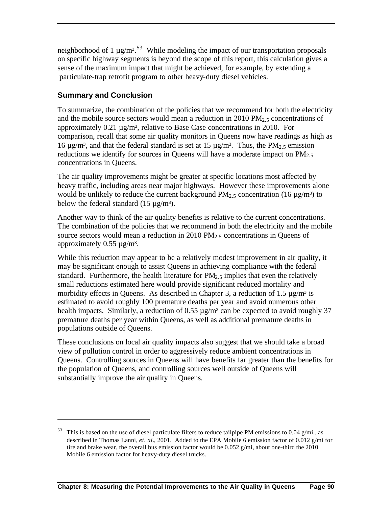neighborhood of 1  $\mu$ g/m<sup>3</sup>.<sup>53</sup> While modeling the impact of our transportation proposals on specific highway segments is beyond the scope of this report, this calculation gives a sense of the maximum impact that might be achieved, for example, by extending a particulate-trap retrofit program to other heavy-duty diesel vehicles.

## **Summary and Conclusion**

 $\overline{a}$ 

To summarize, the combination of the policies that we recommend for both the electricity and the mobile source sectors would mean a reduction in  $2010 \text{ PM}_{2.5}$  concentrations of approximately  $0.21 \mu$ g/m<sup>3</sup>, relative to Base Case concentrations in 2010. For comparison, recall that some air quality monitors in Queens now have readings as high as 16  $\mu$ g/m<sup>3</sup>, and that the federal standard is set at 15  $\mu$ g/m<sup>3</sup>. Thus, the PM<sub>2.5</sub> emission reductions we identify for sources in Queens will have a moderate impact on  $PM_{2,5}$ concentrations in Queens.

The air quality improvements might be greater at specific locations most affected by heavy traffic, including areas near major highways. However these improvements alone would be unlikely to reduce the current background  $PM_{2.5}$  concentration (16  $\mu$ g/m<sup>3</sup>) to below the federal standard  $(15 \mu g/m<sup>3</sup>)$ .

Another way to think of the air quality benefits is relative to the current concentrations. The combination of the policies that we recommend in both the electricity and the mobile source sectors would mean a reduction in 2010  $PM<sub>2.5</sub>$  concentrations in Queens of approximately  $0.55 \mu g/m^3$ .

While this reduction may appear to be a relatively modest improvement in air quality, it may be significant enough to assist Queens in achieving compliance with the federal standard. Furthermore, the health literature for  $PM<sub>2.5</sub>$  implies that even the relatively small reductions estimated here would provide significant reduced mortality and morbidity effects in Queens. As described in Chapter 3, a reduction of  $1.5 \mu g/m^3$  is estimated to avoid roughly 100 premature deaths per year and avoid numerous other health impacts. Similarly, a reduction of 0.55  $\mu$ g/m<sup>3</sup> can be expected to avoid roughly 37 premature deaths per year within Queens, as well as additional premature deaths in populations outside of Queens.

These conclusions on local air quality impacts also suggest that we should take a broad view of pollution control in order to aggressively reduce ambient concentrations in Queens. Controlling sources in Queens will have benefits far greater than the benefits for the population of Queens, and controlling sources well outside of Queens will substantially improve the air quality in Queens.

 $53$  This is based on the use of diesel particulate filters to reduce tailpipe PM emissions to 0.04 g/mi., as described in Thomas Lanni, *et. al.*, 2001. Added to the EPA Mobile 6 emission factor of 0.012 g/mi for tire and brake wear, the overall bus emission factor would be 0.052 g/mi, about one-third the 2010 Mobile 6 emission factor for heavy-duty diesel trucks.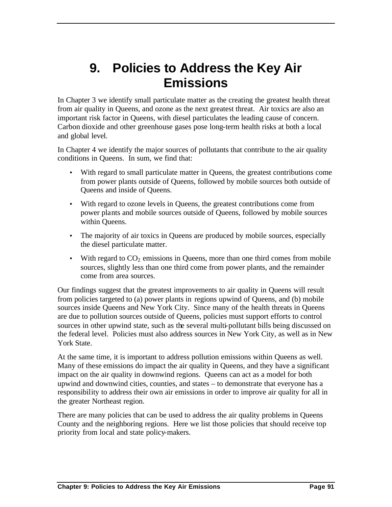# **9. Policies to Address the Key Air Emissions**

In Chapter 3 we identify small particulate matter as the creating the greatest health threat from air quality in Queens, and ozone as the next greatest threat. Air toxics are also an important risk factor in Queens, with diesel particulates the leading cause of concern. Carbon dioxide and other greenhouse gases pose long-term health risks at both a local and global level.

In Chapter 4 we identify the major sources of pollutants that contribute to the air quality conditions in Queens. In sum, we find that:

- With regard to small particulate matter in Queens, the greatest contributions come from power plants outside of Queens, followed by mobile sources both outside of Queens and inside of Queens.
- With regard to ozone levels in Queens, the greatest contributions come from power plants and mobile sources outside of Queens, followed by mobile sources within Queens.
- The majority of air toxics in Queens are produced by mobile sources, especially the diesel particulate matter.
- With regard to  $CO<sub>2</sub>$  emissions in Queens, more than one third comes from mobile sources, slightly less than one third come from power plants, and the remainder come from area sources.

Our findings suggest that the greatest improvements to air quality in Queens will result from policies targeted to (a) power plants in regions upwind of Queens, and (b) mobile sources inside Queens and New York City. Since many of the health threats in Queens are due to pollution sources outside of Queens, policies must support efforts to control sources in other upwind state, such as the several multi-pollutant bills being discussed on the federal level. Policies must also address sources in New York City, as well as in New York State.

At the same time, it is important to address pollution emissions within Queens as well. Many of these emissions do impact the air quality in Queens, and they have a significant impact on the air quality in downwind regions. Queens can act as a model for both upwind and downwind cities, counties, and states – to demonstrate that everyone has a responsibility to address their own air emissions in order to improve air quality for all in the greater Northeast region.

There are many policies that can be used to address the air quality problems in Queens County and the neighboring regions. Here we list those policies that should receive top priority from local and state policy-makers.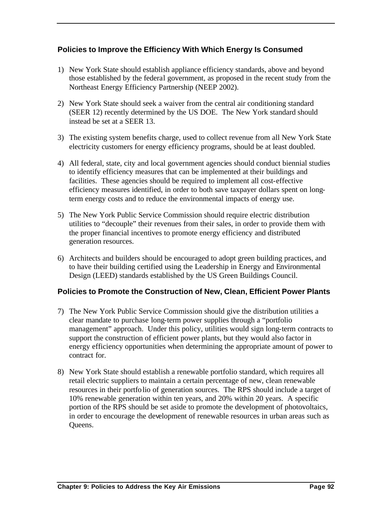## **Policies to Improve the Efficiency With Which Energy Is Consumed**

- 1) New York State should establish appliance efficiency standards, above and beyond those established by the federal government, as proposed in the recent study from the Northeast Energy Efficiency Partnership (NEEP 2002).
- 2) New York State should seek a waiver from the central air conditioning standard (SEER 12) recently determined by the US DOE. The New York standard should instead be set at a SEER 13.
- 3) The existing system benefits charge, used to collect revenue from all New York State electricity customers for energy efficiency programs, should be at least doubled.
- 4) All federal, state, city and local government agencies should conduct biennial studies to identify efficiency measures that can be implemented at their buildings and facilities. These agencies should be required to implement all cost-effective efficiency measures identified, in order to both save taxpayer dollars spent on longterm energy costs and to reduce the environmental impacts of energy use.
- 5) The New York Public Service Commission should require electric distribution utilities to "decouple" their revenues from their sales, in order to provide them with the proper financial incentives to promote energy efficiency and distributed generation resources.
- 6) Architects and builders should be encouraged to adopt green building practices, and to have their building certified using the Leadership in Energy and Environmental Design (LEED) standards established by the US Green Buildings Council.

### **Policies to Promote the Construction of New, Clean, Efficient Power Plants**

- 7) The New York Public Service Commission should give the distribution utilities a clear mandate to purchase long-term power supplies through a "portfolio management" approach. Under this policy, utilities would sign long-term contracts to support the construction of efficient power plants, but they would also factor in energy efficiency opportunities when determining the appropriate amount of power to contract for.
- 8) New York State should establish a renewable portfolio standard, which requires all retail electric suppliers to maintain a certain percentage of new, clean renewable resources in their portfolio of generation sources. The RPS should include a target of 10% renewable generation within ten years, and 20% within 20 years. A specific portion of the RPS should be set aside to promote the development of photovoltaics, in order to encourage the development of renewable resources in urban areas such as Queens.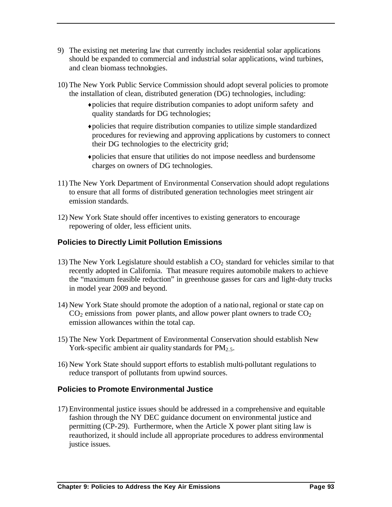- 9) The existing net metering law that currently includes residential solar applications should be expanded to commercial and industrial solar applications, wind turbines, and clean biomass technologies.
- 10) The New York Public Service Commission should adopt several policies to promote the installation of clean, distributed generation (DG) technologies, including:
	- ♦ policies that require distribution companies to adopt uniform safety and quality standards for DG technologies;
	- ♦ policies that require distribution companies to utilize simple standardized procedures for reviewing and approving applications by customers to connect their DG technologies to the electricity grid;
	- ♦ policies that ensure that utilities do not impose needless and burdensome charges on owners of DG technologies.
- 11) The New York Department of Environmental Conservation should adopt regulations to ensure that all forms of distributed generation technologies meet stringent air emission standards.
- 12) New York State should offer incentives to existing generators to encourage repowering of older, less efficient units.

## **Policies to Directly Limit Pollution Emissions**

- 13) The New York Legislature should establish a  $CO<sub>2</sub>$  standard for vehicles similar to that recently adopted in California. That measure requires automobile makers to achieve the "maximum feasible reduction" in greenhouse gasses for cars and light-duty trucks in model year 2009 and beyond.
- 14) New York State should promote the adoption of a national, regional or state cap on  $CO<sub>2</sub>$  emissions from power plants, and allow power plant owners to trade  $CO<sub>2</sub>$ emission allowances within the total cap.
- 15) The New York Department of Environmental Conservation should establish New York-specific ambient air quality standards for  $PM_{2.5}$ .
- 16) New York State should support efforts to establish multi-pollutant regulations to reduce transport of pollutants from upwind sources.

### **Policies to Promote Environmental Justice**

17) Environmental justice issues should be addressed in a comprehensive and equitable fashion through the NY DEC guidance document on environmental justice and permitting (CP-29). Furthermore, when the Article X power plant siting law is reauthorized, it should include all appropriate procedures to address environmental justice issues.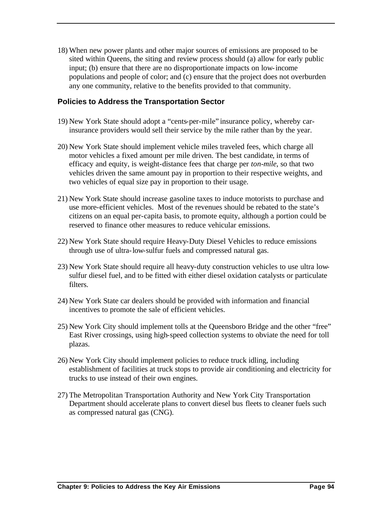18) When new power plants and other major sources of emissions are proposed to be sited within Queens, the siting and review process should (a) allow for early public input; (b) ensure that there are no disproportionate impacts on low-income populations and people of color; and (c) ensure that the project does not overburden any one community, relative to the benefits provided to that community.

#### **Policies to Address the Transportation Sector**

- 19) New York State should adopt a "cents-per-mile" insurance policy, whereby carinsurance providers would sell their service by the mile rather than by the year.
- 20) New York State should implement vehicle miles traveled fees, which charge all motor vehicles a fixed amount per mile driven. The best candidate, in terms of efficacy and equity, is weight-distance fees that charge per *ton-mile*, so that two vehicles driven the same amount pay in proportion to their respective weights, and two vehicles of equal size pay in proportion to their usage.
- 21) New York State should increase gasoline taxes to induce motorists to purchase and use more-efficient vehicles. Most of the revenues should be rebated to the state's citizens on an equal per-capita basis, to promote equity, although a portion could be reserved to finance other measures to reduce vehicular emissions.
- 22) New York State should require Heavy-Duty Diesel Vehicles to reduce emissions through use of ultra-low-sulfur fuels and compressed natural gas.
- 23) New York State should require all heavy-duty construction vehicles to use ultra lowsulfur diesel fuel, and to be fitted with either diesel oxidation catalysts or particulate filters.
- 24) New York State car dealers should be provided with information and financial incentives to promote the sale of efficient vehicles.
- 25) New York City should implement tolls at the Queensboro Bridge and the other "free" East River crossings, using high-speed collection systems to obviate the need for toll plazas.
- 26) New York City should implement policies to reduce truck idling, including establishment of facilities at truck stops to provide air conditioning and electricity for trucks to use instead of their own engines.
- 27) The Metropolitan Transportation Authority and New York City Transportation Department should accelerate plans to convert diesel bus fleets to cleaner fuels such as compressed natural gas (CNG).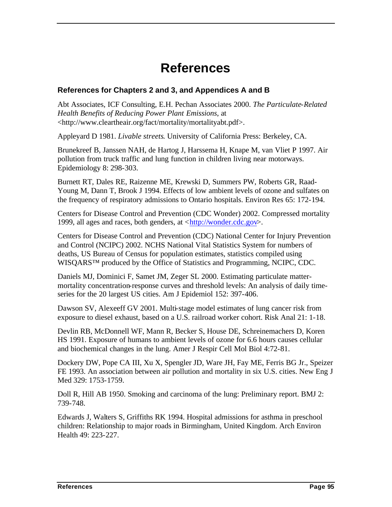# **References**

#### **References for Chapters 2 and 3, and Appendices A and B**

Abt Associates, ICF Consulting, E.H. Pechan Associates 2000. *The Particulate-Related Health Benefits of Reducing Power Plant Emissions*, at <http://www.cleartheair.org/fact/mortality/mortalityabt.pdf>.

Appleyard D 1981. *Livable streets*. University of California Press: Berkeley, CA.

Brunekreef B, Janssen NAH, de Hartog J, Harssema H, Knape M, van Vliet P 1997. Air pollution from truck traffic and lung function in children living near motorways. Epidemiology 8: 298-303.

Burnett RT, Dales RE, Raizenne ME, Krewski D, Summers PW, Roberts GR, Raad-Young M, Dann T, Brook J 1994. Effects of low ambient levels of ozone and sulfates on the frequency of respiratory admissions to Ontario hospitals. Environ Res 65: 172-194.

Centers for Disease Control and Prevention (CDC Wonder) 2002. Compressed mortality 1999, all ages and races, both genders, at <http://wonder.cdc.gov>.

Centers for Disease Control and Prevention (CDC) National Center for Injury Prevention and Control (NCIPC) 2002. NCHS National Vital Statistics System for numbers of deaths, US Bureau of Census for population estimates, statistics compiled using WISQARS™ produced by the Office of Statistics and Programming, NCIPC, CDC.

Daniels MJ, Dominici F, Samet JM, Zeger SL 2000. Estimating particulate mattermortality concentration-response curves and threshold levels: An analysis of daily timeseries for the 20 largest US cities. Am J Epidemiol 152: 397-406.

Dawson SV, Alexeeff GV 2001. Multi-stage model estimates of lung cancer risk from exposure to diesel exhaust, based on a U.S. railroad worker cohort. Risk Anal 21: 1-18.

Devlin RB, McDonnell WF, Mann R, Becker S, House DE, Schreinemachers D, Koren HS 1991. Exposure of humans to ambient levels of ozone for 6.6 hours causes cellular and biochemical changes in the lung. Amer J Respir Cell Mol Biol 4:72-81.

Dockery DW, Pope CA III, Xu X, Spengler JD, Ware JH, Fay ME, Ferris BG Jr., Speizer FE 1993. An association between air pollution and mortality in six U.S. cities. New Eng J Med 329: 1753-1759.

Doll R, Hill AB 1950. Smoking and carcinoma of the lung: Preliminary report. BMJ 2: 739-748.

Edwards J, Walters S, Griffiths RK 1994. Hospital admissions for asthma in preschool children: Relationship to major roads in Birmingham, United Kingdom. Arch Environ Health 49: 223-227.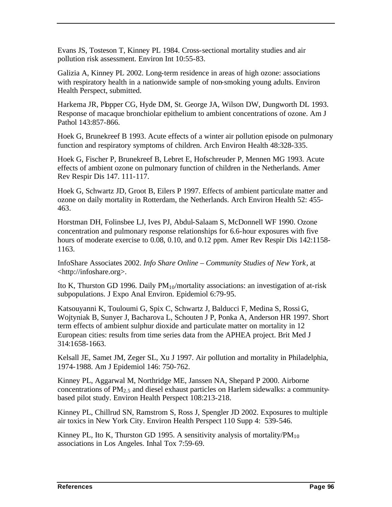Evans JS, Tosteson T, Kinney PL 1984. Cross-sectional mortality studies and air pollution risk assessment. Environ Int 10:55-83.

Galizia A, Kinney PL 2002. Long-term residence in areas of high ozone: associations with respiratory health in a nationwide sample of non-smoking young adults. Environ Health Perspect, submitted.

Harkema JR, Plopper CG, Hyde DM, St. George JA, Wilson DW, Dungworth DL 1993. Response of macaque bronchiolar epithelium to ambient concentrations of ozone. Am J Pathol 143:857-866.

Hoek G, Brunekreef B 1993. Acute effects of a winter air pollution episode on pulmonary function and respiratory symptoms of children. Arch Environ Health 48:328-335.

Hoek G, Fischer P, Brunekreef B, Lebret E, Hofschreuder P, Mennen MG 1993. Acute effects of ambient ozone on pulmonary function of children in the Netherlands. Amer Rev Respir Dis 147. 111-117.

Hoek G, Schwartz JD, Groot B, Eilers P 1997. Effects of ambient particulate matter and ozone on daily mortality in Rotterdam, the Netherlands. Arch Environ Health 52: 455- 463.

Horstman DH, Folinsbee LJ, Ives PJ, Abdul-Salaam S, McDonnell WF 1990. Ozone concentration and pulmonary response relationships for 6.6-hour exposures with five hours of moderate exercise to 0.08, 0.10, and 0.12 ppm. Amer Rev Respir Dis 142:1158-1163.

InfoShare Associates 2002. *Info Share Online – Community Studies of New York*, at <http://infoshare.org>.

Ito K, Thurston GD 1996. Daily  $PM_{10}/$ mortality associations: an investigation of at-risk subpopulations. J Expo Anal Environ. Epidemiol 6:79-95.

Katsouyanni K, Touloumi G, Spix C, Schwartz J, Balducci F, Medina S, Rossi G, Wojtyniak B, Sunyer J, Bacharova L, Schouten J P, Ponka A, Anderson HR 1997. Short term effects of ambient sulphur dioxide and particulate matter on mortality in 12 European cities: results from time series data from the APHEA project. Brit Med J 314:1658-1663.

Kelsall JE, Samet JM, Zeger SL, Xu J 1997. Air pollution and mortality in Philadelphia, 1974-1988. Am J Epidemiol 146: 750-762.

Kinney PL, Aggarwal M, Northridge ME, Janssen NA, Shepard P 2000. Airborne concentrations of  $PM_{2.5}$  and diesel exhaust particles on Harlem sidewalks: a communitybased pilot study. Environ Health Perspect 108:213-218.

Kinney PL, Chillrud SN, Ramstrom S, Ross J, Spengler JD 2002. Exposures to multiple air toxics in New York City. Environ Health Perspect 110 Supp 4: 539-546.

Kinney PL, Ito K, Thurston GD 1995. A sensitivity analysis of mortality/ $PM_{10}$ associations in Los Angeles. Inhal Tox 7:59-69.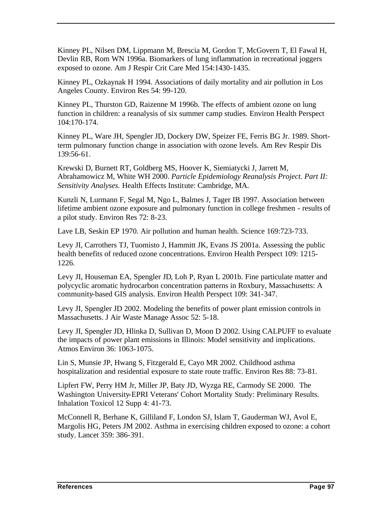Kinney PL, Nilsen DM, Lippmann M, Brescia M, Gordon T, McGovern T, El Fawal H, Devlin RB, Rom WN 1996a. Biomarkers of lung inflammation in recreational joggers exposed to ozone. Am J Respir Crit Care Med 154:1430-1435.

Kinney PL, Ozkaynak H 1994. Associations of daily mortality and air pollution in Los Angeles County. Environ Res 54: 99-120.

Kinney PL, Thurston GD, Raizenne M 1996b. The effects of ambient ozone on lung function in children: a reanalysis of six summer camp studies. Environ Health Perspect 104:170-174.

Kinney PL, Ware JH, Spengler JD, Dockery DW, Speizer FE, Ferris BG Jr. 1989. Shortterm pulmonary function change in association with ozone levels. Am Rev Respir Dis 139:56-61.

Krewski D, Burnett RT, Goldberg MS, Hoover K, Siemiatycki J, Jarrett M, Abrahamowicz M, White WH 2000. *Particle Epidemiology Reanalysis Project. Part II: Sensitivity Analyses.* Health Effects Institute: Cambridge, MA.

Kunzli N, Lurmann F, Segal M, Ngo L, Balmes J, Tager IB 1997. Association between lifetime ambient ozone exposure and pulmonary function in college freshmen - results of a pilot study. Environ Res 72: 8-23.

Lave LB, Seskin EP 1970. Air pollution and human health. Science 169:723-733.

Levy JI, Carrothers TJ, Tuomisto J, Hammitt JK, Evans JS 2001a. Assessing the public health benefits of reduced ozone concentrations. Environ Health Perspect 109: 1215- 1226.

Levy JI, Houseman EA, Spengler JD, Loh P, Ryan L 2001b. Fine particulate matter and polycyclic aromatic hydrocarbon concentration patterns in Roxbury, Massachusetts: A community-based GIS analysis. Environ Health Perspect 109: 341-347.

Levy JI, Spengler JD 2002. Modeling the benefits of power plant emission controls in Massachusetts. J Air Waste Manage Assoc 52: 5-18.

Levy JI, Spengler JD, Hlinka D, Sullivan D, Moon D 2002. Using CALPUFF to evaluate the impacts of power plant emissions in Illinois: Model sensitivity and implications. Atmos Environ 36: 1063-1075.

Lin S, Munsie JP, Hwang S, Fitzgerald E, Cayo MR 2002. Childhood asthma hospitalization and residential exposure to state route traffic. Environ Res 88: 73-81.

Lipfert FW, Perry HM Jr, Miller JP, Baty JD, Wyzga RE, Carmody SE 2000. The Washington University-EPRI Veterans' Cohort Mortality Study: Preliminary Results. Inhalation Toxicol 12 Supp 4: 41-73.

McConnell R, Berhane K, Gilliland F, London SJ, Islam T, Gauderman WJ, Avol E, Margolis HG, Peters JM 2002. Asthma in exercising children exposed to ozone: a cohort study. Lancet 359: 386-391.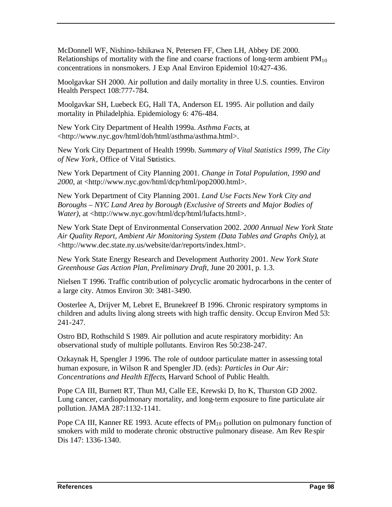McDonnell WF, Nishino-Ishikawa N, Petersen FF, Chen LH, Abbey DE 2000. Relationships of mortality with the fine and coarse fractions of long-term ambient  $PM_{10}$ concentrations in nonsmokers. J Exp Anal Environ Epidemiol 10:427-436.

Moolgavkar SH 2000. Air pollution and daily mortality in three U.S. counties. Environ Health Perspect 108:777-784.

Moolgavkar SH, Luebeck EG, Hall TA, Anderson EL 1995. Air pollution and daily mortality in Philadelphia. Epidemiology 6: 476-484.

New York City Department of Health 1999a. *Asthma Facts*, at <http://www.nyc.gov/html/doh/html/asthma/asthma.html>.

New York City Department of Health 1999b. *Summary of Vital Statistics 1999, The City of New York*, Office of Vital Statistics.

New York Department of City Planning 2001. *Change in Total Population, 1990 and 2000*, at <http://www.nyc.gov/html/dcp/html/pop2000.html>.

New York Department of City Planning 2001. *Land Use Facts New York City and Boroughs – NYC Land Area by Borough (Exclusive of Streets and Major Bodies of Water*), at <http://www.nyc.gov/html/dcp/html/lufacts.html>.

New York State Dept of Environmental Conservation 2002. *2000 Annual New York State Air Quality Report, Ambient Air Monitoring System (Data Tables and Graphs Only)*, at <http://www.dec.state.ny.us/website/dar/reports/index.html>.

New York State Energy Research and Development Authority 2001. *New York State Greenhouse Gas Action Plan, Preliminary Draft*, June 20 2001, p. 1.3.

Nielsen T 1996. Traffic contribution of polycyclic aromatic hydrocarbons in the center of a large city. Atmos Environ 30: 3481-3490.

Oosterlee A, Drijver M, Lebret E, Brunekreef B 1996. Chronic respiratory symptoms in children and adults living along streets with high traffic density. Occup Environ Med 53: 241-247.

Ostro BD, Rothschild S 1989. Air pollution and acute respiratory morbidity: An observational study of multiple pollutants. Environ Res 50:238-247.

Ozkaynak H, Spengler J 1996. The role of outdoor particulate matter in assessing total human exposure, in Wilson R and Spengler JD. (eds): *Particles in Our Air: Concentrations and Health Effects*, Harvard School of Public Health.

Pope CA III, Burnett RT, Thun MJ, Calle EE, Krewski D, Ito K, Thurston GD 2002. Lung cancer, cardiopulmonary mortality, and long-term exposure to fine particulate air pollution. JAMA 287:1132-1141.

Pope CA III, Kanner RE 1993. Acute effects of  $PM_{10}$  pollution on pulmonary function of smokers with mild to moderate chronic obstructive pulmonary disease. Am Rev Re spir Dis 147: 1336-1340.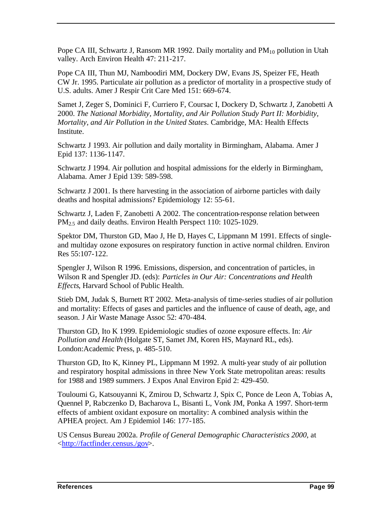Pope CA III, Schwartz J, Ransom MR 1992. Daily mortality and  $PM_{10}$  pollution in Utah valley. Arch Environ Health 47: 211-217.

Pope CA III, Thun MJ, Namboodiri MM, Dockery DW, Evans JS, Speizer FE, Heath CW Jr. 1995. Particulate air pollution as a predictor of mortality in a prospective study of U.S. adults. Amer J Respir Crit Care Med 151: 669-674.

Samet J, Zeger S, Dominici F, Curriero F, Coursac I, Dockery D, Schwartz J, Zanobetti A 2000. *The National Morbidity, Mortality, and Air Pollution Study Part II: Morbidity, Mortality, and Air Pollution in the United States*. Cambridge, MA: Health Effects Institute.

Schwartz J 1993. Air pollution and daily mortality in Birmingham, Alabama. Amer J Epid 137: 1136-1147.

Schwartz J 1994. Air pollution and hospital admissions for the elderly in Birmingham, Alabama. Amer J Epid 139: 589-598.

Schwartz J 2001. Is there harvesting in the association of airborne particles with daily deaths and hospital admissions? Epidemiology 12: 55-61.

Schwartz J, Laden F, Zanobetti A 2002. The concentration-response relation between PM<sub>2.5</sub> and daily deaths. Environ Health Perspect 110: 1025-1029.

Spektor DM, Thurston GD, Mao J, He D, Hayes C, Lippmann M 1991. Effects of singleand multiday ozone exposures on respiratory function in active normal children. Environ Res 55:107-122.

Spengler J, Wilson R 1996. Emissions, dispersion, and concentration of particles, in Wilson R and Spengler JD. (eds): *Particles in Our Air: Concentrations and Health Effects*, Harvard School of Public Health.

Stieb DM, Judak S, Burnett RT 2002. Meta-analysis of time-series studies of air pollution and mortality: Effects of gases and particles and the influence of cause of death, age, and season. J Air Waste Manage Assoc 52: 470-484.

Thurston GD, Ito K 1999. Epidemiologic studies of ozone exposure effects. In: *Air Pollution and Health* (Holgate ST, Samet JM, Koren HS, Maynard RL, eds). London:Academic Press, p. 485-510.

Thurston GD, Ito K, Kinney PL, Lippmann M 1992. A multi-year study of air pollution and respiratory hospital admissions in three New York State metropolitan areas: results for 1988 and 1989 summers. J Expos Anal Environ Epid 2: 429-450.

Touloumi G, Katsouyanni K, Zmirou D, Schwartz J, Spix C, Ponce de Leon A, Tobias A, Quennel P, Rabczenko D, Bacharova L, Bisanti L, Vonk JM, Ponka A 1997. Short-term effects of ambient oxidant exposure on mortality: A combined analysis within the APHEA project. Am J Epidemiol 146: 177-185.

US Census Bureau 2002a. *Profile of General Demographic Characteristics 2000*, at <http://factfinder.census./gov>.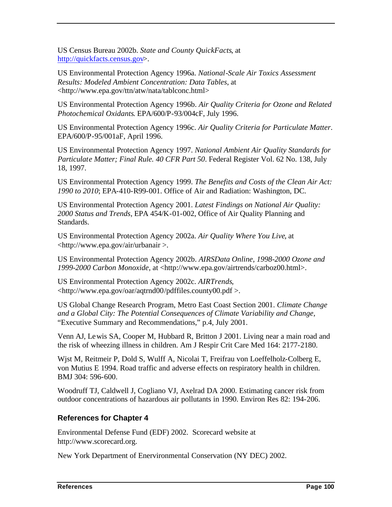US Census Bureau 2002b. *State and County QuickFacts*, at http://quickfacts.census.gov>.

US Environmental Protection Agency 1996a. *National-Scale Air Toxics Assessment Results: Modeled Ambient Concentration: Data Tables*, at <http://www.epa.gov/ttn/atw/nata/tablconc.html>

US Environmental Protection Agency 1996b. *Air Quality Criteria for Ozone and Related Photochemical Oxidants*. EPA/600/P-93/004cF, July 1996.

US Environmental Protection Agency 1996c. *Air Quality Criteria for Particulate Matter*. EPA/600/P-95/001aF, April 1996.

US Environmental Protection Agency 1997. *National Ambient Air Quality Standards for Particulate Matter; Final Rule. 40 CFR Part 50*. Federal Register Vol. 62 No. 138, July 18, 1997.

US Environmental Protection Agency 1999. *The Benefits and Costs of the Clean Air Act: 1990 to 2010*; EPA-410-R99-001. Office of Air and Radiation: Washington, DC.

US Environmental Protection Agency 2001. *Latest Findings on National Air Quality: 2000 Status and Trends*, EPA 454/K-01-002, Office of Air Quality Planning and Standards.

US Environmental Protection Agency 2002a. *Air Quality Where You Live*, at <http://www.epa.gov/air/urbanair >.

US Environmental Protection Agency 2002b. *AIRSData Online, 1998-2000 Ozone and 1999-2000 Carbon Monoxide*, at <http://www.epa.gov/airtrends/carboz00.html>.

US Environmental Protection Agency 2002c. *AIRTrends*, <http://www.epa.gov/oar/aqtrnd00/pdffiles.county00.pdf >.

US Global Change Research Program, Metro East Coast Section 2001. *Climate Change and a Global City: The Potential Consequences of Climate Variability and Change,* "Executive Summary and Recommendations," p.4, July 2001.

Venn AJ, Lewis SA, Cooper M, Hubbard R, Britton J 2001. Living near a main road and the risk of wheezing illness in children. Am J Respir Crit Care Med 164: 2177-2180.

Wjst M, Reitmeir P, Dold S, Wulff A, Nicolai T, Freifrau von Loeffelholz-Colberg E, von Mutius E 1994. Road traffic and adverse effects on respiratory health in children. BMJ 304: 596-600.

Woodruff TJ, Caldwell J, Cogliano VJ, Axelrad DA 2000. Estimating cancer risk from outdoor concentrations of hazardous air pollutants in 1990. Environ Res 82: 194-206.

### **References for Chapter 4**

Environmental Defense Fund (EDF) 2002. Scorecard website at http://www.scorecard.org.

New York Department of Enervironmental Conservation (NY DEC) 2002.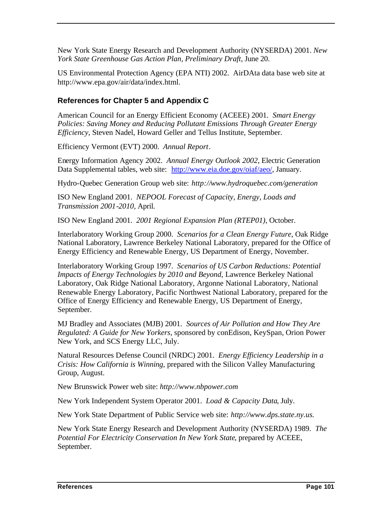New York State Energy Research and Development Authority (NYSERDA) 2001. *New York State Greenhouse Gas Action Plan, Preliminary Draft*, June 20.

US Environmental Protection Agency (EPA NTI) 2002. AirDAta data base web site at http://www.epa.gov/air/data/index.html.

#### **References for Chapter 5 and Appendix C**

American Council for an Energy Efficient Economy (ACEEE) 2001. *Smart Energy Policies: Saving Money and Reducing Pollutant Emissions Through Greater Energy Efficiency*, Steven Nadel, Howard Geller and Tellus Institute, September.

Efficiency Vermont (EVT) 2000. *Annual Report*.

Energy Information Agency 2002. *Annual Energy Outlook 2002*, Electric Generation Data Supplemental tables, web site: http://www.eia.doe.gov/oiaf/aeo/, January.

Hydro-Quebec Generation Group web site: *http://www.hydroquebec.com/generation*

ISO New England 2001. *NEPOOL Forecast of Capacity, Energy, Loads and Transmission 2001-2010*, April.

ISO New England 2001. *2001 Regional Expansion Plan (RTEP01)*, October.

Interlaboratory Working Group 2000. *Scenarios for a Clean Energy Future*, Oak Ridge National Laboratory, Lawrence Berkeley National Laboratory, prepared for the Office of Energy Efficiency and Renewable Energy, US Department of Energy, November.

Interlaboratory Working Group 1997. *Scenarios of US Carbon Reductions: Potential Impacts of Energy Technologies by 2010 and Beyond*, Lawrence Berkeley National Laboratory, Oak Ridge National Laboratory, Argonne National Laboratory, National Renewable Energy Laboratory, Pacific Northwest National Laboratory, prepared for the Office of Energy Efficiency and Renewable Energy, US Department of Energy, September.

MJ Bradley and Associates (MJB) 2001. *Sources of Air Pollution and How They Are Regulated: A Guide for New Yorkers*, sponsored by conEdison, KeySpan, Orion Power New York, and SCS Energy LLC, July.

Natural Resources Defense Council (NRDC) 2001. *Energy Efficiency Leadership in a Crisis: How California is Winning*, prepared with the Silicon Valley Manufacturing Group, August.

New Brunswick Power web site: *http://www.nbpower.com*

New York Independent System Operator 2001. *Load & Capacity Data*, July.

New York State Department of Public Service web site: *http://www.dps.state.ny.us.*

New York State Energy Research and Development Authority (NYSERDA) 1989. *The Potential For Electricity Conservation In New York State*, prepared by ACEEE, September.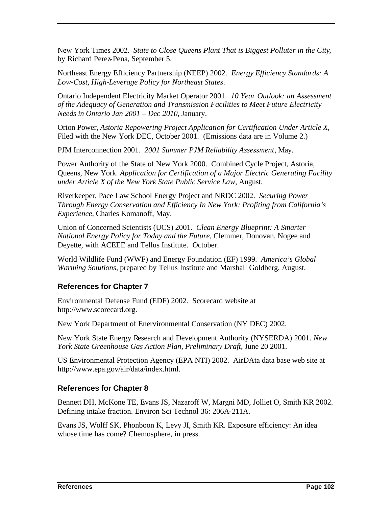New York Times 2002. *State to Close Queens Plant That is Biggest Polluter in the City*, by Richard Perez-Pena, September 5.

Northeast Energy Efficiency Partnership (NEEP) 2002. *Energy Efficiency Standards: A Low-Cost, High-Leverage Policy for Northeast States*.

Ontario Independent Electricity Market Operator 2001. *10 Year Outlook: an Assessment of the Adequacy of Generation and Transmission Facilities to Meet Future Electricity Needs in Ontario Jan 2001 – Dec 2010*, January.

Orion Power, *Astoria Repowering Project Application for Certification Under Article X*, Filed with the New York DEC, October 2001. (Emissions data are in Volume 2.)

PJM Interconnection 2001. *2001 Summer PJM Reliability Assessment*, May.

Power Authority of the State of New York 2000. Combined Cycle Project, Astoria, Queens, New York. *Application for Certification of a Major Electric Generating Facility under Article X of the New York State Public Service Law*, August.

Riverkeeper, Pace Law School Energy Project and NRDC 2002. *Securing Power Through Energy Conservation and Efficiency In New York: Profiting from California's Experience*, Charles Komanoff, May.

Union of Concerned Scientists (UCS) 2001. *Clean Energy Blueprint: A Smarter National Energy Policy for Today and the Future*, Clemmer, Donovan, Nogee and Deyette, with ACEEE and Tellus Institute. October.

World Wildlife Fund (WWF) and Energy Foundation (EF) 1999. *America's Global Warming Solutions*, prepared by Tellus Institute and Marshall Goldberg, August.

### **References for Chapter 7**

Environmental Defense Fund (EDF) 2002. Scorecard website at http://www.scorecard.org.

New York Department of Enervironmental Conservation (NY DEC) 2002.

New York State Energy Research and Development Authority (NYSERDA) 2001. *New York State Greenhouse Gas Action Plan, Preliminary Draft*, June 20 2001.

US Environmental Protection Agency (EPA NTI) 2002. AirDAta data base web site at http://www.epa.gov/air/data/index.html.

#### **References for Chapter 8**

Bennett DH, McKone TE, Evans JS, Nazaroff W, Margni MD, Jolliet O, Smith KR 2002. Defining intake fraction. Environ Sci Technol 36: 206A-211A.

Evans JS, Wolff SK, Phonboon K, Levy JI, Smith KR. Exposure efficiency: An idea whose time has come? Chemosphere, in press.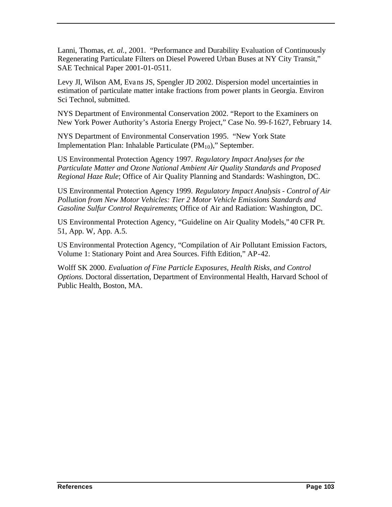Lanni, Thomas, *et. al.*, 2001. "Performance and Durability Evaluation of Continuously Regenerating Particulate Filters on Diesel Powered Urban Buses at NY City Transit," SAE Technical Paper 2001-01-0511.

Levy JI, Wilson AM, Evans JS, Spengler JD 2002. Dispersion model uncertainties in estimation of particulate matter intake fractions from power plants in Georgia. Environ Sci Technol, submitted.

NYS Department of Environmental Conservation 2002. "Report to the Examiners on New York Power Authority's Astoria Energy Project," Case No. 99-f-1627, February 14.

NYS Department of Environmental Conservation 1995. "New York State Implementation Plan: Inhalable Particulate  $(PM_{10})$ ," September.

US Environmental Protection Agency 1997. *Regulatory Impact Analyses for the Particulate Matter and Ozone National Ambient Air Quality Standards and Proposed Regional Haze Rule*; Office of Air Quality Planning and Standards: Washington, DC.

US Environmental Protection Agency 1999. *Regulatory Impact Analysis - Control of Air Pollution from New Motor Vehicles: Tier 2 Motor Vehicle Emissions Standards and Gasoline Sulfur Control Requirements*; Office of Air and Radiation: Washington, DC.

US Environmental Protection Agency, "Guideline on Air Quality Models," 40 CFR Pt. 51, App. W, App. A.5.

US Environmental Protection Agency, "Compilation of Air Pollutant Emission Factors, Volume 1: Stationary Point and Area Sources. Fifth Edition," AP-42.

Wolff SK 2000. *Evaluation of Fine Particle Exposures, Health Risks, and Control Options.* Doctoral dissertation, Department of Environmental Health, Harvard School of Public Health, Boston, MA.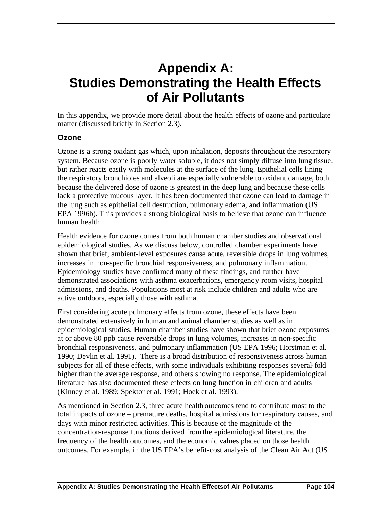# **Appendix A: Studies Demonstrating the Health Effects of Air Pollutants**

In this appendix, we provide more detail about the health effects of ozone and particulate matter (discussed briefly in Section 2.3).

#### **Ozone**

Ozone is a strong oxidant gas which, upon inhalation, deposits throughout the respiratory system. Because ozone is poorly water soluble, it does not simply diffuse into lung tissue, but rather reacts easily with molecules at the surface of the lung. Epithelial cells lining the respiratory bronchioles and alveoli are especially vulnerable to oxidant damage, both because the delivered dose of ozone is greatest in the deep lung and because these cells lack a protective mucous layer. It has been documented that ozone can lead to damage in the lung such as epithelial cell destruction, pulmonary edema, and inflammation (US EPA 1996b). This provides a strong biological basis to believe that ozone can influence human health

Health evidence for ozone comes from both human chamber studies and observational epidemiological studies. As we discuss below, controlled chamber experiments have shown that brief, ambient-level exposures cause acute, reversible drops in lung volumes, increases in non-specific bronchial responsiveness, and pulmonary inflammation. Epidemiology studies have confirmed many of these findings, and further have demonstrated associations with asthma exacerbations, emergency room visits, hospital admissions, and deaths. Populations most at risk include children and adults who are active outdoors, especially those with asthma.

First considering acute pulmonary effects from ozone, these effects have been demonstrated extensively in human and animal chamber studies as well as in epidemiological studies. Human chamber studies have shown that brief ozone exposures at or above 80 ppb cause reversible drops in lung volumes, increases in non-specific bronchial responsiveness, and pulmonary inflammation (US EPA 1996; Horstman et al. 1990; Devlin et al. 1991). There is a broad distribution of responsiveness across human subjects for all of these effects, with some individuals exhibiting responses several-fold higher than the average response, and others showing no response. The epidemiological literature has also documented these effects on lung function in children and adults (Kinney et al. 1989; Spektor et al. 1991; Hoek et al. 1993).

As mentioned in Section 2.3, three acute health outcomes tend to contribute most to the total impacts of ozone – premature deaths, hospital admissions for respiratory causes, and days with minor restricted activities. This is because of the magnitude of the concentration-response functions derived from the epidemiological literature, the frequency of the health outcomes, and the economic values placed on those health outcomes. For example, in the US EPA's benefit-cost analysis of the Clean Air Act (US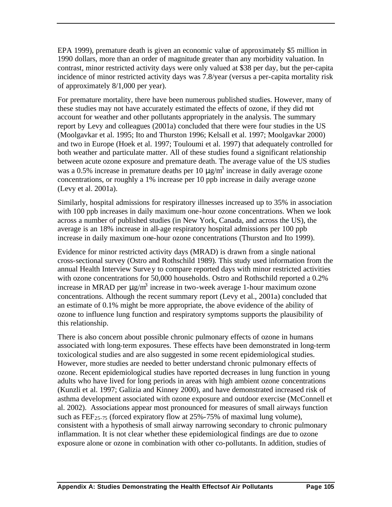EPA 1999), premature death is given an economic value of approximately \$5 million in 1990 dollars, more than an order of magnitude greater than any morbidity valuation. In contrast, minor restricted activity days were only valued at \$38 per day, but the per-capita incidence of minor restricted activity days was 7.8/year (versus a per-capita mortality risk of approximately 8/1,000 per year).

For premature mortality, there have been numerous published studies. However, many of these studies may not have accurately estimated the effects of ozone, if they did not account for weather and other pollutants appropriately in the analysis. The summary report by Levy and colleagues (2001a) concluded that there were four studies in the US (Moolgavkar et al. 1995; Ito and Thurston 1996; Kelsall et al. 1997; Moolgavkar 2000) and two in Europe (Hoek et al. 1997; Touloumi et al. 1997) that adequately controlled for both weather and particulate matter. All of these studies found a significant relationship between acute ozone exposure and premature death. The average value of the US studies was a 0.5% increase in premature deaths per 10  $\mu$ g/m<sup>3</sup> increase in daily average ozone concentrations, or roughly a 1% increase per 10 ppb increase in daily average ozone (Levy et al. 2001a).

Similarly, hospital admissions for respiratory illnesses increased up to 35% in association with 100 ppb increases in daily maximum one-hour ozone concentrations. When we look across a number of published studies (in New York, Canada, and across the US), the average is an 18% increase in all-age respiratory hospital admissions per 100 ppb increase in daily maximum one-hour ozone concentrations (Thurston and Ito 1999).

Evidence for minor restricted activity days (MRAD) is drawn from a single national cross-sectional survey (Ostro and Rothschild 1989). This study used information from the annual Health Interview Survey to compare reported days with minor restricted activities with ozone concentrations for 50,000 households. Ostro and Rothschild reported a 0.2% increase in MRAD per  $\mu$ g/m<sup>3</sup> increase in two-week average 1-hour maximum ozone concentrations. Although the recent summary report (Levy et al., 2001a) concluded that an estimate of 0.1% might be more appropriate, the above evidence of the ability of ozone to influence lung function and respiratory symptoms supports the plausibility of this relationship.

There is also concern about possible chronic pulmonary effects of ozone in humans associated with long-term exposures. These effects have been demonstrated in long-term toxicological studies and are also suggested in some recent epidemiological studies. However, more studies are needed to better understand chronic pulmonary effects of ozone. Recent epidemiological studies have reported decreases in lung function in young adults who have lived for long periods in areas with high ambient ozone concentrations (Kunzli et al. 1997; Galizia and Kinney 2000), and have demonstrated increased risk of asthma development associated with ozone exposure and outdoor exercise (McConnell et al. 2002). Associations appear most pronounced for measures of small airways function such as  $FEF_{25-75}$  (forced expiratory flow at 25%-75% of maximal lung volume), consistent with a hypothesis of small airway narrowing secondary to chronic pulmonary inflammation. It is not clear whether these epidemiological findings are due to ozone exposure alone or ozone in combination with other co-pollutants. In addition, studies of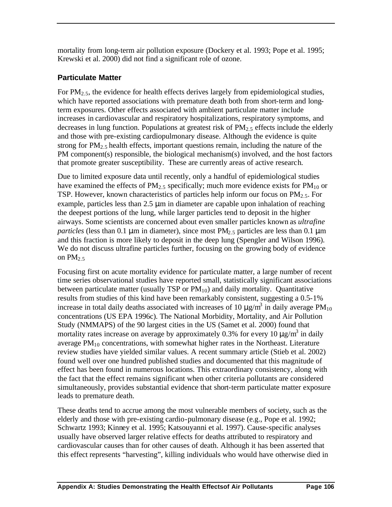mortality from long-term air pollution exposure (Dockery et al. 1993; Pope et al. 1995; Krewski et al. 2000) did not find a significant role of ozone.

### **Particulate Matter**

For  $PM<sub>2.5</sub>$ , the evidence for health effects derives largely from epidemiological studies, which have reported associations with premature death both from short-term and longterm exposures. Other effects associated with ambient particulate matter include increases in cardiovascular and respiratory hospitalizations, respiratory symptoms, and decreases in lung function. Populations at greatest risk of  $PM<sub>2.5</sub>$  effects include the elderly and those with pre-existing cardiopulmonary disease. Although the evidence is quite strong for  $PM_{2.5}$  health effects, important questions remain, including the nature of the PM component(s) responsible, the biological mechanism(s) involved, and the host factors that promote greater susceptibility. These are currently areas of active research.

Due to limited exposure data until recently, only a handful of epidemiological studies have examined the effects of  $PM_{2.5}$  specifically; much more evidence exists for  $PM_{10}$  or TSP. However, known characteristics of particles help inform our focus on  $PM_{2.5}$ . For example, particles less than  $2.5 \mu m$  in diameter are capable upon inhalation of reaching the deepest portions of the lung, while larger particles tend to deposit in the higher airways. Some scientists are concerned about even smaller particles known as *ultrafine particles* (less than 0.1  $\mu$ m in diameter), since most PM<sub>2.5</sub> particles are less than 0.1  $\mu$ m and this fraction is more likely to deposit in the deep lung (Spengler and Wilson 1996). We do not discuss ultrafine particles further, focusing on the growing body of evidence on  $PM_{2.5}$ 

Focusing first on acute mortality evidence for particulate matter, a large number of recent time series observational studies have reported small, statistically significant associations between particulate matter (usually TSP or  $PM_{10}$ ) and daily mortality. Quantitative results from studies of this kind have been remarkably consistent, suggesting a 0.5-1% increase in total daily deaths associated with increases of 10  $\mu$ g/m<sup>3</sup> in daily average PM<sub>10</sub> concentrations (US EPA 1996c). The National Morbidity, Mortality, and Air Pollution Study (NMMAPS) of the 90 largest cities in the US (Samet et al. 2000) found that mortality rates increase on average by approximately 0.3% for every 10  $\mu$ g/m<sup>3</sup> in daily average  $PM_{10}$  concentrations, with somewhat higher rates in the Northeast. Literature review studies have yielded similar values. A recent summary article (Stieb et al. 2002) found well over one hundred published studies and documented that this magnitude of effect has been found in numerous locations. This extraordinary consistency, along with the fact that the effect remains significant when other criteria pollutants are considered simultaneously, provides substantial evidence that short-term particulate matter exposure leads to premature death.

These deaths tend to accrue among the most vulnerable members of society, such as the elderly and those with pre-existing cardio-pulmonary disease (e.g., Pope et al. 1992; Schwartz 1993; Kinney et al. 1995; Katsouyanni et al. 1997). Cause-specific analyses usually have observed larger relative effects for deaths attributed to respiratory and cardiovascular causes than for other causes of death. Although it has been asserted that this effect represents "harvesting", killing individuals who would have otherwise died in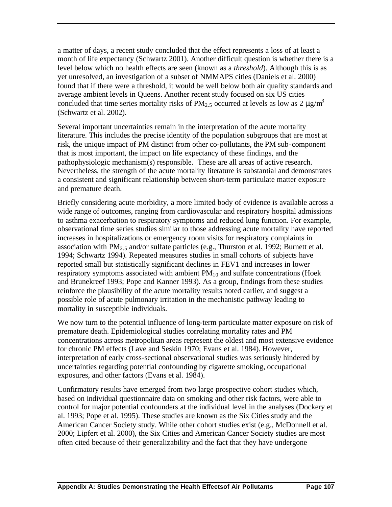a matter of days, a recent study concluded that the effect represents a loss of at least a month of life expectancy (Schwartz 2001). Another difficult question is whether there is a level below which no health effects are seen (known as a *threshold*). Although this is as yet unresolved, an investigation of a subset of NMMAPS cities (Daniels et al. 2000) found that if there were a threshold, it would be well below both air quality standards and average ambient levels in Queens. Another recent study focused on six US cities concluded that time series mortality risks of PM<sub>2.5</sub> occurred at levels as low as  $2 \mu g/m^3$ (Schwartz et al. 2002).

Several important uncertainties remain in the interpretation of the acute mortality literature. This includes the precise identity of the population subgroups that are most at risk, the unique impact of PM distinct from other co-pollutants, the PM sub-component that is most important, the impact on life expectancy of these findings, and the pathophysiologic mechanism(s) responsible. These are all areas of active research. Nevertheless, the strength of the acute mortality literature is substantial and demonstrates a consistent and significant relationship between short-term particulate matter exposure and premature death.

Briefly considering acute morbidity, a more limited body of evidence is available across a wide range of outcomes, ranging from cardiovascular and respiratory hospital admissions to asthma exacerbation to respiratory symptoms and reduced lung function. For example, observational time series studies similar to those addressing acute mortality have reported increases in hospitalizations or emergency room visits for respiratory complaints in association with PM<sub>2.5</sub> and/or sulfate particles (e.g., Thurston et al. 1992; Burnett et al. 1994; Schwartz 1994). Repeated measures studies in small cohorts of subjects have reported small but statistically significant declines in FEV1 and increases in lower respiratory symptoms associated with ambient  $PM_{10}$  and sulfate concentrations (Hoek and Brunekreef 1993; Pope and Kanner 1993). As a group, findings from these studies reinforce the plausibility of the acute mortality results noted earlier, and suggest a possible role of acute pulmonary irritation in the mechanistic pathway leading to mortality in susceptible individuals.

We now turn to the potential influence of long-term particulate matter exposure on risk of premature death. Epidemiological studies correlating mortality rates and PM concentrations across metropolitan areas represent the oldest and most extensive evidence for chronic PM effects (Lave and Seskin 1970; Evans et al. 1984). However, interpretation of early cross-sectional observational studies was seriously hindered by uncertainties regarding potential confounding by cigarette smoking, occupational exposures, and other factors (Evans et al. 1984).

Confirmatory results have emerged from two large prospective cohort studies which, based on individual questionnaire data on smoking and other risk factors, were able to control for major potential confounders at the individual level in the analyses (Dockery et al. 1993; Pope et al. 1995). These studies are known as the Six Cities study and the American Cancer Society study. While other cohort studies exist (e.g., McDonnell et al. 2000; Lipfert et al. 2000), the Six Cities and American Cancer Society studies are most often cited because of their generalizability and the fact that they have undergone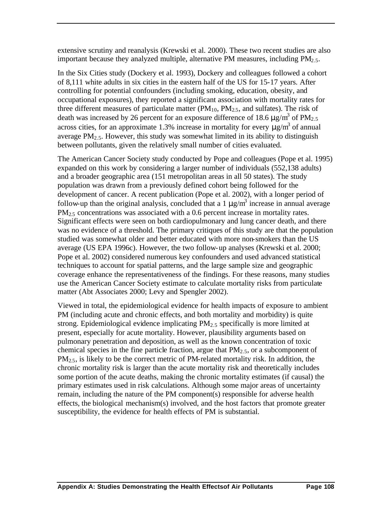extensive scrutiny and reanalysis (Krewski et al. 2000). These two recent studies are also important because they analyzed multiple, alternative PM measures, including  $PM<sub>2</sub>$ .

In the Six Cities study (Dockery et al. 1993), Dockery and colleagues followed a cohort of 8,111 white adults in six cities in the eastern half of the US for 15-17 years. After controlling for potential confounders (including smoking, education, obesity, and occupational exposures), they reported a significant association with mortality rates for three different measures of particulate matter  $(PM_{10}, PM_{2.5},$  and sulfates). The risk of death was increased by 26 percent for an exposure difference of 18.6  $\mu$ g/m<sup>3</sup> of PM<sub>2.5</sub> across cities, for an approximate 1.3% increase in mortality for every  $\mu$ g/m<sup>3</sup> of annual average  $PM<sub>2.5</sub>$ . However, this study was somewhat limited in its ability to distinguish between pollutants, given the relatively small number of cities evaluated.

The American Cancer Society study conducted by Pope and colleagues (Pope et al. 1995) expanded on this work by considering a larger number of individuals (552,138 adults) and a broader geographic area (151 metropolitan areas in all 50 states). The study population was drawn from a previously defined cohort being followed for the development of cancer. A recent publication (Pope et al. 2002), with a longer period of follow-up than the original analysis, concluded that a 1  $\mu$ g/m<sup>3</sup> increase in annual average  $PM<sub>25</sub>$  concentrations was associated with a 0.6 percent increase in mortality rates. Significant effects were seen on both cardiopulmonary and lung cancer death, and there was no evidence of a threshold. The primary critiques of this study are that the population studied was somewhat older and better educated with more non-smokers than the US average (US EPA 1996c). However, the two follow-up analyses (Krewski et al. 2000; Pope et al. 2002) considered numerous key confounders and used advanced statistical techniques to account for spatial patterns, and the large sample size and geographic coverage enhance the representativeness of the findings. For these reasons, many studies use the American Cancer Society estimate to calculate mortality risks from particulate matter (Abt Associates 2000; Levy and Spengler 2002).

Viewed in total, the epidemiological evidence for health impacts of exposure to ambient PM (including acute and chronic effects, and both mortality and morbidity) is quite strong. Epidemiological evidence implicating  $PM_{2.5}$  specifically is more limited at present, especially for acute mortality. However, plausibility arguments based on pulmonary penetration and deposition, as well as the known concentration of toxic chemical species in the fine particle fraction, argue that  $PM_{2.5}$ , or a subcomponent of  $PM_{2.5}$ , is likely to be the correct metric of PM-related mortality risk. In addition, the chronic mortality risk is larger than the acute mortality risk and theoretically includes some portion of the acute deaths, making the chronic mortality estimates (if causal) the primary estimates used in risk calculations. Although some major areas of uncertainty remain, including the nature of the PM component(s) responsible for adverse health effects, the biological mechanism(s) involved, and the host factors that promote greater susceptibility, the evidence for health effects of PM is substantial.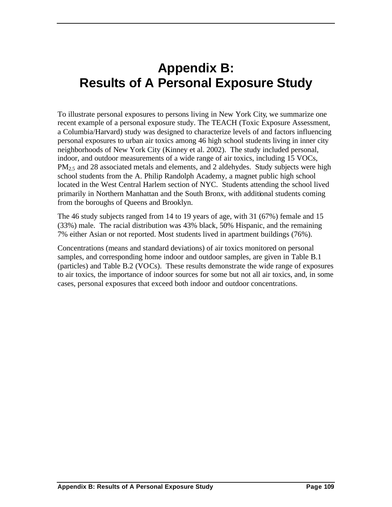# **Appendix B: Results of A Personal Exposure Study**

To illustrate personal exposures to persons living in New York City, we summarize one recent example of a personal exposure study. The TEACH (Toxic Exposure Assessment, a Columbia/Harvard) study was designed to characterize levels of and factors influencing personal exposures to urban air toxics among 46 high school students living in inner city neighborhoods of New York City (Kinney et al. 2002). The study included personal, indoor, and outdoor measurements of a wide range of air toxics, including 15 VOCs, PM<sub>2.5</sub> and 28 associated metals and elements, and 2 aldehydes. Study subjects were high school students from the A. Philip Randolph Academy, a magnet public high school located in the West Central Harlem section of NYC. Students attending the school lived primarily in Northern Manhattan and the South Bronx, with additional students coming from the boroughs of Queens and Brooklyn.

The 46 study subjects ranged from 14 to 19 years of age, with 31 (67%) female and 15 (33%) male. The racial distribution was 43% black, 50% Hispanic, and the remaining 7% either Asian or not reported. Most students lived in apartment buildings (76%).

Concentrations (means and standard deviations) of air toxics monitored on personal samples, and corresponding home indoor and outdoor samples, are given in Table B.1 (particles) and Table B.2 (VOCs). These results demonstrate the wide range of exposures to air toxics, the importance of indoor sources for some but not all air toxics, and, in some cases, personal exposures that exceed both indoor and outdoor concentrations.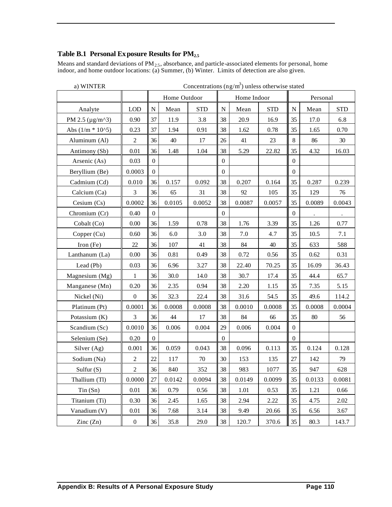#### **Table B.1 Personal Exposure Results for PM2.5**

Means and standard deviations of  $PM_{2.5}$ , absorbance, and particle-associated elements for personal, home indoor, and home outdoor locations: (a) Summer, (b) Winter. Limits of detection are also given.

|                          |                  | Home Outdoor     |          |            |                  | Home Indoor |            | Personal         |        |            |  |
|--------------------------|------------------|------------------|----------|------------|------------------|-------------|------------|------------------|--------|------------|--|
| Analyte                  | <b>LOD</b>       | $\mathbf N$      | Mean     | <b>STD</b> | ${\bf N}$        | Mean        | <b>STD</b> | $\mathbf N$      | Mean   | <b>STD</b> |  |
| PM 2.5 ( $\mu$ g/m^3)    | 0.90             | 37               | 11.9     | 3.8        | 38               | 20.9        | 16.9       | 35               | 17.0   | 6.8        |  |
| Abs $(1/m * 1015)$       | 0.23             | 37               | 1.94     | 0.91       | 38               | 1.62        | 0.78       | 35               | 1.65   | 0.70       |  |
| Aluminum (Al)            | $\overline{2}$   | 36               | 40       | 17         | 26               | 41          | 23         | 8                | 86     | 30         |  |
| Antimony (Sb)            | 0.01             | 36               | 1.48     | 1.04       | 38               | 5.29        | 22.82      | 35               | 4.32   | 16.03      |  |
| Arsenic (As)             | 0.03             | $\boldsymbol{0}$ |          |            | $\boldsymbol{0}$ |             |            | $\boldsymbol{0}$ |        |            |  |
| Beryllium (Be)           | 0.0003           | $\boldsymbol{0}$ |          |            | $\boldsymbol{0}$ |             |            | $\boldsymbol{0}$ |        |            |  |
| Cadmium (Cd)             | 0.010            | 36               | 0.157    | 0.092      | 38               | 0.207       | 0.164      | 35               | 0.287  | 0.239      |  |
| Calcium (Ca)             | 3                | 36               | 65       | 31         | 38               | 92          | 105        | 35               | 129    | 76         |  |
| Cesium (Cs)              | 0.0002           | 36               | 0.0105   | 0.0052     | 38               | 0.0087      | 0.0057     | 35               | 0.0089 | 0.0043     |  |
| Chromium (Cr)            | 0.40             | $\boldsymbol{0}$ |          |            | $\mathbf{0}$     |             |            | $\boldsymbol{0}$ |        | $\bullet$  |  |
| Cobalt (Co)              | 0.00             | 36               | 1.59     | 0.78       | 38               | 1.76        | 3.39       | 35               | 1.26   | 0.77       |  |
| Copper (Cu)              | 0.60             | 36               | 6.0      | 3.0        | 38               | 7.0         | 4.7        | 35               | 10.5   | 7.1        |  |
| Iron $(Fe)$              | $22\,$           | 36               | 107      | 41         | 38               | 84          | 40         | 35               | 633    | 588        |  |
| Lanthanum (La)           | 0.00             | 36               | $0.81\,$ | 0.49       | 38               | 0.72        | 0.56       | 35               | 0.62   | 0.31       |  |
| Lead (Pb)                | 0.03             | 36               | 6.96     | 3.27       | 38               | 22.40       | 70.25      | 35               | 16.09  | 36.43      |  |
| Magnesium (Mg)           | $\mathbf{1}$     | 36               | 30.0     | 14.0       | 38               | 30.7        | 17.4       | 35               | 44.4   | 65.7       |  |
| Manganese (Mn)           | 0.20             | 36               | 2.35     | 0.94       | 38               | 2.20        | 1.15       | 35               | 7.35   | 5.15       |  |
| Nickel (Ni)              | $\boldsymbol{0}$ | 36               | 32.3     | 22.4       | 38               | 31.6        | 54.5       | 35               | 49.6   | 114.2      |  |
| Platinum (Pt)            | 0.0001           | 36               | 0.0008   | 0.0008     | 38               | 0.0010      | 0.0008     | 35               | 0.0008 | 0.0004     |  |
| Potassium (K)            | 3                | 36               | 44       | 17         | 38               | 84          | 66         | 35               | 80     | 56         |  |
| Scandium (Sc)            | 0.0010           | 36               | 0.006    | 0.004      | 29               | 0.006       | 0.004      | $\mathbf{0}$     |        |            |  |
| Selenium (Se)            | 0.20             | $\boldsymbol{0}$ |          |            | $\overline{0}$   |             |            | $\mathbf{0}$     |        |            |  |
| Silver (Ag)              | 0.001            | 36               | 0.059    | 0.043      | 38               | 0.096       | 0.113      | 35               | 0.124  | 0.128      |  |
| Sodium (Na)              | $\overline{2}$   | $22\,$           | 117      | 70         | 30               | 153         | 135        | 27               | 142    | 79         |  |
| Sulfur $(S)$             | $\overline{c}$   | 36               | 840      | 352        | 38               | 983         | 1077       | 35               | 947    | 628        |  |
| Thallium (Tl)            | 0.0000           | $27\,$           | 0.0142   | 0.0094     | 38               | 0.0149      | 0.0099     | 35               | 0.0133 | 0.0081     |  |
| Tin(Sn)                  | $0.01\,$         | 36               | 0.79     | 0.56       | 38               | 1.01        | 0.53       | 35               | 1.21   | 0.66       |  |
| Titanium (Ti)            | 0.30             | 36               | 2.45     | 1.65       | 38               | 2.94        | 2.22       | 35               | 4.75   | 2.02       |  |
| Vanadium (V)             | 0.01             | 36               | 7.68     | 3.14       | 38               | 9.49        | 20.66      | 35               | 6.56   | 3.67       |  |
| $\text{Zinc}(\text{Zn})$ | $\boldsymbol{0}$ | 36               | 35.8     | 29.0       | 38               | 120.7       | 370.6      | 35               | 80.3   | 143.7      |  |

a) WINTER Concentrations  $(ng/m<sup>3</sup>)$  unless otherwise stated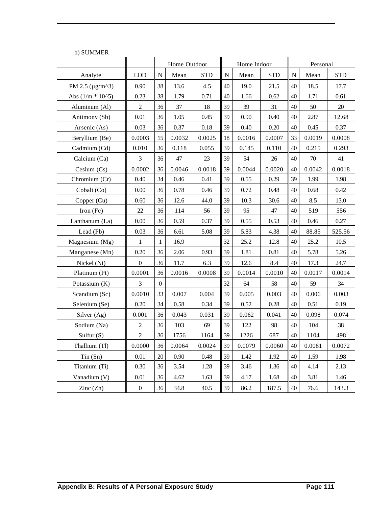| <b>U) SUIVIIVIER</b>     |                  | Home Outdoor   |        |            | Home Indoor |        |            |    | Personal |            |  |  |
|--------------------------|------------------|----------------|--------|------------|-------------|--------|------------|----|----------|------------|--|--|
| Analyte                  | <b>LOD</b>       | ${\bf N}$      | Mean   | <b>STD</b> | N           | Mean   | <b>STD</b> | N  | Mean     | <b>STD</b> |  |  |
| PM 2.5 ( $\mu$ g/m^3)    | 0.90             | 38             | 13.6   | 4.5        | 40          | 19.0   | 21.5       | 40 | 18.5     | 17.7       |  |  |
| Abs $(1/m * 100.5)$      | 0.23             | 38             | 1.79   | 0.71       | 40          | 1.66   | 0.62       | 40 | 1.71     | 0.61       |  |  |
| Aluminum (Al)            | $\overline{2}$   | 36             | 37     | 18         | 39          | 39     | 31         | 40 | 50       | 20         |  |  |
| Antimony (Sb)            | 0.01             | 36             | 1.05   | 0.45       | 39          | 0.90   | 0.40       | 40 | 2.87     | 12.68      |  |  |
| Arsenic (As)             | 0.03             | 36             | 0.37   | 0.18       | 39          | 0.40   | 0.20       | 40 | 0.45     | 0.37       |  |  |
| Beryllium (Be)           | 0.0003           | 15             | 0.0032 | 0.0025     | 18          | 0.0016 | 0.0007     | 33 | 0.0019   | 0.0008     |  |  |
| Cadmium (Cd)             | 0.010            | 36             | 0.118  | 0.055      | 39          | 0.145  | 0.110      | 40 | 0.215    | 0.293      |  |  |
| Calcium (Ca)             | $\mathfrak{Z}$   | 36             | 47     | 23         | 39          | 54     | 26         | 40 | $70\,$   | 41         |  |  |
| Cesium $(Cs)$            | 0.0002           | 36             | 0.0046 | 0.0018     | 39          | 0.0044 | 0.0020     | 40 | 0.0042   | 0.0018     |  |  |
| Chromium (Cr)            | 0.40             | 34             | 0.46   | 0.41       | 39          | 0.55   | 0.29       | 39 | 1.99     | 1.98       |  |  |
| Cobalt (Co)              | $0.00\,$         | 36             | 0.78   | 0.46       | 39          | 0.72   | 0.48       | 40 | 0.68     | 0.42       |  |  |
| Copper (Cu)              | 0.60             | 36             | 12.6   | 44.0       | 39          | 10.3   | 30.6       | 40 | 8.5      | 13.0       |  |  |
| Iron $(Fe)$              | 22               | 36             | 114    | 56         | 39          | 95     | 47         | 40 | 519      | 556        |  |  |
| Lanthanum (La)           | $0.00\,$         | 36             | 0.59   | 0.37       | 39          | 0.55   | 0.53       | 40 | 0.46     | 0.27       |  |  |
| Lead (Pb)                | 0.03             | 36             | 6.61   | 5.08       | 39          | 5.83   | 4.38       | 40 | 88.85    | 525.56     |  |  |
| Magnesium (Mg)           | 1                | 1              | 16.9   |            | 32          | 25.2   | 12.8       | 40 | 25.2     | 10.5       |  |  |
| Manganese (Mn)           | 0.20             | 36             | 2.06   | 0.93       | 39          | 1.81   | 0.81       | 40 | 5.78     | 5.26       |  |  |
| Nickel (Ni)              | $\boldsymbol{0}$ | 36             | 11.7   | 6.3        | 39          | 12.6   | 8.4        | 40 | 17.3     | 24.7       |  |  |
| Platinum (Pt)            | 0.0001           | 36             | 0.0016 | 0.0008     | 39          | 0.0014 | 0.0010     | 40 | 0.0017   | 0.0014     |  |  |
| Potassium (K)            | 3                | $\overline{0}$ |        |            | 32          | 64     | 58         | 40 | 59       | 34         |  |  |
| Scandium (Sc)            | 0.0010           | 33             | 0.007  | 0.004      | 39          | 0.005  | 0.003      | 40 | 0.006    | 0.003      |  |  |
| Selenium (Se)            | 0.20             | 34             | 0.58   | 0.34       | 39          | 0.52   | 0.28       | 40 | 0.51     | 0.19       |  |  |
| Silver (Ag)              | 0.001            | 36             | 0.043  | 0.031      | 39          | 0.062  | 0.041      | 40 | 0.098    | 0.074      |  |  |
| Sodium (Na)              | $\overline{c}$   | 36             | 103    | 69         | 39          | 122    | 98         | 40 | 104      | 38         |  |  |
| Sulfur $(S)$             | $\overline{2}$   | 36             | 1756   | 1164       | 39          | 1226   | 687        | 40 | 1104     | 498        |  |  |
| Thallium (Tl)            | 0.0000           | 36             | 0.0064 | 0.0024     | 39          | 0.0079 | 0.0060     | 40 | 0.0081   | 0.0072     |  |  |
| Tin(Sn)                  | 0.01             | 20             | 0.90   | 0.48       | 39          | 1.42   | 1.92       | 40 | 1.59     | 1.98       |  |  |
| Titanium (Ti)            | 0.30             | 36             | 3.54   | 1.28       | 39          | 3.46   | 1.36       | 40 | 4.14     | 2.13       |  |  |
| Vanadium (V)             | 0.01             | 36             | 4.62   | 1.63       | 39          | 4.17   | 1.68       | 40 | 3.81     | 1.46       |  |  |
| $\text{Zinc}(\text{Zn})$ | $\boldsymbol{0}$ | 36             | 34.8   | 40.5       | 39          | 86.2   | 187.5      | 40 | 76.6     | 143.3      |  |  |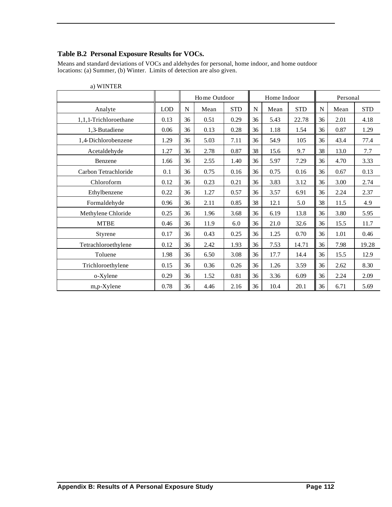#### **Table B.2 Personal Exposure Results for VOCs.**

Means and standard deviations of VOCs and aldehydes for personal, home indoor, and home outdoor locations: (a) Summer, (b) Winter. Limits of detection are also given.

|                       |            | Home Outdoor |      |            | Home Indoor |      |            |             | Personal |            |  |
|-----------------------|------------|--------------|------|------------|-------------|------|------------|-------------|----------|------------|--|
| Analyte               | <b>LOD</b> | ${\bf N}$    | Mean | <b>STD</b> | $\mathbf N$ | Mean | <b>STD</b> | $\mathbf N$ | Mean     | <b>STD</b> |  |
| 1,1,1-Trichloroethane | 0.13       | 36           | 0.51 | 0.29       | 36          | 5.43 | 22.78      | 36          | 2.01     | 4.18       |  |
| 1,3-Butadiene         | 0.06       | 36           | 0.13 | 0.28       | 36          | 1.18 | 1.54       | 36          | 0.87     | 1.29       |  |
| 1,4-Dichlorobenzene   | 1.29       | 36           | 5.03 | 7.11       | 36          | 54.9 | 105        | 36          | 43.4     | 77.4       |  |
| Acetaldehyde          | 1.27       | 36           | 2.78 | 0.87       | 38          | 15.6 | 9.7        | 38          | 13.0     | 7.7        |  |
| Benzene               | 1.66       | 36           | 2.55 | 1.40       | 36          | 5.97 | 7.29       | 36          | 4.70     | 3.33       |  |
| Carbon Tetrachloride  | 0.1        | 36           | 0.75 | 0.16       | 36          | 0.75 | 0.16       | 36          | 0.67     | 0.13       |  |
| Chloroform            | 0.12       | 36           | 0.23 | 0.21       | 36          | 3.83 | 3.12       | 36          | 3.00     | 2.74       |  |
| Ethylbenzene          | 0.22       | 36           | 1.27 | 0.57       | 36          | 3.57 | 6.91       | 36          | 2.24     | 2.37       |  |
| Formaldehyde          | 0.96       | 36           | 2.11 | 0.85       | 38          | 12.1 | 5.0        | 38          | 11.5     | 4.9        |  |
| Methylene Chloride    | 0.25       | 36           | 1.96 | 3.68       | 36          | 6.19 | 13.8       | 36          | 3.80     | 5.95       |  |
| <b>MTBE</b>           | 0.46       | 36           | 11.9 | 6.0        | 36          | 21.0 | 32.6       | 36          | 15.5     | 11.7       |  |
| Styrene               | 0.17       | 36           | 0.43 | 0.25       | 36          | 1.25 | 0.70       | 36          | 1.01     | 0.46       |  |
| Tetrachloroethylene   | 0.12       | 36           | 2.42 | 1.93       | 36          | 7.53 | 14.71      | 36          | 7.98     | 19.28      |  |
| Toluene               | 1.98       | 36           | 6.50 | 3.08       | 36          | 17.7 | 14.4       | 36          | 15.5     | 12.9       |  |
| Trichloroethylene     | 0.15       | 36           | 0.36 | 0.26       | 36          | 1.26 | 3.59       | 36          | 2.62     | 8.30       |  |
| o-Xylene              | 0.29       | 36           | 1.52 | 0.81       | 36          | 3.36 | 6.09       | 36          | 2.24     | 2.09       |  |
| m,p-Xylene            | 0.78       | 36           | 4.46 | 2.16       | 36          | 10.4 | 20.1       | 36          | 6.71     | 5.69       |  |

a) WINTER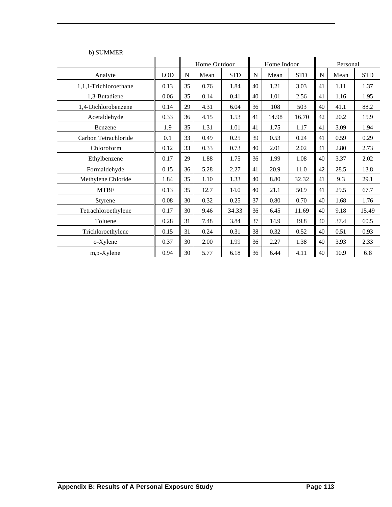|                       |            | Home Outdoor |      |            |    | Home Indoor |            | Personal |      |            |
|-----------------------|------------|--------------|------|------------|----|-------------|------------|----------|------|------------|
| Analyte               | <b>LOD</b> | $\mathbf N$  | Mean | <b>STD</b> | N  | Mean        | <b>STD</b> | N        | Mean | <b>STD</b> |
| 1,1,1-Trichloroethane | 0.13       | 35           | 0.76 | 1.84       | 40 | 1.21        | 3.03       | 41       | 1.11 | 1.37       |
| 1,3-Butadiene         | 0.06       | 35           | 0.14 | 0.41       | 40 | 1.01        | 2.56       | 41       | 1.16 | 1.95       |
| 1,4-Dichlorobenzene   | 0.14       | 29           | 4.31 | 6.04       | 36 | 108         | 503        | 40       | 41.1 | 88.2       |
| Acetaldehyde          | 0.33       | 36           | 4.15 | 1.53       | 41 | 14.98       | 16.70      | 42       | 20.2 | 15.9       |
| Benzene               | 1.9        | 35           | 1.31 | 1.01       | 41 | 1.75        | 1.17       | 41       | 3.09 | 1.94       |
| Carbon Tetrachloride  | 0.1        | 33           | 0.49 | 0.25       | 39 | 0.53        | 0.24       | 41       | 0.59 | 0.29       |
| Chloroform            | 0.12       | 33           | 0.33 | 0.73       | 40 | 2.01        | 2.02       | 41       | 2.80 | 2.73       |
| Ethylbenzene          | 0.17       | 29           | 1.88 | 1.75       | 36 | 1.99        | 1.08       | 40       | 3.37 | 2.02       |
| Formaldehyde          | 0.15       | 36           | 5.28 | 2.27       | 41 | 20.9        | 11.0       | 42       | 28.5 | 13.8       |
| Methylene Chloride    | 1.84       | 35           | 1.10 | 1.33       | 40 | 8.80        | 32.32      | 41       | 9.3  | 29.1       |
| <b>MTBE</b>           | 0.13       | 35           | 12.7 | 14.0       | 40 | 21.1        | 50.9       | 41       | 29.5 | 67.7       |
| Styrene               | 0.08       | 30           | 0.32 | 0.25       | 37 | 0.80        | 0.70       | 40       | 1.68 | 1.76       |
| Tetrachloroethylene   | 0.17       | 30           | 9.46 | 34.33      | 36 | 6.45        | 11.69      | 40       | 9.18 | 15.49      |
| Toluene               | 0.28       | 31           | 7.48 | 3.84       | 37 | 14.9        | 19.8       | 40       | 37.4 | 60.5       |
| Trichloroethylene     | 0.15       | 31           | 0.24 | 0.31       | 38 | 0.32        | 0.52       | 40       | 0.51 | 0.93       |
| o-Xylene              | 0.37       | 30           | 2.00 | 1.99       | 36 | 2.27        | 1.38       | 40       | 3.93 | 2.33       |
| m,p-Xylene            | 0.94       | 30           | 5.77 | 6.18       | 36 | 6.44        | 4.11       | 40       | 10.9 | 6.8        |

b) SUMMER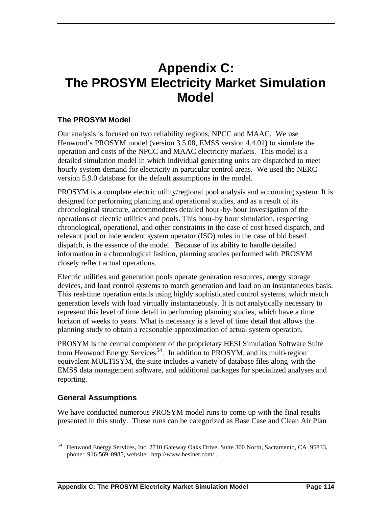## **Appendix C: The PROSYM Electricity Market Simulation Model**

## **The PROSYM Model**

Our analysis is focused on two reliability regions, NPCC and MAAC. We use Henwood's PROSYM model (version 3.5.08, EMSS version 4.4.01) to simulate the operation and costs of the NPCC and MAAC electricity markets. This model is a detailed simulation model in which individual generating units are dispatched to meet hourly system demand for electricity in particular control areas. We used the NERC version 5.9.0 database for the default assumptions in the model.

PROSYM is a complete electric utility/regional pool analysis and accounting system. It is designed for performing planning and operational studies, and as a result of its chronological structure, accommodates detailed hour-by-hour investigation of the operations of electric utilities and pools. This hour-by hour simulation, respecting chronological, operational, and other constraints in the case of cost based dispatch, and relevant pool or independent system operator (ISO) rules in the case of bid based dispatch, is the essence of the model. Because of its ability to handle detailed information in a chronological fashion, planning studies performed with PROSYM closely reflect actual operations.

Electric utilities and generation pools operate generation resources, energy storage devices, and load control systems to match generation and load on an instantaneous basis. This real-time operation entails using highly sophisticated control systems, which match generation levels with load virtually instantaneously. It is not analytically necessary to represent this level of time detail in performing planning studies, which have a time horizon of weeks to years. What is necessary is a level of time detail that allows the planning study to obtain a reasonable approximation of actual system operation.

PROSYM is the central component of the proprietary HESI Simulation Software Suite from Henwood Energy Services<sup>54</sup>. In addition to PROSYM, and its multi-region equivalent MULTISYM, the suite includes a variety of database files along with the EMSS data management software, and additional packages for specialized analyses and reporting.

## **General Assumptions**

 $\overline{a}$ 

We have conducted numerous PROSYM model runs to come up with the final results presented in this study. These runs can be categorized as Base Case and Clean Air Plan

<sup>54</sup> Henwood Energy Services, Inc. 2710 Gateway Oaks Drive, Suite 300 North, Sacramento, CA 95833, phone: 916-569-0985, website: http://www.hesinet.com/ .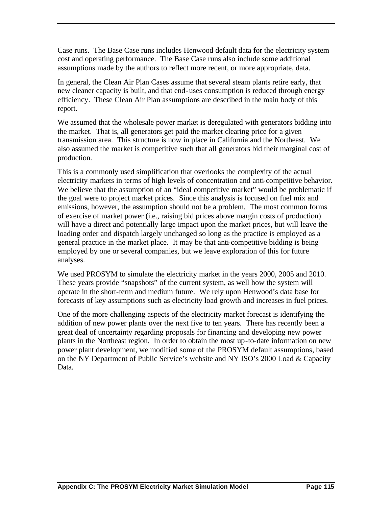Case runs. The Base Case runs includes Henwood default data for the electricity system cost and operating performance. The Base Case runs also include some additional assumptions made by the authors to reflect more recent, or more appropriate, data.

In general, the Clean Air Plan Cases assume that several steam plants retire early, that new cleaner capacity is built, and that end-uses consumption is reduced through energy efficiency. These Clean Air Plan assumptions are described in the main body of this report.

We assumed that the wholesale power market is deregulated with generators bidding into the market. That is, all generators get paid the market clearing price for a given transmission area. This structure is now in place in California and the Northeast. We also assumed the market is competitive such that all generators bid their marginal cost of production.

This is a commonly used simplification that overlooks the complexity of the actual electricity markets in terms of high levels of concentration and anti-competitive behavior. We believe that the assumption of an "ideal competitive market" would be problematic if the goal were to project market prices. Since this analysis is focused on fuel mix and emissions, however, the assumption should not be a problem. The most common forms of exercise of market power (i.e., raising bid prices above margin costs of production) will have a direct and potentially large impact upon the market prices, but will leave the loading order and dispatch largely unchanged so long as the practice is employed as a general practice in the market place. It may be that anti-competitive bidding is being employed by one or several companies, but we leave exploration of this for future analyses.

We used PROSYM to simulate the electricity market in the years 2000, 2005 and 2010. These years provide "snapshots" of the current system, as well how the system will operate in the short-term and medium future. We rely upon Henwood's data base for forecasts of key assumptions such as electricity load growth and increases in fuel prices.

One of the more challenging aspects of the electricity market forecast is identifying the addition of new power plants over the next five to ten years. There has recently been a great deal of uncertainty regarding proposals for financing and developing new power plants in the Northeast region. In order to obtain the most up-to-date information on new power plant development, we modified some of the PROSYM default assumptions, based on the NY Department of Public Service's website and NY ISO's 2000 Load & Capacity Data.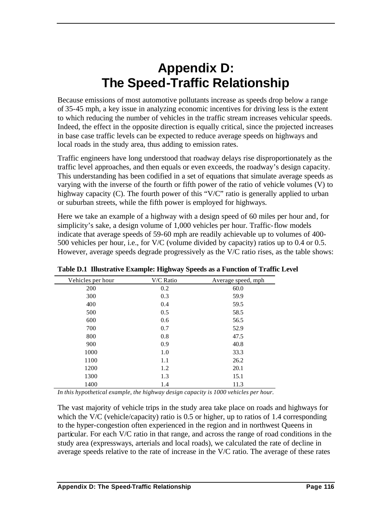## **Appendix D: The Speed-Traffic Relationship**

Because emissions of most automotive pollutants increase as speeds drop below a range of 35-45 mph, a key issue in analyzing economic incentives for driving less is the extent to which reducing the number of vehicles in the traffic stream increases vehicular speeds. Indeed, the effect in the opposite direction is equally critical, since the projected increases in base case traffic levels can be expected to reduce average speeds on highways and local roads in the study area, thus adding to emission rates.

Traffic engineers have long understood that roadway delays rise disproportionately as the traffic level approaches, and then equals or even exceeds, the roadway's design capacity. This understanding has been codified in a set of equations that simulate average speeds as varying with the inverse of the fourth or fifth power of the ratio of vehicle volumes (V) to highway capacity (C). The fourth power of this "V/C" ratio is generally applied to urban or suburban streets, while the fifth power is employed for highways.

Here we take an example of a highway with a design speed of 60 miles per hour and, for simplicity's sake, a design volume of 1,000 vehicles per hour. Traffic-flow models indicate that average speeds of 59-60 mph are readily achievable up to volumes of 400- 500 vehicles per hour, i.e., for V/C (volume divided by capacity) ratios up to 0.4 or 0.5. However, average speeds degrade progressively as the V/C ratio rises, as the table shows:

| Vehicles per hour | V/C Ratio | Average speed, mph |
|-------------------|-----------|--------------------|
| 200               | 0.2       | 60.0               |
| 300               | 0.3       | 59.9               |
| 400               | 0.4       | 59.5               |
| 500               | 0.5       | 58.5               |
| 600               | 0.6       | 56.5               |
| 700               | 0.7       | 52.9               |
| 800               | 0.8       | 47.5               |
| 900               | 0.9       | 40.8               |
| 1000              | 1.0       | 33.3               |
| 1100              | 1.1       | 26.2               |
| 1200              | 1.2       | 20.1               |
| 1300              | 1.3       | 15.1               |
| 1400              | 1.4       | 11.3               |

**Table D.1 Illustrative Example: Highway Speeds as a Function of Traffic Level**

*In this hypothetical example, the highway design capacity is 1000 vehicles per hour.*

The vast majority of vehicle trips in the study area take place on roads and highways for which the V/C (vehicle/capacity) ratio is  $0.5$  or higher, up to ratios of 1.4 corresponding to the hyper-congestion often experienced in the region and in northwest Queens in particular. For each V/C ratio in that range, and across the range of road conditions in the study area (expressways, arterials and local roads), we calculated the rate of decline in average speeds relative to the rate of increase in the V/C ratio. The average of these rates